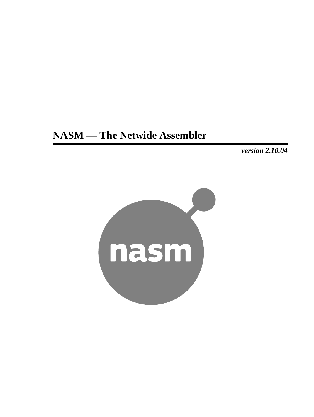# **NASM — The Netwide Assembler**

*version 2.10.04*

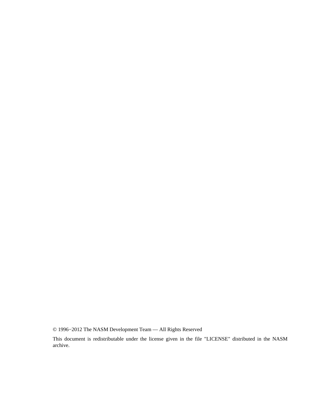© 1996−2012 The NASM Development Team — All Rights Reserved

This document is redistributable under the license given in the file "LICENSE" distributed in the NASM archive.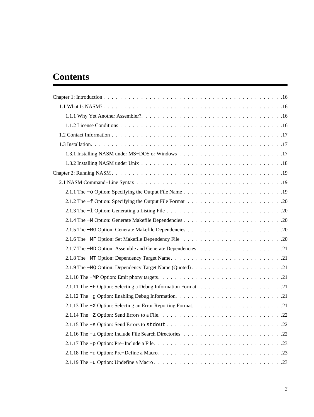# **Contents**

| 2.1.12 The -g Option: Enabling Debug Information |
|--------------------------------------------------|
|                                                  |
|                                                  |
|                                                  |
|                                                  |
|                                                  |
|                                                  |
|                                                  |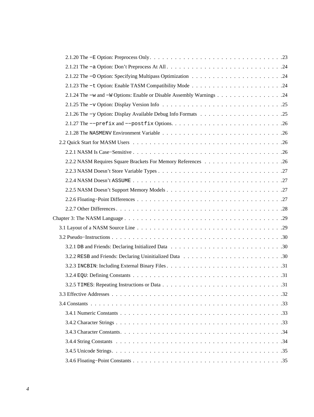| 2.1.24 The -w and -W Options: Enable or Disable Assembly Warnings 24 |  |
|----------------------------------------------------------------------|--|
|                                                                      |  |
|                                                                      |  |
|                                                                      |  |
|                                                                      |  |
|                                                                      |  |
|                                                                      |  |
|                                                                      |  |
|                                                                      |  |
|                                                                      |  |
|                                                                      |  |
|                                                                      |  |
|                                                                      |  |
|                                                                      |  |
|                                                                      |  |
|                                                                      |  |
|                                                                      |  |
|                                                                      |  |
|                                                                      |  |
|                                                                      |  |
|                                                                      |  |
|                                                                      |  |
|                                                                      |  |
|                                                                      |  |
|                                                                      |  |
|                                                                      |  |
|                                                                      |  |
|                                                                      |  |
|                                                                      |  |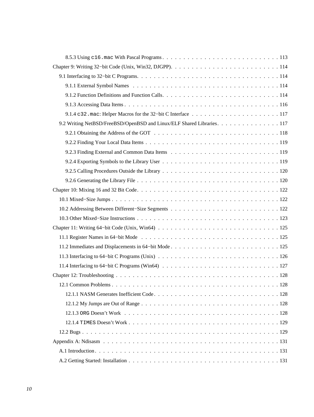| 9.2 Writing NetBSD/FreeBSD/OpenBSD and Linux/ELF Shared Libraries. 117 |
|------------------------------------------------------------------------|
|                                                                        |
|                                                                        |
|                                                                        |
|                                                                        |
|                                                                        |
|                                                                        |
|                                                                        |
|                                                                        |
|                                                                        |
|                                                                        |
|                                                                        |
|                                                                        |
|                                                                        |
|                                                                        |
|                                                                        |
|                                                                        |
|                                                                        |
|                                                                        |
|                                                                        |
|                                                                        |
|                                                                        |
|                                                                        |
|                                                                        |
|                                                                        |
|                                                                        |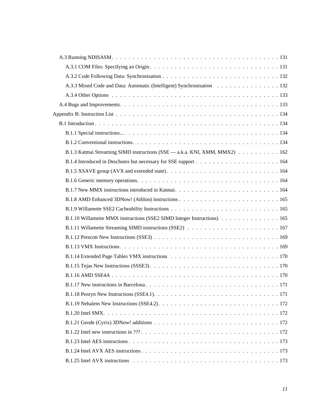| A.3.3 Mixed Code and Data: Automatic (Intelligent) Synchronisation 132     |
|----------------------------------------------------------------------------|
|                                                                            |
|                                                                            |
|                                                                            |
|                                                                            |
|                                                                            |
|                                                                            |
| B.1.3 Katmai Streaming SIMD instructions (SSE — a.k.a. KNI, XMM, MMX2) 162 |
|                                                                            |
|                                                                            |
|                                                                            |
|                                                                            |
|                                                                            |
|                                                                            |
| B.1.10 Willamette MMX instructions (SSE2 SIMD Integer Instructions) 165    |
|                                                                            |
|                                                                            |
|                                                                            |
|                                                                            |
|                                                                            |
|                                                                            |
|                                                                            |
|                                                                            |
|                                                                            |
|                                                                            |
|                                                                            |
|                                                                            |
|                                                                            |
|                                                                            |
|                                                                            |
|                                                                            |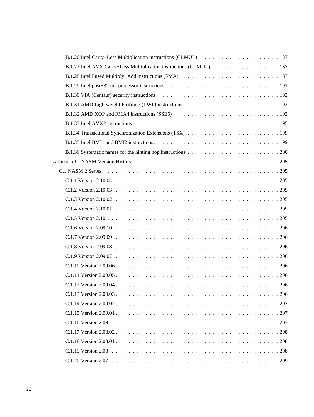| B.1.27 Intel AVX Carry–Less Multiplication instructions (CLMUL) 187 |  |
|---------------------------------------------------------------------|--|
|                                                                     |  |
|                                                                     |  |
|                                                                     |  |
|                                                                     |  |
|                                                                     |  |
|                                                                     |  |
|                                                                     |  |
|                                                                     |  |
|                                                                     |  |
|                                                                     |  |
|                                                                     |  |
|                                                                     |  |
|                                                                     |  |
|                                                                     |  |
|                                                                     |  |
|                                                                     |  |
|                                                                     |  |
|                                                                     |  |
|                                                                     |  |
|                                                                     |  |
|                                                                     |  |
|                                                                     |  |
|                                                                     |  |
|                                                                     |  |
|                                                                     |  |
|                                                                     |  |
|                                                                     |  |
|                                                                     |  |
|                                                                     |  |
|                                                                     |  |
|                                                                     |  |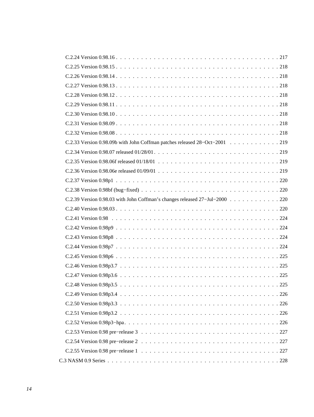| C.2.33 Version 0.98.09b with John Coffman patches released 28-Oct-2001 219  |
|-----------------------------------------------------------------------------|
|                                                                             |
|                                                                             |
|                                                                             |
|                                                                             |
|                                                                             |
| C.2.39 Version 0.98.03 with John Coffman's changes released 27-Jul-2000 220 |
|                                                                             |
|                                                                             |
|                                                                             |
|                                                                             |
|                                                                             |
|                                                                             |
|                                                                             |
|                                                                             |
|                                                                             |
|                                                                             |
|                                                                             |
|                                                                             |
|                                                                             |
|                                                                             |
|                                                                             |
|                                                                             |
|                                                                             |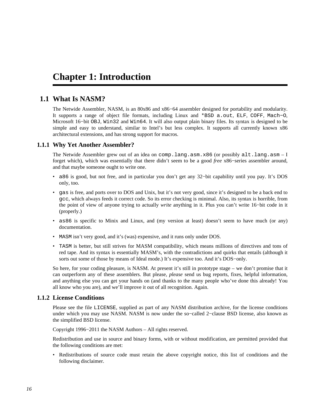# <span id="page-15-0"></span>**Chapter 1: Introduction**

# **1.1 What Is NASM?**

<span id="page-15-1"></span>The Netwide Assembler, NASM, is an 80x86 and x86−64 assembler designed for portability and modularity. It supports a range of object file formats, including Linux and \*BSD a.out, ELF, COFF, Mach−O, Microsoft 16−bit OBJ, Win32 and Win64. It will also output plain binary files. Its syntax is designed to be simple and easy to understand, similar to Intel's but less complex. It supports all currently known x86 architectural extensions, and has strong support for macros.

# **1.1.1 Why Yet Another Assembler?**

<span id="page-15-2"></span>The Netwide Assembler grew out of an idea on comp.lang.asm.x86 (or possibly alt.lang.asm – I forget which), which was essentially that there didn't seem to be a good *free* x86−series assembler around, and that maybe someone ought to write one.

- a86 is good, but not free, and in particular you don't get any 32−bit capability until you pay. It's DOS only, too.
- gas is free, and ports over to DOS and Unix, but it's not very good, since it's designed to be a back end to gcc, which always feeds it correct code. So its error checking is minimal. Also, its syntax is horrible, from the point of view of anyone trying to actually *write* anything in it. Plus you can't write 16−bit code in it (properly.)
- as86 is specific to Minix and Linux, and (my version at least) doesn't seem to have much (or any) documentation.
- MASM isn't very good, and it's (was) expensive, and it runs only under DOS.
- TASM is better, but still strives for MASM compatibility, which means millions of directives and tons of red tape. And its syntax is essentially MASM's, with the contradictions and quirks that entails (although it sorts out some of those by means of Ideal mode.) It's expensive too. And it's DOS−only.

So here, for your coding pleasure, is NASM. At present it's still in prototype stage – we don't promise that it can outperform any of these assemblers. But please, *please* send us bug reports, fixes, helpful information, and anything else you can get your hands on (and thanks to the many people who've done this already! You all know who you are), and we'll improve it out of all recognition. Again.

# **1.1.2 License Conditions**

<span id="page-15-3"></span>Please see the file LICENSE, supplied as part of any NASM distribution archive, for the license conditions under which you may use NASM. NASM is now under the so−called 2−clause BSD license, also known as the simplified BSD license.

Copyright 1996−2011 the NASM Authors – All rights reserved.

Redistribution and use in source and binary forms, with or without modification, are permitted provided that the following conditions are met:

• Redistributions of source code must retain the above copyright notice, this list of conditions and the following disclaimer.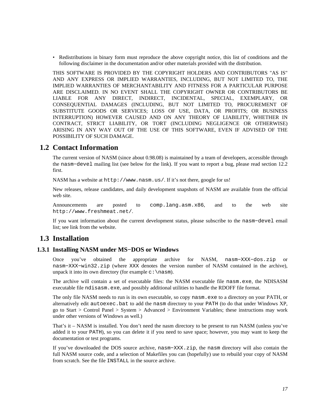• Redistributions in binary form must reproduce the above copyright notice, this list of conditions and the following disclaimer in the documentation and/or other materials provided with the distribution.

THIS SOFTWARE IS PROVIDED BY THE COPYRIGHT HOLDERS AND CONTRIBUTORS "AS IS" AND ANY EXPRESS OR IMPLIED WARRANTIES, INCLUDING, BUT NOT LIMITED TO, THE IMPLIED WARRANTIES OF MERCHANTABILITY AND FITNESS FOR A PARTICULAR PURPOSE ARE DISCLAIMED. IN NO EVENT SHALL THE COPYRIGHT OWNER OR CONTRIBUTORS BE LIABLE FOR ANY DIRECT, INDIRECT, INCIDENTAL, SPECIAL, EXEMPLARY, OR CONSEQUENTIAL DAMAGES (INCLUDING, BUT NOT LIMITED TO, PROCUREMENT OF SUBSTITUTE GOODS OR SERVICES; LOSS OF USE, DATA, OR PROFITS; OR BUSINESS INTERRUPTION) HOWEVER CAUSED AND ON ANY THEORY OF LIABILITY, WHETHER IN CONTRACT, STRICT LIABILITY, OR TORT (INCLUDING NEGLIGENCE OR OTHERWISE) ARISING IN ANY WAY OUT OF THE USE OF THIS SOFTWARE, EVEN IF ADVISED OF THE POSSIBILITY OF SUCH DAMAGE.

# **1.2 Contact Information**

<span id="page-16-0"></span>The current version of NASM (since about 0.98.08) is maintained by a team of developers, accessible through the nasm−devel mailing list (see below for the link). If you want to report a bug, please read [section 12.2](#page-128-1) first.

NASM has a website at <http://www.nasm.us/>. If it's not there, google for us!

New releases, release candidates, and daily development snapshots of NASM are available from the official web site.

Announcements are posted to [comp.lang.asm.x86](news:comp.lang.asm.x86), and to the web site <http://www.freshmeat.net/>.

If you want information about the current development status, please subscribe to the nasm−devel email list; see link from the website.

# <span id="page-16-1"></span>**1.3 Installation**

# **1.3.1 Installing NASM under MS−DOS or Windows**

<span id="page-16-2"></span>Once you've obtained the appropriate archive for NASM, nasm−XXX−dos.zip or nasm−XXX−win32.zip (where XXX denotes the version number of NASM contained in the archive), unpack it into its own directory (for example  $c:\n$ nasm).

The archive will contain a set of executable files: the NASM executable file nasm.exe, the NDISASM executable file ndisasm.exe, and possibly additional utilities to handle the RDOFF file format.

The only file NASM needs to run is its own executable, so copy nasm.exe to a directory on your PATH, or alternatively edit autoexec.bat to add the nasm directory to your PATH (to do that under Windows XP, go to Start > Control Panel > System > Advanced > Environment Variables; these instructions may work under other versions of Windows as well.)

That's it – NASM is installed. You don't need the nasm directory to be present to run NASM (unless you've added it to your PATH), so you can delete it if you need to save space; however, you may want to keep the documentation or test programs.

If you've downloaded the DOS source archive, nasm−XXX.zip, the nasm directory will also contain the full NASM source code, and a selection of Makefiles you can (hopefully) use to rebuild your copy of NASM from scratch. See the file INSTALL in the source archive.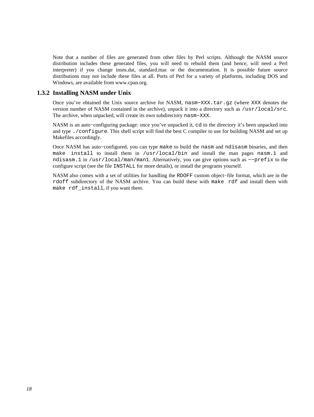Note that a number of files are generated from other files by Perl scripts. Although the NASM source distribution includes these generated files, you will need to rebuild them (and hence, will need a Perl interpreter) if you change insns.dat, standard.mac or the documentation. It is possible future source distributions may not include these files at all. Ports of Perl for a variety of platforms, including DOS and Windows, are available from [www.cpan.org.](http://www.cpan.org/ports/)

# **1.3.2 Installing NASM under Unix**

<span id="page-17-0"></span>Once you've obtained the Unix source archive for NASM, nasm−XXX.tar.gz (where XXX denotes the version number of NASM contained in the archive), unpack it into a directory such as /usr/local/src. The archive, when unpacked, will create its own subdirectory nasm−XXX.

NASM is an auto−configuring package: once you've unpacked it, cd to the directory it's been unpacked into and type ./configure. This shell script will find the best C compiler to use for building NASM and set up Makefiles accordingly.

Once NASM has auto−configured, you can type make to build the nasm and ndisasm binaries, and then make install to install them in /usr/local/bin and install the man pages nasm.1 and ndisasm.1 in /usr/local/man/man1. Alternatively, you can give options such as −−prefix to the configure script (see the file INSTALL for more details), or install the programs yourself.

NASM also comes with a set of utilities for handling the RDOFF custom object−file format, which are in the rdoff subdirectory of the NASM archive. You can build these with make rdf and install them with make rdf\_install, if you want them.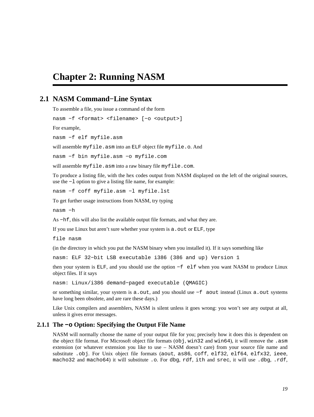# <span id="page-18-0"></span>**Chapter 2: Running NASM**

# **2.1 NASM Command−Line Syntax**

<span id="page-18-1"></span>To assemble a file, you issue a command of the form

nasm −f <format> <filename> [−o <output>]

For example,

nasm −f elf myfile.asm

will assemble myfile.asm into an ELF object file myfile.o. And

nasm −f bin myfile.asm −o myfile.com

will assemble myfile.asm into a raw binary file myfile.com.

To produce a listing file, with the hex codes output from NASM displayed on the left of the original sources, use the −l option to give a listing file name, for example:

nasm −f coff myfile.asm −l myfile.lst

To get further usage instructions from NASM, try typing

nasm −h

As −hf, this will also list the available output file formats, and what they are.

If you use Linux but aren't sure whether your system is a out or ELF, type

file nasm

(in the directory in which you put the NASM binary when you installed it). If it says something like

nasm: ELF 32−bit LSB executable i386 (386 and up) Version 1

then your system is ELF, and you should use the option −f elf when you want NASM to produce Linux object files. If it says

nasm: Linux/i386 demand−paged executable (QMAGIC)

or something similar, your system is a.out, and you should use −f aout instead (Linux a.out systems have long been obsolete, and are rare these days.)

Like Unix compilers and assemblers, NASM is silent unless it goes wrong: you won't see any output at all, unless it gives error messages.

#### **2.1.1 The −o Option: Specifying the Output File Name**

<span id="page-18-2"></span>NASM will normally choose the name of your output file for you; precisely how it does this is dependent on the object file format. For Microsoft object file formats (obj, win32 and win64), it will remove the .asm extension (or whatever extension you like to use – NASM doesn't care) from your source file name and substitute .obj. For Unix object file formats (aout, as86, coff, elf32, elf64, elfx32, ieee, macho32 and macho64) it will substitute .o. For dbg, rdf, ith and srec, it will use .dbg, .rdf,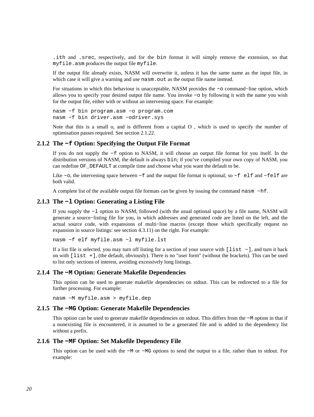.ith and .srec, respectively, and for the bin format it will simply remove the extension, so that myfile.asm produces the output file myfile.

If the output file already exists, NASM will overwrite it, unless it has the same name as the input file, in which case it will give a warning and use nasm. out as the output file name instead.

For situations in which this behaviour is unacceptable, NASM provides the −o command−line option, which allows you to specify your desired output file name. You invoke −o by following it with the name you wish for the output file, either with or without an intervening space. For example:

nasm −f bin program.asm −o program.com nasm −f bin driver.asm −odriver.sys

Note that this is a small o, and is different from a capital O , which is used to specify the number of optimisation passes required. See [section 2.1.22.](#page-23-1)

#### **2.1.2 The −f Option: Specifying the Output File Format**

<span id="page-19-0"></span>If you do not supply the −f option to NASM, it will choose an output file format for you itself. In the distribution versions of NASM, the default is always bin; if you've compiled your own copy of NASM, you can redefine OF\_DEFAULT at compile time and choose what you want the default to be.

Like −o, the intervening space between −f and the output file format is optional; so −f elf and −felf are both valid.

A complete list of the available output file formats can be given by issuing the command nasm −hf.

#### **2.1.3 The −l Option: Generating a Listing File**

<span id="page-19-1"></span>If you supply the −l option to NASM, followed (with the usual optional space) by a file name, NASM will generate a source−listing file for you, in which addresses and generated code are listed on the left, and the actual source code, with expansions of multi−line macros (except those which specifically request no expansion in source listings: see [section 4.3.11](#page-52-1)) on the right. For example:

nasm −f elf myfile.asm −l myfile.lst

If a list file is selected, you may turn off listing for a section of your source with [list −], and turn it back on with [list +], (the default, obviously). There is no "user form" (without the brackets). This can be used to list only sections of interest, avoiding excessively long listings.

#### **2.1.4 The −M Option: Generate Makefile Dependencies**

<span id="page-19-2"></span>This option can be used to generate makefile dependencies on stdout. This can be redirected to a file for further processing. For example:

nasm −M myfile.asm > myfile.dep

#### **2.1.5 The −MG Option: Generate Makefile Dependencies**

<span id="page-19-3"></span>This option can be used to generate makefile dependencies on stdout. This differs from the −M option in that if a nonexisting file is encountered, it is assumed to be a generated file and is added to the dependency list without a prefix.

#### **2.1.6 The −MF Option: Set Makefile Dependency File**

<span id="page-19-4"></span>This option can be used with the −M or −MG options to send the output to a file, rather than to stdout. For example: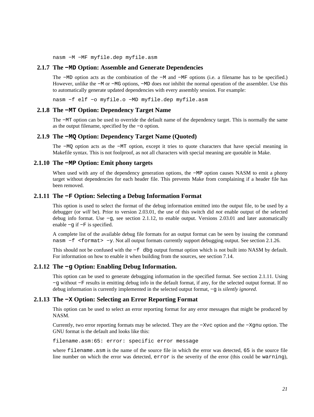nasm −M −MF myfile.dep myfile.asm

#### **2.1.7 The −MD Option: Assemble and Generate Dependencies**

<span id="page-20-0"></span>The −MD option acts as the combination of the −M and −MF options (i.e. a filename has to be specified.) However, unlike the −M or −MG options, −MD does *not* inhibit the normal operation of the assembler. Use this to automatically generate updated dependencies with every assembly session. For example:

nasm −f elf −o myfile.o −MD myfile.dep myfile.asm

# **2.1.8 The −MT Option: Dependency Target Name**

<span id="page-20-1"></span>The −MT option can be used to override the default name of the dependency target. This is normally the same as the output filename, specified by the −o option.

#### **2.1.9 The −MQ Option: Dependency Target Name (Quoted)**

<span id="page-20-2"></span>The −MQ option acts as the −MT option, except it tries to quote characters that have special meaning in Makefile syntax. This is not foolproof, as not all characters with special meaning are quotable in Make.

#### **2.1.10 The −MP Option: Emit phony targets**

<span id="page-20-3"></span>When used with any of the dependency generation options, the −MP option causes NASM to emit a phony target without dependencies for each header file. This prevents Make from complaining if a header file has been removed.

#### **2.1.11 The −F Option: Selecting a Debug Information Format**

<span id="page-20-4"></span>This option is used to select the format of the debug information emitted into the output file, to be used by a debugger (or *will* be). Prior to version 2.03.01, the use of this switch did *not* enable output of the selected debug info format. Use −g, see [section 2.1.12,](#page-20-5) to enable output. Versions 2.03.01 and later automatically enable −g if −F is specified.

A complete list of the available debug file formats for an output format can be seen by issuing the command nasm −f <format> −y. Not all output formats currently support debugging output. See [section 2.1.26.](#page-24-1)

This should not be confused with the −f dbq output format option which is not built into NASM by default. For information on how to enable it when building from the sources, see [section 7.14.](#page-99-2)

#### **2.1.12 The −g Option: Enabling Debug Information.**

<span id="page-20-5"></span>This option can be used to generate debugging information in the specified format. See [section 2.1.11](#page-20-4). Using −g without −F results in emitting debug info in the default format, if any, for the selected output format. If no debug information is currently implemented in the selected output format, −g is *silently ignored*.

#### **2.1.13 The −X Option: Selecting an Error Reporting Format**

<span id="page-20-6"></span>This option can be used to select an error reporting format for any error messages that might be produced by NASM.

Currently, two error reporting formats may be selected. They are the −Xvc option and the −Xgnu option. The GNU format is the default and looks like this:

filename.asm:65: error: specific error message

where filename.asm is the name of the source file in which the error was detected, 65 is the source file line number on which the error was detected, error is the severity of the error (this could be warning),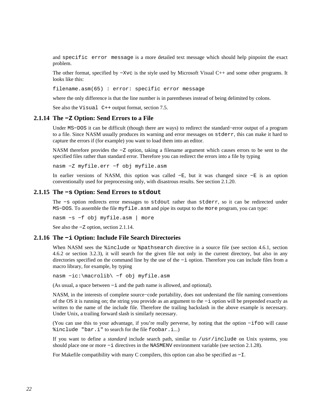and specific error message is a more detailed text message which should help pinpoint the exact problem.

The other format, specified by −Xvc is the style used by Microsoft Visual C++ and some other programs. It looks like this:

filename.asm(65) : error: specific error message

where the only difference is that the line number is in parentheses instead of being delimited by colons.

See also the Visual C<sup>++</sup> output format, [section 7.5.](#page-87-1)

#### **2.1.14 The −Z Option: Send Errors to a File**

<span id="page-21-0"></span>Under MS−DOS it can be difficult (though there are ways) to redirect the standard−error output of a program to a file. Since NASM usually produces its warning and error messages on stderr, this can make it hard to capture the errors if (for example) you want to load them into an editor.

NASM therefore provides the −Z option, taking a filename argument which causes errors to be sent to the specified files rather than standard error. Therefore you can redirect the errors into a file by typing

nasm −Z myfile.err −f obj myfile.asm

In earlier versions of NASM, this option was called −E, but it was changed since −E is an option conventionally used for preprocessing only, with disastrous results. See [section 2.1.20.](#page-22-3)

# **2.1.15 The −s Option: Send Errors to stdout**

<span id="page-21-1"></span>The −s option redirects error messages to stdout rather than stderr, so it can be redirected under MS−DOS. To assemble the file myfile.asm and pipe its output to the more program, you can type:

nasm −s −f obj myfile.asm | more

See also the −Z option, [section 2.1.14.](#page-21-0)

### **2.1.16 The −i Option: Include File Search Directories**

<span id="page-21-2"></span>When NASM sees the  $\frac{2}{3}$  include or  $\frac{2}{3}$  pathsearch directive in a source file (see [section 4.6.1](#page-58-0), [section](#page-58-1) [4.6.2](#page-58-1) or [section 3.2.3\)](#page-30-0), it will search for the given file not only in the current directory, but also in any directories specified on the command line by the use of the −i option. Therefore you can include files from a macro library, for example, by typing

nasm −ic:\macrolib\ −f obj myfile.asm

(As usual, a space between −i and the path name is allowed, and optional).

NASM, in the interests of complete source−code portability, does not understand the file naming conventions of the OS it is running on; the string you provide as an argument to the −i option will be prepended exactly as written to the name of the include file. Therefore the trailing backslash in the above example is necessary. Under Unix, a trailing forward slash is similarly necessary.

(You can use this to your advantage, if you're really perverse, by noting that the option −ifoo will cause %include "bar.i" to search for the file foobar.i...)

If you want to define a *standard* include search path, similar to /usr/include on Unix systems, you should place one or more −i directives in the NASMENV environment variable (see [section 2.1.28\)](#page-25-1).

For Makefile compatibility with many C compilers, this option can also be specified as −I.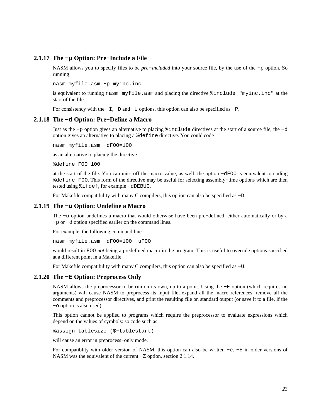# **2.1.17 The −p Option: Pre−Include a File**

<span id="page-22-0"></span>NASM allows you to specify files to be *pre−included* into your source file, by the use of the −p option. So running

nasm myfile.asm −p myinc.inc

is equivalent to running nasm myfile.asm and placing the directive %include "myinc.inc" at the start of the file.

For consistency with the  $-L$ ,  $-D$  and  $-U$  options, this option can also be specified as  $-D$ .

#### **2.1.18 The −d Option: Pre−Define a Macro**

<span id="page-22-1"></span>Just as the −p option gives an alternative to placing %include directives at the start of a source file, the −d option gives an alternative to placing a %define directive. You could code

nasm myfile.asm −dFOO=100

as an alternative to placing the directive

%define FOO 100

at the start of the file. You can miss off the macro value, as well: the option −dFOO is equivalent to coding %define FOO. This form of the directive may be useful for selecting assembly−time options which are then tested using %ifdef, for example −dDEBUG.

For Makefile compatibility with many C compilers, this option can also be specified as −D.

#### **2.1.19 The −u Option: Undefine a Macro**

<span id="page-22-2"></span>The −u option undefines a macro that would otherwise have been pre−defined, either automatically or by a −p or −d option specified earlier on the command lines.

For example, the following command line:

nasm myfile.asm −dFOO=100 −uFOO

would result in FOO *not* being a predefined macro in the program. This is useful to override options specified at a different point in a Makefile.

For Makefile compatibility with many C compilers, this option can also be specified as −U.

#### **2.1.20 The −E Option: Preprocess Only**

<span id="page-22-3"></span>NASM allows the preprocessor to be run on its own, up to a point. Using the −E option (which requires no arguments) will cause NASM to preprocess its input file, expand all the macro references, remove all the comments and preprocessor directives, and print the resulting file on standard output (or save it to a file, if the −o option is also used).

This option cannot be applied to programs which require the preprocessor to evaluate expressions which depend on the values of symbols: so code such as

%assign tablesize (\$−tablestart)

will cause an error in preprocess−only mode.

For compatiblity with older version of NASM, this option can also be written −e. −E in older versions of NASM was the equivalent of the current −Z option, [section 2.1.14.](#page-21-0)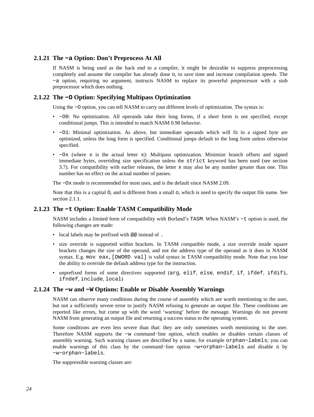# **2.1.21 The −a Option: Don't Preprocess At All**

<span id="page-23-0"></span>If NASM is being used as the back end to a compiler, it might be desirable to suppress preprocessing completely and assume the compiler has already done it, to save time and increase compilation speeds. The −a option, requiring no argument, instructs NASM to replace its powerful preprocessor with a stub preprocessor which does nothing.

# **2.1.22 The −O Option: Specifying Multipass Optimization**

<span id="page-23-1"></span>Using the −O option, you can tell NASM to carry out different levels of optimization. The syntax is:

- −O0: No optimization. All operands take their long forms, if a short form is not specified, except conditional jumps. This is intended to match NASM 0.98 behavior.
- −O1: Minimal optimization. As above, but immediate operands which will fit in a signed byte are optimized, unless the long form is specified. Conditional jumps default to the long form unless otherwise specified.
- −Ox (where x is the actual letter x): Multipass optimization. Minimize branch offsets and signed immediate bytes, overriding size specification unless the strict keyword has been used (see [section](#page-37-0) [3.7\)](#page-37-0). For compatibility with earlier releases, the letter x may also be any number greater than one. This number has no effect on the actual number of passes.

The −Ox mode is recommended for most uses, and is the default since NASM 2.09.

Note that this is a capital O, and is different from a small o, which is used to specify the output file name. See [section 2.1.1.](#page-18-2)

## **2.1.23 The −t Option: Enable TASM Compatibility Mode**

<span id="page-23-2"></span>NASM includes a limited form of compatibility with Borland's TASM. When NASM's −t option is used, the following changes are made:

- local labels may be prefixed with @@ instead of .
- size override is supported within brackets. In TASM compatible mode, a size override inside square brackets changes the size of the operand, and not the address type of the operand as it does in NASM syntax. E.g. mov eax, [DWORD val] is valid syntax in TASM compatibility mode. Note that you lose the ability to override the default address type for the instruction.
- unprefixed forms of some directives supported (arg, elif, else, endif, if, ifdef, ifdifi, ifndef, include, local)

#### **2.1.24 The −w and −W Options: Enable or Disable Assembly Warnings**

<span id="page-23-3"></span>NASM can observe many conditions during the course of assembly which are worth mentioning to the user, but not a sufficiently severe error to justify NASM refusing to generate an output file. These conditions are reported like errors, but come up with the word 'warning' before the message. Warnings do not prevent NASM from generating an output file and returning a success status to the operating system.

Some conditions are even less severe than that: they are only sometimes worth mentioning to the user. Therefore NASM supports the −w command−line option, which enables or disables certain classes of assembly warning. Such warning classes are described by a name, for example orphan−labels; you can enable warnings of this class by the command−line option −w+orphan−labels and disable it by −w−orphan−labels.

The suppressible warning classes are: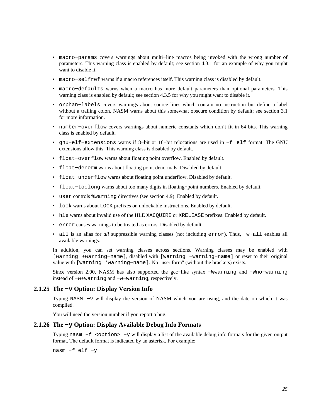- macro−params covers warnings about multi−line macros being invoked with the wrong number of parameters. This warning class is enabled by default; see [section 4.3.1](#page-46-0) for an example of why you might want to disable it.
- macro−selfref warns if a macro references itself. This warning class is disabled by default.
- macro−defaults warns when a macro has more default parameters than optional parameters. This warning class is enabled by default; see [section 4.3.5](#page-49-0) for why you might want to disable it.
- orphan−labels covers warnings about source lines which contain no instruction but define a label without a trailing colon. NASM warns about this somewhat obscure condition by default; see [section 3.1](#page-28-1) for more information.
- number−overflow covers warnings about numeric constants which don't fit in 64 bits. This warning class is enabled by default.
- gnu−elf−extensions warns if 8−bit or 16−bit relocations are used in −f elf format. The GNU extensions allow this. This warning class is disabled by default.
- float−overflow warns about floating point overflow. Enabled by default.
- float−denorm warns about floating point denormals. Disabled by default.
- float−underflow warns about floating point underflow. Disabled by default.
- float−toolong warns about too many digits in floating−point numbers. Enabled by default.
- user controls %warning directives (see [section 4.9\)](#page-64-1). Enabled by default.
- lock warns about LOCK prefixes on unlockable instructions. Enabled by default.
- hle warns about invalid use of the HLE XACQUIRE or XRELEASE prefixes. Enabled by default.
- error causes warnings to be treated as errors. Disabled by default.
- all is an alias for *all* suppressible warning classes (not including error). Thus, −w+all enables all available warnings.

In addition, you can set warning classes across sections. Warning classes may be enabled with [warning +warning−name], disabled with [warning −warning−name] or reset to their original value with [warning \*warning−name]. No "user form" (without the brackets) exists.

Since version 2.00, NASM has also supported the gcc−like syntax −Wwarning and −Wno−warning instead of −w+warning and −w−warning, respectively.

#### **2.1.25 The −v Option: Display Version Info**

<span id="page-24-0"></span>Typing NASM −v will display the version of NASM which you are using, and the date on which it was compiled.

You will need the version number if you report a bug.

#### **2.1.26 The −y Option: Display Available Debug Info Formats**

<span id="page-24-1"></span>Typing nasm –f <option> -y will display a list of the available debug info formats for the given output format. The default format is indicated by an asterisk. For example:

nasm −f elf −y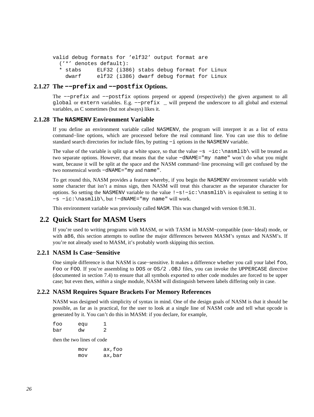```
valid debug formats for 'elf32' output format are 
   ('*' denotes default): 
   * stabs ELF32 (i386) stabs debug format for Linux 
     dwarf elf32 (i386) dwarf debug format for Linux
```
# **2.1.27 The −−prefix and −−postfix Options.**

<span id="page-25-0"></span>The −−prefix and −−postfix options prepend or append (respectively) the given argument to all global or extern variables. E.g. −−prefix \_ will prepend the underscore to all global and external variables, as C sometimes (but not always) likes it.

#### **2.1.28 The NASMENV Environment Variable**

<span id="page-25-1"></span>If you define an environment variable called NASMENV, the program will interpret it as a list of extra command−line options, which are processed before the real command line. You can use this to define standard search directories for include files, by putting −i options in the NASMENV variable.

The value of the variable is split up at white space, so that the value −s −ic:\nasmlib\ will be treated as two separate options. However, that means that the value −dNAME="my name" won't do what you might want, because it will be split at the space and the NASM command−line processing will get confused by the two nonsensical words −dNAME="my and name".

To get round this, NASM provides a feature whereby, if you begin the NASMENV environment variable with some character that isn't a minus sign, then NASM will treat this character as the separator character for options. So setting the NASMENV variable to the value !−s!−ic:\nasmlib\ is equivalent to setting it to −s −ic:\nasmlib\, but !−dNAME="my name" will work.

This environment variable was previously called NASM. This was changed with version 0.98.31.

# **2.2 Quick Start for MASM Users**

<span id="page-25-2"></span>If you're used to writing programs with MASM, or with TASM in MASM−compatible (non−Ideal) mode, or with a86, this section attempts to outline the major differences between MASM's syntax and NASM's. If you're not already used to MASM, it's probably worth skipping this section.

# **2.2.1 NASM Is Case−Sensitive**

<span id="page-25-3"></span>One simple difference is that NASM is case−sensitive. It makes a difference whether you call your label foo, Foo or FOO. If you're assembling to DOS or OS/2 . OBJ files, you can invoke the UPPERCASE directive (documented in [section 7.4\)](#page-83-2) to ensure that all symbols exported to other code modules are forced to be upper case; but even then, *within* a single module, NASM will distinguish between labels differing only in case.

## **2.2.2 NASM Requires Square Brackets For Memory References**

<span id="page-25-4"></span>NASM was designed with simplicity of syntax in mind. One of the design goals of NASM is that it should be possible, as far as is practical, for the user to look at a single line of NASM code and tell what opcode is generated by it. You can't do this in MASM: if you declare, for example,

| foo | equ |   |
|-----|-----|---|
| bar | dw  | 2 |

then the two lines of code

| mov | ax, foo |
|-----|---------|
| mov | ax,bar  |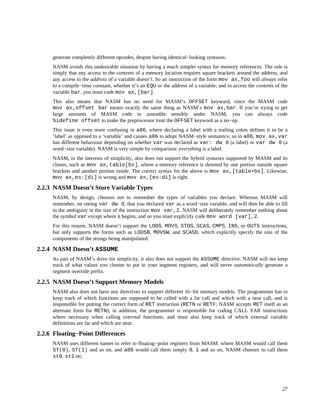generate completely different opcodes, despite having identical−looking syntaxes.

NASM avoids this undesirable situation by having a much simpler syntax for memory references. The rule is simply that any access to the *contents* of a memory location requires square brackets around the address, and any access to the *address* of a variable doesn't. So an instruction of the form mov ax,foo will *always* refer to a compile−time constant, whether it's an EQU or the address of a variable; and to access the *contents* of the variable bar, you must code mov ax,[bar].

This also means that NASM has no need for MASM's OFFSET keyword, since the MASM code mov ax,offset bar means exactly the same thing as NASM's mov ax,bar. If you're trying to get large amounts of MASM code to assemble sensibly under NASM, you can always code %idefine offset to make the preprocessor treat the OFFSET keyword as a no−op.

This issue is even more confusing in a86, where declaring a label with a trailing colon defines it to be a 'label' as opposed to a 'variable' and causes a86 to adopt NASM−style semantics; so in a86, mov ax,var has different behaviour depending on whether var was declared as var: dw 0 (a label) or var dw 0 (a word−size variable). NASM is very simple by comparison: *everything* is a label.

NASM, in the interests of simplicity, also does not support the hybrid syntaxes supported by MASM and its clones, such as mov  $ax,table[bx]$ , where a memory reference is denoted by one portion outside square brackets and another portion inside. The correct syntax for the above is mov ax,[table+bx]. Likewise, mov ax,es:[di] is wrong and mov ax,[es:di] is right.

# **2.2.3 NASM Doesn't Store Variable Types**

<span id="page-26-0"></span>NASM, by design, chooses not to remember the types of variables you declare. Whereas MASM will remember, on seeing var dw 0, that you declared var as a word−size variable, and will then be able to fill in the ambiguity in the size of the instruction mov var,2, NASM will deliberately remember nothing about the symbol var except where it begins, and so you must explicitly code mov word [var],2.

For this reason, NASM doesn't support the LODS, MOVS, STOS, SCAS, CMPS, INS, or OUTS instructions, but only supports the forms such as LODSB, MOVSW, and SCASD, which explicitly specify the size of the components of the strings being manipulated.

# **2.2.4 NASM Doesn't ASSUME**

<span id="page-26-1"></span>As part of NASM's drive for simplicity, it also does not support the ASSUME directive. NASM will not keep track of what values you choose to put in your segment registers, and will never *automatically* generate a segment override prefix.

#### **2.2.5 NASM Doesn't Support Memory Models**

<span id="page-26-2"></span>NASM also does not have any directives to support different 16−bit memory models. The programmer has to keep track of which functions are supposed to be called with a far call and which with a near call, and is responsible for putting the correct form of RET instruction (RETN or RETF; NASM accepts RET itself as an alternate form for RETN); in addition, the programmer is responsible for coding CALL FAR instructions where necessary when calling *external* functions, and must also keep track of which external variable definitions are far and which are near.

#### **2.2.6 Floating−Point Differences**

<span id="page-26-3"></span>NASM uses different names to refer to floating−point registers from MASM: where MASM would call them  $ST(0)$ ,  $ST(1)$  and so on, and a86 would call them simply 0, 1 and so on, NASM chooses to call them st0, st1 etc.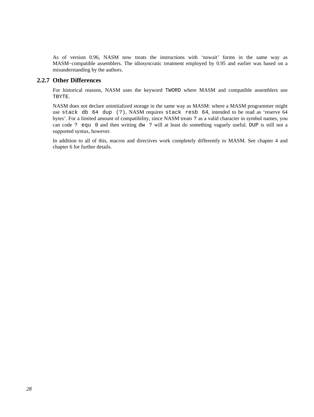As of version 0.96, NASM now treats the instructions with 'nowait' forms in the same way as MASM-compatible assemblers. The idiosyncratic treatment employed by 0.95 and earlier was based on a misunderstanding by the authors.

#### **2.2.7 Other Differences**

<span id="page-27-0"></span>For historical reasons, NASM uses the keyword TWORD where MASM and compatible assemblers use TBYTE.

NASM does not declare uninitialized storage in the same way as MASM: where a MASM programmer might use stack db 64 dup (?), NASM requires stack resb 64, intended to be read as 'reserve 64 bytes'. For a limited amount of compatibility, since NASM treats ? as a valid character in symbol names, you can code ? equ 0 and then writing dw ? will at least do something vaguely useful. DUP is still not a supported syntax, however.

In addition to all of this, macros and directives work completely differently to MASM. See [chapter 4](#page-40-0) and [chapter 6](#page-75-0) for further details.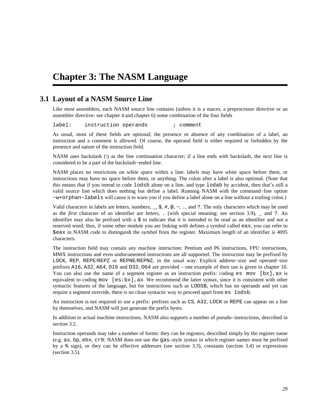# <span id="page-28-0"></span>**Chapter 3: The NASM Language**

# **3.1 Layout of a NASM Source Line**

<span id="page-28-1"></span>Like most assemblers, each NASM source line contains (unless it is a macro, a preprocessor directive or an assembler directive: see [chapter 4](#page-40-0) and [chapter 6\)](#page-75-0) some combination of the four fields

label: instruction operands ; comment

As usual, most of these fields are optional; the presence or absence of any combination of a label, an instruction and a comment is allowed. Of course, the operand field is either required or forbidden by the presence and nature of the instruction field.

NASM uses backslash (\) as the line continuation character; if a line ends with backslash, the next line is considered to be a part of the backslash−ended line.

NASM places no restrictions on white space within a line: labels may have white space before them, or instructions may have no space before them, or anything. The colon after a label is also optional. (Note that this means that if you intend to code lodsb alone on a line, and type lodab by accident, then that's still a valid source line which does nothing but define a label. Running NASM with the command−line option −w+orphan−labels will cause it to warn you if you define a label alone on a line without a trailing colon.)

Valid characters in labels are letters, numbers,  $\Box$ ,  $\Diamond$ ,  $\#$ ,  $\emptyset$ ,  $\sim$ , ., and ?. The only characters which may be used as the *first* character of an identifier are letters, . (with special meaning: see [section 3.9\)](#page-38-0), \_ and ?. An identifier may also be prefixed with a \$ to indicate that it is intended to be read as an identifier and not a reserved word; thus, if some other module you are linking with defines a symbol called eax, you can refer to \$eax in NASM code to distinguish the symbol from the register. Maximum length of an identifier is 4095 characters.

The instruction field may contain any machine instruction: Pentium and P6 instructions, FPU instructions, MMX instructions and even undocumented instructions are all supported. The instruction may be prefixed by LOCK, REP, REPE/REPZ or REPNE/REPNZ, in the usual way. Explicit address−size and operand−size prefixes A16, A32, A64, O16 and O32, O64 are provided – one example of their use is given in [chapter 10.](#page-121-0) You can also use the name of a segment register as an instruction prefix: coding es mov  $[\text{bx}]$ , ax is equivalent to coding mov  $[es:bx]$ , ax. We recommend the latter syntax, since it is consistent with other syntactic features of the language, but for instructions such as LODSB, which has no operands and yet can require a segment override, there is no clean syntactic way to proceed apart from es lodsb.

An instruction is not required to use a prefix: prefixes such as CS, A32, LOCK or REPE can appear on a line by themselves, and NASM will just generate the prefix bytes.

In addition to actual machine instructions, NASM also supports a number of pseudo−instructions, described in [section 3.2.](#page-29-0)

Instruction operands may take a number of forms: they can be registers, described simply by the register name (e.g. ax, bp, ebx, cr0: NASM does not use the gas–style syntax in which register names must be prefixed by a % sign), or they can be effective addresses (see [section 3.3\)](#page-31-0), constants [\(section 3.4\)](#page-32-0) or expressions [\(section 3.5\)](#page-35-1).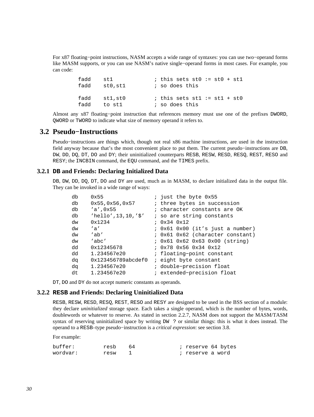For x87 floating−point instructions, NASM accepts a wide range of syntaxes: you can use two−operand forms like MASM supports, or you can use NASM's native single−operand forms in most cases. For example, you can code:

```
fadd st1 ; this sets st0 := st0 + st1
fadd st0, st1 : so does this
fadd st1, st0 ; this sets st1 := st1 + st0fadd to st1 \qquad ; so does this
```
Almost any x87 floating−point instruction that references memory must use one of the prefixes DWORD, QWORD or TWORD to indicate what size of memory operand it refers to.

# **3.2 Pseudo−Instructions**

<span id="page-29-0"></span>Pseudo−instructions are things which, though not real x86 machine instructions, are used in the instruction field anyway because that's the most convenient place to put them. The current pseudo−instructions are DB, DW, DD, DQ, DT, DO and DY; their uninitialized counterparts RESB, RESW, RESD, RESQ, REST, RESO and RESY; the INCBIN command, the EQU command, and the TIMES prefix.

## **3.2.1 DB and Friends: Declaring Initialized Data**

<span id="page-29-1"></span>DB, DW, DD, DQ, DT, DO and DY are used, much as in MASM, to declare initialized data in the output file. They can be invoked in a wide range of ways:

| db | 0x55                      | ; just the byte 0x55             |
|----|---------------------------|----------------------------------|
| db | 0x55,0x56,0x57            | ; three bytes in succession      |
| db | $'a'$ , 0x55              | ; character constants are OK     |
| db | $'$ hello', 13, 10, '\$'  | ; so are string constants        |
| dw | 0x1234                    | : 0x34 0x12                      |
| dw | $^{\prime}$ a $^{\prime}$ | ; 0x61 0x00 (it's just a number) |
| dw | 'ab'                      | ; 0x61 0x62 (character constant) |
| dw | 'abc'                     | : 0x61 0x62 0x63 0x00 (string)   |
| dd | 0x12345678                | $: 0x78$ $0x56$ $0x34$ $0x12$    |
| dd | 1.234567e20               | : floating-point constant        |
| dq | 0x123456789abcdef0        | <i>i</i> eight byte constant     |
| da | 1.234567e20               | ; double-precision float         |
| dt | 1.234567e20               | ; extended-precision float       |

DT, DO and DY do not accept numeric constants as operands.

#### **3.2.2 RESB and Friends: Declaring Uninitialized Data**

<span id="page-29-2"></span>RESB, RESW, RESD, RESQ, REST, RESO and RESY are designed to be used in the BSS section of a module: they declare *uninitialized* storage space. Each takes a single operand, which is the number of bytes, words, doublewords or whatever to reserve. As stated in [section 2.2.7](#page-27-0), NASM does not support the MASM/TASM syntax of reserving uninitialized space by writing DW ? or similar things: this is what it does instead. The operand to a RESB–type pseudo−instruction is a *critical expression*: see [section 3.8](#page-37-1).

For example:

| buffer:  | resb 64 |  | ; reserve 64 bytes |  |
|----------|---------|--|--------------------|--|
| wordvar: | resw    |  | ; reserve a word   |  |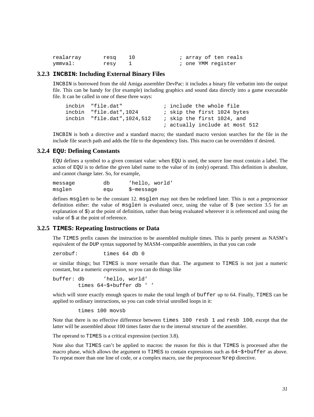| realarray | resg |  | ; array of ten reals |
|-----------|------|--|----------------------|
| ymmval:   | resy |  | ; one YMM register   |

## **3.2.3 INCBIN: Including External Binary Files**

<span id="page-30-0"></span>INCBIN is borrowed from the old Amiga assembler DevPac: it includes a binary file verbatim into the output file. This can be handy for (for example) including graphics and sound data directly into a game executable file. It can be called in one of these three ways:

```
incbin "file.dat" ; include the whole file
incbin "file.dat", 1024 ; skip the first 1024 bytes
incbin "file.dat", 1024, 512 ; skip the first 1024, and
                             ; actually include at most 512
```
INCBIN is both a directive and a standard macro; the standard macro version searches for the file in the include file search path and adds the file to the dependency lists. This macro can be overridden if desired.

#### **3.2.4 EQU: Defining Constants**

<span id="page-30-1"></span>EQU defines a symbol to a given constant value: when EQU is used, the source line must contain a label. The action of EQU is to define the given label name to the value of its (only) operand. This definition is absolute, and cannot change later. So, for example,

| messaqe | db  | 'hello, world' |
|---------|-----|----------------|
| msglen  | equ | \$-messaqe     |

defines msglen to be the constant 12. msglen may not then be redefined later. This is not a preprocessor definition either: the value of msglen is evaluated *once*, using the value of \$ (see [section 3.5](#page-35-1) for an explanation of \$) at the point of definition, rather than being evaluated wherever it is referenced and using the value of  $\frac{1}{2}$  at the point of reference.

## **3.2.5 TIMES: Repeating Instructions or Data**

<span id="page-30-2"></span>The TIMES prefix causes the instruction to be assembled multiple times. This is partly present as NASM's equivalent of the DUP syntax supported by MASM–compatible assemblers, in that you can code

zerobuf: times 64 db 0

or similar things; but TIMES is more versatile than that. The argument to TIMES is not just a numeric constant, but a numeric *expression*, so you can do things like

buffer: db 'hello, world' times 64−\$+buffer db ' '

which will store exactly enough spaces to make the total length of buffer up to 64. Finally, TIMES can be applied to ordinary instructions, so you can code trivial unrolled loops in it:

times 100 movsb

Note that there is no effective difference between times 100 resb 1 and resb 100, except that the latter will be assembled about 100 times faster due to the internal structure of the assembler.

The operand to TIMES is a critical expression [\(section 3.8\)](#page-37-1).

Note also that TIMES can't be applied to macros: the reason for this is that TIMES is processed after the macro phase, which allows the argument to TIMES to contain expressions such as 64−\$+buffer as above. To repeat more than one line of code, or a complex macro, use the preprocessor %rep directive.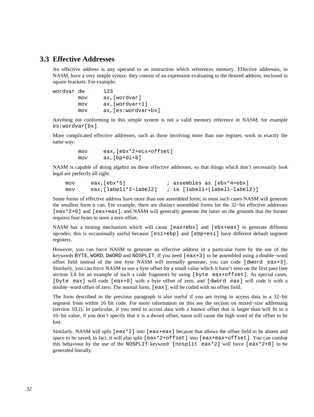# **3.3 Effective Addresses**

<span id="page-31-0"></span>An effective address is any operand to an instruction which references memory. Effective addresses, in NASM, have a very simple syntax: they consist of an expression evaluating to the desired address, enclosed in square brackets. For example:

| wordvar dw |     | 123                  |
|------------|-----|----------------------|
|            | mov | ax, [wordvar]        |
|            | mov | $ax$ , [wordvar+1]   |
|            | mov | $ax,[es:wordvar+bx]$ |

Anything not conforming to this simple system is not a valid memory reference in NASM, for example es:wordvar[bx].

More complicated effective addresses, such as those involving more than one register, work in exactly the same way:

> mov eax,[ebx\*2+ecx+offset] mov ax,[bp+di+8]

NASM is capable of doing algebra on these effective addresses, so that things which don't necessarily *look* legal are perfectly all right:

mov eax, [ebx\*5]  $\qquad \qquad$  ; assembles as [ebx\*4+ebx] mov eax,[label1\*2−label2] ; ie [label1+(label1−label2)]

Some forms of effective address have more than one assembled form; in most such cases NASM will generate the smallest form it can. For example, there are distinct assembled forms for the 32−bit effective addresses [eax\*2+0] and [eax+eax], and NASM will generally generate the latter on the grounds that the former requires four bytes to store a zero offset.

NASM has a hinting mechanism which will cause [eax+ebx] and [ebx+eax] to generate different opcodes; this is occasionally useful because [esi+ebp] and [ebp+esi] have different default segment registers.

However, you can force NASM to generate an effective address in a particular form by the use of the keywords BYTE, WORD, DWORD and NOSPLIT. If you need [eax+3] to be assembled using a double−word offset field instead of the one byte NASM will normally generate, you can code [dword eax+3]. Similarly, you can force NASM to use a byte offset for a small value which it hasn't seen on the first pass (see [section 3.8](#page-37-1) for an example of such a code fragment) by using [byte eax+offset]. As special cases, [byte eax] will code [eax+0] with a byte offset of zero, and [dword eax] will code it with a double−word offset of zero. The normal form, [eax], will be coded with no offset field.

The form described in the previous paragraph is also useful if you are trying to access data in a 32−bit segment from within 16 bit code. For more information on this see the section on mixed–size addressing [\(section 10.2\)](#page-121-2). In particular, if you need to access data with a known offset that is larger than will fit in a 16−bit value, if you don't specify that it is a dword offset, nasm will cause the high word of the offset to be lost.

Similarly, NASM will split [eax\*2] into [eax+eax] because that allows the offset field to be absent and space to be saved; in fact, it will also split [eax\*2+offset] into [eax+eax+offset]. You can combat this behaviour by the use of the NOSPLIT keyword: [nosplit eax\*2] will force [eax\*2+0] to be generated literally.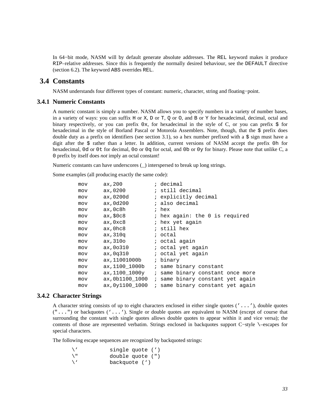In 64−bit mode, NASM will by default generate absolute addresses. The REL keyword makes it produce RIP–relative addresses. Since this is frequently the normally desired behaviour, see the DEFAULT directive [\(section 6.2\)](#page-76-1). The keyword ABS overrides REL.

# **3.4 Constants**

<span id="page-32-0"></span>NASM understands four different types of constant: numeric, character, string and floating−point.

#### **3.4.1 Numeric Constants**

<span id="page-32-1"></span>A numeric constant is simply a number. NASM allows you to specify numbers in a variety of number bases, in a variety of ways: you can suffix H or X, D or T, Q or O, and B or Y for hexadecimal, decimal, octal and binary respectively, or you can prefix  $0x$ , for hexadecimal in the style of C, or you can prefix  $\frac{1}{2}$  for hexadecimal in the style of Borland Pascal or Motorola Assemblers. Note, though, that the \$ prefix does double duty as a prefix on identifiers (see [section 3.1](#page-28-1)), so a hex number prefixed with a  $\frac{1}{2}$  sign must have a digit after the \$ rather than a letter. In addition, current versions of NASM accept the prefix 0h for hexadecimal, 0d or 0t for decimal, 0o or 0q for octal, and 0b or 0y for binary. Please note that unlike C, a 0 prefix by itself does *not* imply an octal constant!

Numeric constants can have underscores (\_) interspersed to break up long strings.

Some examples (all producing exactly the same code):

| mov | ax, 200         | ; decimal                        |
|-----|-----------------|----------------------------------|
| mov | ax,0200         | ; still decimal                  |
| mov | ax,0200d        | ; explicitly decimal             |
| mov | ax, 0d200       | ; also decimal                   |
| mov | ax,0c8h         | ; hex                            |
| mov | ax, \$0c8       | ; hex again: the 0 is required   |
| mov | ax,0xc8         | ; hex yet again                  |
| mov | ax,Ohc8         | ; still hex                      |
| mov | ax,310q         | ; octal                          |
| mov | ax,310o         | ; octal again                    |
| mov | ax, 00310       | ; octal yet again                |
| mov | ax,0q310        | ; octal yet again                |
| mov | ax,11001000b    | ; binary                         |
| mov | ax,1100 1000b   | ; same binary constant           |
| mov | ax, 1100_1000y  | ; same binary constant once more |
| mov | ax,0b1100 1000  | ; same binary constant yet again |
| mov | ax, 0y1100 1000 | ; same binary constant yet again |

# **3.4.2 Character Strings**

<span id="page-32-2"></span>A character string consists of up to eight characters enclosed in either single quotes ('...'), double quotes  $("...")$  or backquotes  $( '...')$ . Single or double quotes are equivalent to NASM (except of course that surrounding the constant with single quotes allows double quotes to appear within it and vice versa); the contents of those are represented verbatim. Strings enclosed in backquotes support C−style \–escapes for special characters.

The following escape sequences are recognized by backquoted strings:

\' single quote (')<br>\" double quote (") \" double quote (")<br>\' backquote (') backquote (')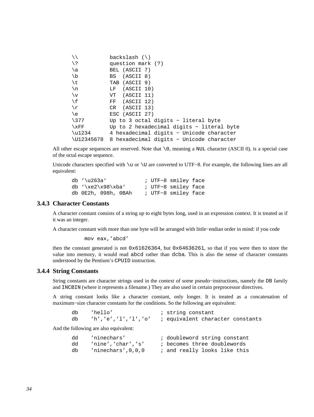|                  | backslash $(\setminus)$                   |
|------------------|-------------------------------------------|
| / ¿              | question mark (?)                         |
| \a               | BEL (ASCII 7)                             |
| \b               | BS (ASCII 8)                              |
| \t               | TAB (ASCII 9)                             |
| $\n\backslash$ n | (ASCII 10)<br>LF.                         |
| $\vee$           | VT (ASCII 11)                             |
| ١f               | FF (ASCII 12)                             |
| \r               | CR (ASCII 13)                             |
| \e               | ESC (ASCII 27)                            |
| $\backslash$ 377 | Up to 3 octal digits - literal byte       |
| $\chi_{\rm FF}$  | Up to 2 hexadecimal digits - literal byte |
| $\u1234$         | 4 hexadecimal digits - Unicode character  |
| \U12345678       | 8 hexadecimal digits - Unicode character  |

All other escape sequences are reserved. Note that  $\setminus$  0, meaning a NUL character (ASCII 0), is a special case of the octal escape sequence.

Unicode characters specified with \u or \U are converted to UTF−8. For example, the following lines are all equivalent:

| db $\langle$ \u263a |  | ; UTF-8 smiley face |  |
|---------------------|--|---------------------|--|
| db $\xe2\x98\xba'$  |  | ; UTF-8 smiley face |  |
| db 0E2h, 098h, 0BAh |  | ; UTF-8 smiley face |  |

# **3.4.3 Character Constants**

<span id="page-33-0"></span>A character constant consists of a string up to eight bytes long, used in an expression context. It is treated as if it was an integer.

A character constant with more than one byte will be arranged with little−endian order in mind: if you code

```
 mov eax,'abcd'
```
then the constant generated is not 0x61626364, but 0x64636261, so that if you were then to store the value into memory, it would read abcd rather than dcba. This is also the sense of character constants understood by the Pentium's CPUID instruction.

## **3.4.4 String Constants**

<span id="page-33-1"></span>String constants are character strings used in the context of some pseudo−instructions, namely the DB family and INCBIN (where it represents a filename.) They are also used in certain preprocessor directives.

A string constant looks like a character constant, only longer. It is treated as a concatenation of maximum−size character constants for the conditions. So the following are equivalent:

| 'hello' | ; string constant                                         |
|---------|-----------------------------------------------------------|
|         | $h', 'e', 'l', 'l', 'o'$ ; equivalent character constants |

And the following are also equivalent:

| dd | 'ninechars'       | ; doubleword string constant |
|----|-------------------|------------------------------|
| dd | 'nine','char','s' | ; becomes three doublewords  |
| db | ninechars',0,0,0  | ; and really looks like this |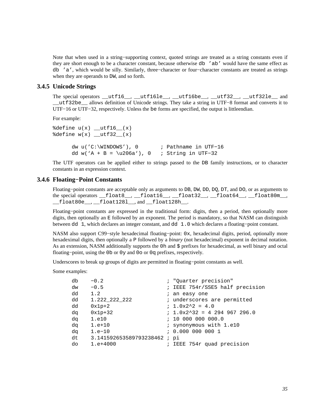Note that when used in a string–supporting context, quoted strings are treated as a string constants even if they are short enough to be a character constant, because otherwise db 'ab' would have the same effect as db 'a', which would be silly. Similarly, three−character or four−character constants are treated as strings when they are operands to DW, and so forth.

## **3.4.5 Unicode Strings**

<span id="page-34-0"></span>The special operators \_\_utf16\_\_, \_\_utf16le\_\_, \_\_utf16be\_\_, \_\_utf32\_\_, \_\_utf32le\_\_ and \_\_utf32be\_\_ allows definition of Unicode strings. They take a string in UTF−8 format and converts it to UTF−16 or UTF−32, respectively. Unless the be forms are specified, the output is littleendian.

For example:

```
%define u(x) __utfl6_(x)
\text{define } w(x) \text{ [}u\text{tf32}](x) dw u('C:\WINDOWS'), 0 ; Pathname in UTF−16 
       dd w('A + B = \u206a'), 0 ; String in UTF−32
```
The UTF operators can be applied either to strings passed to the DB family instructions, or to character constants in an expression context.

### **3.4.6 Floating−Point Constants**

<span id="page-34-1"></span>Floating−point constants are acceptable only as arguments to DB, DW, DD, DQ, DT, and DO, or as arguments to the special operators  $_f$  float8\_\_,  $_f$ loat16\_\_,  $_f$ loat32\_\_,  $_f$ loat64\_\_,  $_f$ loat80m\_\_, \_\_float80e\_\_, \_\_float128l\_\_, and \_\_float128h\_\_.

Floating−point constants are expressed in the traditional form: digits, then a period, then optionally more digits, then optionally an E followed by an exponent. The period is mandatory, so that NASM can distinguish between dd 1, which declares an integer constant, and dd 1.0 which declares a floating−point constant.

NASM also support C99−style hexadecimal floating−point: 0x, hexadecimal digits, period, optionally more hexadeximal digits, then optionally a P followed by a *binary* (not hexadecimal) exponent in decimal notation. As an extension, NASM additionally supports the 0h and \$ prefixes for hexadecimal, as well binary and octal floating−point, using the 0b or 0y and 0o or 0q prefixes, respectively.

Underscores to break up groups of digits are permitted in floating−point constants as well.

Some examples:

| db | $-0.2$                      | ; "Quarter precision"           |
|----|-----------------------------|---------------------------------|
| dw | $-0.5$                      | ; IEEE 754r/SSE5 half precision |
| dd | 1.2                         | ; an easy one                   |
| dd | 1.222_222_222               | ; underscores are permitted     |
| dd | $0x1p+2$                    | $: 1.0x2^2 = 4.0$               |
| da | $0x1p+32$                   | $: 1.0x2^332 = 4294967296.0$    |
| dq | 1.e10                       | : 100000000000.0                |
| dq | $1.e+10$                    | ; synonymous with 1.e10         |
| da | $1.e-10$                    | : 0.000 000 000 1               |
| dt | 3.141592653589793238462; pi |                                 |
| do | $1. e+4000$                 | ; IEEE 754r quad precision      |
|    |                             |                                 |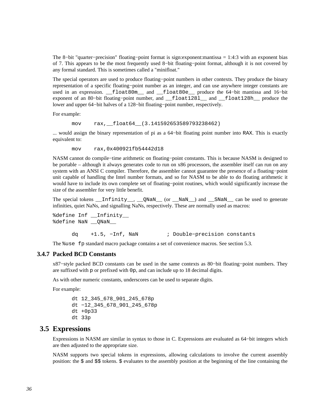The 8−bit "quarter−precision" floating−point format is sign:exponent:mantissa = 1:4:3 with an exponent bias of 7. This appears to be the most frequently used 8−bit floating−point format, although it is not covered by any formal standard. This is sometimes called a "minifloat."

The special operators are used to produce floating−point numbers in other contexts. They produce the binary representation of a specific floating−point number as an integer, and can use anywhere integer constants are used in an expression. \_\_float80m\_\_ and \_\_float80e\_\_ produce the 64−bit mantissa and 16−bit exponent of an 80−bit floating−point number, and \_\_float128l\_\_ and \_\_float128h\_\_ produce the lower and upper 64−bit halves of a 128−bit floating−point number, respectively.

For example:

mov rax, float64 (3.141592653589793238462)

... would assign the binary representation of pi as a 64−bit floating point number into RAX. This is exactly equivalent to:

mov rax,0x400921fb54442d18

NASM cannot do compile−time arithmetic on floating−point constants. This is because NASM is designed to be portable – although it always generates code to run on x86 processors, the assembler itself can run on any system with an ANSI C compiler. Therefore, the assembler cannot guarantee the presence of a floating−point unit capable of handling the Intel number formats, and so for NASM to be able to do floating arithmetic it would have to include its own complete set of floating−point routines, which would significantly increase the size of the assembler for very little benefit.

The special tokens \_\_Infinity\_\_, \_\_QNaN\_\_ (or \_\_NaN\_\_) and \_\_SNaN\_\_ can be used to generate infinities, quiet NaNs, and signalling NaNs, respectively. These are normally used as macros:

```
%define Inf __ Infinity
%define NaN ___ONaN
      dq +1.5, −Inf, NaN ; Double−precision constants
```
The %use fp standard macro package contains a set of convenience macros. See [section 5.3.](#page-74-0)

#### **3.4.7 Packed BCD Constants**

<span id="page-35-0"></span>x87−style packed BCD constants can be used in the same contexts as 80−bit floating−point numbers. They are suffixed with p or prefixed with 0p, and can include up to 18 decimal digits.

As with other numeric constants, underscores can be used to separate digits.

For example:

```
 dt 12_345_678_901_245_678p 
 dt −12_345_678_901_245_678p 
 dt +0p33 
 dt 33p
```
# **3.5 Expressions**

<span id="page-35-1"></span>Expressions in NASM are similar in syntax to those in C. Expressions are evaluated as 64−bit integers which are then adjusted to the appropriate size.

NASM supports two special tokens in expressions, allowing calculations to involve the current assembly position: the \$ and \$\$ tokens. \$ evaluates to the assembly position at the beginning of the line containing the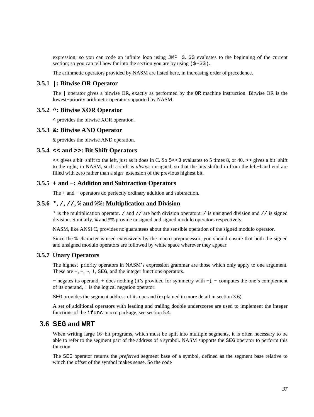expression; so you can code an infinite loop using JMP  $\frac{1}{2}$ .  $\frac{1}{2}$  evaluates to the beginning of the current section; so you can tell how far into the section you are by using (\$–\$\$).

The arithmetic operators provided by NASM are listed here, in increasing order of precedence.

## **3.5.1 |: Bitwise OR Operator**

The | operator gives a bitwise OR, exactly as performed by the OR machine instruction. Bitwise OR is the lowest−priority arithmetic operator supported by NASM.

## **3.5.2 ^: Bitwise XOR Operator**

^ provides the bitwise XOR operation.

#### **3.5.3 &: Bitwise AND Operator**

& provides the bitwise AND operation.

## **3.5.4 << and >>: Bit Shift Operators**

<< gives a bit−shift to the left, just as it does in C. So 5<<3 evaluates to 5 times 8, or 40. >> gives a bit−shift to the right; in NASM, such a shift is *always* unsigned, so that the bits shifted in from the left−hand end are filled with zero rather than a sign−extension of the previous highest bit.

### **3.5.5 + and −: Addition and Subtraction Operators**

The + and − operators do perfectly ordinary addition and subtraction.

## **3.5.6 \*, /, //, % and %%: Multiplication and Division**

\* is the multiplication operator. / and // are both division operators: / is unsigned division and // is signed division. Similarly, % and %% provide unsigned and signed modulo operators respectively.

NASM, like ANSI C, provides no guarantees about the sensible operation of the signed modulo operator.

Since the % character is used extensively by the macro preprocessor, you should ensure that both the signed and unsigned modulo operators are followed by white space wherever they appear.

## **3.5.7 Unary Operators**

The highest−priority operators in NASM's expression grammar are those which only apply to one argument. These are +, −, ~, !, SEG, and the integer functions operators.

− negates its operand, + does nothing (it's provided for symmetry with −), ~ computes the one's complement of its operand, ! is the logical negation operator.

SEG provides the segment address of its operand (explained in more detail in [section 3.6\)](#page-36-0).

A set of additional operators with leading and trailing double underscores are used to implement the integer functions of the ifunc macro package, see [section 5.4.](#page-74-0)

## **3.6 SEG and WRT**

<span id="page-36-0"></span>When writing large 16−bit programs, which must be split into multiple segments, it is often necessary to be able to refer to the segment part of the address of a symbol. NASM supports the SEG operator to perform this function.

The SEG operator returns the *preferred* segment base of a symbol, defined as the segment base relative to which the offset of the symbol makes sense. So the code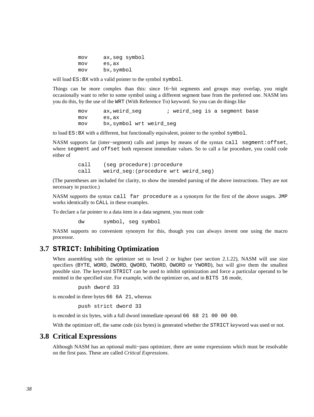| mov | ax, seq symbol |
|-----|----------------|
| mov | es,ax          |
| mov | bx,symbol      |

will load  $ES:BX$  with a valid pointer to the symbol symbol.

Things can be more complex than this: since 16−bit segments and groups may overlap, you might occasionally want to refer to some symbol using a different segment base from the preferred one. NASM lets you do this, by the use of the WRT (With Reference To) keyword. So you can do things like

> mov ax, weird seg  $\qquad$  ; weird seg is a segment base mov es,ax mov bx,symbol wrt weird\_seg

to load  $ES:BX$  with a different, but functionally equivalent, pointer to the symbol symbol.

NASM supports far (inter−segment) calls and jumps by means of the syntax call segment:offset, where segment and offset both represent immediate values. So to call a far procedure, you could code either of

> call (seg procedure):procedure call weird seg:(procedure wrt weird seg)

(The parentheses are included for clarity, to show the intended parsing of the above instructions. They are not necessary in practice.)

NASM supports the syntax call far procedure as a synonym for the first of the above usages. JMP works identically to CALL in these examples.

To declare a far pointer to a data item in a data segment, you must code

dw symbol, seg symbol

NASM supports no convenient synonym for this, though you can always invent one using the macro processor.

## **3.7 STRICT: Inhibiting Optimization**

When assembling with the optimizer set to level 2 or higher (see [section 2.1.22\)](#page-23-0), NASM will use size specifiers (BYTE, WORD, DWORD, QWORD, TWORD, OWORD or YWORD), but will give them the smallest possible size. The keyword STRICT can be used to inhibit optimization and force a particular operand to be emitted in the specified size. For example, with the optimizer on, and in BITS 16 mode,

```
 push dword 33
```
is encoded in three bytes 66 6A 21, whereas

push strict dword 33

is encoded in six bytes, with a full dword immediate operand 66 68 21 00 00 00.

With the optimizer off, the same code (six bytes) is generated whether the STRICT keyword was used or not.

## **3.8 Critical Expressions**

<span id="page-37-0"></span>Although NASM has an optional multi−pass optimizer, there are some expressions which must be resolvable on the first pass. These are called *Critical Expressions*.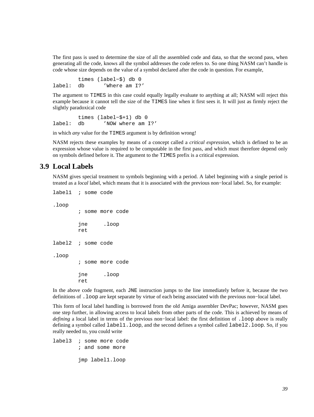The first pass is used to determine the size of all the assembled code and data, so that the second pass, when generating all the code, knows all the symbol addresses the code refers to. So one thing NASM can't handle is code whose size depends on the value of a symbol declared after the code in question. For example,

 times (label−\$) db 0 label: db 'Where am I?'

The argument to TIMES in this case could equally legally evaluate to anything at all; NASM will reject this example because it cannot tell the size of the TIMES line when it first sees it. It will just as firmly reject the slightly paradoxical code

 times (label−\$+1) db 0 label: db 'NOW where am I?'

in which *any* value for the TIMES argument is by definition wrong!

NASM rejects these examples by means of a concept called a *critical expression*, which is defined to be an expression whose value is required to be computable in the first pass, and which must therefore depend only on symbols defined before it. The argument to the TIMES prefix is a critical expression.

## **3.9 Local Labels**

<span id="page-38-0"></span>NASM gives special treatment to symbols beginning with a period. A label beginning with a single period is treated as a *local* label, which means that it is associated with the previous non−local label. So, for example:

label1 ; some code .loop ; some more code jne .loop ret label2 ; some code .loop ; some more code jne .loop ret

In the above code fragment, each JNE instruction jumps to the line immediately before it, because the two definitions of .loop are kept separate by virtue of each being associated with the previous non−local label.

This form of local label handling is borrowed from the old Amiga assembler DevPac; however, NASM goes one step further, in allowing access to local labels from other parts of the code. This is achieved by means of *defining* a local label in terms of the previous non-local label: the first definition of .loop above is really defining a symbol called label1.loop, and the second defines a symbol called label2.loop. So, if you really needed to, you could write

label3 ; some more code ; and some more

jmp label1.loop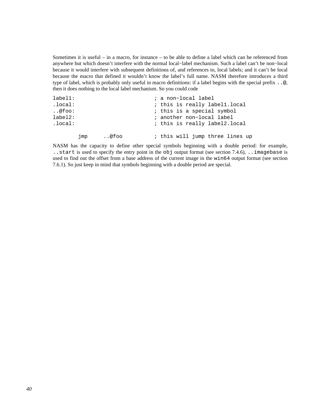Sometimes it is useful – in a macro, for instance – to be able to define a label which can be referenced from anywhere but which doesn't interfere with the normal local−label mechanism. Such a label can't be non−local because it would interfere with subsequent definitions of, and references to, local labels; and it can't be local because the macro that defined it wouldn't know the label's full name. NASM therefore introduces a third type of label, which is probably only useful in macro definitions: if a label begins with the special prefix ..@, then it does nothing to the local label mechanism. So you could code

```
label1: ; a non−local label 
.local: \qquad \qquad ; this is really labell.local
..@foo: ; this is a special symbol 
label2: ; another non−local label 
.local: ; this is really label2.local 
      jmp ..@foo ; this will jump three lines up
```
NASM has the capacity to define other special symbols beginning with a double period: for example, ..start is used to specify the entry point in the obj output format (see [section 7.4.6\)](#page-86-0), ..imagebase is used to find out the offset from a base address of the current image in the win64 output format (see [section](#page-90-0) [7.6.1\)](#page-90-0). So just keep in mind that symbols beginning with a double period are special.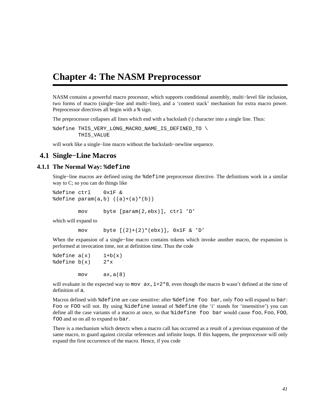# **Chapter 4: The NASM Preprocessor**

NASM contains a powerful macro processor, which supports conditional assembly, multi−level file inclusion, two forms of macro (single−line and multi−line), and a 'context stack' mechanism for extra macro power. Preprocessor directives all begin with a % sign.

The preprocessor collapses all lines which end with a backslash (\) character into a single line. Thus:

%define THIS VERY LONG MACRO NAME IS DEFINED TO \ THIS VALUE

will work like a single−line macro without the backslash−newline sequence.

## **4.1 Single−Line Macros**

### **4.1.1 The Normal Way: %define**

Single−line macros are defined using the %define preprocessor directive. The definitions work in a similar way to C; so you can do things like

```
%define ctrl 0x1F & 
\texttt{define param}(a,b) ((a)+(a)*(b))
```
mov byte [param(2,ebx)], ctrl 'D'

which will expand to

mov byte  $[(2)+(2)*(ebx)]$ ,  $0x1F$  & 'D'

When the expansion of a single−line macro contains tokens which invoke another macro, the expansion is performed at invocation time, not at definition time. Thus the code

```
\deltadefine a(x) 1+b(x)
\deltadefine b(x) 2 \star x mov ax,a(8)
```
will evaluate in the expected way to mov  $ax, 1+2*8$ , even though the macro b wasn't defined at the time of definition of a.

Macros defined with %define are case sensitive: after %define foo bar, only foo will expand to bar: Foo or FOO will not. By using %idefine instead of %define (the 'i' stands for 'insensitive') you can define all the case variants of a macro at once, so that %idefine foo bar would cause foo, Foo, FOO, fOO and so on all to expand to bar.

There is a mechanism which detects when a macro call has occurred as a result of a previous expansion of the same macro, to guard against circular references and infinite loops. If this happens, the preprocessor will only expand the first occurrence of the macro. Hence, if you code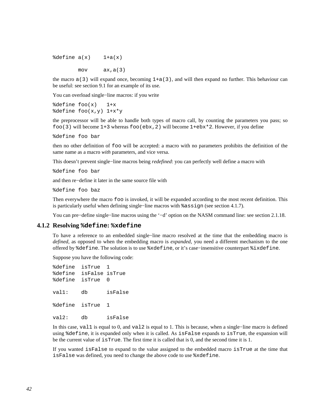$\delta$ define  $a(x)$  1+a(x)

 $mov$   $ax, a(3)$ 

the macro  $a(3)$  will expand once, becoming  $1+a(3)$ , and will then expand no further. This behaviour can be useful: see [section 9.1](#page-113-0) for an example of its use.

You can overload single−line macros: if you write

 $\delta$ define foo $(x)$  1+x %define foo(x,y) 1+x\*y

the preprocessor will be able to handle both types of macro call, by counting the parameters you pass; so foo(3) will become  $1+3$  whereas foo(ebx, 2) will become  $1+\text{ebx}*2$ . However, if you define

%define foo bar

then no other definition of foo will be accepted: a macro with no parameters prohibits the definition of the same name as a macro *with* parameters, and vice versa.

This doesn't prevent single−line macros being *redefined*: you can perfectly well define a macro with

%define foo bar

and then re−define it later in the same source file with

%define foo baz

Then everywhere the macro foo is invoked, it will be expanded according to the most recent definition. This is particularly useful when defining single−line macros with %assign (see [section 4.1.7\)](#page-43-0).

You can pre−define single−line macros using the '−d' option on the NASM command line: see [section 2.1.18.](#page-22-0)

#### **4.1.2 Resolving %define: %xdefine**

To have a reference to an embedded single−line macro resolved at the time that the embedding macro is *defined*, as opposed to when the embedding macro is *expanded*, you need a different mechanism to the one offered by %define. The solution is to use %xdefine, or it's case−insensitive counterpart %ixdefine.

Suppose you have the following code:

%define isTrue 1 %define isFalse isTrue %define isTrue 0 val1: db isFalse %define isTrue 1 val2: db isFalse

In this case, val1 is equal to 0, and val2 is equal to 1. This is because, when a single−line macro is defined using %define, it is expanded only when it is called. As isFalse expands to isTrue, the expansion will be the current value of isTrue. The first time it is called that is 0, and the second time it is 1.

If you wanted isFalse to expand to the value assigned to the embedded macro isTrue at the time that isFalse was defined, you need to change the above code to use %xdefine.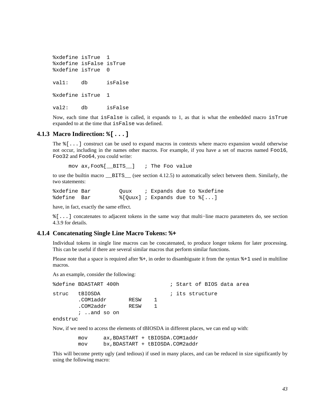```
%xdefine isTrue 1 
%xdefine isFalse isTrue 
%xdefine isTrue 0 
val1: db isFalse 
%xdefine isTrue 1 
val2: db isFalse
```
Now, each time that isFalse is called, it expands to 1, as that is what the embedded macro isTrue expanded to at the time that isFalse was defined.

### **4.1.3 Macro Indirection: %[...]**

<span id="page-42-0"></span>The %[...] construct can be used to expand macros in contexts where macro expansion would otherwise not occur, including in the names other macros. For example, if you have a set of macros named Foo16, Foo32 and Foo64, you could write:

mov ax,Foo%[\_\_BITS\_\_] ; The Foo value

to use the builtin macro \_\_BITS\_\_ (see [section 4.12.5\)](#page-67-0) to automatically select between them. Similarly, the two statements:

%xdefine Bar (Quux ; Expands due to %xdefine %define Bar %[Quux] ; Expands due to  $\S[...]$ 

have, in fact, exactly the same effect.

%[...] concatenates to adjacent tokens in the same way that multi−line macro parameters do, see [section](#page-51-0) [4.3.9](#page-51-0) for details.

#### **4.1.4 Concatenating Single Line Macro Tokens: %+**

<span id="page-42-1"></span>Individual tokens in single line macros can be concatenated, to produce longer tokens for later processing. This can be useful if there are several similar macros that perform similar functions.

Please note that a space is required after  $*+$ , in order to disambiguate it from the syntax  $*+1$  used in multiline macros.

As an example, consider the following:

|          | %define BDASTART 400h |      |     | ; Start of BIOS data area |
|----------|-----------------------|------|-----|---------------------------|
| struc    | tBIOSDA               |      |     | ; its structure           |
|          | .COMladdr             | RESW | -1. |                           |
|          | .COM2addr             | RESW |     |                           |
|          | $i$ . and so on       |      |     |                           |
| endstruc |                       |      |     |                           |

Now, if we need to access the elements of tBIOSDA in different places, we can end up with:

 mov ax,BDASTART + tBIOSDA.COM1addr mov bx,BDASTART + tBIOSDA.COM2addr

This will become pretty ugly (and tedious) if used in many places, and can be reduced in size significantly by using the following macro: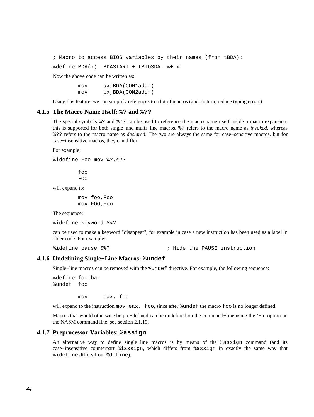; Macro to access BIOS variables by their names (from tBDA):

%define BDA(x) BDASTART + tBIOSDA. %+ x

Now the above code can be written as:

 mov ax,BDA(COM1addr) mov bx,BDA(COM2addr)

Using this feature, we can simplify references to a lot of macros (and, in turn, reduce typing errors).

#### **4.1.5 The Macro Name Itself: %? and %??**

The special symbols %? and %?? can be used to reference the macro name itself inside a macro expansion, this is supported for both single−and multi−line macros. %? refers to the macro name as *invoked*, whereas %?? refers to the macro name as *declared*. The two are always the same for case−sensitive macros, but for case−insensitive macros, they can differ.

For example:

%idefine Foo mov %?,%??

 foo FOO

will expand to:

 mov foo,Foo mov FOO,Foo

The sequence:

%idefine keyword \$%?

can be used to make a keyword "disappear", for example in case a new instruction has been used as a label in older code. For example:

%idefine pause \$%? ; Hide the PAUSE instruction

#### **4.1.6 Undefining Single−Line Macros: %undef**

Single−line macros can be removed with the %undef directive. For example, the following sequence:

%define foo bar %undef foo

mov eax, foo

will expand to the instruction mov eax, foo, since after  $%$  sundef the macro foo is no longer defined.

Macros that would otherwise be pre−defined can be undefined on the command−line using the '−u' option on the NASM command line: see [section 2.1.19.](#page-22-1)

#### **4.1.7 Preprocessor Variables: %assign**

<span id="page-43-0"></span>An alternative way to define single−line macros is by means of the %assign command (and its case−insensitive counterpart %iassign, which differs from %assign in exactly the same way that %idefine differs from %define).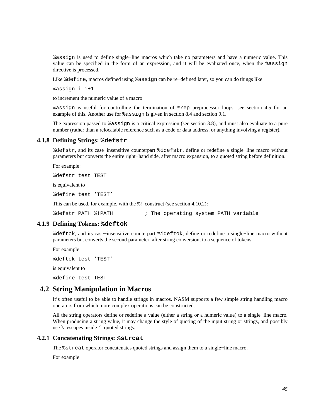%assign is used to define single−line macros which take no parameters and have a numeric value. This value can be specified in the form of an expression, and it will be evaluated once, when the %assign directive is processed.

Like %define, macros defined using %assign can be re−defined later, so you can do things like

%assign i i+1

to increment the numeric value of a macro.

%assign is useful for controlling the termination of %rep preprocessor loops: see [section 4.5](#page-57-0) for an example of this. Another use for %assign is given in [section 8.4](#page-104-0) and [section 9.1.](#page-113-0)

The expression passed to %assign is a critical expression (see [section 3.8\)](#page-37-0), and must also evaluate to a pure number (rather than a relocatable reference such as a code or data address, or anything involving a register).

### **4.1.8 Defining Strings: %defstr**

<span id="page-44-0"></span>%defstr, and its case−insensitive counterpart %idefstr, define or redefine a single−line macro without parameters but converts the entire right−hand side, after macro expansion, to a quoted string before definition.

For example:

%defstr test TEST

is equivalent to

%define test 'TEST'

This can be used, for example, with the  $\frac{1}{6}$ ! construct (see [section 4.10.2\)](#page-66-0):

%defstr PATH %!PATH : 7 The operating system PATH variable

#### **4.1.9 Defining Tokens: %deftok**

%deftok, and its case−insensitive counterpart %ideftok, define or redefine a single−line macro without parameters but converts the second parameter, after string conversion, to a sequence of tokens.

For example:

%deftok test 'TEST'

is equivalent to

%define test TEST

## **4.2 String Manipulation in Macros**

It's often useful to be able to handle strings in macros. NASM supports a few simple string handling macro operators from which more complex operations can be constructed.

All the string operators define or redefine a value (either a string or a numeric value) to a single−line macro. When producing a string value, it may change the style of quoting of the input string or strings, and possibly use \–escapes inside '–quoted strings.

#### **4.2.1 Concatenating Strings: %strcat**

The %strcat operator concatenates quoted strings and assign them to a single−line macro.

For example: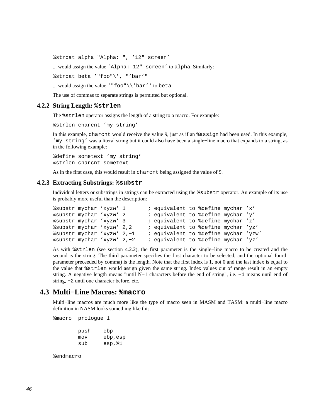%strcat alpha "Alpha: ", '12" screen'

... would assign the value 'Alpha: 12" screen' to alpha. Similarly:

%strcat beta '"foo"\', "'bar'"

... would assign the value '"foo"\\'bar'' to beta.

The use of commas to separate strings is permitted but optional.

#### **4.2.2 String Length: %strlen**

<span id="page-45-0"></span>The %strlen operator assigns the length of a string to a macro. For example:

%strlen charcnt 'my string'

In this example, charcnt would receive the value 9, just as if an %assign had been used. In this example, 'my string' was a literal string but it could also have been a single−line macro that expands to a string, as in the following example:

%define sometext 'my string' %strlen charcnt sometext

As in the first case, this would result in charcnt being assigned the value of 9.

## **4.2.3 Extracting Substrings: %substr**

Individual letters or substrings in strings can be extracted using the %substr operator. An example of its use is probably more useful than the description:

```
%substr mychar 'xyzw' 1 ; equivalent to %define mychar 'x' 
%substr mychar 'xyzw' 2 ; equivalent to %define mychar 'y' 
%substr mychar 'xyzw' 3 ; equivalent to %define mychar 'z' 
%substr mychar 'xyzw' 2,2 ; equivalent to %define mychar 'yz' 
%substr mychar 'xyzw' 2,−1 ; equivalent to %define mychar 'yzw' 
%substr mychar 'xyzw' 2,−2 ; equivalent to %define mychar 'yz'
```
As with %strlen (see [section 4.2.2\)](#page-45-0), the first parameter is the single−line macro to be created and the second is the string. The third parameter specifies the first character to be selected, and the optional fourth parameter preceeded by comma) is the length. Note that the first index is 1, not 0 and the last index is equal to the value that %strlen would assign given the same string. Index values out of range result in an empty string. A negative length means "until N−1 characters before the end of string", i.e. −1 means until end of string, −2 until one character before, etc.

## **4.3 Multi−Line Macros: %macro**

Multi−line macros are much more like the type of macro seen in MASM and TASM: a multi−line macro definition in NASM looks something like this.

%macro prologue 1

 push ebp mov ebp,esp sub esp,%1

%endmacro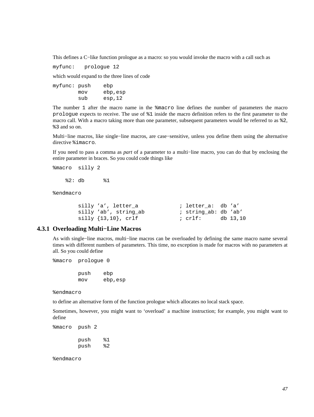This defines a C−like function prologue as a macro: so you would invoke the macro with a call such as

myfunc: prologue 12

which would expand to the three lines of code

myfunc: push ebp mov ebp,esp sub esp,12

The number 1 after the macro name in the %macro line defines the number of parameters the macro prologue expects to receive. The use of %1 inside the macro definition refers to the first parameter to the macro call. With a macro taking more than one parameter, subsequent parameters would be referred to as %2, %3 and so on.

Multi−line macros, like single−line macros, are case−sensitive, unless you define them using the alternative directive %imacro.

If you need to pass a comma as *part* of a parameter to a multi−line macro, you can do that by enclosing the entire parameter in braces. So you could code things like

%macro silly 2

%2: db %1

%endmacro

| silly 'a', letter a              | ; letter a: db 'a'   |          |
|----------------------------------|----------------------|----------|
| silly 'ab', string ab            | ; string ab: db 'ab' |          |
| $\text{silly } \{13,10\}$ , crlf | ; crlf:              | db 13,10 |

## **4.3.1 Overloading Multi−Line Macros**

As with single−line macros, multi−line macros can be overloaded by defining the same macro name several times with different numbers of parameters. This time, no exception is made for macros with no parameters at all. So you could define

%macro prologue 0

 push ebp mov ebp,esp

%endmacro

to define an alternative form of the function prologue which allocates no local stack space.

Sometimes, however, you might want to 'overload' a machine instruction; for example, you might want to define

%macro push 2

 push %1 push %2

%endmacro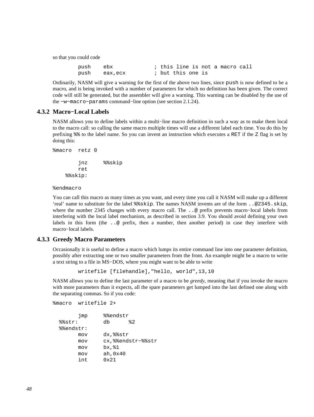so that you could code

| push ebx |               |                   |  |  | ; this line is not a macro call |  |
|----------|---------------|-------------------|--|--|---------------------------------|--|
|          | push eax, ecx | ; but this one is |  |  |                                 |  |

Ordinarily, NASM will give a warning for the first of the above two lines, since push is now defined to be a macro, and is being invoked with a number of parameters for which no definition has been given. The correct code will still be generated, but the assembler will give a warning. This warning can be disabled by the use of the −w−macro−params command−line option (see [section 2.1.24\)](#page-23-1).

## **4.3.2 Macro−Local Labels**

<span id="page-47-1"></span>NASM allows you to define labels within a multi−line macro definition in such a way as to make them local to the macro call: so calling the same macro multiple times will use a different label each time. You do this by prefixing %% to the label name. So you can invent an instruction which executes a RET if the Z flag is set by doing this:

```
%macro retz 0 
          jnz %%skip 
         ret 
     %%skip:
```
%endmacro

You can call this macro as many times as you want, and every time you call it NASM will make up a different 'real' name to substitute for the label %%skip. The names NASM invents are of the form ..@2345.skip, where the number 2345 changes with every macro call. The ..@ prefix prevents macro−local labels from interfering with the local label mechanism, as described in [section 3.9.](#page-38-0) You should avoid defining your own labels in this form (the . . @ prefix, then a number, then another period) in case they interfere with macro−local labels.

#### **4.3.3 Greedy Macro Parameters**

<span id="page-47-0"></span>Occasionally it is useful to define a macro which lumps its entire command line into one parameter definition, possibly after extracting one or two smaller parameters from the front. An example might be a macro to write a text string to a file in MS−DOS, where you might want to be able to write

writefile [filehandle],"hello, world",13,10

NASM allows you to define the last parameter of a macro to be *greedy*, meaning that if you invoke the macro with more parameters than it expects, all the spare parameters get lumped into the last defined one along with the separating commas. So if you code:

```
%macro writefile 2+ 
       jmp %%endstr
  %%str: db %2 
  %%endstr: 
       mov dx,%%str 
       mov cx,%%endstr−%%str 
       mov bx,%1 
       mov ah,0x40 
        int 0x21
```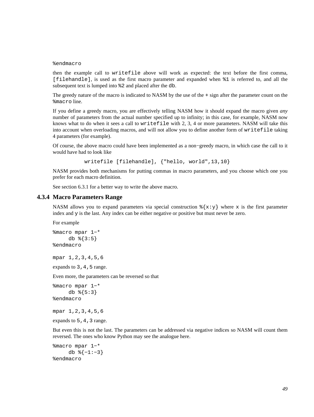#### %endmacro

then the example call to writefile above will work as expected: the text before the first comma, [filehandle], is used as the first macro parameter and expanded when %1 is referred to, and all the subsequent text is lumped into %2 and placed after the db.

The greedy nature of the macro is indicated to NASM by the use of the + sign after the parameter count on the %macro line.

If you define a greedy macro, you are effectively telling NASM how it should expand the macro given *any* number of parameters from the actual number specified up to infinity; in this case, for example, NASM now knows what to do when it sees a call to writefile with 2, 3, 4 or more parameters. NASM will take this into account when overloading macros, and will not allow you to define another form of writefile taking 4 parameters (for example).

Of course, the above macro could have been implemented as a non−greedy macro, in which case the call to it would have had to look like

writefile [filehandle], {"hello, world",13,10}

NASM provides both mechanisms for putting commas in macro parameters, and you choose which one you prefer for each macro definition.

See [section 6.3.1](#page-76-0) for a better way to write the above macro.

#### **4.3.4 Macro Parameters Range**

NASM allows you to expand parameters via special construction  $\{\{x: y\} \}$  where x is the first parameter index and y is the last. Any index can be either negative or positive but must never be zero.

For example

```
%macro mpar 1−* 
     db \{3:5\}%endmacro
```
mpar 1,2,3,4,5,6

expands to 3, 4, 5 range.

Even more, the parameters can be reversed so that

```
%macro mpar 1−* 
      db %{5:3} 
%endmacro
```
mpar 1,2,3,4,5,6

expands to  $5, 4, 3$  range.

But even this is not the last. The parameters can be addressed via negative indices so NASM will count them reversed. The ones who know Python may see the analogue here.

```
%macro mpar 1−* 
      db %{−1:−3} 
%endmacro
```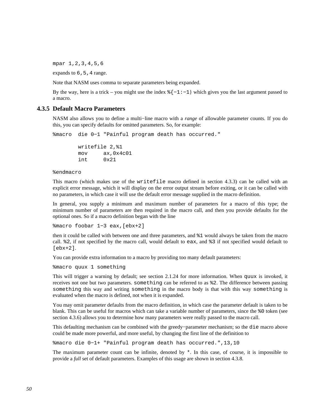mpar 1,2,3,4,5,6

expands to  $6, 5, 4$  range.

Note that NASM uses comma to separate parameters being expanded.

By the way, here is a trick – you might use the index  $\{ -1:-1 \}$  which gives you the last argument passed to a macro.

## **4.3.5 Default Macro Parameters**

NASM also allows you to define a multi−line macro with a *range* of allowable parameter counts. If you do this, you can specify defaults for omitted parameters. So, for example:

%macro die 0−1 "Painful program death has occurred."

```
 writefile 2,%1 
 mov ax,0x4c01 
 int 0x21
```
%endmacro

This macro (which makes use of the writefile macro defined in [section 4.3.3](#page-47-0)) can be called with an explicit error message, which it will display on the error output stream before exiting, or it can be called with no parameters, in which case it will use the default error message supplied in the macro definition.

In general, you supply a minimum and maximum number of parameters for a macro of this type; the minimum number of parameters are then required in the macro call, and then you provide defaults for the optional ones. So if a macro definition began with the line

%macro foobar 1−3 eax,[ebx+2]

then it could be called with between one and three parameters, and %1 would always be taken from the macro call. %2, if not specified by the macro call, would default to eax, and %3 if not specified would default to [ebx+2].

You can provide extra information to a macro by providing too many default parameters:

%macro quux 1 something

This will trigger a warning by default; see [section 2.1.24](#page-23-1) for more information. When quux is invoked, it receives not one but two parameters. something can be referred to as %2. The difference between passing something this way and writing something in the macro body is that with this way something is evaluated when the macro is defined, not when it is expanded.

You may omit parameter defaults from the macro definition, in which case the parameter default is taken to be blank. This can be useful for macros which can take a variable number of parameters, since the %0 token (see [section 4.3.6\)](#page-50-0) allows you to determine how many parameters were really passed to the macro call.

This defaulting mechanism can be combined with the greedy−parameter mechanism; so the die macro above could be made more powerful, and more useful, by changing the first line of the definition to

%macro die 0−1+ "Painful program death has occurred.",13,10

The maximum parameter count can be infinite, denoted by  $*$ . In this case, of course, it is impossible to provide a *full* set of default parameters. Examples of this usage are shown in [section 4.3.8.](#page-50-1)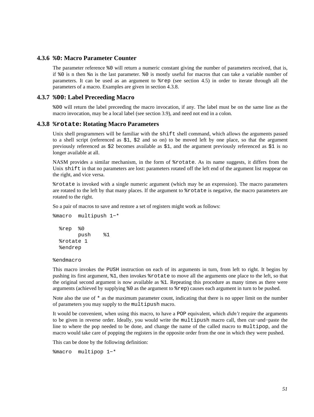## **4.3.6 %0: Macro Parameter Counter**

<span id="page-50-0"></span>The parameter reference %0 will return a numeric constant giving the number of parameters received, that is, if %0 is n then %n is the last parameter. %0 is mostly useful for macros that can take a variable number of parameters. It can be used as an argument to %rep (see [section 4.5\)](#page-57-0) in order to iterate through all the parameters of a macro. Examples are given in [section 4.3.8.](#page-50-1)

### **4.3.7 %00: Label Preceeding Macro**

%00 will return the label preceeding the macro invocation, if any. The label must be on the same line as the macro invocation, may be a local label (see [section 3.9\)](#page-38-0), and need not end in a colon.

## **4.3.8 %rotate: Rotating Macro Parameters**

<span id="page-50-1"></span>Unix shell programmers will be familiar with the shift shell command, which allows the arguments passed to a shell script (referenced as \$1, \$2 and so on) to be moved left by one place, so that the argument previously referenced as \$2 becomes available as \$1, and the argument previously referenced as \$1 is no longer available at all.

NASM provides a similar mechanism, in the form of %rotate. As its name suggests, it differs from the Unix shift in that no parameters are lost: parameters rotated off the left end of the argument list reappear on the right, and vice versa.

%rotate is invoked with a single numeric argument (which may be an expression). The macro parameters are rotated to the left by that many places. If the argument to %rotate is negative, the macro parameters are rotated to the right.

So a pair of macros to save and restore a set of registers might work as follows:

```
%macro multipush 1−* 
   %rep %0 
         push %1 
   %rotate 1 
   %endrep
```
%endmacro

This macro invokes the PUSH instruction on each of its arguments in turn, from left to right. It begins by pushing its first argument, %1, then invokes %rotate to move all the arguments one place to the left, so that the original second argument is now available as %1. Repeating this procedure as many times as there were arguments (achieved by supplying %0 as the argument to %rep) causes each argument in turn to be pushed.

Note also the use of  $*$  as the maximum parameter count, indicating that there is no upper limit on the number of parameters you may supply to the multipush macro.

It would be convenient, when using this macro, to have a POP equivalent, which *didn't* require the arguments to be given in reverse order. Ideally, you would write the multipush macro call, then cut−and−paste the line to where the pop needed to be done, and change the name of the called macro to multipop, and the macro would take care of popping the registers in the opposite order from the one in which they were pushed.

This can be done by the following definition:

```
%macro multipop 1−*
```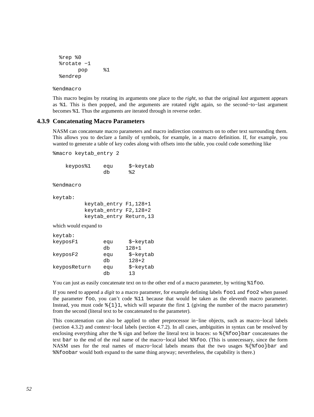```
 %rep %0 
 %rotate −1 
        pop %1 
 %endrep
```
%endmacro

This macro begins by rotating its arguments one place to the *right*, so that the original *last* argument appears as %1. This is then popped, and the arguments are rotated right again, so the second−to−last argument becomes %1. Thus the arguments are iterated through in reverse order.

### **4.3.9 Concatenating Macro Parameters**

<span id="page-51-0"></span>NASM can concatenate macro parameters and macro indirection constructs on to other text surrounding them. This allows you to declare a family of symbols, for example, in a macro definition. If, for example, you wanted to generate a table of key codes along with offsets into the table, you could code something like

%macro keytab\_entry 2

 keypos%1 equ \$−keytab db  $\frac{1}{2}$  and  $\frac{1}{2}$ %endmacro keytab: keytab\_entry F1,128+1 keytab\_entry F2,128+2 keytab\_entry Return,13 which would expand to keytab: keyposF1 equ \$−keytab db 128+1 keyposF2 equ \$−keytab db 128+2

keyposReturn equ \$−keytab

db 13

You can just as easily concatenate text on to the other end of a macro parameter, by writing  $\$1$ foo.

If you need to append a *digit* to a macro parameter, for example defining labels foo1 and foo2 when passed the parameter foo, you can't code %11 because that would be taken as the eleventh macro parameter. Instead, you must code  $\frac{1}{1}1$ , which will separate the first 1 (giving the number of the macro parameter) from the second (literal text to be concatenated to the parameter).

This concatenation can also be applied to other preprocessor in−line objects, such as macro−local labels [\(section 4.3.2\)](#page-47-1) and context−local labels [\(section 4.7.2\)](#page-59-0). In all cases, ambiguities in syntax can be resolved by enclosing everything after the  $\frac{1}{6}$  sign and before the literal text in braces: so  $\frac{1}{6}$  foo  $\bar{\rm bar}$  concatenates the text bar to the end of the real name of the macro−local label %%foo. (This is unnecessary, since the form NASM uses for the real names of macro–local labels means that the two usages %{%foo}bar and %%foobar would both expand to the same thing anyway; nevertheless, the capability is there.)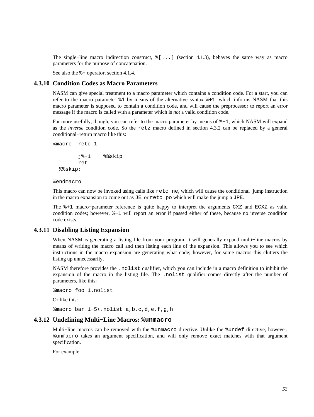The single−line macro indirection construct, %[...] [\(section 4.1.3\)](#page-42-0), behaves the same way as macro parameters for the purpose of concatenation.

See also the  $*$  - operator, [section 4.1.4.](#page-42-1)

## **4.3.10 Condition Codes as Macro Parameters**

NASM can give special treatment to a macro parameter which contains a condition code. For a start, you can refer to the macro parameter %1 by means of the alternative syntax %+1, which informs NASM that this macro parameter is supposed to contain a condition code, and will cause the preprocessor to report an error message if the macro is called with a parameter which is *not* a valid condition code.

Far more usefully, though, you can refer to the macro parameter by means of %−1, which NASM will expand as the *inverse* condition code. So the retz macro defined in [section 4.3.2](#page-47-1) can be replaced by a general conditional−return macro like this:

```
%macro retc 1 
         j%−1 %%skip 
         ret 
   %%skip:
```
%endmacro

This macro can now be invoked using calls like retc ne, which will cause the conditional−jump instruction in the macro expansion to come out as JE, or retc po which will make the jump a JPE.

The %+1 macro−parameter reference is quite happy to interpret the arguments CXZ and ECXZ as valid condition codes; however, %−1 will report an error if passed either of these, because no inverse condition code exists.

### **4.3.11 Disabling Listing Expansion**

When NASM is generating a listing file from your program, it will generally expand multi−line macros by means of writing the macro call and then listing each line of the expansion. This allows you to see which instructions in the macro expansion are generating what code; however, for some macros this clutters the listing up unnecessarily.

NASM therefore provides the .nolist qualifier, which you can include in a macro definition to inhibit the expansion of the macro in the listing file. The .nolist qualifier comes directly after the number of parameters, like this:

```
%macro foo 1.nolist
Or like this:
%macro bar 1−5+.nolist a,b,c,d,e,f,g,h
```
#### **4.3.12 Undefining Multi−Line Macros: %unmacro**

Multi−line macros can be removed with the %unmacro directive. Unlike the %undef directive, however, %unmacro takes an argument specification, and will only remove exact matches with that argument specification.

For example: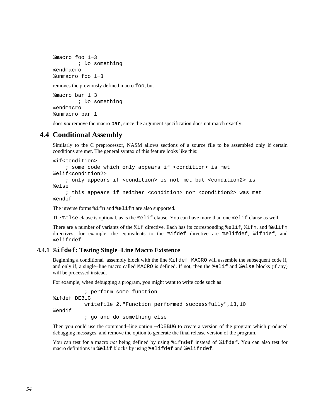```
%macro foo 1−3 
         ; Do something 
%endmacro 
%unmacro foo 1−3
```
removes the previously defined macro foo, but

%macro bar 1−3 ; Do something %endmacro %unmacro bar 1

does *not* remove the macro bar, since the argument specification does not match exactly.

## **4.4 Conditional Assembly**

Similarly to the C preprocessor, NASM allows sections of a source file to be assembled only if certain conditions are met. The general syntax of this feature looks like this:

```
%if<condition>
```
 ; some code which only appears if <condition> is met %elif<condition2> ; only appears if <condition> is not met but <condition2> is %else ; this appears if neither <condition> nor <condition2> was met %endif

The inverse forms %ifn and %elifn are also supported.

The %else clause is optional, as is the %elif clause. You can have more than one %elif clause as well.

There are a number of variants of the %if directive. Each has its corresponding %elif, %ifn, and %elifn directives; for example, the equivalents to the %ifdef directive are %elifdef, %ifndef, and %elifndef.

### **4.4.1 %ifdef: Testing Single−Line Macro Existence**

Beginning a conditional−assembly block with the line %ifdef MACRO will assemble the subsequent code if, and only if, a single−line macro called MACRO is defined. If not, then the %elif and %else blocks (if any) will be processed instead.

For example, when debugging a program, you might want to write code such as

```
 ; perform some function 
%ifdef DEBUG 
           writefile 2,"Function performed successfully",13,10 
%endif 
           ; go and do something else
```
Then you could use the command–line option −dDEBUG to create a version of the program which produced debugging messages, and remove the option to generate the final release version of the program.

You can test for a macro *not* being defined by using %ifndef instead of %ifdef. You can also test for macro definitions in %elif blocks by using %elifdef and %elifndef.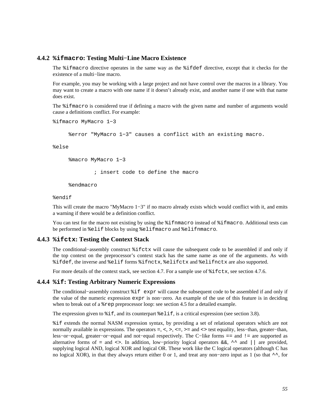## **4.4.2 %ifmacro: Testing Multi−Line Macro Existence**

The %ifmacro directive operates in the same way as the %ifdef directive, except that it checks for the existence of a multi−line macro.

For example, you may be working with a large project and not have control over the macros in a library. You may want to create a macro with one name if it doesn't already exist, and another name if one with that name does exist.

The %ifmacro is considered true if defining a macro with the given name and number of arguments would cause a definitions conflict. For example:

```
%ifmacro MyMacro 1−3
```
%error "MyMacro 1−3" causes a conflict with an existing macro.

%else

%macro MyMacro 1−3

; insert code to define the macro

%endmacro

#### %endif

This will create the macro "MyMacro 1−3" if no macro already exists which would conflict with it, and emits a warning if there would be a definition conflict.

You can test for the macro not existing by using the  $\frac{2}{3}$  if finacro instead of  $\frac{2}{3}$  if macro. Additional tests can be performed in %elif blocks by using %elifmacro and %elifnmacro.

### **4.4.3 %ifctx: Testing the Context Stack**

The conditional−assembly construct %ifctx will cause the subsequent code to be assembled if and only if the top context on the preprocessor's context stack has the same name as one of the arguments. As with %ifdef, the inverse and %elif forms %ifnctx, %elifctx and %elifnctx are also supported.

For more details of the context stack, see [section 4.7.](#page-59-1) For a sample use of  $\text{\$ifctx$, see section 4.7.6}.$ 

#### **4.4.4 %if: Testing Arbitrary Numeric Expressions**

The conditional−assembly construct %if expr will cause the subsequent code to be assembled if and only if the value of the numeric expression expr is non−zero. An example of the use of this feature is in deciding when to break out of a %rep preprocessor loop: see [section 4.5](#page-57-0) for a detailed example.

The expression given to  $\frac{1}{2}$  if, and its counterpart  $\frac{1}{2}$  elif, is a critical expression (see [section 3.8\)](#page-37-0).

%if extends the normal NASM expression syntax, by providing a set of relational operators which are not normally available in expressions. The operators =, <, >, <=, >= and <> test equality, less–than, greater–than, less−or−equal, greater−or−equal and not−equal respectively. The C−like forms == and != are supported as alternative forms of = and <>. In addition, low−priority logical operators &&, ^^ and || are provided, supplying logical AND, logical XOR and logical OR. These work like the C logical operators (although C has no logical XOR), in that they always return either 0 or 1, and treat any non−zero input as 1 (so that ^^, for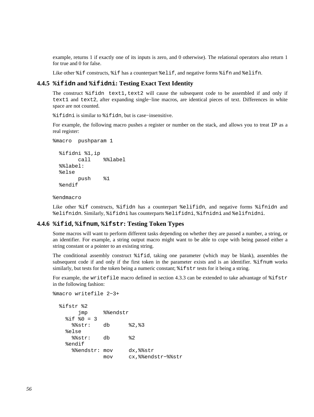example, returns 1 if exactly one of its inputs is zero, and 0 otherwise). The relational operators also return 1 for true and 0 for false.

Like other %if constructs, %if has a counterpart %elif, and negative forms %ifn and %elifn.

## **4.4.5 %ifidn and %ifidni: Testing Exact Text Identity**

The construct %ifidn text1, text2 will cause the subsequent code to be assembled if and only if text1 and text2, after expanding single−line macros, are identical pieces of text. Differences in white space are not counted.

%ifidni is similar to %ifidn, but is case−insensitive.

For example, the following macro pushes a register or number on the stack, and allows you to treat IP as a real register:

```
%macro pushparam 1 
   %ifidni %1,ip 
         call %%label 
   %%label: 
   %else 
         push %1 
   %endif
```
%endmacro

Like other %if constructs, %ifidn has a counterpart %elifidn, and negative forms %ifnidn and %elifnidn. Similarly, %ifidni has counterparts %elifidni, %ifnidni and %elifnidni.

### **4.4.6 %ifid, %ifnum, %ifstr: Testing Token Types**

Some macros will want to perform different tasks depending on whether they are passed a number, a string, or an identifier. For example, a string output macro might want to be able to cope with being passed either a string constant or a pointer to an existing string.

The conditional assembly construct %ifid, taking one parameter (which may be blank), assembles the subsequent code if and only if the first token in the parameter exists and is an identifier. %ifnum works similarly, but tests for the token being a numeric constant;  $\hat{\tau}$  if  $\tau$  tests for it being a string.

For example, the writefile macro defined in [section 4.3.3](#page-47-0) can be extended to take advantage of  $i$ ifstr in the following fashion:

```
%macro writefile 2−3+
```

```
 %ifstr %2 
      jmp %%endstr
  \frac{1}{2} if \frac{1}{2}0 = 3 %%str: db %2,%3 
   %else 
     %%str: db %2 
   %endif 
     %%endstr: mov dx,%%str 
               mov cx,%%endstr−%%str
```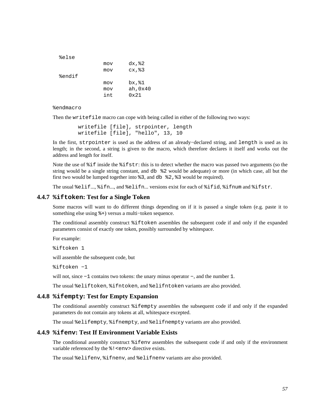| mov | dx, %2        |
|-----|---------------|
| mov | cx, 83        |
|     |               |
| mov | bx, %1        |
| mov | ah, 0x40      |
| int | $0 \times 21$ |
|     |               |

%endmacro

Then the writefile macro can cope with being called in either of the following two ways:

```
 writefile [file], strpointer, length 
 writefile [file], "hello", 13, 10
```
In the first, strpointer is used as the address of an already−declared string, and length is used as its length; in the second, a string is given to the macro, which therefore declares it itself and works out the address and length for itself.

Note the use of %if inside the %ifstr: this is to detect whether the macro was passed two arguments (so the string would be a single string constant, and db %2 would be adequate) or more (in which case, all but the first two would be lumped together into  $\frac{1}{2}$ , and db  $\frac{1}{2}$   $\frac{1}{2}$ ,  $\frac{1}{2}$  would be required).

The usual %elif..., %ifn..., and %elifn... versions exist for each of %ifid, %ifnum and %ifstr.

#### **4.4.7 %iftoken: Test for a Single Token**

Some macros will want to do different things depending on if it is passed a single token (e.g. paste it to something else using %+) versus a multi−token sequence.

The conditional assembly construct %iftoken assembles the subsequent code if and only if the expanded parameters consist of exactly one token, possibly surrounded by whitespace.

For example:

%iftoken 1

will assemble the subsequent code, but

%iftoken −1

will not, since −1 contains two tokens: the unary minus operator −, and the number 1.

The usual %eliftoken, %ifntoken, and %elifntoken variants are also provided.

#### **4.4.8 %ifempty: Test for Empty Expansion**

The conditional assembly construct %ifempty assembles the subsequent code if and only if the expanded parameters do not contain any tokens at all, whitespace excepted.

The usual %elifempty, %ifnempty, and %elifnempty variants are also provided.

#### **4.4.9 %ifenv: Test If Environment Variable Exists**

The conditional assembly construct %ifenv assembles the subsequent code if and only if the environment variable referenced by the  $\frac{1}{2}$  < env > directive exists.

The usual %elifenv, %ifnenv, and %elifnenv variants are also provided.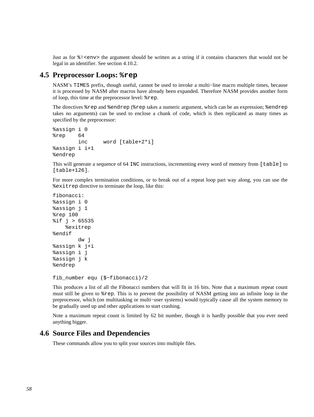Just as for  $\frac{1}{2}$  <env> the argument should be written as a string if it contains characters that would not be legal in an identifier. See [section 4.10.2.](#page-66-0)

## **4.5 Preprocessor Loops: %rep**

<span id="page-57-0"></span>NASM's TIMES prefix, though useful, cannot be used to invoke a multi−line macro multiple times, because it is processed by NASM after macros have already been expanded. Therefore NASM provides another form of loop, this time at the preprocessor level: %rep.

The directives %rep and %endrep (%rep takes a numeric argument, which can be an expression; %endrep takes no arguments) can be used to enclose a chunk of code, which is then replicated as many times as specified by the preprocessor:

```
%assign i 0 
%rep 64 
         inc word [table+2*i] 
%assign i i+1 
%endrep
```
This will generate a sequence of 64 INC instructions, incrementing every word of memory from [table] to [table+126].

For more complex termination conditions, or to break out of a repeat loop part way along, you can use the %exitrep directive to terminate the loop, like this:

```
fibonacci: 
%assign i 0 
%assign j 1 
%rep 100 
% i f j > 65535 %exitrep 
%endif 
          dw j 
%assign k j+i 
%assign i j 
%assign j k 
%endrep
```

```
fib_number equ ($−fibonacci)/2
```
This produces a list of all the Fibonacci numbers that will fit in 16 bits. Note that a maximum repeat count must still be given to %rep. This is to prevent the possibility of NASM getting into an infinite loop in the preprocessor, which (on multitasking or multi−user systems) would typically cause all the system memory to be gradually used up and other applications to start crashing.

Note a maximum repeat count is limited by 62 bit number, though it is hardly possible that you ever need anything bigger.

## **4.6 Source Files and Dependencies**

These commands allow you to split your sources into multiple files.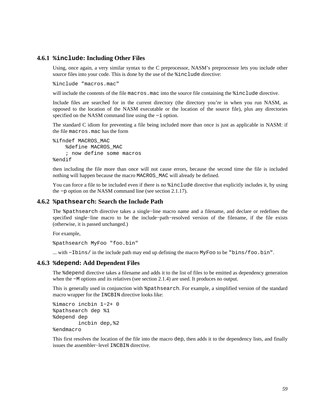#### **4.6.1 %include: Including Other Files**

Using, once again, a very similar syntax to the C preprocessor, NASM's preprocessor lets you include other source files into your code. This is done by the use of the %include directive:

%include "macros.mac"

will include the contents of the file macros.mac into the source file containing the  $\frac{1}{2}$  include directive.

Include files are searched for in the current directory (the directory you're in when you run NASM, as opposed to the location of the NASM executable or the location of the source file), plus any directories specified on the NASM command line using the −i option.

The standard C idiom for preventing a file being included more than once is just as applicable in NASM: if the file macros.mac has the form

%ifndef MACROS\_MAC %define MACROS\_MAC ; now define some macros %endif

then including the file more than once will not cause errors, because the second time the file is included nothing will happen because the macro MACROS\_MAC will already be defined.

You can force a file to be included even if there is no  $%$  include directive that explicitly includes it, by using the −p option on the NASM command line (see [section 2.1.17\)](#page-22-2).

#### **4.6.2 %pathsearch: Search the Include Path**

The %pathsearch directive takes a single−line macro name and a filename, and declare or redefines the specified single−line macro to be the include−path−resolved version of the filename, if the file exists (otherwise, it is passed unchanged.)

For example,

%pathsearch MyFoo "foo.bin"

... with −Ibins/ in the include path may end up defining the macro MyFoo to be "bins/foo.bin".

## **4.6.3 %depend: Add Dependent Files**

The %depend directive takes a filename and adds it to the list of files to be emitted as dependency generation when the −M options and its relatives (see [section 2.1.4\)](#page-19-0) are used. It produces no output.

This is generally used in conjunction with %pathsearch. For example, a simplified version of the standard macro wrapper for the INCBIN directive looks like:

```
%imacro incbin 1−2+ 0 
%pathsearch dep %1 
%depend dep 
         incbin dep,%2 
%endmacro
```
This first resolves the location of the file into the macro dep, then adds it to the dependency lists, and finally issues the assembler−level INCBIN directive.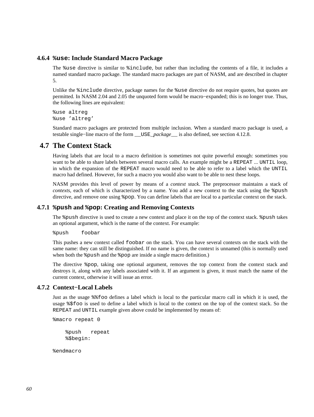## **4.6.4 %use: Include Standard Macro Package**

<span id="page-59-3"></span>The %use directive is similar to %include, but rather than including the contents of a file, it includes a named standard macro package. The standard macro packages are part of NASM, and are described in [chapter](#page-73-0) [5.](#page-73-0)

Unlike the  $\frac{1}{2}$  include directive, package names for the  $\frac{1}{2}$ use directive do not require quotes, but quotes are permitted. In NASM 2.04 and 2.05 the unquoted form would be macro−expanded; this is no longer true. Thus, the following lines are equivalent:

%use altreg %use 'altreg'

Standard macro packages are protected from multiple inclusion. When a standard macro package is used, a testable single−line macro of the form \_\_USE\_*package*\_\_ is also defined, see [section 4.12.8.](#page-68-0)

## **4.7 The Context Stack**

<span id="page-59-1"></span>Having labels that are local to a macro definition is sometimes not quite powerful enough: sometimes you want to be able to share labels between several macro calls. An example might be a REPEAT ... UNTIL loop, in which the expansion of the REPEAT macro would need to be able to refer to a label which the UNTIL macro had defined. However, for such a macro you would also want to be able to nest these loops.

NASM provides this level of power by means of a *context stack*. The preprocessor maintains a stack of *contexts*, each of which is characterized by a name. You add a new context to the stack using the <sup>§</sup>push directive, and remove one using %pop. You can define labels that are local to a particular context on the stack.

## **4.7.1 %push and %pop: Creating and Removing Contexts**

<span id="page-59-2"></span>The %push directive is used to create a new context and place it on the top of the context stack. %push takes an optional argument, which is the name of the context. For example:

%push foobar

This pushes a new context called foobar on the stack. You can have several contexts on the stack with the same name: they can still be distinguished. If no name is given, the context is unnamed (this is normally used when both the  $\gamma$  push and the  $\gamma$  pop are inside a single macro definition.)

The directive %pop, taking one optional argument, removes the top context from the context stack and destroys it, along with any labels associated with it. If an argument is given, it must match the name of the current context, otherwise it will issue an error.

## **4.7.2 Context−Local Labels**

<span id="page-59-0"></span>Just as the usage %%foo defines a label which is local to the particular macro call in which it is used, the usage %\$foo is used to define a label which is local to the context on the top of the context stack. So the REPEAT and UNTIL example given above could be implemented by means of:

```
%macro repeat 0
```
 %push repeat %\$begin:

%endmacro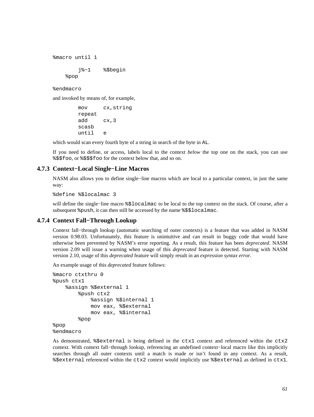```
%macro until 1 
         j%−1 %$begin 
     %pop
```
%endmacro

and invoked by means of, for example,

```
 mov cx,string 
 repeat 
 add cx,3 
 scasb 
 until e
```
which would scan every fourth byte of a string in search of the byte in  $AL$ .

If you need to define, or access, labels local to the context *below* the top one on the stack, you can use %\$\$foo, or %\$\$\$foo for the context below that, and so on.

## **4.7.3 Context−Local Single−Line Macros**

NASM also allows you to define single−line macros which are local to a particular context, in just the same way:

%define %\$localmac 3

will define the single−line macro %\$localmac to be local to the top context on the stack. Of course, after a subsequent %push, it can then still be accessed by the name %\$\$localmac.

## **4.7.4 Context Fall−Through Lookup**

Context fall−through lookup (automatic searching of outer contexts) is a feature that was added in NASM version 0.98.03. Unfortunately, this feature is unintuitive and can result in buggy code that would have otherwise been prevented by NASM's error reporting. As a result, this feature has been *deprecated*. NASM version 2.09 will issue a warning when usage of this *deprecated* feature is detected. Starting with NASM version 2.10, usage of this *deprecated* feature will simply result in an *expression syntax error*.

An example usage of this *deprecated* feature follows:

```
%macro ctxthru 0 
%push ctx1 
     %assign %$external 1 
          %push ctx2 
              %assign %$internal 1 
              mov eax, %$external 
              mov eax, %$internal 
          %pop 
%pop 
%endmacro
```
As demonstrated, %\$external is being defined in the ctx1 context and referenced within the ctx2 context. With context fall−through lookup, referencing an undefined context−local macro like this implicitly searches through all outer contexts until a match is made or isn't found in any context. As a result, %\$external referenced within the ctx2 context would implicitly use %\$external as defined in ctx1.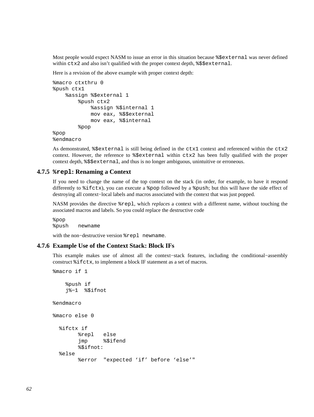Most people would expect NASM to issue an error in this situation because %\$external was never defined within ctx2 and also isn't qualified with the proper context depth, %\$\$external.

Here is a revision of the above example with proper context depth:

```
%macro ctxthru 0 
%push ctx1 
     %assign %$external 1 
          %push ctx2 
              %assign %$internal 1 
              mov eax, %$$external 
              mov eax, %$internal 
          %pop 
%pop 
%endmacro
```
As demonstrated,  $% \xi$ external is still being defined in the ctx1 context and referenced within the ctx2 context. However, the reference to %\$external within ctx2 has been fully qualified with the proper context depth, %\$\$external, and thus is no longer ambiguous, unintuitive or erroneous.

## **4.7.5 %repl: Renaming a Context**

If you need to change the name of the top context on the stack (in order, for example, to have it respond differently to %ifctx), you can execute a %pop followed by a %push; but this will have the side effect of destroying all context−local labels and macros associated with the context that was just popped.

NASM provides the directive %repl, which *replaces* a context with a different name, without touching the associated macros and labels. So you could replace the destructive code

%pop %push newname

with the non−destructive version %repl newname.

### **4.7.6 Example Use of the Context Stack: Block IFs**

<span id="page-61-0"></span>This example makes use of almost all the context−stack features, including the conditional−assembly construct %ifctx, to implement a block IF statement as a set of macros.

```
%macro if 1 
     %push if 
     j%−1 %$ifnot 
%endmacro 
%macro else 0 
   %ifctx if 
         %repl else 
          jmp %$ifend 
          %$ifnot: 
   %else 
          %error "expected 'if' before 'else'"
```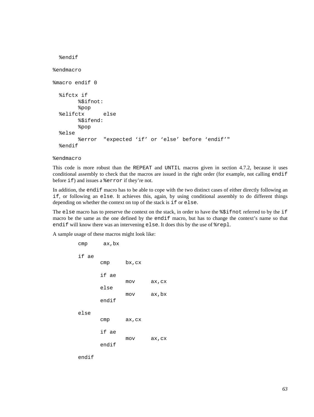```
 %endif 
%endmacro 
%macro endif 0 
   %ifctx if 
          %$ifnot: 
          %pop 
   %elifctx else 
          %$ifend: 
          %pop 
   %else 
          %error "expected 'if' or 'else' before 'endif'" 
   %endif
```
#### %endmacro

This code is more robust than the REPEAT and UNTIL macros given in [section 4.7.2,](#page-59-0) because it uses conditional assembly to check that the macros are issued in the right order (for example, not calling endif before if) and issues a %error if they're not.

In addition, the endif macro has to be able to cope with the two distinct cases of either directly following an if, or following an else. It achieves this, again, by using conditional assembly to do different things depending on whether the context on top of the stack is if or else.

The else macro has to preserve the context on the stack, in order to have the  $\frac{25}{10}$  referred to by the if macro be the same as the one defined by the endif macro, but has to change the context's name so that endif will know there was an intervening else. It does this by the use of %repl.

A sample usage of these macros might look like:

```
 cmp ax,bx 
 if ae 
        cmp bx,cx 
        if ae 
                 mov ax,cx 
        else 
                 mov ax,bx 
        endif 
 else 
        cmp ax,cx 
        if ae 
                 mov ax,cx 
        endif
```
endif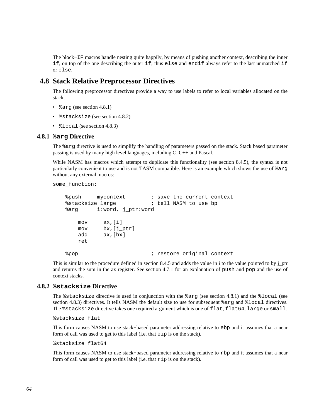The block−IF macros handle nesting quite happily, by means of pushing another context, describing the inner if, on top of the one describing the outer if; thus else and endif always refer to the last unmatched if or else.

## **4.8 Stack Relative Preprocessor Directives**

The following preprocessor directives provide a way to use labels to refer to local variables allocated on the stack.

- %arg (see [section 4.8.1\)](#page-63-0)
- *%stacksize (see [section 4.8.2\)](#page-63-1)*
- *Slocal* (see [section 4.8.3\)](#page-64-0)

## **4.8.1 %arg Directive**

<span id="page-63-0"></span>The %arg directive is used to simplify the handling of parameters passed on the stack. Stack based parameter passing is used by many high level languages, including C, C++ and Pascal.

While NASM has macros which attempt to duplicate this functionality (see [section 8.4.5\)](#page-109-0), the syntax is not particularly convenient to use and is not TASM compatible. Here is an example which shows the use of %arg without any external macros:

some\_function:

```
%push mycontext : save the current context
 %stacksize large ; tell NASM to use bp 
 %arg i:word, j_ptr:word 
    mov ax,[i] 
    mov bx,[j_ptr] 
    add ax,[bx] 
    ret 
%pop \qquad \qquad ; restore original context
```
This is similar to the procedure defined in [section 8.4.5](#page-109-0) and adds the value in i to the value pointed to by j\_ptr and returns the sum in the ax register. See [section 4.7.1](#page-59-2) for an explanation of push and pop and the use of context stacks.

## **4.8.2 %stacksize Directive**

<span id="page-63-1"></span>The %stacksize directive is used in conjunction with the %arg (see [section 4.8.1](#page-63-0)) and the %local (see [section 4.8.3\)](#page-64-0) directives. It tells NASM the default size to use for subsequent %arg and %local directives. The %stacksize directive takes one required argument which is one of flat, flat64, large or small.

%stacksize flat

This form causes NASM to use stack−based parameter addressing relative to ebp and it assumes that a near form of call was used to get to this label (i.e. that eip is on the stack).

%stacksize flat64

This form causes NASM to use stack−based parameter addressing relative to rbp and it assumes that a near form of call was used to get to this label (i.e. that rip is on the stack).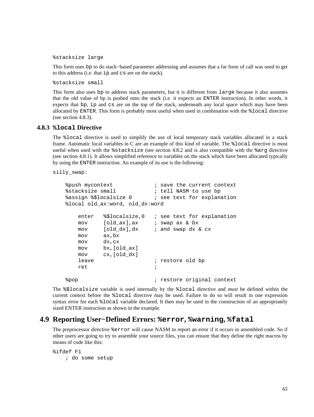%stacksize large

This form uses bp to do stack−based parameter addressing and assumes that a far form of call was used to get to this address (i.e. that ip and cs are on the stack).

%stacksize small

This form also uses bp to address stack parameters, but it is different from large because it also assumes that the old value of bp is pushed onto the stack (i.e. it expects an ENTER instruction). In other words, it expects that bp, ip and cs are on the top of the stack, underneath any local space which may have been allocated by ENTER. This form is probably most useful when used in combination with the %local directive (see [section 4.8.3\)](#page-64-0).

## **4.8.3 %local Directive**

<span id="page-64-0"></span>The %local directive is used to simplify the use of local temporary stack variables allocated in a stack frame. Automatic local variables in C are an example of this kind of variable. The %local directive is most useful when used with the %stacksize (see [section 4.8.2](#page-63-1) and is also compatible with the %arg directive (see [section 4.8.1](#page-63-0)). It allows simplified reference to variables on the stack which have been allocated typically by using the ENTER instruction. An example of its use is the following:

silly\_swap:

```
%push mycontext \qquad \qquad ; save the current context
    %stacksize small ; tell NASM to use bp 
    %assign %$localsize 0 ; see text for explanation 
    %local old_ax:word, old_dx:word 
      enter %$localsize,0 ; see text for explanation
       mov [old_ax],ax ; swap ax & bx 
      mov [old_dx],dx ; and swap dx & cx
       mov ax,bx 
       mov dx,cx 
       mov bx,[old_ax] 
       mov cx,[old_dx] 
      leave \qquad \qquad ; restore old bp
 ret ; 
   %pop \longrightarrow ; restore original context
```
The %\$localsize variable is used internally by the %local directive and *must* be defined within the current context before the %local directive may be used. Failure to do so will result in one expression syntax error for each  $\epsilon$  local variable declared. It then may be used in the construction of an appropriately sized ENTER instruction as shown in the example.

## **4.9 Reporting User−Defined Errors: %error, %warning, %fatal**

The preprocessor directive %error will cause NASM to report an error if it occurs in assembled code. So if other users are going to try to assemble your source files, you can ensure that they define the right macros by means of code like this:

```
%ifdef F1 
     ; do some setup
```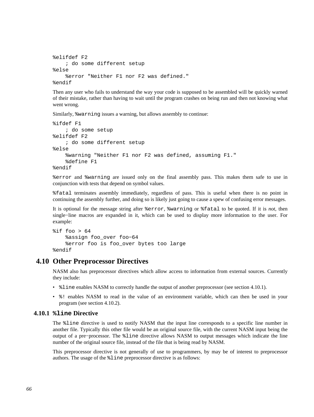```
%elifdef F2 
     ; do some different setup 
%else 
     %error "Neither F1 nor F2 was defined." 
%endif
```
Then any user who fails to understand the way your code is supposed to be assembled will be quickly warned of their mistake, rather than having to wait until the program crashes on being run and then not knowing what went wrong.

Similarly, %warning issues a warning, but allows assembly to continue:

```
%ifdef F1 
     ; do some setup 
%elifdef F2 
     ; do some different setup 
%else 
     %warning "Neither F1 nor F2 was defined, assuming F1." 
     %define F1 
%endif
```
%error and %warning are issued only on the final assembly pass. This makes them safe to use in conjunction with tests that depend on symbol values.

%fatal terminates assembly immediately, regardless of pass. This is useful when there is no point in continuing the assembly further, and doing so is likely just going to cause a spew of confusing error messages.

It is optional for the message string after %error, %warning or %fatal to be quoted. If it is *not*, then single−line macros are expanded in it, which can be used to display more information to the user. For example:

```
sif foo > 64
     %assign foo_over foo−64 
     %error foo is foo_over bytes too large 
%endif
```
## **4.10 Other Preprocessor Directives**

NASM also has preprocessor directives which allow access to information from external sources. Currently they include:

- $\text{\$line}$  and  $\text{A10.1}.$   $\text{A2M}$  to correctly handle the output of another preprocessor (see [section 4.10.1\)](#page-65-0).
- %! enables NASM to read in the value of an environment variable, which can then be used in your program (see [section 4.10.2\)](#page-66-0).

## **4.10.1 %line Directive**

<span id="page-65-0"></span>The %line directive is used to notify NASM that the input line corresponds to a specific line number in another file. Typically this other file would be an original source file, with the current NASM input being the output of a pre−processor. The %line directive allows NASM to output messages which indicate the line number of the original source file, instead of the file that is being read by NASM.

This preprocessor directive is not generally of use to programmers, by may be of interest to preprocessor authors. The usage of the %line preprocessor directive is as follows: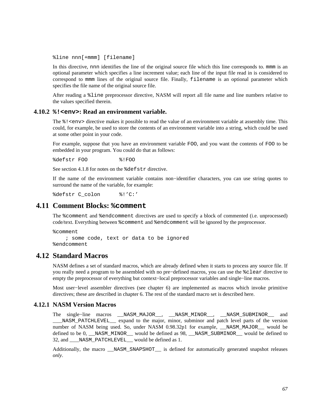%line nnn[+mmm] [filename]

In this directive, nnn identifies the line of the original source file which this line corresponds to, mmm is an optional parameter which specifies a line increment value; each line of the input file read in is considered to correspond to mmm lines of the original source file. Finally, filename is an optional parameter which specifies the file name of the original source file.

After reading a %line preprocessor directive, NASM will report all file name and line numbers relative to the values specified therein.

#### **4.10.2 %!<env>: Read an environment variable.**

<span id="page-66-0"></span>The  $\frac{1}{2}$  <env> directive makes it possible to read the value of an environment variable at assembly time. This could, for example, be used to store the contents of an environment variable into a string, which could be used at some other point in your code.

For example, suppose that you have an environment variable FOO, and you want the contents of FOO to be embedded in your program. You could do that as follows:

%defstr FOO %!FOO

See [section 4.1.8](#page-44-0) for notes on the %defstr directive.

If the name of the environment variable contains non−identifier characters, you can use string quotes to surround the name of the variable, for example:

%defstr C\_colon %!'C:'

## **4.11 Comment Blocks: %comment**

The %comment and %endcomment directives are used to specify a block of commented (i.e. unprocessed) code/text. Everything between %comment and %endcomment will be ignored by the preprocessor.

%comment

 ; some code, text or data to be ignored %endcomment

## **4.12 Standard Macros**

NASM defines a set of standard macros, which are already defined when it starts to process any source file. If you really need a program to be assembled with no pre−defined macros, you can use the %clear directive to empty the preprocessor of everything but context−local preprocessor variables and single−line macros.

Most user−level assembler directives (see [chapter 6\)](#page-75-0) are implemented as macros which invoke primitive directives; these are described in [chapter 6.](#page-75-0) The rest of the standard macro set is described here.

## **4.12.1 NASM Version Macros**

The single−line macros \_\_NASM\_MAJOR\_\_, \_\_NASM\_MINOR\_\_, \_\_NASM\_SUBMINOR\_\_ and \_\_\_NASM\_PATCHLEVEL\_\_ expand to the major, minor, subminor and patch level parts of the version number of NASM being used. So, under NASM 0.98.32p1 for example, \_\_NASM\_MAJOR\_\_ would be defined to be 0, \_\_NASM\_MINOR\_\_ would be defined as 98, \_\_NASM\_SUBMINOR\_\_ would be defined to 32, and \_\_\_NASM\_PATCHLEVEL\_\_ would be defined as 1.

Additionally, the macro \_\_NASM\_SNAPSHOT\_\_ is defined for automatically generated snapshot releases *only*.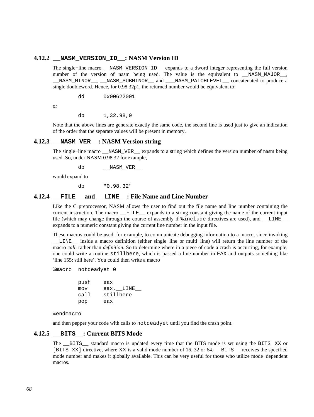## **4.12.2 \_\_NASM\_VERSION\_ID\_\_: NASM Version ID**

The single−line macro \_\_NASM\_VERSION\_ID\_\_ expands to a dword integer representing the full version number of the version of nasm being used. The value is the equivalent to \_\_NASM\_MAJOR\_\_, \_\_NASM\_MINOR\_\_, \_\_NASM\_SUBMINOR\_\_ and \_\_\_NASM\_PATCHLEVEL\_\_ concatenated to produce a single doubleword. Hence, for 0.98.32p1, the returned number would be equivalent to:

dd 0x00622001

or

db 1,32,98,0

Note that the above lines are generate exactly the same code, the second line is used just to give an indication of the order that the separate values will be present in memory.

## **4.12.3 \_\_NASM\_VER\_\_: NASM Version string**

The single−line macro \_\_NASM\_VER\_\_ expands to a string which defines the version number of nasm being used. So, under NASM 0.98.32 for example,

db \_\_NASM\_VER\_\_

would expand to

db "0.98.32"

### **4.12.4 \_\_FILE\_\_ and \_\_LINE\_\_: File Name and Line Number**

Like the C preprocessor, NASM allows the user to find out the file name and line number containing the current instruction. The macro FILE expands to a string constant giving the name of the current input file (which may change through the course of assembly if %include directives are used), and \_\_LINE\_\_ expands to a numeric constant giving the current line number in the input file.

These macros could be used, for example, to communicate debugging information to a macro, since invoking \_\_LINE\_\_ inside a macro definition (either single−line or multi−line) will return the line number of the macro *call*, rather than *definition*. So to determine where in a piece of code a crash is occurring, for example, one could write a routine stillhere, which is passed a line number in EAX and outputs something like 'line 155: still here'. You could then write a macro

%macro notdeadyet 0

| push | eax       |
|------|-----------|
| mov  | eax, LINE |
| call | stillhere |
| pop  | eax       |

%endmacro

and then pepper your code with calls to notdeadyet until you find the crash point.

## **4.12.5 \_\_BITS\_\_: Current BITS Mode**

<span id="page-67-0"></span>The BITS standard macro is updated every time that the BITS mode is set using the BITS XX or [BITS XX] directive, where XX is a valid mode number of 16, 32 or 64. \_\_BITS\_\_ receives the specified mode number and makes it globally available. This can be very useful for those who utilize mode−dependent macros.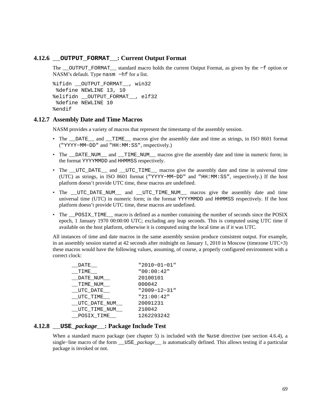### **4.12.6 \_\_OUTPUT\_FORMAT\_\_: Current Output Format**

The \_\_OUTPUT\_FORMAT\_\_ standard macro holds the current Output Format, as given by the −f option or NASM's default. Type nasm −hf for a list.

```
%ifidn __OUTPUT_FORMAT__, win32 
  %define NEWLINE 13, 10 
%elifidn __OUTPUT_FORMAT__, elf32 
  %define NEWLINE 10 
%endif
```
#### **4.12.7 Assembly Date and Time Macros**

NASM provides a variety of macros that represent the timestamp of the assembly session.

- The \_\_DATE\_\_ and \_\_TIME\_\_ macros give the assembly date and time as strings, in ISO 8601 format ("YYYY−MM−DD" and "HH:MM:SS", respectively.)
- The \_\_DATE\_NUM\_\_\_ and \_\_TIME\_NUM\_\_\_ macros give the assembly date and time in numeric form; in the format YYYYMMDD and HHMMSS respectively.
- The \_\_UTC\_DATE\_\_ and \_\_UTC\_TIME\_\_ macros give the assembly date and time in universal time (UTC) as strings, in ISO 8601 format ("YYYY−MM−DD" and "HH:MM:SS", respectively.) If the host platform doesn't provide UTC time, these macros are undefined.
- The \_UTC\_DATE\_NUM\_\_ and \_UTC\_TIME\_NUM\_\_ macros give the assembly date and time universal time (UTC) in numeric form; in the format YYYYMMDD and HHMMSS respectively. If the host platform doesn't provide UTC time, these macros are undefined.
- The <u>posix</u> TIME macro is defined as a number containing the number of seconds since the POSIX epoch, 1 January 1970 00:00:00 UTC; excluding any leap seconds. This is computed using UTC time if available on the host platform, otherwise it is computed using the local time as if it was UTC.

All instances of time and date macros in the same assembly session produce consistent output. For example, in an assembly session started at 42 seconds after midnight on January 1, 2010 in Moscow (timezone UTC+3) these macros would have the following values, assuming, of course, a properly configured environment with a correct clock:

| DATE         | "2010-01-01"   |
|--------------|----------------|
| TIME         | "00:00:42"     |
| _DATE_NUM_   | 20100101       |
| TIME NUM     | 000042         |
| UTC DATE     | $"2009-12-31"$ |
| UTC TIME     | "21:00:42"     |
| UTC DATE NUM | 20091231       |
| UTC TIME NUM | 210042         |
| POSIX TIME   | 1262293242     |

## **4.12.8 \_\_USE\_***package***\_\_: Package Include Test**

<span id="page-68-0"></span>When a standard macro package (see [chapter 5\)](#page-73-0) is included with the  $s$ use directive (see [section 4.6.4\)](#page-59-3), a single−line macro of the form \_\_USE\_*package*\_\_ is automatically defined. This allows testing if a particular package is invoked or not.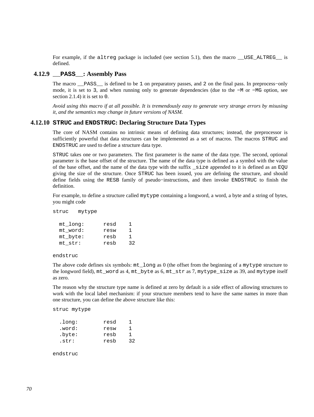For example, if the altreg package is included (see [section 5.1](#page-73-1)), then the macro \_\_USE\_ALTREG\_ is defined.

## **4.12.9 \_\_PASS\_\_: Assembly Pass**

The macro \_\_PASS\_\_ is defined to be 1 on preparatory passes, and 2 on the final pass. In preprocess−only mode, it is set to 3, and when running only to generate dependencies (due to the −M or −MG option, see [section 2.1.4\)](#page-19-0) it is set to 0.

*Avoid using this macro if at all possible. It is tremendously easy to generate very strange errors by misusing it, and the semantics may change in future versions of NASM.*

#### **4.12.10 STRUC and ENDSTRUC: Declaring Structure Data Types**

The core of NASM contains no intrinsic means of defining data structures; instead, the preprocessor is sufficiently powerful that data structures can be implemented as a set of macros. The macros STRUC and ENDSTRUC are used to define a structure data type.

STRUC takes one or two parameters. The first parameter is the name of the data type. The second, optional parameter is the base offset of the structure. The name of the data type is defined as a symbol with the value of the base offset, and the name of the data type with the suffix \_size appended to it is defined as an EQU giving the size of the structure. Once STRUC has been issued, you are defining the structure, and should define fields using the RESB family of pseudo−instructions, and then invoke ENDSTRUC to finish the definition.

For example, to define a structure called mytype containing a longword, a word, a byte and a string of bytes, you might code

struc mytype

| mt long: | resd | ı  |
|----------|------|----|
| mt word: | resw | ı  |
| mt_byte: | resb | 1. |
| mt str:  | resb | 32 |

endstruc

The above code defines six symbols: mt\_long as 0 (the offset from the beginning of a mytype structure to the longword field), mt\_word as 4, mt\_byte as 6, mt\_str as 7, mytype\_size as 39, and mytype itself as zero.

The reason why the structure type name is defined at zero by default is a side effect of allowing structures to work with the local label mechanism: if your structure members tend to have the same names in more than one structure, you can define the above structure like this:

struc mytype

| .long: | resd |    |
|--------|------|----|
| .word: | resw | ı  |
| .byte: | resb | 1  |
| .str:  | resb | 32 |

endstruc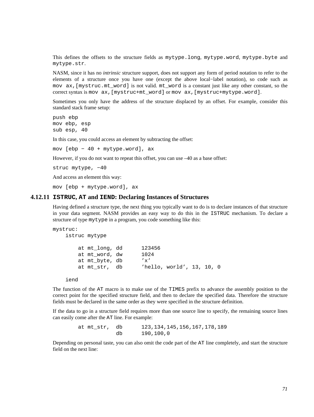This defines the offsets to the structure fields as mytype.long, mytype.word, mytype.byte and mytype.str.

NASM, since it has no *intrinsic* structure support, does not support any form of period notation to refer to the elements of a structure once you have one (except the above local−label notation), so code such as mov ax,[mystruc.mt\_word] is not valid. mt\_word is a constant just like any other constant, so the correct syntax is mov ax,[mystruc+mt\_word] or mov ax,[mystruc+mytype.word].

Sometimes you only have the address of the structure displaced by an offset. For example, consider this standard stack frame setup:

push ebp mov ebp, esp sub esp, 40

In this case, you could access an element by subtracting the offset:

mov [ebp − 40 + mytype.word], ax

However, if you do not want to repeat this offset, you can use –40 as a base offset:

struc mytype, −40

And access an element this way:

mov [ebp + mytype.word], ax

#### **4.12.11 ISTRUC, AT and IEND: Declaring Instances of Structures**

Having defined a structure type, the next thing you typically want to do is to declare instances of that structure in your data segment. NASM provides an easy way to do this in the ISTRUC mechanism. To declare a structure of type mytype in a program, you code something like this:

```
mystruc: 
    istruc mytype 
        at mt_long, dd 123456 
        at mt_word, dw 1024 
        at mt_byte, db 'x' 
        at mt_str, db 'hello, world', 13, 10, 0
```
iend

The function of the AT macro is to make use of the TIMES prefix to advance the assembly position to the correct point for the specified structure field, and then to declare the specified data. Therefore the structure fields must be declared in the same order as they were specified in the structure definition.

If the data to go in a structure field requires more than one source line to specify, the remaining source lines can easily come after the AT line. For example:

> at mt\_str, db 123,134,145,156,167,178,189 db 190,100,0

Depending on personal taste, you can also omit the code part of the AT line completely, and start the structure field on the next line: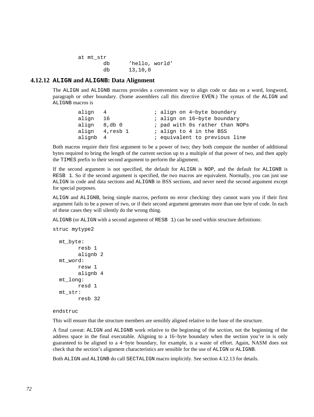```
 at mt_str 
        db 'hello, world' 
        db 13,10,0
```
#### **4.12.12 ALIGN and ALIGNB: Data Alignment**

The ALIGN and ALIGNB macros provides a convenient way to align code or data on a word, longword, paragraph or other boundary. (Some assemblers call this directive EVEN.) The syntax of the ALIGN and ALIGNB macros is

| align 4      |                | ; align on 4-byte boundary     |
|--------------|----------------|--------------------------------|
| align 16     |                | ; align on 16-byte boundary    |
| align 8,db 0 |                | ; pad with Os rather than NOPs |
|              | align 4,resb 1 | ; align to 4 in the BSS        |
| alignb 4     |                | ; equivalent to previous line  |

Both macros require their first argument to be a power of two; they both compute the number of additional bytes required to bring the length of the current section up to a multiple of that power of two, and then apply the TIMES prefix to their second argument to perform the alignment.

If the second argument is not specified, the default for ALIGN is NOP, and the default for ALIGNB is RESB 1. So if the second argument is specified, the two macros are equivalent. Normally, you can just use ALIGN in code and data sections and ALIGNB in BSS sections, and never need the second argument except for special purposes.

ALIGN and ALIGNB, being simple macros, perform no error checking: they cannot warn you if their first argument fails to be a power of two, or if their second argument generates more than one byte of code. In each of these cases they will silently do the wrong thing.

ALIGNB (or ALIGN with a second argument of RESB 1) can be used within structure definitions:

```
struc mytype2 
   mt_byte: 
          resb 1 
          alignb 2 
   mt_word: 
           resw 1 
           alignb 4
```

```
 mt_long: 
         resd 1 
 mt_str: 
         resb 32
```
#### endstruc

This will ensure that the structure members are sensibly aligned relative to the base of the structure.

A final caveat: ALIGN and ALIGNB work relative to the beginning of the *section*, not the beginning of the address space in the final executable. Aligning to a 16−byte boundary when the section you're in is only guaranteed to be aligned to a 4−byte boundary, for example, is a waste of effort. Again, NASM does not check that the section's alignment characteristics are sensible for the use of ALIGN or ALIGNB.

Both ALIGN and ALIGNB do call SECTALIGN macro implicitly. See [section 4.12.13](#page-72-0) for details.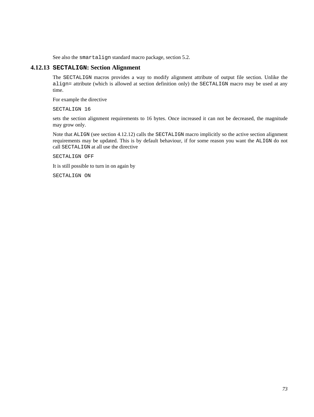See also the smartalign standard macro package, [section 5.2.](#page-73-0)

## **4.12.13 SECTALIGN: Section Alignment**

The SECTALIGN macros provides a way to modify alignment attribute of output file section. Unlike the align= attribute (which is allowed at section definition only) the SECTALIGN macro may be used at any time.

For example the directive

SECTALIGN 16

sets the section alignment requirements to 16 bytes. Once increased it can not be decreased, the magnitude may grow only.

Note that ALIGN (see [section 4.12.12\)](#page-71-0) calls the SECTALIGN macro implicitly so the active section alignment requirements may be updated. This is by default behaviour, if for some reason you want the ALIGN do not call SECTALIGN at all use the directive

SECTALIGN OFF

It is still possible to turn in on again by

SECTALIGN ON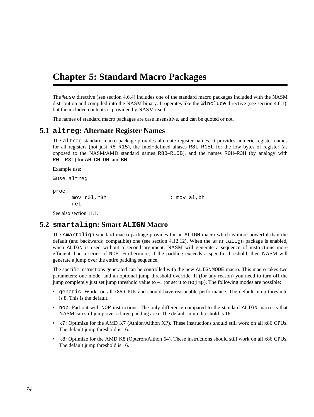# **Chapter 5: Standard Macro Packages**

The %use directive (see [section 4.6.4\)](#page-59-0) includes one of the standard macro packages included with the NASM distribution and compiled into the NASM binary. It operates like the %include directive (see [section 4.6.1](#page-58-0)), but the included contents is provided by NASM itself.

The names of standard macro packages are case insensitive, and can be quoted or not.

## **5.1 altreg: Alternate Register Names**

The altreg standard macro package provides alternate register names. It provides numeric register names for all registers (not just R8–R15), the Intel−defined aliases R8L–R15L for the low bytes of register (as opposed to the NASM/AMD standard names R8B–R15B), and the names R0H–R3H (by analogy with R0L–R3L) for AH, CH, DH, and BH.

```
Example use:
%use altreg 
proc: 
      mov r01, r3h ; mov al, bh
       ret
See also section 11.1.
```
# **5.2 smartalign: Smart ALIGN Macro**

<span id="page-73-0"></span>The smartalign standard macro package provides for an ALIGN macro which is more powerful than the default (and backwards−compatible) one (see [section 4.12.12\)](#page-71-0). When the smartalign package is enabled, when ALIGN is used without a second argument, NASM will generate a sequence of instructions more efficient than a series of NOP. Furthermore, if the padding exceeds a specific threshold, then NASM will generate a jump over the entire padding sequence.

The specific instructions generated can be controlled with the new ALIGNMODE macro. This macro takes two parameters: one mode, and an optional jump threshold override. If (for any reason) you need to turn off the jump completely just set jump threshold value to  $-1$  (or set it to no jmp). The following modes are possible:

- generic: Works on all x86 CPUs and should have reasonable performance. The default jump threshold is 8. This is the default.
- nop: Pad out with NOP instructions. The only difference compared to the standard ALIGN macro is that NASM can still jump over a large padding area. The default jump threshold is 16.
- k7: Optimize for the AMD K7 (Athlon/Althon XP). These instructions should still work on all x86 CPUs. The default jump threshold is 16.
- k8: Optimize for the AMD K8 (Opteron/Althon 64). These instructions should still work on all x86 CPUs. The default jump threshold is 16.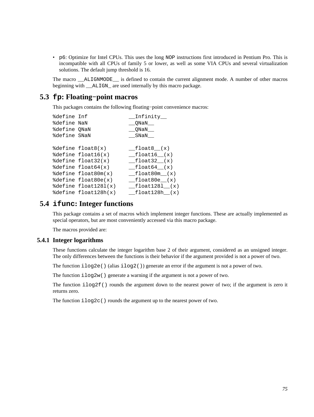• p6: Optimize for Intel CPUs. This uses the long NOP instructions first introduced in Pentium Pro. This is incompatible with all CPUs of family 5 or lower, as well as some VIA CPUs and several virtualization solutions. The default jump threshold is 16.

The macro \_\_ALIGNMODE\_\_ is defined to contain the current alignment mode. A number of other macros beginning with \_\_ALIGN\_ are used internally by this macro package.

# **5.3 fp: Floating−point macros**

This packages contains the following floating−point convenience macros:

```
%define Inf __Infinity__ 
%define NaN __QNaN__ 
%define QNaN __QNaN__ 
%define SNaN __SNaN__ 
%define float8(x) __float8__(x) 
%define float16(x) __float16_(x)
%define float32(x) _{eff} = float32_(x)
%define float64(x) f_{\text{total}}(x)%define float80m(x) __float80m__(x) 
%define float80e(x) __float80e_(x)
%define float1281(x) __float1281__(x)
\text{8define } float128h(x) \qquad \text{float128h}(x)
```
## **5.4 ifunc: Integer functions**

This package contains a set of macros which implement integer functions. These are actually implemented as special operators, but are most conveniently accessed via this macro package.

The macros provided are:

## **5.4.1 Integer logarithms**

These functions calculate the integer logarithm base 2 of their argument, considered as an unsigned integer. The only differences between the functions is their behavior if the argument provided is not a power of two.

The function  $ilog2e$  () (alias  $ilog2()$ ) generate an error if the argument is not a power of two.

The function  $ilog2w$  () generate a warning if the argument is not a power of two.

The function  $i \log 2f$  () rounds the argument down to the nearest power of two; if the argument is zero it returns zero.

The function  $ilog2c()$  rounds the argument up to the nearest power of two.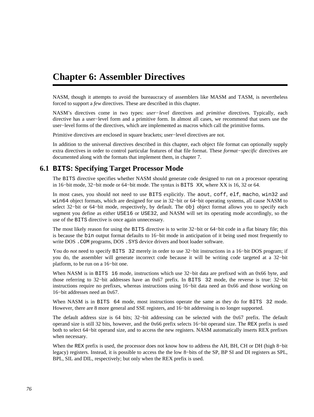# <span id="page-75-1"></span>**Chapter 6: Assembler Directives**

NASM, though it attempts to avoid the bureaucracy of assemblers like MASM and TASM, is nevertheless forced to support a *few* directives. These are described in this chapter.

NASM's directives come in two types: *user−level* directives and *primitive* directives. Typically, each directive has a user−level form and a primitive form. In almost all cases, we recommend that users use the user−level forms of the directives, which are implemented as macros which call the primitive forms.

Primitive directives are enclosed in square brackets; user−level directives are not.

In addition to the universal directives described in this chapter, each object file format can optionally supply extra directives in order to control particular features of that file format. These *format−specific* directives are documented along with the formats that implement them, in [chapter 7.](#page-81-0)

# **6.1 BITS: Specifying Target Processor Mode**

<span id="page-75-0"></span>The BITS directive specifies whether NASM should generate code designed to run on a processor operating in 16−bit mode, 32−bit mode or 64−bit mode. The syntax is BITS XX, where XX is 16, 32 or 64.

In most cases, you should not need to use BITS explicitly. The aout, coff, elf, macho, win32 and win64 object formats, which are designed for use in 32−bit or 64−bit operating systems, all cause NASM to select 32−bit or 64–bit mode, respectively, by default. The obj object format allows you to specify each segment you define as either USE16 or USE32, and NASM will set its operating mode accordingly, so the use of the BITS directive is once again unnecessary.

The most likely reason for using the BITS directive is to write 32–bit or 64–bit code in a flat binary file; this is because the bin output format defaults to 16−bit mode in anticipation of it being used most frequently to write DOS .COM programs, DOS .SYS device drivers and boot loader software.

You do *not* need to specify BITS 32 merely in order to use 32−bit instructions in a 16−bit DOS program; if you do, the assembler will generate incorrect code because it will be writing code targeted at a 32−bit platform, to be run on a 16−bit one.

When NASM is in BITS 16 mode, instructions which use 32–bit data are prefixed with an 0x66 byte, and those referring to 32−bit addresses have an 0x67 prefix. In BITS 32 mode, the reverse is true: 32−bit instructions require no prefixes, whereas instructions using 16−bit data need an 0x66 and those working on 16−bit addresses need an 0x67.

When NASM is in BITS 64 mode, most instructions operate the same as they do for BITS 32 mode. However, there are 8 more general and SSE registers, and 16−bit addressing is no longer supported.

The default address size is 64 bits; 32−bit addressing can be selected with the 0x67 prefix. The default operand size is still 32 bits, however, and the 0x66 prefix selects 16−bit operand size. The REX prefix is used both to select 64−bit operand size, and to access the new registers. NASM automatically inserts REX prefixes when necessary.

When the REX prefix is used, the processor does not know how to address the AH, BH, CH or DH (high 8−bit legacy) registers. Instead, it is possible to access the the low 8−bits of the SP, BP SI and DI registers as SPL, BPL, SIL and DIL, respectively; but only when the REX prefix is used.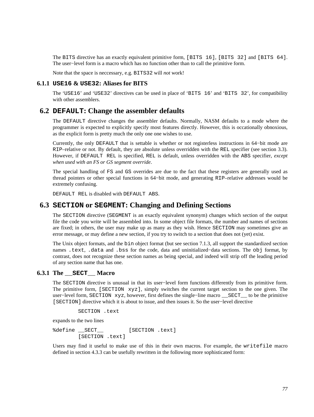The BITS directive has an exactly equivalent primitive form, [BITS 16], [BITS 32] and [BITS 64]. The user−level form is a macro which has no function other than to call the primitive form.

Note that the space is neccessary, e.g. BITS32 will *not* work!

### **6.1.1 USE16 & USE32: Aliases for BITS**

The 'USE16' and 'USE32' directives can be used in place of 'BITS 16' and 'BITS 32', for compatibility with other assemblers.

## **6.2 DEFAULT: Change the assembler defaults**

The DEFAULT directive changes the assembler defaults. Normally, NASM defaults to a mode where the programmer is expected to explicitly specify most features directly. However, this is occationally obnoxious, as the explicit form is pretty much the only one one wishes to use.

Currently, the only DEFAULT that is settable is whether or not registerless instructions in 64−bit mode are RIP–relative or not. By default, they are absolute unless overridden with the REL specifier (see [section 3.3](#page-31-0)). However, if DEFAULT REL is specified, REL is default, unless overridden with the ABS specifier, *except when used with an FS or GS segment override*.

The special handling of FS and GS overrides are due to the fact that these registers are generally used as thread pointers or other special functions in 64−bit mode, and generating RIP–relative addresses would be extremely confusing.

DEFAULT REL is disabled with DEFAULT ABS.

## **6.3 SECTION or SEGMENT: Changing and Defining Sections**

The SECTION directive (SEGMENT is an exactly equivalent synonym) changes which section of the output file the code you write will be assembled into. In some object file formats, the number and names of sections are fixed; in others, the user may make up as many as they wish. Hence SECTION may sometimes give an error message, or may define a new section, if you try to switch to a section that does not (yet) exist.

The Unix object formats, and the bin object format (but see [section 7.1.3](#page-82-0), all support the standardized section names .text, .data and .bss for the code, data and uninitialized−data sections. The obj format, by contrast, does not recognize these section names as being special, and indeed will strip off the leading period of any section name that has one.

#### **6.3.1 The \_\_SECT\_\_ Macro**

The SECTION directive is unusual in that its user−level form functions differently from its primitive form. The primitive form, [SECTION xyz], simply switches the current target section to the one given. The user−level form, SECTION xyz, however, first defines the single−line macro \_\_SECT\_\_ to be the primitive [SECTION] directive which it is about to issue, and then issues it. So the user−level directive

SECTION .text

expands to the two lines

%define \_\_SECT\_\_\_ [SECTION .text] [SECTION .text]

Users may find it useful to make use of this in their own macros. For example, the writefile macro defined in [section 4.3.3](#page-47-0) can be usefully rewritten in the following more sophisticated form: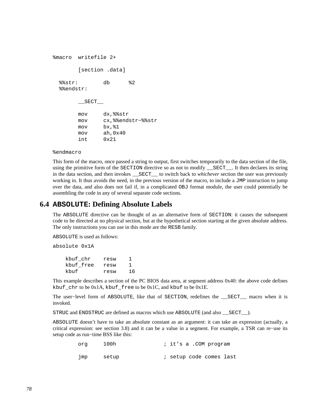```
%macro writefile 2+ 
        [section .data] 
  %%str: db %2 
  %%endstr: 
          __SECT__ 
        mov dx,%%str 
        mov cx,%%endstr−%%str 
        mov bx,%1 
        mov ah,0x40 
        int 0x21
```
#### %endmacro

This form of the macro, once passed a string to output, first switches temporarily to the data section of the file, using the primitive form of the SECTION directive so as not to modify SECT\_. It then declares its string in the data section, and then invokes \_\_SECT\_\_ to switch back to *whichever* section the user was previously working in. It thus avoids the need, in the previous version of the macro, to include a JMP instruction to jump over the data, and also does not fail if, in a complicated OBJ format module, the user could potentially be assembling the code in any of several separate code sections.

## **6.4 ABSOLUTE: Defining Absolute Labels**

The ABSOLUTE directive can be thought of as an alternative form of SECTION: it causes the subsequent code to be directed at no physical section, but at the hypothetical section starting at the given absolute address. The only instructions you can use in this mode are the RESB family.

ABSOLUTE is used as follows:

absolute 0x1A

| kbuf chr  | resw |    |
|-----------|------|----|
| kbuf free | resw |    |
| khuf      | resw | 16 |

This example describes a section of the PC BIOS data area, at segment address 0x40: the above code defines kbuf\_chr to be 0x1A, kbuf\_free to be 0x1C, and kbuf to be 0x1E.

The user−level form of ABSOLUTE, like that of SECTION, redefines the \_\_SECT\_\_ macro when it is invoked.

STRUC and ENDSTRUC are defined as macros which use ABSOLUTE (and also \_\_SECT\_\_).

ABSOLUTE doesn't have to take an absolute constant as an argument: it can take an expression (actually, a critical expression: see [section 3.8\)](#page-37-0) and it can be a value in a segment. For example, a TSR can re−use its setup code as run−time BSS like this:

| ora | 100h  |  | ; it's a .COM program   |  |
|-----|-------|--|-------------------------|--|
| מmד | setup |  | ; setup code comes last |  |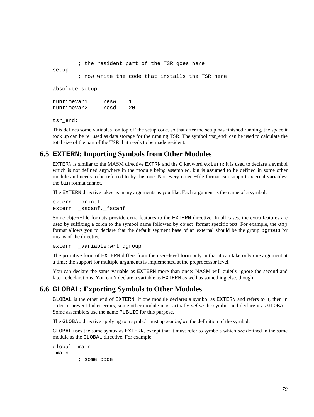```
 ; the resident part of the TSR goes here 
setup: 
         ; now write the code that installs the TSR here 
absolute setup 
runtimevar1 resw 1 
runtimevar2 resd 20 
tsr_end:
```
This defines some variables 'on top of' the setup code, so that after the setup has finished running, the space it took up can be re−used as data storage for the running TSR. The symbol 'tsr\_end' can be used to calculate the total size of the part of the TSR that needs to be made resident.

# **6.5 EXTERN: Importing Symbols from Other Modules**

EXTERN is similar to the MASM directive EXTRN and the C keyword extern: it is used to declare a symbol which is not defined anywhere in the module being assembled, but is assumed to be defined in some other module and needs to be referred to by this one. Not every object−file format can support external variables: the bin format cannot.

The EXTERN directive takes as many arguments as you like. Each argument is the name of a symbol:

extern \_printf extern \_sscanf,\_fscanf

Some object−file formats provide extra features to the EXTERN directive. In all cases, the extra features are used by suffixing a colon to the symbol name followed by object−format specific text. For example, the obj format allows you to declare that the default segment base of an external should be the group dgroup by means of the directive

extern \_variable:wrt dgroup

The primitive form of EXTERN differs from the user−level form only in that it can take only one argument at a time: the support for multiple arguments is implemented at the preprocessor level.

You can declare the same variable as EXTERN more than once: NASM will quietly ignore the second and later redeclarations. You can't declare a variable as EXTERN as well as something else, though.

# **6.6 GLOBAL: Exporting Symbols to Other Modules**

GLOBAL is the other end of EXTERN: if one module declares a symbol as EXTERN and refers to it, then in order to prevent linker errors, some other module must actually *define* the symbol and declare it as GLOBAL. Some assemblers use the name PUBLIC for this purpose.

The GLOBAL directive applying to a symbol must appear *before* the definition of the symbol.

GLOBAL uses the same syntax as EXTERN, except that it must refer to symbols which *are* defined in the same module as the GLOBAL directive. For example:

```
global _main 
_main: 
          ; some code
```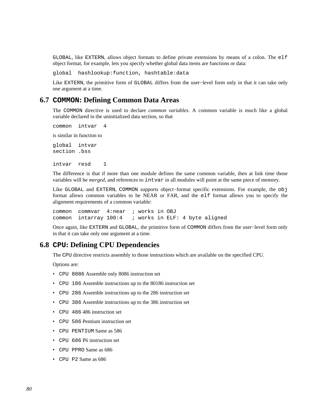GLOBAL, like EXTERN, allows object formats to define private extensions by means of a colon. The elf object format, for example, lets you specify whether global data items are functions or data:

global hashlookup:function, hashtable:data

Like EXTERN, the primitive form of GLOBAL differs from the user−level form only in that it can take only one argument at a time.

## **6.7 COMMON: Defining Common Data Areas**

The COMMON directive is used to declare *common variables*. A common variable is much like a global variable declared in the uninitialized data section, so that

common intvar 4

is similar in function to

global intvar section .bss

intvar resd 1

The difference is that if more than one module defines the same common variable, then at link time those variables will be *merged*, and references to intvar in all modules will point at the same piece of memory.

Like GLOBAL and EXTERN, COMMON supports object−format specific extensions. For example, the obj format allows common variables to be NEAR or FAR, and the elf format allows you to specify the alignment requirements of a common variable:

common commvar 4:near ; works in OBJ common intarray 100:4 ; works in ELF: 4 byte aligned

Once again, like EXTERN and GLOBAL, the primitive form of COMMON differs from the user−level form only in that it can take only one argument at a time.

### **6.8 CPU: Defining CPU Dependencies**

The CPU directive restricts assembly to those instructions which are available on the specified CPU.

Options are:

- CPU 8086 Assemble only 8086 instruction set
- CPU 186 Assemble instructions up to the 80186 instruction set
- CPU 286 Assemble instructions up to the 286 instruction set
- CPU 386 Assemble instructions up to the 386 instruction set
- CPU 486 486 instruction set
- CPU 586 Pentium instruction set
- CPU PENTIUM Same as 586
- CPU 686 P6 instruction set
- CPU PPRO Same as 686
- CPU P2 Same as 686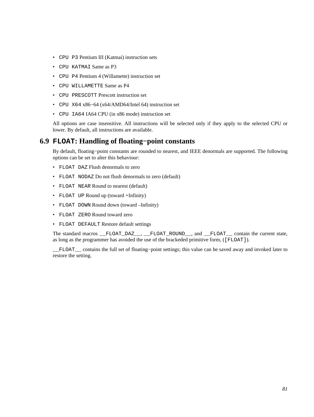- CPU P3 Pentium III (Katmai) instruction sets
- CPU KATMAI Same as P3
- CPU P4 Pentium 4 (Willamette) instruction set
- CPU WILLAMETTE Same as P4
- CPU PRESCOTT Prescott instruction set
- CPU X64 x86−64 (x64/AMD64/Intel 64) instruction set
- CPU IA64 IA64 CPU (in x86 mode) instruction set

All options are case insensitive. All instructions will be selected only if they apply to the selected CPU or lower. By default, all instructions are available.

# **6.9 FLOAT: Handling of floating−point constants**

By default, floating−point constants are rounded to nearest, and IEEE denormals are supported. The following options can be set to alter this behaviour:

- FLOAT DAZ Flush denormals to zero
- FLOAT NODAZ Do not flush denormals to zero (default)
- FLOAT NEAR Round to nearest (default)
- FLOAT UP Round up (toward +Infinity)
- FLOAT DOWN Round down (toward –Infinity)
- FLOAT ZERO Round toward zero
- FLOAT DEFAULT Restore default settings

The standard macros \_\_FLOAT\_DAZ\_\_, \_\_FLOAT\_ROUND\_\_, and \_\_FLOAT\_\_ contain the current state, as long as the programmer has avoided the use of the brackeded primitive form, ([FLOAT]).

\_\_FLOAT\_\_ contains the full set of floating−point settings; this value can be saved away and invoked later to restore the setting.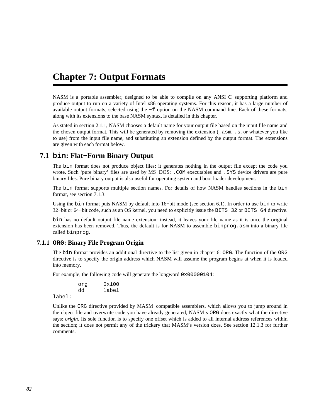# <span id="page-81-0"></span>**Chapter 7: Output Formats**

NASM is a portable assembler, designed to be able to compile on any ANSI C−supporting platform and produce output to run on a variety of Intel x86 operating systems. For this reason, it has a large number of available output formats, selected using the −f option on the NASM command line. Each of these formats, along with its extensions to the base NASM syntax, is detailed in this chapter.

As stated in [section 2.1.1](#page-18-0), NASM chooses a default name for your output file based on the input file name and the chosen output format. This will be generated by removing the extension (.asm, .s, or whatever you like to use) from the input file name, and substituting an extension defined by the output format. The extensions are given with each format below.

# **7.1 bin: Flat−Form Binary Output**

The bin format does not produce object files: it generates nothing in the output file except the code you wrote. Such 'pure binary' files are used by MS−DOS: .COM executables and .SYS device drivers are pure binary files. Pure binary output is also useful for operating system and boot loader development.

The bin format supports multiple section names. For details of how NASM handles sections in the bin format, see [section 7.1.3.](#page-82-0)

Using the bin format puts NASM by default into 16−bit mode (see [section 6.1](#page-75-0)). In order to use bin to write 32−bit or 64−bit code, such as an OS kernel, you need to explicitly issue the BITS 32 or BITS 64 directive.

bin has no default output file name extension: instead, it leaves your file name as it is once the original extension has been removed. Thus, the default is for NASM to assemble binprog.asm into a binary file called binprog.

## **7.1.1 ORG: Binary File Program Origin**

The bin format provides an additional directive to the list given in [chapter 6:](#page-75-1) ORG. The function of the ORG directive is to specify the origin address which NASM will assume the program begins at when it is loaded into memory.

For example, the following code will generate the longword 0x00000104:

 org 0x100 dd label

label:

Unlike the ORG directive provided by MASM−compatible assemblers, which allows you to jump around in the object file and overwrite code you have already generated, NASM's ORG does exactly what the directive says: *origin*. Its sole function is to specify one offset which is added to all internal address references within the section; it does not permit any of the trickery that MASM's version does. See [section 12.1.3](#page-127-0) for further comments.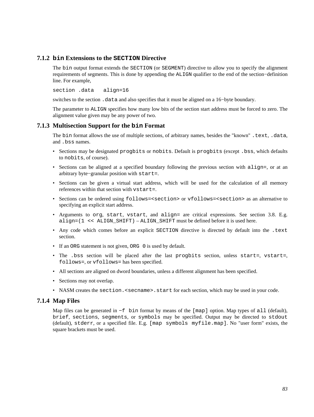### **7.1.2 bin Extensions to the SECTION Directive**

The bin output format extends the SECTION (or SEGMENT) directive to allow you to specify the alignment requirements of segments. This is done by appending the ALIGN qualifier to the end of the section−definition line. For example,

section .data align=16

switches to the section .data and also specifies that it must be aligned on a 16–byte boundary.

The parameter to ALIGN specifies how many low bits of the section start address must be forced to zero. The alignment value given may be any power of two.

## **7.1.3 Multisection Support for the bin Format**

<span id="page-82-0"></span>The bin format allows the use of multiple sections, of arbitrary names, besides the "known" .text, .data, and .bss names.

- Sections may be designated progbits or nobits. Default is progbits (except .bss, which defaults to nobits, of course).
- Sections can be aligned at a specified boundary following the previous section with align=, or at an arbitrary byte−granular position with start=.
- Sections can be given a virtual start address, which will be used for the calculation of all memory references within that section with vstart=.
- Sections can be ordered using follows=<section> or vfollows=<section> as an alternative to specifying an explicit start address.
- Arguments to org, start, vstart, and align= are critical expressions. See [section 3.8.](#page-37-0) E.g. align=(1 << ALIGN\_SHIFT) – ALIGN\_SHIFT must be defined before it is used here.
- Any code which comes before an explicit SECTION directive is directed by default into the .text section.
- If an ORG statement is not given, ORG 0 is used by default.
- The .bss section will be placed after the last progbits section, unless start=, vstart=, follows=, or vfollows= has been specified.
- All sections are aligned on dword boundaries, unless a different alignment has been specified.
- Sections may not overlap.
- NASM creates the section. < secname>. start for each section, which may be used in your code.

## **7.1.4 Map Files**

Map files can be generated in −f bin format by means of the [map] option. Map types of all (default), brief, sections, segments, or symbols may be specified. Output may be directed to stdout (default), stderr, or a specified file. E.g. [map symbols myfile.map]. No "user form" exists, the square brackets must be used.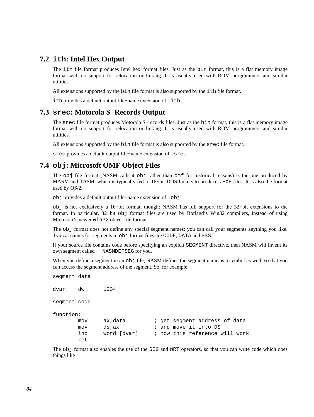# **7.2 ith: Intel Hex Output**

The ith file format produces Intel hex−format files. Just as the bin format, this is a flat memory image format with no support for relocation or linking. It is usually used with ROM programmers and similar utilities.

All extensions supported by the bin file format is also supported by the ith file format.

ith provides a default output file−name extension of .ith.

## **7.3 srec: Motorola S−Records Output**

The srec file format produces Motorola S−records files. Just as the bin format, this is a flat memory image format with no support for relocation or linking. It is usually used with ROM programmers and similar utilities.

All extensions supported by the bin file format is also supported by the srec file format.

srec provides a default output file−name extension of .srec.

# **7.4 obj: Microsoft OMF Object Files**

<span id="page-83-0"></span>The obj file format (NASM calls it obj rather than omf for historical reasons) is the one produced by MASM and TASM, which is typically fed to 16−bit DOS linkers to produce .EXE files. It is also the format used by OS/2.

obj provides a default output file−name extension of .obj.

obj is not exclusively a 16−bit format, though: NASM has full support for the 32−bit extensions to the format. In particular, 32−bit obj format files are used by Borland's Win32 compilers, instead of using Microsoft's newer win32 object file format.

The obj format does not define any special segment names: you can call your segments anything you like. Typical names for segments in obj format files are CODE, DATA and BSS.

If your source file contains code before specifying an explicit SEGMENT directive, then NASM will invent its own segment called \_\_NASMDEFSEG for you.

When you define a segment in an  $obj$  file, NASM defines the segment name as a symbol as well, so that you can access the segment address of the segment. So, for example:

```
segment data 
dvar: dw 1234 
segment code 
function: 
       mov ax,data : jet segment address of data
       mov ds, ax \qquad ; and move it into DS
        inc word [dvar] ; now this reference will work 
        ret
```
The obj format also enables the use of the SEG and WRT operators, so that you can write code which does things like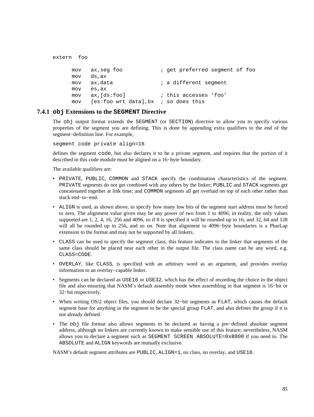```
extern foo 
     mov ax, seg foo ; get preferred segment of foo
      mov ds,ax 
     mov ax, data \qquad i a different segment
      mov es,ax 
      mov ax,[ds:foo] ; this accesses 'foo' 
      mov [es:foo wrt data],bx ; so does this
```
### **7.4.1 obj Extensions to the SEGMENT Directive**

The obj output format extends the SEGMENT (or SECTION) directive to allow you to specify various properties of the segment you are defining. This is done by appending extra qualifiers to the end of the segment−definition line. For example,

segment code private align=16

defines the segment code, but also declares it to be a private segment, and requires that the portion of it described in this code module must be aligned on a 16−byte boundary.

The available qualifiers are:

- PRIVATE, PUBLIC, COMMON and STACK specify the combination characteristics of the segment. PRIVATE segments do not get combined with any others by the linker; PUBLIC and STACK segments get concatenated together at link time; and COMMON segments all get overlaid on top of each other rather than stuck end−to−end.
- ALIGN is used, as shown above, to specify how many low bits of the segment start address must be forced to zero. The alignment value given may be any power of two from 1 to 4096; in reality, the only values supported are 1, 2, 4, 16, 256 and 4096, so if 8 is specified it will be rounded up to 16, and 32, 64 and 128 will all be rounded up to 256, and so on. Note that alignment to 4096–byte boundaries is a PharLap extension to the format and may not be supported by all linkers.
- CLASS can be used to specify the segment class; this feature indicates to the linker that segments of the same class should be placed near each other in the output file. The class name can be any word, e.g. CLASS=CODE.
- OVERLAY, like CLASS, is specified with an arbitrary word as an argument, and provides overlay information to an overlay−capable linker.
- Segments can be declared as USE16 or USE32, which has the effect of recording the choice in the object file and also ensuring that NASM's default assembly mode when assembling in that segment is 16−bit or 32−bit respectively.
- When writing OS/2 object files, you should declare 32−bit segments as FLAT, which causes the default segment base for anything in the segment to be the special group FLAT, and also defines the group if it is not already defined.
- The obj file format also allows segments to be declared as having a pre−defined absolute segment address, although no linkers are currently known to make sensible use of this feature; nevertheless, NASM allows you to declare a segment such as SEGMENT SCREEN ABSOLUTE=0xB800 if you need to. The ABSOLUTE and ALIGN keywords are mutually exclusive.

NASM's default segment attributes are PUBLIC, ALIGN=1, no class, no overlay, and USE16.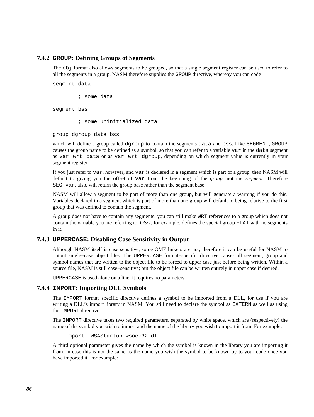#### **7.4.2 GROUP: Defining Groups of Segments**

The obj format also allows segments to be grouped, so that a single segment register can be used to refer to all the segments in a group. NASM therefore supplies the GROUP directive, whereby you can code

segment data

; some data

segment bss

; some uninitialized data

group dgroup data bss

which will define a group called dgroup to contain the segments data and bss. Like SEGMENT, GROUP causes the group name to be defined as a symbol, so that you can refer to a variable var in the data segment as var wrt data or as var wrt dgroup, depending on which segment value is currently in your segment register.

If you just refer to var, however, and var is declared in a segment which is part of a group, then NASM will default to giving you the offset of var from the beginning of the *group*, not the *segment*. Therefore SEG var, also, will return the group base rather than the segment base.

NASM will allow a segment to be part of more than one group, but will generate a warning if you do this. Variables declared in a segment which is part of more than one group will default to being relative to the first group that was defined to contain the segment.

A group does not have to contain any segments; you can still make WRT references to a group which does not contain the variable you are referring to. OS/2, for example, defines the special group FLAT with no segments in it.

#### **7.4.3 UPPERCASE: Disabling Case Sensitivity in Output**

Although NASM itself is case sensitive, some OMF linkers are not; therefore it can be useful for NASM to output single−case object files. The UPPERCASE format−specific directive causes all segment, group and symbol names that are written to the object file to be forced to upper case just before being written. Within a source file, NASM is still case–sensitive; but the object file can be written entirely in upper case if desired.

UPPERCASE is used alone on a line; it requires no parameters.

#### **7.4.4 IMPORT: Importing DLL Symbols**

The IMPORT format−specific directive defines a symbol to be imported from a DLL, for use if you are writing a DLL's import library in NASM. You still need to declare the symbol as EXTERN as well as using the IMPORT directive.

The IMPORT directive takes two required parameters, separated by white space, which are (respectively) the name of the symbol you wish to import and the name of the library you wish to import it from. For example:

import WSAStartup wsock32.dll

A third optional parameter gives the name by which the symbol is known in the library you are importing it from, in case this is not the same as the name you wish the symbol to be known by to your code once you have imported it. For example: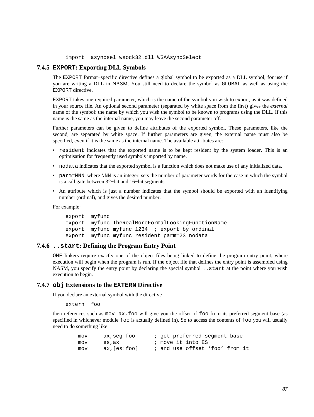import asyncsel wsock32.dll WSAAsyncSelect

#### **7.4.5 EXPORT: Exporting DLL Symbols**

The EXPORT format−specific directive defines a global symbol to be exported as a DLL symbol, for use if you are writing a DLL in NASM. You still need to declare the symbol as GLOBAL as well as using the EXPORT directive.

EXPORT takes one required parameter, which is the name of the symbol you wish to export, as it was defined in your source file. An optional second parameter (separated by white space from the first) gives the *external* name of the symbol: the name by which you wish the symbol to be known to programs using the DLL. If this name is the same as the internal name, you may leave the second parameter off.

Further parameters can be given to define attributes of the exported symbol. These parameters, like the second, are separated by white space. If further parameters are given, the external name must also be specified, even if it is the same as the internal name. The available attributes are:

- resident indicates that the exported name is to be kept resident by the system loader. This is an optimisation for frequently used symbols imported by name.
- nodata indicates that the exported symbol is a function which does not make use of any initialized data.
- parm=NNN, where NNN is an integer, sets the number of parameter words for the case in which the symbol is a call gate between 32−bit and 16−bit segments.
- An attribute which is just a number indicates that the symbol should be exported with an identifying number (ordinal), and gives the desired number.

For example:

```
 export myfunc 
 export myfunc TheRealMoreFormalLookingFunctionName 
 export myfunc myfunc 1234 ; export by ordinal 
 export myfunc myfunc resident parm=23 nodata
```
#### **7.4.6 ..start: Defining the Program Entry Point**

<span id="page-86-1"></span>OMF linkers require exactly one of the object files being linked to define the program entry point, where execution will begin when the program is run. If the object file that defines the entry point is assembled using NASM, you specify the entry point by declaring the special symbol ..start at the point where you wish execution to begin.

#### **7.4.7 obj Extensions to the EXTERN Directive**

<span id="page-86-0"></span>If you declare an external symbol with the directive

extern foo

then references such as mov ax,foo will give you the offset of foo from its preferred segment base (as specified in whichever module foo is actually defined in). So to access the contents of foo you will usually need to do something like

| mov | ax,seq foo  | ; get preferred segment base   |
|-----|-------------|--------------------------------|
| mov | es,ax       | ; move it into ES              |
| mov | ax,[es:foo] | ; and use offset 'foo' from it |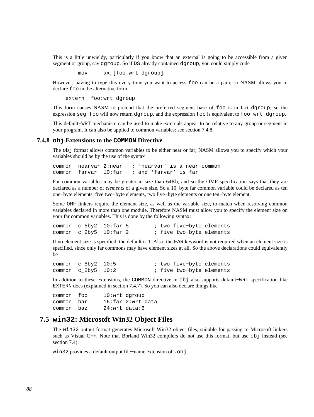This is a little unwieldy, particularly if you know that an external is going to be accessible from a given segment or group, say dgroup. So if DS already contained dgroup, you could simply code

mov ax,[foo wrt dgroup]

However, having to type this every time you want to access foo can be a pain; so NASM allows you to declare foo in the alternative form

extern foo:wrt dgroup

This form causes NASM to pretend that the preferred segment base of foo is in fact dgroup; so the expression seg foo will now return dgroup, and the expression foo is equivalent to foo wrt dgroup.

This default−WRT mechanism can be used to make externals appear to be relative to any group or segment in your program. It can also be applied to common variables: see [section 7.4.8.](#page-87-0)

#### **7.4.8 obj Extensions to the COMMON Directive**

<span id="page-87-0"></span>The obj format allows common variables to be either near or far; NASM allows you to specify which your variables should be by the use of the syntax

common nearvar 2:near ; 'nearvar' is a near common common farvar 10:far ; and 'farvar' is far

Far common variables may be greater in size than 64Kb, and so the OMF specification says that they are declared as a number of *elements* of a given size. So a 10−byte far common variable could be declared as ten one−byte elements, five two−byte elements, two five−byte elements or one ten−byte element.

Some OMF linkers require the element size, as well as the variable size, to match when resolving common variables declared in more than one module. Therefore NASM must allow you to specify the element size on your far common variables. This is done by the following syntax:

|  | common c 5by2 10:far 5 | ; two five-byte elements |
|--|------------------------|--------------------------|
|  | common c 2by5 10:far 2 | ; five two-byte elements |

If no element size is specified, the default is 1. Also, the FAR keyword is not required when an element size is specified, since only far commons may have element sizes at all. So the above declarations could equivalently be

common c\_5by2 10:5 ; two five−byte elements common c\_2by5 10:2 ; five two−byte elements

In addition to these extensions, the COMMON directive in obj also supports default−WRT specification like EXTERN does (explained in [section 7.4.7\)](#page-86-0). So you can also declare things like

common foo 10:wrt dgroup common bar 16:far 2:wrt data common baz 24:wrt data:6

## **7.5 win32: Microsoft Win32 Object Files**

<span id="page-87-1"></span>The win32 output format generates Microsoft Win32 object files, suitable for passing to Microsoft linkers such as Visual C++. Note that Borland Win32 compilers do not use this format, but use obj instead (see [section 7.4\)](#page-83-0).

win32 provides a default output file−name extension of .obj.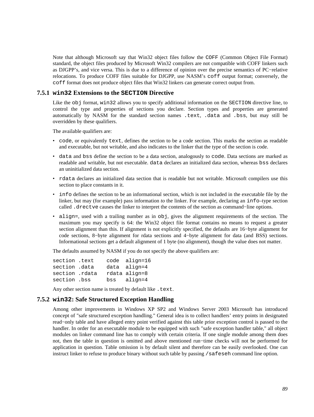Note that although Microsoft say that Win32 object files follow the COFF (Common Object File Format) standard, the object files produced by Microsoft Win32 compilers are not compatible with COFF linkers such as DJGPP's, and vice versa. This is due to a difference of opinion over the precise semantics of PC−relative relocations. To produce COFF files suitable for DJGPP, use NASM's coff output format; conversely, the coff format does not produce object files that Win32 linkers can generate correct output from.

#### **7.5.1 win32 Extensions to the SECTION Directive**

Like the obj format, win32 allows you to specify additional information on the SECTION directive line, to control the type and properties of sections you declare. Section types and properties are generated automatically by NASM for the standard section names .text, .data and .bss, but may still be overridden by these qualifiers.

The available qualifiers are:

- code, or equivalently text, defines the section to be a code section. This marks the section as readable and executable, but not writable, and also indicates to the linker that the type of the section is code.
- data and bss define the section to be a data section, analogously to code. Data sections are marked as readable and writable, but not executable. data declares an initialized data section, whereas bss declares an uninitialized data section.
- rdata declares an initialized data section that is readable but not writable. Microsoft compilers use this section to place constants in it.
- info defines the section to be an informational section, which is not included in the executable file by the linker, but may (for example) pass information *to* the linker. For example, declaring an info–type section called .drectve causes the linker to interpret the contents of the section as command−line options.
- align=, used with a trailing number as in obj, gives the alignment requirements of the section. The maximum you may specify is 64: the Win32 object file format contains no means to request a greater section alignment than this. If alignment is not explicitly specified, the defaults are 16−byte alignment for code sections, 8−byte alignment for rdata sections and 4−byte alignment for data (and BSS) sections. Informational sections get a default alignment of 1 byte (no alignment), though the value does not matter.

The defaults assumed by NASM if you do not specify the above qualifiers are:

section .text code align=16 section .data data align=4 section .rdata rdata align=8 section .bss bss align=4

Any other section name is treated by default like . text.

#### **7.5.2 win32: Safe Structured Exception Handling**

Among other improvements in Windows XP SP2 and Windows Server 2003 Microsoft has introduced concept of "safe structured exception handling." General idea is to collect handlers' entry points in designated read−only table and have alleged entry point verified against this table prior exception control is passed to the handler. In order for an executable module to be equipped with such "safe exception handler table," all object modules on linker command line has to comply with certain criteria. If one single module among them does not, then the table in question is omitted and above mentioned run−time checks will not be performed for application in question. Table omission is by default silent and therefore can be easily overlooked. One can instruct linker to refuse to produce binary without such table by passing /safeseh command line option.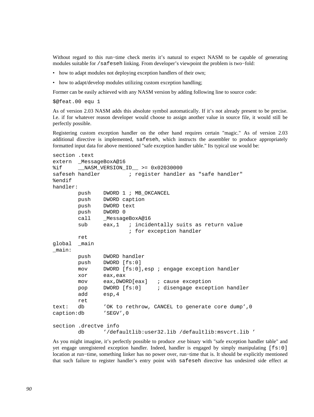Without regard to this run−time check merits it's natural to expect NASM to be capable of generating modules suitable for /safeseh linking. From developer's viewpoint the problem is two−fold:

- how to adapt modules not deploying exception handlers of their own;
- how to adapt/develop modules utilizing custom exception handling;

Former can be easily achieved with any NASM version by adding following line to source code:

\$@feat.00 equ 1

As of version 2.03 NASM adds this absolute symbol automatically. If it's not already present to be precise. I.e. if for whatever reason developer would choose to assign another value in source file, it would still be perfectly possible.

Registering custom exception handler on the other hand requires certain "magic." As of version 2.03 additional directive is implemented, safeseh, which instructs the assembler to produce appropriately formatted input data for above mentioned "safe exception handler table." Its typical use would be:

```
section .text 
extern _MessageBoxA@16 
%if __NASM_VERSION_ID__ >= 0x02030000 
safeseh handler \qquad \qquad ; register handler as "safe handler"
%endif 
handler: 
       push DWORD 1 ; MB OKCANCEL
        push DWORD caption 
        push DWORD text 
        push DWORD 0 
        call _MessageBoxA@16 
       sub eax,1 ; incidentally suits as return value
                        ; for exception handler 
        ret 
global _main 
_main: 
        push DWORD handler 
        push DWORD [fs:0] 
        mov DWORD [fs:0],esp ; engage exception handler 
        xor eax,eax 
        mov eax,DWORD[eax] ; cause exception 
        pop DWORD [fs:0] ; disengage exception handler 
        add esp,4 
        ret 
text: db 'OK to rethrow, CANCEL to generate core dump',0 
caption:db 'SEGV',0 
section .drectve info 
        db '/defaultlib:user32.lib /defaultlib:msvcrt.lib '
```
As you might imagine, it's perfectly possible to produce .exe binary with "safe exception handler table" and yet engage unregistered exception handler. Indeed, handler is engaged by simply manipulating [fs:0] location at run−time, something linker has no power over, run−time that is. It should be explicitly mentioned that such failure to register handler's entry point with safeseh directive has undesired side effect at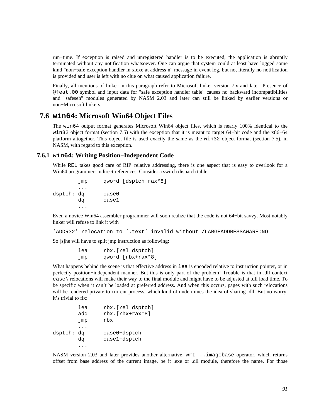run−time. If exception is raised and unregistered handler is to be executed, the application is abruptly terminated without any notification whatsoever. One can argue that system could at least have logged some kind "non−safe exception handler in x.exe at address n" message in event log, but no, literally no notification is provided and user is left with no clue on what caused application failure.

Finally, all mentions of linker in this paragraph refer to Microsoft linker version 7.x and later. Presence of @feat.00 symbol and input data for "safe exception handler table" causes no backward incompatibilities and "safeseh" modules generated by NASM 2.03 and later can still be linked by earlier versions or non−Microsoft linkers.

# **7.6 win64: Microsoft Win64 Object Files**

The win64 output format generates Microsoft Win64 object files, which is nearly 100% identical to the win32 object format [\(section 7.5\)](#page-87-1) with the exception that it is meant to target 64−bit code and the x86−64 platform altogether. This object file is used exactly the same as the win32 object format [\(section 7.5\)](#page-87-1), in NASM, with regard to this exception.

### **7.6.1 win64: Writing Position−Independent Code**

While REL takes good care of RIP−relative addressing, there is one aspect that is easy to overlook for a Win64 programmer: indirect references. Consider a switch dispatch table:

```
 jmp qword [dsptch+rax*8] 
         ... 
dsptch: dq case0 
        dq case1 
         ...
```
Even a novice Win64 assembler programmer will soon realize that the code is not 64−bit savvy. Most notably linker will refuse to link it with

```
'ADDR32' relocation to '.text' invalid without /LARGEADDRESSAWARE:NO
```
So [s]he will have to split jmp instruction as following:

 lea rbx,[rel dsptch] jmp qword [rbx+rax\*8]

What happens behind the scene is that effective address in lea is encoded relative to instruction pointer, or in perfectly position−independent manner. But this is only part of the problem! Trouble is that in .dll context caseN relocations will make their way to the final module and might have to be adjusted at .dll load time. To be specific when it can't be loaded at preferred address. And when this occurs, pages with such relocations will be rendered private to current process, which kind of undermines the idea of sharing .dll. But no worry, it's trivial to fix:

```
 lea rbx,[rel dsptch] 
        add rbx,[rbx+rax*8] 
        jmp rbx 
         ... 
dsptch: dq case0−dsptch 
        dq case1−dsptch 
         ...
```
NASM version 2.03 and later provides another alternative, wrt ..imagebase operator, which returns offset from base address of the current image, be it .exe or .dll module, therefore the name. For those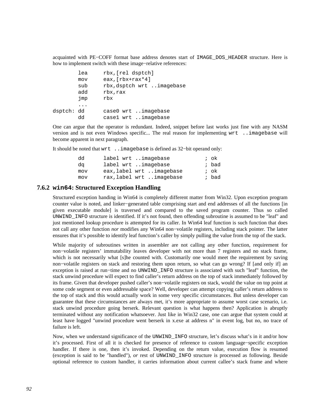acquainted with PE−COFF format base address denotes start of IMAGE\_DOS\_HEADER structure. Here is how to implement switch with these image−relative references:

|            | lea | rbx, [rel dsptch]         |
|------------|-----|---------------------------|
|            | mov | eax, $[\text{rbx+raw*4}]$ |
|            | sub | rbx, dsptch wrt imagebase |
|            | add | rbx, rax                  |
|            | jmp | rbx                       |
|            |     |                           |
| dsptch: dd |     | case0 wrt imagebase       |
|            | dd  | casel wrt imagebase       |

One can argue that the operator is redundant. Indeed, snippet before last works just fine with any NASM version and is not even Windows specific... The real reason for implementing wrt ..imagebase will become apparent in next paragraph.

It should be noted that wrt ..imagebase is defined as 32−bit operand only:

| dd  | label wrt imagebase      | ; ok  |
|-----|--------------------------|-------|
| da  | label wrt imagebase      | ; bad |
| mov | eax, label wrt imagebase | ; ok  |
| mov | rax, label wrt imagebase | ; bad |

## **7.6.2 win64: Structured Exception Handling**

Structured exception handing in Win64 is completely different matter from Win32. Upon exception program counter value is noted, and linker−generated table comprising start and end addresses of all the functions [in given executable module] is traversed and compared to the saved program counter. Thus so called UNWIND\_INFO structure is identified. If it's not found, then offending subroutine is assumed to be "leaf" and just mentioned lookup procedure is attempted for its caller. In Win64 leaf function is such function that does not call any other function *nor* modifies any Win64 non−volatile registers, including stack pointer. The latter ensures that it's possible to identify leaf function's caller by simply pulling the value from the top of the stack.

While majority of subroutines written in assembler are not calling any other function, requirement for non−volatile registers' immutability leaves developer with not more than 7 registers and no stack frame, which is not necessarily what [s]he counted with. Customarily one would meet the requirement by saving non−volatile registers on stack and restoring them upon return, so what can go wrong? If [and only if] an exception is raised at run−time and no UNWIND\_INFO structure is associated with such "leaf" function, the stack unwind procedure will expect to find caller's return address on the top of stack immediately followed by its frame. Given that developer pushed caller's non−volatile registers on stack, would the value on top point at some code segment or even addressable space? Well, developer can attempt copying caller's return address to the top of stack and this would actually work in some very specific circumstances. But unless developer can guarantee that these circumstances are always met, it's more appropriate to assume worst case scenario, i.e. stack unwind procedure going berserk. Relevant question is what happens then? Application is abruptly terminated without any notification whatsoever. Just like in Win32 case, one can argue that system could at least have logged "unwind procedure went berserk in x.exe at address n" in event log, but no, no trace of failure is left.

Now, when we understand significance of the UNWIND\_INFO structure, let's discuss what's in it and/or how it's processed. First of all it is checked for presence of reference to custom language−specific exception handler. If there is one, then it's invoked. Depending on the return value, execution flow is resumed (exception is said to be "handled"), *or* rest of UNWIND\_INFO structure is processed as following. Beside optional reference to custom handler, it carries information about current callee's stack frame and where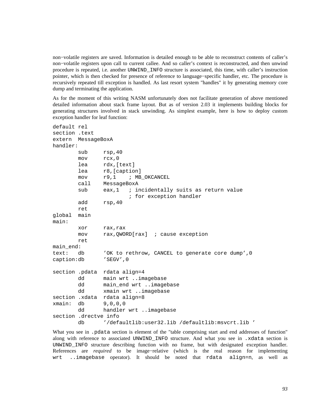non−volatile registers are saved. Information is detailed enough to be able to reconstruct contents of caller's non−volatile registers upon call to current callee. And so caller's context is reconstructed, and then unwind procedure is repeated, i.e. another UNWIND\_INFO structure is associated, this time, with caller's instruction pointer, which is then checked for presence of reference to language−specific handler, etc. The procedure is recursively repeated till exception is handled. As last resort system "handles" it by generating memory core dump and terminating the application.

As for the moment of this writing NASM unfortunately does not facilitate generation of above mentioned detailed information about stack frame layout. But as of version 2.03 it implements building blocks for generating structures involved in stack unwinding. As simplest example, here is how to deploy custom exception handler for leaf function:

```
default rel 
section .text 
extern MessageBoxA 
handler: 
       sub rsp, 40
        mov rcx,0 
        lea rdx,[text] 
        lea r8,[caption] 
       mov r9,1 ; MB OKCANCEL
        call MessageBoxA 
       sub eax,1 ; incidentally suits as return value
                        ; for exception handler 
        add rsp,40 
        ret 
global main 
main: 
        xor rax,rax 
        mov rax,QWORD[rax] ; cause exception 
        ret 
main_end: 
text: db 'OK to rethrow, CANCEL to generate core dump',0 
caption:db 'SEGV',0 
section .pdata rdata align=4 
        dd main wrt ..imagebase 
       dd main end wrt ..imagebase
        dd xmain wrt ..imagebase 
section .xdata rdata align=8 
xmain: db 9,0,0,0 
        dd handler wrt ..imagebase 
section .drectve info 
        db '/defaultlib:user32.lib /defaultlib:msvcrt.lib '
```
What you see in . pdata section is element of the "table comprising start and end addresses of function" along with reference to associated UNWIND\_INFO structure. And what you see in .xdata section is UNWIND\_INFO structure describing function with no frame, but with designated exception handler. References are *required* to be image−relative (which is the real reason for implementing wrt ..imagebase operator). It should be noted that rdata align=n, as well as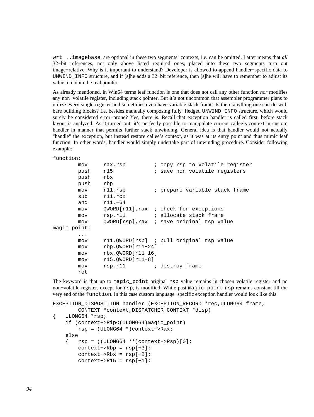wrt ..imagebase, are optional in these two segments' contexts, i.e. can be omitted. Latter means that *all* 32−bit references, not only above listed required ones, placed into these two segments turn out image−relative. Why is it important to understand? Developer is allowed to append handler−specific data to UNWIND\_INFO structure, and if [s]he adds a 32−bit reference, then [s]he will have to remember to adjust its value to obtain the real pointer.

As already mentioned, in Win64 terms leaf function is one that does not call any other function *nor* modifies any non−volatile register, including stack pointer. But it's not uncommon that assembler programmer plans to utilize every single register and sometimes even have variable stack frame. Is there anything one can do with bare building blocks? I.e. besides manually composing fully−fledged UNWIND\_INFO structure, which would surely be considered error−prone? Yes, there is. Recall that exception handler is called first, before stack layout is analyzed. As it turned out, it's perfectly possible to manipulate current callee's context in custom handler in manner that permits further stack unwinding. General idea is that handler would not actually "handle" the exception, but instead restore callee's context, as it was at its entry point and thus mimic leaf function. In other words, handler would simply undertake part of unwinding procedure. Consider following example:

```
function:
```

|              | mov  | rax, rsp             | ; copy rsp to volatile register           |
|--------------|------|----------------------|-------------------------------------------|
|              | push | r15                  | ; save non-volatile registers             |
|              | push | rbx                  |                                           |
|              | push | rbp                  |                                           |
|              | mov  | $r11$ , $rsp$        | ; prepare variable stack frame            |
|              | sub  | $r11$ , $rcx$        |                                           |
|              | and  | $r11, -64$           |                                           |
|              | mov  |                      | $QWORD[r11]$ , rax ; check for exceptions |
|              | mov  | rsp,r11              | ; allocate stack frame                    |
|              | mov  |                      | QWORD[rsp], rax ; save original rsp value |
| maqic point: |      |                      |                                           |
|              | .    |                      |                                           |
|              | mov  |                      | rll, OWORD[rsp] ; pull original rsp value |
|              | mov  | $rbp,OWORD[r11-24]$  |                                           |
|              | mov  | $rbx, QWORD[r11-16]$ |                                           |
|              | mov  | $r15,OWORD[r11-8]$   |                                           |
|              | mov  | rsp,rll              | ; destroy frame                           |
|              | ret  |                      |                                           |

The keyword is that up to magic point original rsp value remains in chosen volatile register and no non–volatile register, except for rsp, is modified. While past magic\_point rsp remains constant till the very end of the function. In this case custom language−specific exception handler would look like this:

```
EXCEPTION_DISPOSITION handler (EXCEPTION_RECORD *rec,ULONG64 frame, 
         CONTEXT *context,DISPATCHER_CONTEXT *disp) 
{ ULONG64 *rsp; 
     if (context−>Rip<(ULONG64)magic_point) 
         rsp = (ULONG64 *)context−>Rax; 
     else 
     { rsp = ((ULONG64 **)context−>Rsp)[0]; 
         context−>Rbp = rsp[−3]; 
         context−>Rbx = rsp[−2]; 
        context->R15 = resp[-1];
```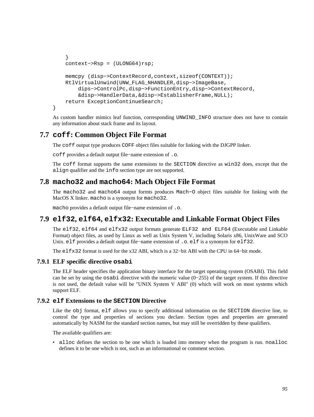```
 } 
     context−>Rsp = (ULONG64)rsp; 
     memcpy (disp−>ContextRecord,context,sizeof(CONTEXT)); 
     RtlVirtualUnwind(UNW_FLAG_NHANDLER,disp−>ImageBase, 
         dips−>ControlPc,disp−>FunctionEntry,disp−>ContextRecord, 
         &disp−>HandlerData,&disp−>EstablisherFrame,NULL); 
     return ExceptionContinueSearch; 
}
```
As custom handler mimics leaf function, corresponding UNWIND\_INFO structure does not have to contain any information about stack frame and its layout.

# **7.7 coff: Common Object File Format**

The coff output type produces COFF object files suitable for linking with the DJGPP linker.

coff provides a default output file−name extension of .o.

The coff format supports the same extensions to the SECTION directive as win32 does, except that the align qualifier and the info section type are not supported.

# **7.8 macho32 and macho64: Mach Object File Format**

The macho32 and macho64 output formts produces Mach−O object files suitable for linking with the MacOS X linker. macho is a synonym for macho32.

macho provides a default output file−name extension of .o.

# **7.9 elf32, elf64, elfx32: Executable and Linkable Format Object Files**

<span id="page-94-0"></span>The elf32, elf64 and elfx32 output formats generate ELF32 and ELF64 (Executable and Linkable Format) object files, as used by Linux as well as Unix System V, including Solaris x86, UnixWare and SCO Unix. elf provides a default output file−name extension of .o. elf is a synonym for elf32.

The elfx32 format is used for the x32 ABI, which is a 32−bit ABI with the CPU in 64−bit mode.

## **7.9.1 ELF specific directive osabi**

The ELF header specifies the application binary interface for the target operating system (OSABI). This field can be set by using the osabi directive with the numeric value (0−255) of the target system. If this directive is not used, the default value will be "UNIX System V ABI" (0) which will work on most systems which support ELF.

## **7.9.2 elf Extensions to the SECTION Directive**

Like the obj format, elf allows you to specify additional information on the SECTION directive line, to control the type and properties of sections you declare. Section types and properties are generated automatically by NASM for the standard section names, but may still be overridden by these qualifiers.

The available qualifiers are:

• alloc defines the section to be one which is loaded into memory when the program is run. noalloc defines it to be one which is not, such as an informational or comment section.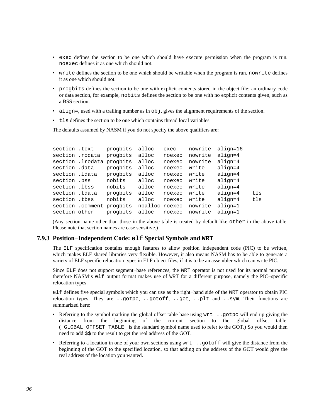- exec defines the section to be one which should have execute permission when the program is run. noexec defines it as one which should not.
- write defines the section to be one which should be writable when the program is run. nowrite defines it as one which should not.
- progbits defines the section to be one with explicit contents stored in the object file: an ordinary code or data section, for example, nobits defines the section to be one with no explicit contents given, such as a BSS section.
- $\bullet$  align=, used with a trailing number as in  $\circ$ b i, gives the alignment requirements of the section.
- tls defines the section to be one which contains thread local variables.

The defaults assumed by NASM if you do not specify the above qualifiers are:

| section .text  |                           | progbits | alloc   | exec   | nowrite | align=16  |     |
|----------------|---------------------------|----------|---------|--------|---------|-----------|-----|
|                | section .rodata           | progbits | alloc   | noexec | nowrite | align=4   |     |
|                | section .lrodata progbits |          | alloc   | noexec | nowrite | $align=4$ |     |
| section .data  |                           | progbits | alloc   | noexec | write   | align=4   |     |
| section .ldata |                           | progbits | alloc   | noexec | write   | $align=4$ |     |
| section .bss   |                           | nobits   | alloc   | noexec | write   | align=4   |     |
| section .lbss  |                           | nobits   | alloc   | noexec | write   | $align=4$ |     |
| section .tdata |                           | progbits | alloc   | noexec | write   | $align=4$ | tls |
| section .tbss  |                           | nobits   | alloc   | noexec | write   | $align=4$ | tls |
|                | section .comment          | progbits | noalloc | noexec | nowrite | align=1   |     |
| section other  |                           | progbits | alloc   | noexec | nowrite | align=1   |     |

(Any section name other than those in the above table is treated by default like other in the above table. Please note that section names are case sensitive.)

#### **7.9.3 Position−Independent Code: elf Special Symbols and WRT**

<span id="page-95-0"></span>The ELF specification contains enough features to allow position−independent code (PIC) to be written, which makes ELF shared libraries very flexible. However, it also means NASM has to be able to generate a variety of ELF specific relocation types in ELF object files, if it is to be an assembler which can write PIC.

Since ELF does not support segment−base references, the WRT operator is not used for its normal purpose; therefore NASM's elf output format makes use of WRT for a different purpose, namely the PIC−specific relocation types.

elf defines five special symbols which you can use as the right−hand side of the WRT operator to obtain PIC relocation types. They are ..gotpc, ..gotoff, ..got, ..plt and ..sym. Their functions are summarized here:

- Referring to the symbol marking the global offset table base using wrt ..gotpc will end up giving the distance from the beginning of the current section to the global offset table. (\_GLOBAL\_OFFSET\_TABLE\_ is the standard symbol name used to refer to the GOT.) So you would then need to add \$\$ to the result to get the real address of the GOT.
- Referring to a location in one of your own sections using wrt ..gotoff will give the distance from the beginning of the GOT to the specified location, so that adding on the address of the GOT would give the real address of the location you wanted.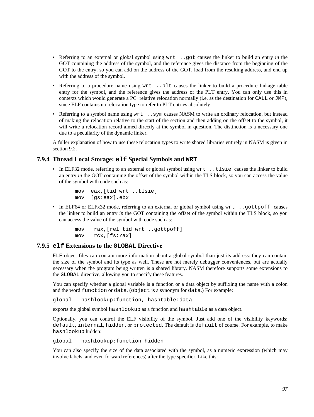- Referring to an external or global symbol using wrt ..got causes the linker to build an entry *in* the GOT containing the address of the symbol, and the reference gives the distance from the beginning of the GOT to the entry; so you can add on the address of the GOT, load from the resulting address, and end up with the address of the symbol.
- Referring to a procedure name using wrt ..plt causes the linker to build a procedure linkage table entry for the symbol, and the reference gives the address of the PLT entry. You can only use this in contexts which would generate a PC−relative relocation normally (i.e. as the destination for CALL or JMP), since ELF contains no relocation type to refer to PLT entries absolutely.
- Referring to a symbol name using wrt ..sym causes NASM to write an ordinary relocation, but instead of making the relocation relative to the start of the section and then adding on the offset to the symbol, it will write a relocation record aimed directly at the symbol in question. The distinction is a necessary one due to a peculiarity of the dynamic linker.

A fuller explanation of how to use these relocation types to write shared libraries entirely in NASM is given in [section 9.2.](#page-116-0)

## **7.9.4 Thread Local Storage: elf Special Symbols and WRT**

• In ELF32 mode, referring to an external or global symbol using wrt. . that causes the linker to build an entry *in* the GOT containing the offset of the symbol within the TLS block, so you can access the value of the symbol with code such as:

```
 mov eax,[tid wrt ..tlsie] 
 mov [gs:eax],ebx
```
• In ELF64 or ELFx32 mode, referring to an external or global symbol using wrt ..gottpoff causes the linker to build an entry *in* the GOT containing the offset of the symbol within the TLS block, so you can access the value of the symbol with code such as:

```
 mov rax,[rel tid wrt ..gottpoff] 
 mov rcx,[fs:rax]
```
#### **7.9.5 elf Extensions to the GLOBAL Directive**

<span id="page-96-0"></span>ELF object files can contain more information about a global symbol than just its address: they can contain the size of the symbol and its type as well. These are not merely debugger conveniences, but are actually necessary when the program being written is a shared library. NASM therefore supports some extensions to the GLOBAL directive, allowing you to specify these features.

You can specify whether a global variable is a function or a data object by suffixing the name with a colon and the word function or data. (object is a synonym for data.) For example:

global hashlookup:function, hashtable:data

exports the global symbol hashlookup as a function and hashtable as a data object.

Optionally, you can control the ELF visibility of the symbol. Just add one of the visibility keywords: default, internal, hidden, or protected. The default is default of course. For example, to make hashlookup hidden:

global hashlookup:function hidden

You can also specify the size of the data associated with the symbol, as a numeric expression (which may involve labels, and even forward references) after the type specifier. Like this: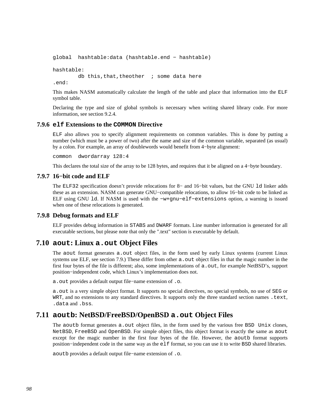```
global hashtable:data (hashtable.end − hashtable)
```
hashtable:

db this, that, theother  $\cdot$  ; some data here

.end:

This makes NASM automatically calculate the length of the table and place that information into the ELF symbol table.

Declaring the type and size of global symbols is necessary when writing shared library code. For more information, see [section 9.2.4.](#page-118-0)

#### **7.9.6 elf Extensions to the COMMON Directive**

ELF also allows you to specify alignment requirements on common variables. This is done by putting a number (which must be a power of two) after the name and size of the common variable, separated (as usual) by a colon. For example, an array of doublewords would benefit from 4−byte alignment:

common dwordarray 128:4

This declares the total size of the array to be 128 bytes, and requires that it be aligned on a 4−byte boundary.

#### **7.9.7 16−bit code and ELF**

The ELF32 specification doesn't provide relocations for 8− and 16−bit values, but the GNU ld linker adds these as an extension. NASM can generate GNU−compatible relocations, to allow 16−bit code to be linked as ELF using GNU ld. If NASM is used with the −w+gnu−elf−extensions option, a warning is issued when one of these relocations is generated.

#### **7.9.8 Debug formats and ELF**

ELF provides debug information in STABS and DWARF formats. Line number information is generated for all executable sections, but please note that only the ".text" section is executable by default.

# **7.10 aout: Linux a.out Object Files**

The aout format generates  $a$ , out object files, in the form used by early Linux systems (current Linux systems use ELF, see [section 7.9.](#page-94-0)) These differ from other a. out object files in that the magic number in the first four bytes of the file is different; also, some implementations of a.out, for example NetBSD's, support position−independent code, which Linux's implementation does not.

a.out provides a default output file−name extension of .o.

a.out is a very simple object format. It supports no special directives, no special symbols, no use of SEG or WRT, and no extensions to any standard directives. It supports only the three standard section names .text, .data and .bss.

# **7.11 aoutb: NetBSD/FreeBSD/OpenBSD a.out Object Files**

The aoutb format generates a.out object files, in the form used by the various free BSD Unix clones, NetBSD, FreeBSD and OpenBSD. For simple object files, this object format is exactly the same as aout except for the magic number in the first four bytes of the file. However, the aoutb format supports position−independent code in the same way as the elf format, so you can use it to write BSD shared libraries.

aoutb provides a default output file−name extension of .o.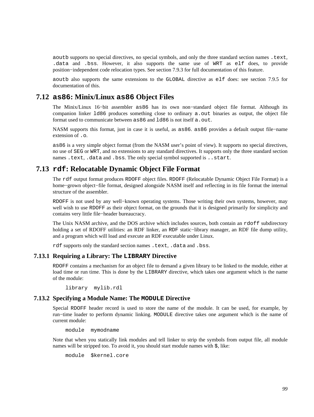aoutb supports no special directives, no special symbols, and only the three standard section names .text, .data and .bss. However, it also supports the same use of WRT as elf does, to provide position−independent code relocation types. See [section 7.9.3](#page-95-0) for full documentation of this feature.

aoutb also supports the same extensions to the GLOBAL directive as elf does: see [section 7.9.5](#page-96-0) for documentation of this.

# **7.12 as86: Minix/Linux as86 Object Files**

The Minix/Linux 16−bit assembler as86 has its own non−standard object file format. Although its companion linker 1d86 produces something close to ordinary a. out binaries as output, the object file format used to communicate between  $a = 86$  and  $1d86$  is not itself a.out.

NASM supports this format, just in case it is useful, as as86. as86 provides a default output file−name extension of .o.

as86 is a very simple object format (from the NASM user's point of view). It supports no special directives, no use of SEG or WRT, and no extensions to any standard directives. It supports only the three standard section names .text, .data and .bss. The only special symbol supported is ..start.

# **7.13 rdf: Relocatable Dynamic Object File Format**

The rdf output format produces RDOFF object files. RDOFF (Relocatable Dynamic Object File Format) is a home−grown object−file format, designed alongside NASM itself and reflecting in its file format the internal structure of the assembler.

RDOFF is not used by any well–known operating systems. Those writing their own systems, however, may well wish to use RDOFF as their object format, on the grounds that it is designed primarily for simplicity and contains very little file−header bureaucracy.

The Unix NASM archive, and the DOS archive which includes sources, both contain an rdoff subdirectory holding a set of RDOFF utilities: an RDF linker, an RDF static−library manager, an RDF file dump utility, and a program which will load and execute an RDF executable under Linux.

rdf supports only the standard section names .text, .data and .bss.

#### **7.13.1 Requiring a Library: The LIBRARY Directive**

RDOFF contains a mechanism for an object file to demand a given library to be linked to the module, either at load time or run time. This is done by the LIBRARY directive, which takes one argument which is the name of the module:

library mylib.rdl

## **7.13.2 Specifying a Module Name: The MODULE Directive**

Special RDOFF header record is used to store the name of the module. It can be used, for example, by run−time loader to perform dynamic linking. MODULE directive takes one argument which is the name of current module:

module mymodname

Note that when you statically link modules and tell linker to strip the symbols from output file, all module names will be stripped too. To avoid it, you should start module names with \$, like:

module \$kernel.core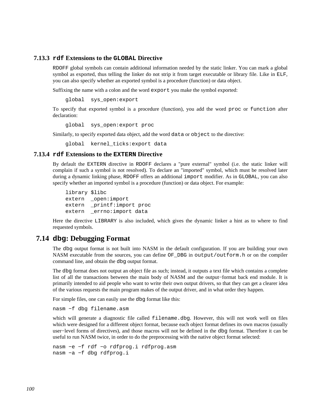## **7.13.3 rdf Extensions to the GLOBAL Directive**

RDOFF global symbols can contain additional information needed by the static linker. You can mark a global symbol as exported, thus telling the linker do not strip it from target executable or library file. Like in ELF, you can also specify whether an exported symbol is a procedure (function) or data object.

Suffixing the name with a colon and the word export you make the symbol exported:

global sys\_open:export

To specify that exported symbol is a procedure (function), you add the word proc or function after declaration:

global sys\_open:export proc

Similarly, to specify exported data object, add the word data or object to the directive:

global kernel\_ticks:export data

#### **7.13.4 rdf Extensions to the EXTERN Directive**

By default the EXTERN directive in RDOFF declares a "pure external" symbol (i.e. the static linker will complain if such a symbol is not resolved). To declare an "imported" symbol, which must be resolved later during a dynamic linking phase, RDOFF offers an additional import modifier. As in GLOBAL, you can also specify whether an imported symbol is a procedure (function) or data object. For example:

 library \$libc extern \_open:import extern \_printf:import proc extern \_errno:import data

Here the directive LIBRARY is also included, which gives the dynamic linker a hint as to where to find requested symbols.

# **7.14 dbg: Debugging Format**

The dbg output format is not built into NASM in the default configuration. If you are building your own NASM executable from the sources, you can define OF\_DBG in output/outform.h or on the compiler command line, and obtain the dbg output format.

The dbg format does not output an object file as such; instead, it outputs a text file which contains a complete list of all the transactions between the main body of NASM and the output−format back end module. It is primarily intended to aid people who want to write their own output drivers, so that they can get a clearer idea of the various requests the main program makes of the output driver, and in what order they happen.

For simple files, one can easily use the dbg format like this:

nasm −f dbg filename.asm

which will generate a diagnostic file called filename.dbq. However, this will not work well on files which were designed for a different object format, because each object format defines its own macros (usually user−level forms of directives), and those macros will not be defined in the dbg format. Therefore it can be useful to run NASM twice, in order to do the preprocessing with the native object format selected:

nasm −e −f rdf −o rdfprog.i rdfprog.asm nasm −a −f dbg rdfprog.i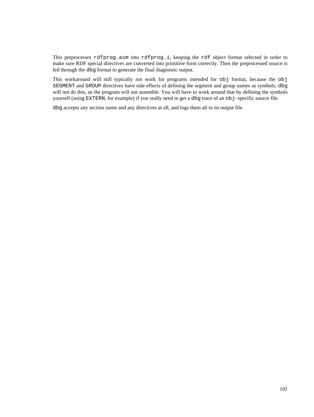This preprocesses rdfprog.asm into rdfprog.i, keeping the rdf object format selected in order to make sure RDF special directives are converted into primitive form correctly. Then the preprocessed source is fed through the dbg format to generate the final diagnostic output.

This workaround will still typically not work for programs intended for obj format, because the obj SEGMENT and GROUP directives have side effects of defining the segment and group names as symbols; dbg will not do this, so the program will not assemble. You will have to work around that by defining the symbols yourself (using EXTERN, for example) if you really need to get a dbg trace of an obj–specific source file.

dbg accepts any section name and any directives at all, and logs them all to its output file.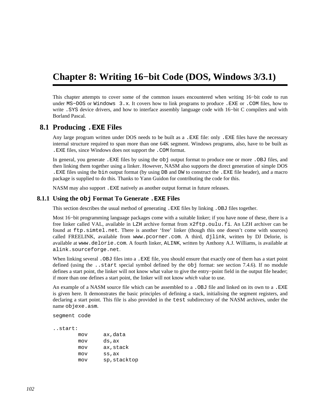# **Chapter 8: Writing 16−bit Code (DOS, Windows 3/3.1)**

This chapter attempts to cover some of the common issues encountered when writing 16−bit code to run under MS−DOS or Windows 3.x. It covers how to link programs to produce .EXE or .COM files, how to write .SYS device drivers, and how to interface assembly language code with 16−bit C compilers and with Borland Pascal.

# **8.1 Producing .EXE Files**

Any large program written under DOS needs to be built as a .EXE file: only .EXE files have the necessary internal structure required to span more than one 64K segment. Windows programs, also, have to be built as .EXE files, since Windows does not support the .COM format.

In general, you generate .EXE files by using the obj output format to produce one or more .OBJ files, and then linking them together using a linker. However, NASM also supports the direct generation of simple DOS .EXE files using the bin output format (by using DB and DW to construct the .EXE file header), and a macro package is supplied to do this. Thanks to Yann Guidon for contributing the code for this.

NASM may also support .EXE natively as another output format in future releases.

#### **8.1.1 Using the obj Format To Generate .EXE Files**

This section describes the usual method of generating .EXE files by linking .OBJ files together.

Most 16−bit programming language packages come with a suitable linker; if you have none of these, there is a free linker called VAL, available in LZH archive format from [x2ftp.oulu.fi](ftp://x2ftp.oulu.fi/pub/msdos/programming/lang/). An LZH archiver can be found at [ftp.simtel.net](ftp://ftp.simtel.net/pub/simtelnet/msdos/arcers). There is another 'free' linker (though this one doesn't come with sources) called FREELINK, available from [www.pcorner.com](http://www.pcorner.com/tpc/old/3-101.html). A third, djlink, written by DJ Delorie, is available at [www.delorie.com](http://www.delorie.com/djgpp/16bit/djlink/). A fourth linker, ALINK, written by Anthony A.J. Williams, is available at [alink.sourceforge.net](http://alink.sourceforge.net).

When linking several .OBJ files into a . EXE file, you should ensure that exactly one of them has a start point defined (using the ..start special symbol defined by the obj format: see [section 7.4.6\)](#page-86-1). If no module defines a start point, the linker will not know what value to give the entry−point field in the output file header; if more than one defines a start point, the linker will not know *which* value to use.

An example of a NASM source file which can be assembled to a . OBJ file and linked on its own to a . EXE is given here. It demonstrates the basic principles of defining a stack, initialising the segment registers, and declaring a start point. This file is also provided in the test subdirectory of the NASM archives, under the name objexe.asm.

```
segment code
```
..start:

| mov | ax,data      |
|-----|--------------|
| mov | ds,ax        |
| mov | ax,stack     |
| mov | ss,ax        |
| mov | sp, stacktop |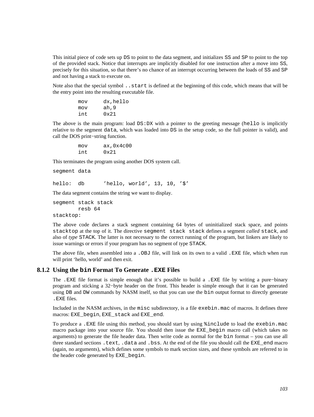This initial piece of code sets up DS to point to the data segment, and initializes SS and SP to point to the top of the provided stack. Notice that interrupts are implicitly disabled for one instruction after a move into SS, precisely for this situation, so that there's no chance of an interrupt occurring between the loads of SS and SP and not having a stack to execute on.

Note also that the special symbol ..start is defined at the beginning of this code, which means that will be the entry point into the resulting executable file.

> mov dx,hello mov ah,9 int 0x21

The above is the main program: load  $DS:DX$  with a pointer to the greeting message (hello is implicitly relative to the segment data, which was loaded into DS in the setup code, so the full pointer is valid), and call the DOS print−string function.

> mov ax,0x4c00 int 0x21

This terminates the program using another DOS system call.

segment data

hello: db 'hello, world', 13, 10, '\$'

The data segment contains the string we want to display.

```
segment stack stack 
          resb 64 
stacktop:
```
The above code declares a stack segment containing 64 bytes of uninitialized stack space, and points stacktop at the top of it. The directive segment stack stack defines a segment *called* stack, and also of *type* STACK. The latter is not necessary to the correct running of the program, but linkers are likely to issue warnings or errors if your program has no segment of type STACK.

The above file, when assembled into a .OBJ file, will link on its own to a valid .EXE file, which when run will print 'hello, world' and then exit.

#### **8.1.2 Using the bin Format To Generate .EXE Files**

The .EXE file format is simple enough that it's possible to build a .EXE file by writing a pure−binary program and sticking a 32−byte header on the front. This header is simple enough that it can be generated using DB and DW commands by NASM itself, so that you can use the bin output format to directly generate .EXE files.

Included in the NASM archives, in the misc subdirectory, is a file exebin.mac of macros. It defines three macros: EXE\_begin, EXE\_stack and EXE\_end.

To produce a .EXE file using this method, you should start by using %include to load the exebin.mac macro package into your source file. You should then issue the EXE\_begin macro call (which takes no arguments) to generate the file header data. Then write code as normal for the bin format – you can use all three standard sections .text, .data and .bss. At the end of the file you should call the EXE\_end macro (again, no arguments), which defines some symbols to mark section sizes, and these symbols are referred to in the header code generated by EXE\_begin.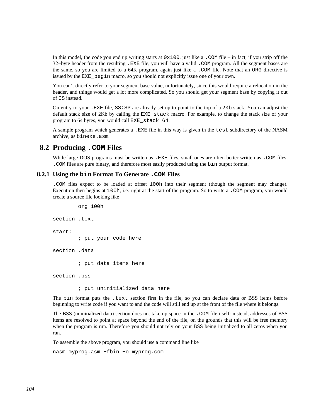In this model, the code you end up writing starts at  $0 \times 100$ , just like a . COM file – in fact, if you strip off the 32−byte header from the resulting .EXE file, you will have a valid .COM program. All the segment bases are the same, so you are limited to a 64K program, again just like a .COM file. Note that an ORG directive is issued by the EXE\_begin macro, so you should not explicitly issue one of your own.

You can't directly refer to your segment base value, unfortunately, since this would require a relocation in the header, and things would get a lot more complicated. So you should get your segment base by copying it out of CS instead.

On entry to your .EXE file, SS:SP are already set up to point to the top of a 2Kb stack. You can adjust the default stack size of 2Kb by calling the EXE\_stack macro. For example, to change the stack size of your program to 64 bytes, you would call EXE\_stack 64.

A sample program which generates a .EXE file in this way is given in the test subdirectory of the NASM archive, as binexe.asm.

# **8.2 Producing .COM Files**

While large DOS programs must be written as .EXE files, small ones are often better written as .COM files. .COM files are pure binary, and therefore most easily produced using the bin output format.

#### **8.2.1 Using the bin Format To Generate .COM Files**

.COM files expect to be loaded at offset 100h into their segment (though the segment may change). Execution then begins at 100h, i.e. right at the start of the program. So to write a .COM program, you would create a source file looking like

```
 org 100h 
section .text 
start: 
          ; put your code here 
section .data 
          ; put data items here 
section .bss
```
; put uninitialized data here

The bin format puts the .text section first in the file, so you can declare data or BSS items before beginning to write code if you want to and the code will still end up at the front of the file where it belongs.

The BSS (uninitialized data) section does not take up space in the .COM file itself: instead, addresses of BSS items are resolved to point at space beyond the end of the file, on the grounds that this will be free memory when the program is run. Therefore you should not rely on your BSS being initialized to all zeros when you run.

To assemble the above program, you should use a command line like

nasm myprog.asm −fbin −o myprog.com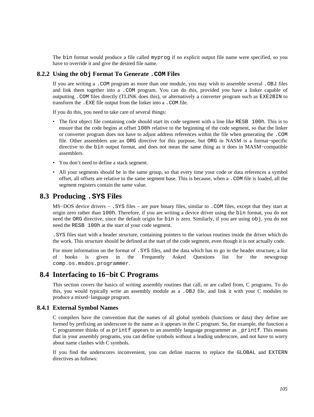The bin format would produce a file called myprog if no explicit output file name were specified, so you have to override it and give the desired file name.

## **8.2.2 Using the obj Format To Generate .COM Files**

If you are writing a .COM program as more than one module, you may wish to assemble several .OBJ files and link them together into a .COM program. You can do this, provided you have a linker capable of outputting .COM files directly (TLINK does this), or alternatively a converter program such as EXE2BIN to transform the .EXE file output from the linker into a .COM file.

If you do this, you need to take care of several things:

- The first object file containing code should start its code segment with a line like RESB 100h. This is to ensure that the code begins at offset 100h relative to the beginning of the code segment, so that the linker or converter program does not have to adjust address references within the file when generating the .COM file. Other assemblers use an ORG directive for this purpose, but ORG in NASM is a format−specific directive to the bin output format, and does not mean the same thing as it does in MASM−compatible assemblers.
- You don't need to define a stack segment.
- All your segments should be in the same group, so that every time your code or data references a symbol offset, all offsets are relative to the same segment base. This is because, when a .COM file is loaded, all the segment registers contain the same value.

## **8.3 Producing .SYS Files**

MS−DOS device drivers – .SYS files – are pure binary files, similar to .COM files, except that they start at origin zero rather than 100h. Therefore, if you are writing a device driver using the bin format, you do not need the ORG directive, since the default origin for bin is zero. Similarly, if you are using obj, you do not need the RESB 100h at the start of your code segment.

.SYS files start with a header structure, containing pointers to the various routines inside the driver which do the work. This structure should be defined at the start of the code segment, even though it is not actually code.

For more information on the format of .SYS files, and the data which has to go in the header structure, a list of books is given in the Frequently Asked Questions list for the newsgroup [comp.os.msdos.programmer](news:comp.os.msdos.programmer).

# **8.4 Interfacing to 16−bit C Programs**

This section covers the basics of writing assembly routines that call, or are called from, C programs. To do this, you would typically write an assembly module as a .OBJ file, and link it with your C modules to produce a mixed−language program.

#### **8.4.1 External Symbol Names**

C compilers have the convention that the names of all global symbols (functions or data) they define are formed by prefixing an underscore to the name as it appears in the C program. So, for example, the function a C programmer thinks of as printf appears to an assembly language programmer as \_printf. This means that in your assembly programs, you can define symbols without a leading underscore, and not have to worry about name clashes with C symbols.

If you find the underscores inconvenient, you can define macros to replace the GLOBAL and EXTERN directives as follows: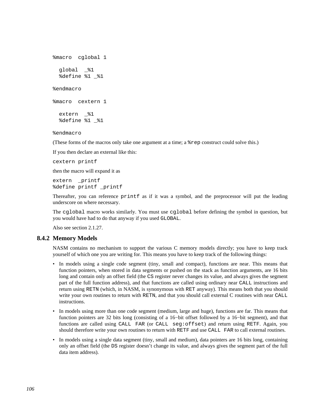```
%macro cglobal 1 
  global _%1 
   %define %1 _%1 
%endmacro 
%macro cextern 1 
  extern _%1 
   %define %1 _%1
```
%endmacro

(These forms of the macros only take one argument at a time; a %rep construct could solve this.)

If you then declare an external like this:

cextern printf

then the macro will expand it as

extern printf %define printf \_printf

Thereafter, you can reference printf as if it was a symbol, and the preprocessor will put the leading underscore on where necessary.

The cglobal macro works similarly. You must use cglobal before defining the symbol in question, but you would have had to do that anyway if you used GLOBAL.

Also see [section 2.1.27.](#page-25-0)

#### **8.4.2 Memory Models**

NASM contains no mechanism to support the various C memory models directly; you have to keep track yourself of which one you are writing for. This means you have to keep track of the following things:

- In models using a single code segment (tiny, small and compact), functions are near. This means that function pointers, when stored in data segments or pushed on the stack as function arguments, are 16 bits long and contain only an offset field (the CS register never changes its value, and always gives the segment part of the full function address), and that functions are called using ordinary near CALL instructions and return using RETN (which, in NASM, is synonymous with RET anyway). This means both that you should write your own routines to return with RETN, and that you should call external C routines with near CALL instructions.
- In models using more than one code segment (medium, large and huge), functions are far. This means that function pointers are 32 bits long (consisting of a 16−bit offset followed by a 16−bit segment), and that functions are called using CALL FAR (or CALL seg:offset) and return using RETF. Again, you should therefore write your own routines to return with RETF and use CALL FAR to call external routines.
- In models using a single data segment (tiny, small and medium), data pointers are 16 bits long, containing only an offset field (the DS register doesn't change its value, and always gives the segment part of the full data item address).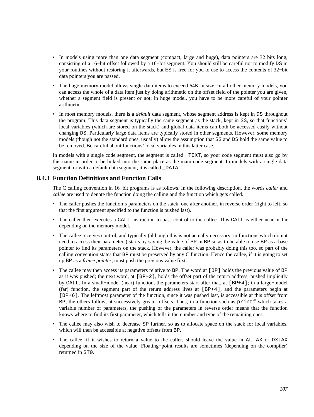- In models using more than one data segment (compact, large and huge), data pointers are 32 bits long, consisting of a 16−bit offset followed by a 16−bit segment. You should still be careful not to modify DS in your routines without restoring it afterwards, but ES is free for you to use to access the contents of 32−bit data pointers you are passed.
- The huge memory model allows single data items to exceed 64K in size. In all other memory models, you can access the whole of a data item just by doing arithmetic on the offset field of the pointer you are given, whether a segment field is present or not; in huge model, you have to be more careful of your pointer arithmetic.
- In most memory models, there is a *default* data segment, whose segment address is kept in DS throughout the program. This data segment is typically the same segment as the stack, kept in SS, so that functions' local variables (which are stored on the stack) and global data items can both be accessed easily without changing DS. Particularly large data items are typically stored in other segments. However, some memory models (though not the standard ones, usually) allow the assumption that SS and DS hold the same value to be removed. Be careful about functions' local variables in this latter case.

In models with a single code segment, the segment is called TEXT, so your code segment must also go by this name in order to be linked into the same place as the main code segment. In models with a single data segment, or with a default data segment, it is called \_DATA.

## **8.4.3 Function Definitions and Function Calls**

The C calling convention in 16−bit programs is as follows. In the following description, the words *caller* and *callee* are used to denote the function doing the calling and the function which gets called.

- The caller pushes the function's parameters on the stack, one after another, in reverse order (right to left, so that the first argument specified to the function is pushed last).
- The caller then executes a CALL instruction to pass control to the callee. This CALL is either near or far depending on the memory model.
- The callee receives control, and typically (although this is not actually necessary, in functions which do not need to access their parameters) starts by saving the value of SP in BP so as to be able to use BP as a base pointer to find its parameters on the stack. However, the caller was probably doing this too, so part of the calling convention states that BP must be preserved by any C function. Hence the callee, if it is going to set up BP as a *frame pointer*, must push the previous value first.
- The callee may then access its parameters relative to BP. The word at [BP] holds the previous value of BP as it was pushed; the next word, at  $[BF+2]$ , holds the offset part of the return address, pushed implicitly by CALL. In a small−model (near) function, the parameters start after that, at [BP+4]; in a large−model (far) function, the segment part of the return address lives at [BP+4], and the parameters begin at [BP+6]. The leftmost parameter of the function, since it was pushed last, is accessible at this offset from BP; the others follow, at successively greater offsets. Thus, in a function such as printf which takes a variable number of parameters, the pushing of the parameters in reverse order means that the function knows where to find its first parameter, which tells it the number and type of the remaining ones.
- The callee may also wish to decrease SP further, so as to allocate space on the stack for local variables, which will then be accessible at negative offsets from BP.
- The callee, if it wishes to return a value to the caller, should leave the value in AL, AX or DX:AX depending on the size of the value. Floating−point results are sometimes (depending on the compiler) returned in ST0.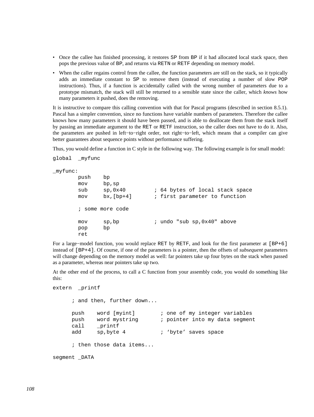- Once the callee has finished processing, it restores SP from BP if it had allocated local stack space, then pops the previous value of BP, and returns via RETN or RETF depending on memory model.
- When the caller regains control from the callee, the function parameters are still on the stack, so it typically adds an immediate constant to SP to remove them (instead of executing a number of slow POP instructions). Thus, if a function is accidentally called with the wrong number of parameters due to a prototype mismatch, the stack will still be returned to a sensible state since the caller, which *knows* how many parameters it pushed, does the removing.

It is instructive to compare this calling convention with that for Pascal programs (described in [section 8.5.1](#page-110-0)). Pascal has a simpler convention, since no functions have variable numbers of parameters. Therefore the callee knows how many parameters it should have been passed, and is able to deallocate them from the stack itself by passing an immediate argument to the RET or RETF instruction, so the caller does not have to do it. Also, the parameters are pushed in left−to−right order, not right−to−left, which means that a compiler can give better guarantees about sequence points without performance suffering.

Thus, you would define a function in C style in the following way. The following example is for small model:

```
global _myfunc
```
\_myfunc:

```
 push bp 
 mov bp,sp 
sub sp,0x40 ; 64 bytes of local stack space
 mov bx,[bp+4] ; first parameter to function 
 ; some more code 
mov sp, bp \cdot i undo "sub sp, 0x40" above
 pop bp 
 ret
```
For a large−model function, you would replace RET by RETF, and look for the first parameter at [BP+6] instead of [BP+4]. Of course, if one of the parameters is a pointer, then the offsets of *subsequent* parameters will change depending on the memory model as well: far pointers take up four bytes on the stack when passed as a parameter, whereas near pointers take up two.

At the other end of the process, to call a C function from your assembly code, you would do something like this:

```
extern printf
      ; and then, further down... 
      push word [myint] ; one of my integer variables 
     push word mystring \qquad ; pointer into my data segment
      call _printf 
     add sp, byte 4 ; 'byte' saves space
      ; then those data items... 
segment DATA
```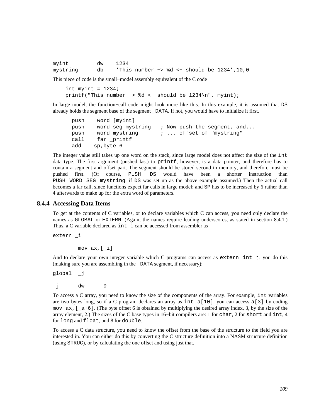| myint    | dw 1234 |  |  |  |                                                         |  |
|----------|---------|--|--|--|---------------------------------------------------------|--|
| mystring | db      |  |  |  | 'This number $\rightarrow$ %d <- should be 1234', 10, 0 |  |

This piece of code is the small−model assembly equivalent of the C code

```
int myint = 1234;
 printf("This number −> %d <− should be 1234\n", myint);
```
In large model, the function−call code might look more like this. In this example, it is assumed that DS already holds the segment base of the segment \_DATA. If not, you would have to initialize it first.

```
 push word [myint] 
push word seg mystring ; Now push the segment, and...
push word mystring \cdots offset of "mystring"
 call far _printf 
 add sp,byte 6
```
The integer value still takes up one word on the stack, since large model does not affect the size of the int data type. The first argument (pushed last) to printf, however, is a data pointer, and therefore has to contain a segment and offset part. The segment should be stored second in memory, and therefore must be pushed first. (Of course, PUSH DS would have been a shorter instruction than PUSH WORD SEG mystring, if DS was set up as the above example assumed.) Then the actual call becomes a far call, since functions expect far calls in large model; and SP has to be increased by 6 rather than 4 afterwards to make up for the extra word of parameters.

#### **8.4.4 Accessing Data Items**

To get at the contents of C variables, or to declare variables which C can access, you need only declare the names as GLOBAL or EXTERN. (Again, the names require leading underscores, as stated in [section 8.4.1](#page-104-0).) Thus, a C variable declared as int i can be accessed from assembler as

extern \_i

mov  $ax, [\underline{i}]$ 

And to declare your own integer variable which C programs can access as extern int j, you do this (making sure you are assembling in the \_DATA segment, if necessary):

global \_j

 $\overline{\mathbf{u}}$  dw 0

To access a C array, you need to know the size of the components of the array. For example, int variables are two bytes long, so if a C program declares an array as int  $a[10]$ , you can access a[3] by coding mov  $ax, \lceil a+6 \rceil$ . (The byte offset 6 is obtained by multiplying the desired array index, 3, by the size of the array element, 2.) The sizes of the C base types in 16−bit compilers are: 1 for char, 2 for short and int, 4 for long and float, and 8 for double.

To access a C data structure, you need to know the offset from the base of the structure to the field you are interested in. You can either do this by converting the C structure definition into a NASM structure definition (using STRUC), or by calculating the one offset and using just that.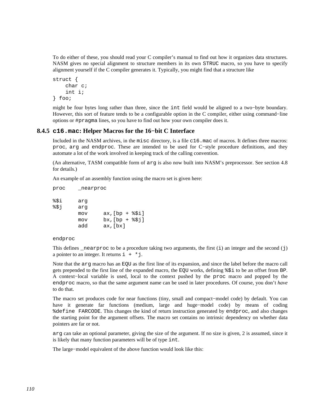To do either of these, you should read your C compiler's manual to find out how it organizes data structures. NASM gives no special alignment to structure members in its own STRUC macro, so you have to specify alignment yourself if the C compiler generates it. Typically, you might find that a structure like

```
struct { 
      char c; 
      int i; 
} foo;
```
might be four bytes long rather than three, since the int field would be aligned to a two−byte boundary. However, this sort of feature tends to be a configurable option in the C compiler, either using command−line options or #pragma lines, so you have to find out how your own compiler does it.

### **8.4.5 c16.mac: Helper Macros for the 16−bit C Interface**

<span id="page-109-0"></span>Included in the NASM archives, in the misc directory, is a file c16.mac of macros. It defines three macros: proc, arg and endproc. These are intended to be used for C−style procedure definitions, and they automate a lot of the work involved in keeping track of the calling convention.

(An alternative, TASM compatible form of arg is also now built into NASM's preprocessor. See [section 4.8](#page-63-0) for details.)

An example of an assembly function using the macro set is given here:

| proc        | nearproc   |                                  |
|-------------|------------|----------------------------------|
| %\$i<br>851 | arq<br>arq |                                  |
|             | mov        | $ax/[bp + $3i]$                  |
|             | mov<br>add | $bx/[bp + $31]$<br>$ax$ , $(bx)$ |

#### endproc

This defines  $\text{1}$  nearproc to be a procedure taking two arguments, the first (i) an integer and the second (j) a pointer to an integer. It returns  $i + *j$ .

Note that the arg macro has an EQU as the first line of its expansion, and since the label before the macro call gets prepended to the first line of the expanded macro, the EQU works, defining %\$i to be an offset from BP. A context−local variable is used, local to the context pushed by the proc macro and popped by the endproc macro, so that the same argument name can be used in later procedures. Of course, you don't *have* to do that.

The macro set produces code for near functions (tiny, small and compact−model code) by default. You can have it generate far functions (medium, large and huge−model code) by means of coding %define FARCODE. This changes the kind of return instruction generated by endproc, and also changes the starting point for the argument offsets. The macro set contains no intrinsic dependency on whether data pointers are far or not.

arg can take an optional parameter, giving the size of the argument. If no size is given, 2 is assumed, since it is likely that many function parameters will be of type int.

The large−model equivalent of the above function would look like this: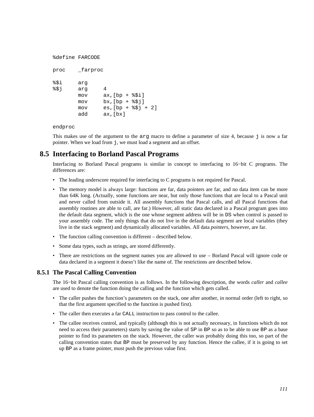```
%define FARCODE 
proc _farproc 
%$i arg 
%$j arg 4 
       mov ax,[bp + <i>§</i>§i]mov bx, [bp + <i>§</i> $j]mov es, [bp + $$j + 2] add ax,[bx]
```
endproc

This makes use of the argument to the  $\arg \max$  macro to define a parameter of size 4, because  $\exists$  is now a far pointer. When we load from j, we must load a segment and an offset.

# **8.5 Interfacing to Borland Pascal Programs**

Interfacing to Borland Pascal programs is similar in concept to interfacing to 16−bit C programs. The differences are:

- The leading underscore required for interfacing to C programs is not required for Pascal.
- The memory model is always large: functions are far, data pointers are far, and no data item can be more than 64K long. (Actually, some functions are near, but only those functions that are local to a Pascal unit and never called from outside it. All assembly functions that Pascal calls, and all Pascal functions that assembly routines are able to call, are far.) However, all static data declared in a Pascal program goes into the default data segment, which is the one whose segment address will be in DS when control is passed to your assembly code. The only things that do not live in the default data segment are local variables (they live in the stack segment) and dynamically allocated variables. All data *pointers*, however, are far.
- The function calling convention is different described below.
- Some data types, such as strings, are stored differently.
- There are restrictions on the segment names you are allowed to use Borland Pascal will ignore code or data declared in a segment it doesn't like the name of. The restrictions are described below.

### **8.5.1 The Pascal Calling Convention**

The 16−bit Pascal calling convention is as follows. In the following description, the words *caller* and *callee* are used to denote the function doing the calling and the function which gets called.

- The caller pushes the function's parameters on the stack, one after another, in normal order (left to right, so that the first argument specified to the function is pushed first).
- The caller then executes a far CALL instruction to pass control to the callee.
- The callee receives control, and typically (although this is not actually necessary, in functions which do not need to access their parameters) starts by saving the value of SP in BP so as to be able to use BP as a base pointer to find its parameters on the stack. However, the caller was probably doing this too, so part of the calling convention states that BP must be preserved by any function. Hence the callee, if it is going to set up BP as a frame pointer, must push the previous value first.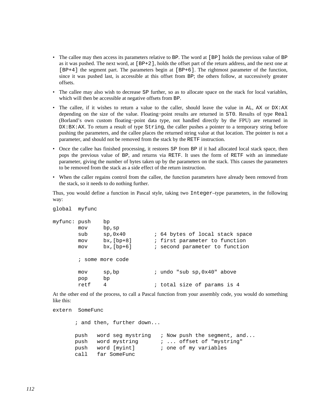- The callee may then access its parameters relative to BP. The word at [BP] holds the previous value of BP as it was pushed. The next word, at [BP+2], holds the offset part of the return address, and the next one at [BP+4] the segment part. The parameters begin at [BP+6]. The rightmost parameter of the function, since it was pushed last, is accessible at this offset from BP; the others follow, at successively greater offsets.
- The callee may also wish to decrease SP further, so as to allocate space on the stack for local variables, which will then be accessible at negative offsets from BP.
- The callee, if it wishes to return a value to the caller, should leave the value in AL, AX or DX:AX depending on the size of the value. Floating−point results are returned in ST0. Results of type Real (Borland's own custom floating−point data type, not handled directly by the FPU) are returned in DX:BX:AX. To return a result of type String, the caller pushes a pointer to a temporary string before pushing the parameters, and the callee places the returned string value at that location. The pointer is not a parameter, and should not be removed from the stack by the RETF instruction.
- Once the callee has finished processing, it restores SP from BP if it had allocated local stack space, then pops the previous value of BP, and returns via RETF. It uses the form of RETF with an immediate parameter, giving the number of bytes taken up by the parameters on the stack. This causes the parameters to be removed from the stack as a side effect of the return instruction.
- When the caller regains control from the callee, the function parameters have already been removed from the stack, so it needs to do nothing further.

Thus, you would define a function in Pascal style, taking two Integer–type parameters, in the following way:

```
global myfunc 
myfunc: push bp 
       mov bp,sp 
      sub sp,0x40 ; 64 bytes of local stack space
       mov bx,[bp+8] ; first parameter to function 
       mov bx,[bp+6] ; second parameter to function 
        ; some more code 
      mov sp, bp \cdot i undo "sub sp, 0x40" above
       pop bp 
       retf 4 ; total size of params is 4
```
At the other end of the process, to call a Pascal function from your assembly code, you would do something like this:

```
extern SomeFunc
```

```
 ; and then, further down... 
 push word seg mystring ; Now push the segment, and... 
push word mystring \cdot \cdot \cdot offset of "mystring"
 push word [myint] ; one of my variables 
 call far SomeFunc
```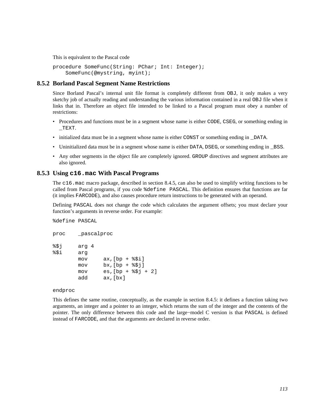This is equivalent to the Pascal code

```
procedure SomeFunc(String: PChar; Int: Integer); 
     SomeFunc(@mystring, myint);
```
### **8.5.2 Borland Pascal Segment Name Restrictions**

Since Borland Pascal's internal unit file format is completely different from OBJ, it only makes a very sketchy job of actually reading and understanding the various information contained in a real OBJ file when it links that in. Therefore an object file intended to be linked to a Pascal program must obey a number of restrictions:

- Procedures and functions must be in a segment whose name is either CODE, CSEG, or something ending in \_TEXT.
- initialized data must be in a segment whose name is either CONST or something ending in \_DATA.
- Uninitialized data must be in a segment whose name is either DATA, DSEG, or something ending in \_BSS.
- Any other segments in the object file are completely ignored. GROUP directives and segment attributes are also ignored.

#### **8.5.3 Using c16.mac With Pascal Programs**

The c16.mac macro package, described in [section 8.4.5](#page-109-0), can also be used to simplify writing functions to be called from Pascal programs, if you code %define PASCAL. This definition ensures that functions are far (it implies FARCODE), and also causes procedure return instructions to be generated with an operand.

Defining PASCAL does not change the code which calculates the argument offsets; you must declare your function's arguments in reverse order. For example:

%define PASCAL

```
proc _pascalproc 
%$j arg 4 
%$i arg 
       mov ax, [bp + <i>§</i> $i]mov bx, [bp + $5j]mov es, [bp + <i>§</i> $j + 2] add ax,[bx]
```
endproc

This defines the same routine, conceptually, as the example in [section 8.4.5:](#page-109-0) it defines a function taking two arguments, an integer and a pointer to an integer, which returns the sum of the integer and the contents of the pointer. The only difference between this code and the large−model C version is that PASCAL is defined instead of FARCODE, and that the arguments are declared in reverse order.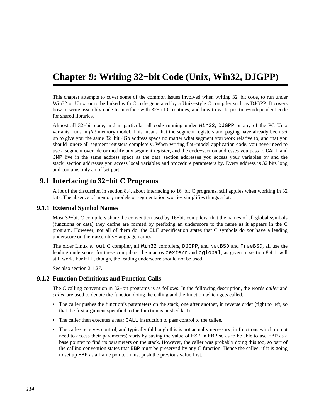# **Chapter 9: Writing 32−bit Code (Unix, Win32, DJGPP)**

This chapter attempts to cover some of the common issues involved when writing 32−bit code, to run under Win32 or Unix, or to be linked with C code generated by a Unix−style C compiler such as DJGPP. It covers how to write assembly code to interface with 32−bit C routines, and how to write position−independent code for shared libraries.

Almost all 32−bit code, and in particular all code running under Win32, DJGPP or any of the PC Unix variants, runs in *flat* memory model. This means that the segment registers and paging have already been set up to give you the same 32−bit 4Gb address space no matter what segment you work relative to, and that you should ignore all segment registers completely. When writing flat−model application code, you never need to use a segment override or modify any segment register, and the code−section addresses you pass to CALL and JMP live in the same address space as the data−section addresses you access your variables by and the stack−section addresses you access local variables and procedure parameters by. Every address is 32 bits long and contains only an offset part.

# **9.1 Interfacing to 32−bit C Programs**

A lot of the discussion in [section 8.4,](#page-104-1) about interfacing to 16−bit C programs, still applies when working in 32 bits. The absence of memory models or segmentation worries simplifies things a lot.

### **9.1.1 External Symbol Names**

<span id="page-113-0"></span>Most 32−bit C compilers share the convention used by 16−bit compilers, that the names of all global symbols (functions or data) they define are formed by prefixing an underscore to the name as it appears in the C program. However, not all of them do: the ELF specification states that C symbols do *not* have a leading underscore on their assembly−language names.

The older Linux a.out C compiler, all Win32 compilers, DJGPP, and NetBSD and FreeBSD, all use the leading underscore; for these compilers, the macros cextern and cglobal, as given in [section 8.4.1,](#page-104-0) will still work. For ELF, though, the leading underscore should not be used.

See also [section 2.1.27.](#page-25-0)

#### **9.1.2 Function Definitions and Function Calls**

The C calling convention in 32−bit programs is as follows. In the following description, the words *caller* and *callee* are used to denote the function doing the calling and the function which gets called.

- The caller pushes the function's parameters on the stack, one after another, in reverse order (right to left, so that the first argument specified to the function is pushed last).
- The caller then executes a near CALL instruction to pass control to the callee.
- The callee receives control, and typically (although this is not actually necessary, in functions which do not need to access their parameters) starts by saving the value of ESP in EBP so as to be able to use EBP as a base pointer to find its parameters on the stack. However, the caller was probably doing this too, so part of the calling convention states that EBP must be preserved by any C function. Hence the callee, if it is going to set up EBP as a frame pointer, must push the previous value first.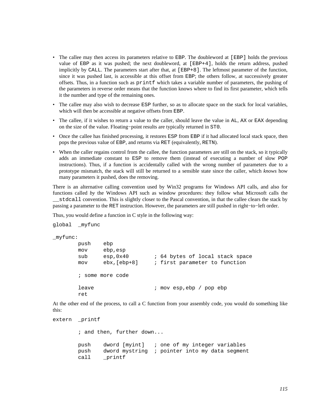- The callee may then access its parameters relative to EBP. The doubleword at [EBP] holds the previous value of EBP as it was pushed; the next doubleword, at [EBP+4], holds the return address, pushed implicitly by CALL. The parameters start after that, at [EBP+8]. The leftmost parameter of the function, since it was pushed last, is accessible at this offset from EBP; the others follow, at successively greater offsets. Thus, in a function such as printf which takes a variable number of parameters, the pushing of the parameters in reverse order means that the function knows where to find its first parameter, which tells it the number and type of the remaining ones.
- The callee may also wish to decrease ESP further, so as to allocate space on the stack for local variables, which will then be accessible at negative offsets from EBP.
- The callee, if it wishes to return a value to the caller, should leave the value in AL, AX or EAX depending on the size of the value. Floating−point results are typically returned in ST0.
- Once the callee has finished processing, it restores ESP from EBP if it had allocated local stack space, then pops the previous value of EBP, and returns via RET (equivalently, RETN).
- When the caller regains control from the callee, the function parameters are still on the stack, so it typically adds an immediate constant to ESP to remove them (instead of executing a number of slow POP instructions). Thus, if a function is accidentally called with the wrong number of parameters due to a prototype mismatch, the stack will still be returned to a sensible state since the caller, which *knows* how many parameters it pushed, does the removing.

There is an alternative calling convention used by Win32 programs for Windows API calls, and also for functions called *by* the Windows API such as window procedures: they follow what Microsoft calls the \_\_stdcall convention. This is slightly closer to the Pascal convention, in that the callee clears the stack by passing a parameter to the RET instruction. However, the parameters are still pushed in right−to−left order.

Thus, you would define a function in C style in the following way:

```
global _myfunc 
_myfunc: 
        push ebp 
        mov ebp,esp 
       sub esp,0x40 ; 64 bytes of local stack space
        mov ebx,[ebp+8] ; first parameter to function 
        ; some more code 
        leave ; mov esp,ebp / pop ebp 
        ret
```
At the other end of the process, to call a C function from your assembly code, you would do something like this:

```
extern printf
         ; and then, further down... 
        push dword [myint] ; one of my integer variables 
        push dword mystring ; pointer into my data segment 
        call _printf
```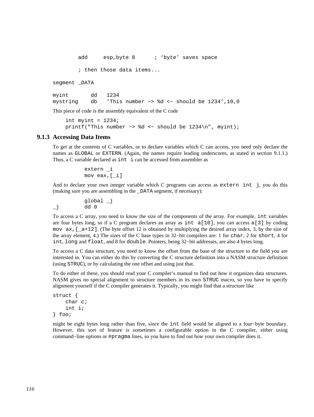```
add esp, byte 8 ; 'byte' saves space
        ; then those data items... 
segment _DATA 
myint dd 1234 
mystring db 'This number −> %d <− should be 1234',10,0
```
This piece of code is the assembly equivalent of the C code

```
int myint = 1234;
 printf("This number −> %d <− should be 1234\n", myint);
```
#### **9.1.3 Accessing Data Items**

To get at the contents of C variables, or to declare variables which C can access, you need only declare the names as GLOBAL or EXTERN. (Again, the names require leading underscores, as stated in [section 9.1.1](#page-113-0).) Thus, a C variable declared as int i can be accessed from assembler as

```
 extern _i 
 mov eax,[_i]
```
And to declare your own integer variable which C programs can access as extern int j, you do this (making sure you are assembling in the \_DATA segment, if necessary):

 global \_j  $j$  dd 0

To access a C array, you need to know the size of the components of the array. For example, int variables are four bytes long, so if a C program declares an array as int a[10], you can access a[3] by coding mov  $ax, \begin{bmatrix} a+12 \end{bmatrix}$ . (The byte offset 12 is obtained by multiplying the desired array index, 3, by the size of the array element, 4.) The sizes of the C base types in 32−bit compilers are: 1 for char, 2 for short, 4 for int, long and float, and 8 for double. Pointers, being 32−bit addresses, are also 4 bytes long.

To access a C data structure, you need to know the offset from the base of the structure to the field you are interested in. You can either do this by converting the C structure definition into a NASM structure definition (using STRUC), or by calculating the one offset and using just that.

To do either of these, you should read your C compiler's manual to find out how it organizes data structures. NASM gives no special alignment to structure members in its own STRUC macro, so you have to specify alignment yourself if the C compiler generates it. Typically, you might find that a structure like

```
struct { 
      char c; 
      int i; 
} foo;
```
might be eight bytes long rather than five, since the int field would be aligned to a four−byte boundary. However, this sort of feature is sometimes a configurable option in the C compiler, either using command−line options or #pragma lines, so you have to find out how your own compiler does it.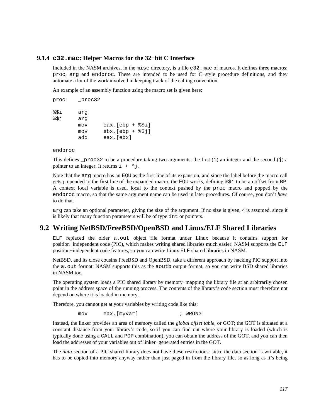#### **9.1.4 c32.mac: Helper Macros for the 32−bit C Interface**

Included in the NASM archives, in the misc directory, is a file c32.mac of macros. It defines three macros: proc, arg and endproc. These are intended to be used for C−style procedure definitions, and they automate a lot of the work involved in keeping track of the calling convention.

An example of an assembly function using the macro set is given here:

| proc | proc32 |                                         |
|------|--------|-----------------------------------------|
| %\$i | arq    |                                         |
| %\$j | arq    |                                         |
|      | mov    | $\texttt{eax}$ , $\texttt{[ebp + $Si]}$ |
|      | mov    | $ebx$ , $[ebp + §$ \$i]                 |
|      | add    | eax, [ebx]                              |

#### endproc

This defines  $\_proc32$  to be a procedure taking two arguments, the first (i) an integer and the second (j) a pointer to an integer. It returns  $i + *j$ .

Note that the arg macro has an EQU as the first line of its expansion, and since the label before the macro call gets prepended to the first line of the expanded macro, the EQU works, defining %\$i to be an offset from BP. A context−local variable is used, local to the context pushed by the proc macro and popped by the endproc macro, so that the same argument name can be used in later procedures. Of course, you don't *have* to do that.

arg can take an optional parameter, giving the size of the argument. If no size is given, 4 is assumed, since it is likely that many function parameters will be of type int or pointers.

# **9.2 Writing NetBSD/FreeBSD/OpenBSD and Linux/ELF Shared Libraries**

ELF replaced the older a.out object file format under Linux because it contains support for position−independent code (PIC), which makes writing shared libraries much easier. NASM supports the ELF position−independent code features, so you can write Linux ELF shared libraries in NASM.

NetBSD, and its close cousins FreeBSD and OpenBSD, take a different approach by hacking PIC support into the a. out format. NASM supports this as the aoutb output format, so you can write BSD shared libraries in NASM too.

The operating system loads a PIC shared library by memory–mapping the library file at an arbitrarily chosen point in the address space of the running process. The contents of the library's code section must therefore not depend on where it is loaded in memory.

Therefore, you cannot get at your variables by writing code like this:

```
 mov eax,[myvar] ; WRONG
```
Instead, the linker provides an area of memory called the *global offset table*, or GOT; the GOT is situated at a constant distance from your library's code, so if you can find out where your library is loaded (which is typically done using a CALL and POP combination), you can obtain the address of the GOT, and you can then load the addresses of your variables out of linker−generated entries in the GOT.

The *data* section of a PIC shared library does not have these restrictions: since the data section is writable, it has to be copied into memory anyway rather than just paged in from the library file, so as long as it's being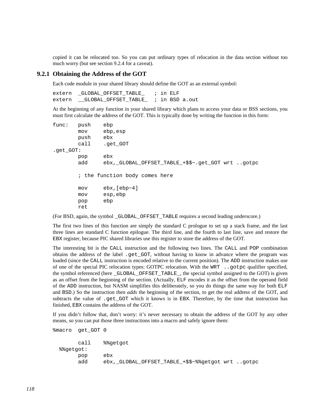copied it can be relocated too. So you can put ordinary types of relocation in the data section without too much worry (but see [section 9.2.4](#page-118-0) for a caveat).

#### **9.2.1 Obtaining the Address of the GOT**

Each code module in your shared library should define the GOT as an external symbol:

extern \_GLOBAL\_OFFSET\_TABLE\_ ; in ELF extern \_\_GLOBAL\_OFFSET\_TABLE\_ ; in BSD a.out

At the beginning of any function in your shared library which plans to access your data or BSS sections, you must first calculate the address of the GOT. This is typically done by writing the function in this form:

```
func: push ebp 
        mov ebp,esp 
        push ebx 
        call .get_GOT 
.get_GOT: 
        pop ebx 
        add ebx,_GLOBAL_OFFSET_TABLE_+$$−.get_GOT wrt ..gotpc 
        ; the function body comes here 
        mov ebx,[ebp−4] 
        mov esp,ebp 
        pop ebp 
        ret
```
(For BSD, again, the symbol \_GLOBAL\_OFFSET\_TABLE requires a second leading underscore.)

The first two lines of this function are simply the standard C prologue to set up a stack frame, and the last three lines are standard C function epilogue. The third line, and the fourth to last line, save and restore the EBX register, because PIC shared libraries use this register to store the address of the GOT.

The interesting bit is the CALL instruction and the following two lines. The CALL and POP combination obtains the address of the label .get\_GOT, without having to know in advance where the program was loaded (since the CALL instruction is encoded relative to the current position). The ADD instruction makes use of one of the special PIC relocation types: GOTPC relocation. With the WRT ..gotpc qualifier specified, the symbol referenced (here \_GLOBAL\_OFFSET\_TABLE\_, the special symbol assigned to the GOT) is given as an offset from the beginning of the section. (Actually, ELF encodes it as the offset from the operand field of the ADD instruction, but NASM simplifies this deliberately, so you do things the same way for both ELF and BSD.) So the instruction then *adds* the beginning of the section, to get the real address of the GOT, and subtracts the value of .get\_GOT which it knows is in EBX. Therefore, by the time that instruction has finished, EBX contains the address of the GOT.

If you didn't follow that, don't worry: it's never necessary to obtain the address of the GOT by any other means, so you can put those three instructions into a macro and safely ignore them:

```
 call %%getgot 
 %%getgot: 
      pop ebx 
       add ebx,_GLOBAL_OFFSET_TABLE_+$$−%%getgot wrt ..gotpc
```
%macro get\_GOT 0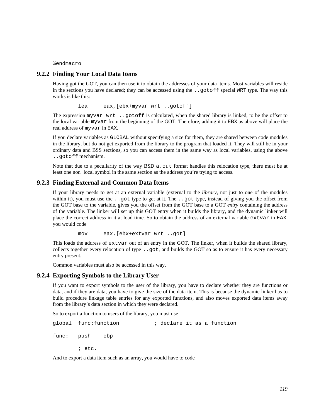%endmacro

### **9.2.2 Finding Your Local Data Items**

Having got the GOT, you can then use it to obtain the addresses of your data items. Most variables will reside in the sections you have declared; they can be accessed using the ..gotoff special WRT type. The way this works is like this:

lea eax,[ebx+myvar wrt ..gotoff]

The expression myvar wrt ..gotoff is calculated, when the shared library is linked, to be the offset to the local variable myvar from the beginning of the GOT. Therefore, adding it to EBX as above will place the real address of myvar in EAX.

If you declare variables as GLOBAL without specifying a size for them, they are shared between code modules in the library, but do not get exported from the library to the program that loaded it. They will still be in your ordinary data and BSS sections, so you can access them in the same way as local variables, using the above ..gotoff mechanism.

Note that due to a peculiarity of the way BSD  $a$ . out format handles this relocation type, there must be at least one non−local symbol in the same section as the address you're trying to access.

#### **9.2.3 Finding External and Common Data Items**

If your library needs to get at an external variable (external to the *library*, not just to one of the modules within it), you must use the . got type to get at it. The . got type, instead of giving you the offset from the GOT base to the variable, gives you the offset from the GOT base to a GOT *entry* containing the address of the variable. The linker will set up this GOT entry when it builds the library, and the dynamic linker will place the correct address in it at load time. So to obtain the address of an external variable extvar in EAX, you would code

mov eax,[ebx+extvar wrt ..got]

This loads the address of extvar out of an entry in the GOT. The linker, when it builds the shared library, collects together every relocation of type ..got, and builds the GOT so as to ensure it has every necessary entry present.

Common variables must also be accessed in this way.

#### **9.2.4 Exporting Symbols to the Library User**

<span id="page-118-0"></span>If you want to export symbols to the user of the library, you have to declare whether they are functions or data, and if they are data, you have to give the size of the data item. This is because the dynamic linker has to build procedure linkage table entries for any exported functions, and also moves exported data items away from the library's data section in which they were declared.

So to export a function to users of the library, you must use

global func:function ; declare it as a function func: push ebp

; etc.

And to export a data item such as an array, you would have to code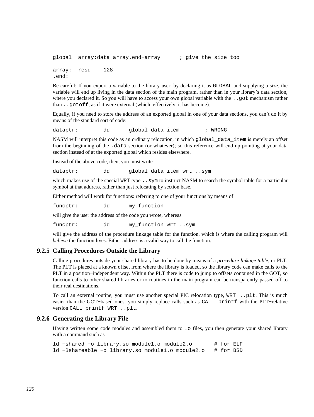```
global array:data array.end−array ; give the size too 
array: resd 128 
.end:
```
Be careful: If you export a variable to the library user, by declaring it as GLOBAL and supplying a size, the variable will end up living in the data section of the main program, rather than in your library's data section, where you declared it. So you will have to access your own global variable with the ..got mechanism rather than ..gotoff, as if it were external (which, effectively, it has become).

Equally, if you need to store the address of an exported global in one of your data sections, you can't do it by means of the standard sort of code:

dataptr: dd global\_data\_item ; WRONG

NASM will interpret this code as an ordinary relocation, in which global\_data\_item is merely an offset from the beginning of the .data section (or whatever); so this reference will end up pointing at your data section instead of at the exported global which resides elsewhere.

Instead of the above code, then, you must write

dataptr: dd global data item wrt ..sym

which makes use of the special WRT type . . sym to instruct NASM to search the symbol table for a particular symbol at that address, rather than just relocating by section base.

Either method will work for functions: referring to one of your functions by means of

funcptr: dd my function

will give the user the address of the code you wrote, whereas

funcptr: dd my\_function wrt ..sym

will give the address of the procedure linkage table for the function, which is where the calling program will *believe* the function lives. Either address is a valid way to call the function.

#### **9.2.5 Calling Procedures Outside the Library**

Calling procedures outside your shared library has to be done by means of a *procedure linkage table*, or PLT. The PLT is placed at a known offset from where the library is loaded, so the library code can make calls to the PLT in a position−independent way. Within the PLT there is code to jump to offsets contained in the GOT, so function calls to other shared libraries or to routines in the main program can be transparently passed off to their real destinations.

To call an external routine, you must use another special PIC relocation type, WRT ..plt. This is much easier than the GOT−based ones: you simply replace calls such as CALL printf with the PLT−relative version CALL printf WRT ..plt.

#### **9.2.6 Generating the Library File**

Having written some code modules and assembled them to . o files, you then generate your shared library with a command such as

ld −shared −o library.so module1.o module2.o # for ELF ld −Bshareable −o library.so module1.o module2.o # for BSD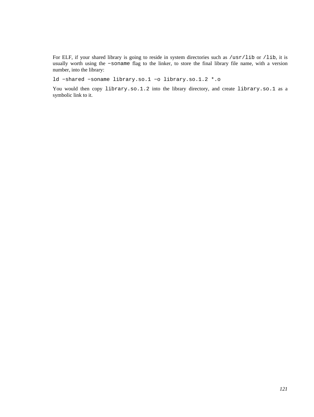For ELF, if your shared library is going to reside in system directories such as /usr/lib or /lib, it is usually worth using the −soname flag to the linker, to store the final library file name, with a version number, into the library:

ld −shared −soname library.so.1 −o library.so.1.2 \*.o

You would then copy library.so.1.2 into the library directory, and create library.so.1 as a symbolic link to it.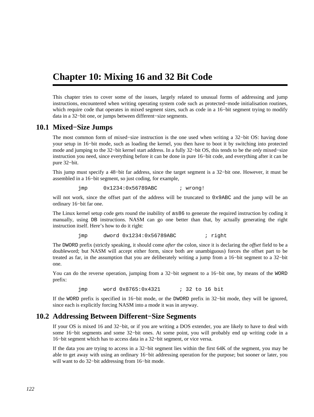# **Chapter 10: Mixing 16 and 32 Bit Code**

This chapter tries to cover some of the issues, largely related to unusual forms of addressing and jump instructions, encountered when writing operating system code such as protected−mode initialisation routines, which require code that operates in mixed segment sizes, such as code in a 16−bit segment trying to modify data in a 32−bit one, or jumps between different−size segments.

# **10.1 Mixed−Size Jumps**

<span id="page-121-0"></span>The most common form of mixed–size instruction is the one used when writing a 32–bit OS: having done your setup in 16−bit mode, such as loading the kernel, you then have to boot it by switching into protected mode and jumping to the 32−bit kernel start address. In a fully 32−bit OS, this tends to be the *only* mixed−size instruction you need, since everything before it can be done in pure 16−bit code, and everything after it can be pure 32−bit.

This jump must specify a 48−bit far address, since the target segment is a 32−bit one. However, it must be assembled in a 16−bit segment, so just coding, for example,

jmp 0x1234:0x56789ABC ; wrong!

will not work, since the offset part of the address will be truncated to  $0x9ABC$  and the jump will be an ordinary 16−bit far one.

The Linux kernel setup code gets round the inability of as86 to generate the required instruction by coding it manually, using DB instructions. NASM can go one better than that, by actually generating the right instruction itself. Here's how to do it right:

jmp dword 0x1234:0x56789ABC ; right

The DWORD prefix (strictly speaking, it should come *after* the colon, since it is declaring the *offset* field to be a doubleword; but NASM will accept either form, since both are unambiguous) forces the offset part to be treated as far, in the assumption that you are deliberately writing a jump from a 16−bit segment to a 32−bit one.

You can do the reverse operation, jumping from a 32−bit segment to a 16−bit one, by means of the WORD prefix:

jmp word 0x8765:0x4321 ; 32 to 16 bit

If the WORD prefix is specified in 16−bit mode, or the DWORD prefix in 32−bit mode, they will be ignored, since each is explicitly forcing NASM into a mode it was in anyway.

# **10.2 Addressing Between Different−Size Segments**

If your OS is mixed 16 and 32−bit, or if you are writing a DOS extender, you are likely to have to deal with some 16−bit segments and some 32−bit ones. At some point, you will probably end up writing code in a 16−bit segment which has to access data in a 32−bit segment, or vice versa.

If the data you are trying to access in a 32−bit segment lies within the first 64K of the segment, you may be able to get away with using an ordinary 16−bit addressing operation for the purpose; but sooner or later, you will want to do 32−bit addressing from 16−bit mode.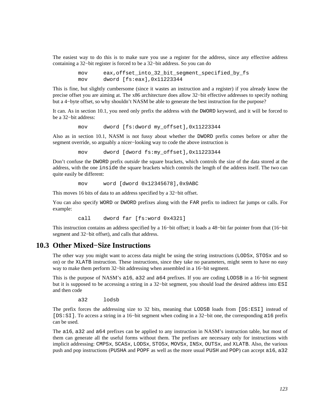The easiest way to do this is to make sure you use a register for the address, since any effective address containing a 32−bit register is forced to be a 32−bit address. So you can do

> mov eax,offset\_into\_32\_bit\_segment\_specified\_by\_fs mov dword [fs:eax],0x11223344

This is fine, but slightly cumbersome (since it wastes an instruction and a register) if you already know the precise offset you are aiming at. The x86 architecture does allow 32−bit effective addresses to specify nothing but a 4−byte offset, so why shouldn't NASM be able to generate the best instruction for the purpose?

It can. As in [section 10.1,](#page-121-0) you need only prefix the address with the DWORD keyword, and it will be forced to be a 32−bit address:

mov dword [fs:dword my\_offset],0x11223344

Also as in [section 10.1,](#page-121-0) NASM is not fussy about whether the DWORD prefix comes before or after the segment override, so arguably a nicer−looking way to code the above instruction is

mov dword [dword fs:my\_offset],0x11223344

Don't confuse the DWORD prefix *outside* the square brackets, which controls the size of the data stored at the address, with the one inside the square brackets which controls the length of the address itself. The two can quite easily be different:

mov word [dword 0x12345678],0x9ABC

This moves 16 bits of data to an address specified by a 32−bit offset.

You can also specify WORD or DWORD prefixes along with the FAR prefix to indirect far jumps or calls. For example:

call dword far [fs:word 0x4321]

This instruction contains an address specified by a 16−bit offset; it loads a 48−bit far pointer from that (16−bit segment and 32−bit offset), and calls that address.

## **10.3 Other Mixed−Size Instructions**

The other way you might want to access data might be using the string instructions (LODSx, STOSx and so on) or the XLATB instruction. These instructions, since they take no parameters, might seem to have no easy way to make them perform 32−bit addressing when assembled in a 16−bit segment.

This is the purpose of NASM's a16, a32 and a64 prefixes. If you are coding LODSB in a 16−bit segment but it is supposed to be accessing a string in a 32−bit segment, you should load the desired address into ESI and then code

a32 lodsb

The prefix forces the addressing size to 32 bits, meaning that LODSB loads from [DS:ESI] instead of [DS:SI]. To access a string in a 16−bit segment when coding in a 32−bit one, the corresponding a16 prefix can be used.

The a16, a32 and a64 prefixes can be applied to any instruction in NASM's instruction table, but most of them can generate all the useful forms without them. The prefixes are necessary only for instructions with implicit addressing: CMPSx, SCASx, LODSx, STOSx, MOVSx, INSx, OUTSx, and XLATB. Also, the various push and pop instructions (PUSHA and POPF as well as the more usual PUSH and POP) can accept a16, a32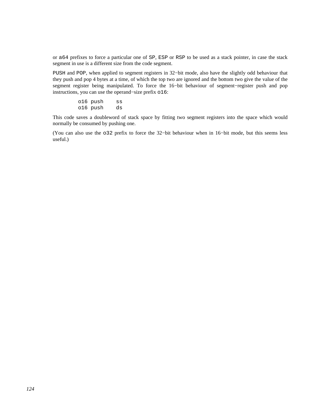or a64 prefixes to force a particular one of SP, ESP or RSP to be used as a stack pointer, in case the stack segment in use is a different size from the code segment.

PUSH and POP, when applied to segment registers in 32−bit mode, also have the slightly odd behaviour that they push and pop 4 bytes at a time, of which the top two are ignored and the bottom two give the value of the segment register being manipulated. To force the 16−bit behaviour of segment−register push and pop instructions, you can use the operand−size prefix o16:

> o16 push ss o16 push ds

This code saves a doubleword of stack space by fitting two segment registers into the space which would normally be consumed by pushing one.

(You can also use the o32 prefix to force the 32−bit behaviour when in 16−bit mode, but this seems less useful.)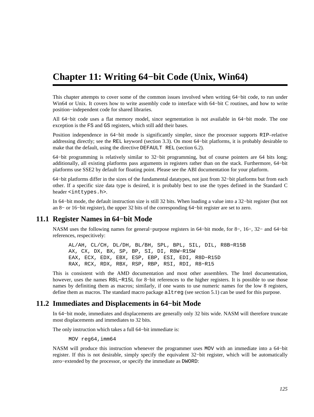# **Chapter 11: Writing 64−bit Code (Unix, Win64)**

This chapter attempts to cover some of the common issues involved when writing 64−bit code, to run under Win64 or Unix. It covers how to write assembly code to interface with 64−bit C routines, and how to write position−independent code for shared libraries.

All 64−bit code uses a flat memory model, since segmentation is not available in 64−bit mode. The one exception is the FS and GS registers, which still add their bases.

Position independence in 64−bit mode is significantly simpler, since the processor supports RIP–relative addressing directly; see the REL keyword [\(section 3.3\)](#page-31-0). On most 64−bit platforms, it is probably desirable to make that the default, using the directive DEFAULT REL [\(section 6.2\)](#page-76-0).

64−bit programming is relatively similar to 32−bit programming, but of course pointers are 64 bits long; additionally, all existing platforms pass arguments in registers rather than on the stack. Furthermore, 64−bit platforms use SSE2 by default for floating point. Please see the ABI documentation for your platform.

64−bit platforms differ in the sizes of the fundamental datatypes, not just from 32−bit platforms but from each other. If a specific size data type is desired, it is probably best to use the types defined in the Standard C header <inttypes.h>.

In 64−bit mode, the default instruction size is still 32 bits. When loading a value into a 32−bit register (but not an 8− or 16−bit register), the upper 32 bits of the corresponding 64−bit register are set to zero.

## **11.1 Register Names in 64−bit Mode**

NASM uses the following names for general−purpose registers in 64−bit mode, for 8−, 16−, 32− and 64−bit references, respecitively:

 AL/AH, CL/CH, DL/DH, BL/BH, SPL, BPL, SIL, DIL, R8B−R15B AX, CX, DX, BX, SP, BP, SI, DI, R8W−R15W EAX, ECX, EDX, EBX, ESP, EBP, ESI, EDI, R8D−R15D RAX, RCX, RDX, RBX, RSP, RBP, RSI, RDI, R8−R15

This is consistent with the AMD documentation and most other assemblers. The Intel documentation, however, uses the names R8L−R15L for 8−bit references to the higher registers. It is possible to use those names by definiting them as macros; similarly, if one wants to use numeric names for the low 8 registers, define them as macros. The standard macro package altreg (see [section 5.1](#page-73-0)) can be used for this purpose.

# **11.2 Immediates and Displacements in 64−bit Mode**

In 64−bit mode, immediates and displacements are generally only 32 bits wide. NASM will therefore truncate most displacements and immediates to 32 bits.

The only instruction which takes a full 64−bit immediate is:

MOV reg64,imm64

NASM will produce this instruction whenever the programmer uses MOV with an immediate into a 64−bit register. If this is not desirable, simply specify the equivalent 32−bit register, which will be automatically zero−extended by the processor, or specify the immediate as DWORD: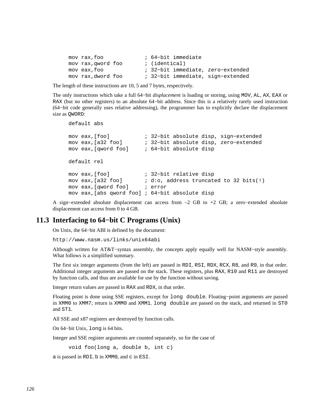| mov rax, foo       | ; 64-bit immediate                |
|--------------------|-----------------------------------|
| mov rax, qword foo | ; (identical)                     |
| mov eax.foo        | ; 32-bit immediate, zero-extended |
| mov rax, dword foo | ; 32-bit immediate, sign-extended |

The length of these instructions are 10, 5 and 7 bytes, respectively.

The only instructions which take a full 64−bit *displacement* is loading or storing, using MOV, AL, AX, EAX or RAX (but no other registers) to an absolute 64−bit address. Since this is a relatively rarely used instruction (64−bit code generally uses relative addressing), the programmer has to explicitly declare the displacement size as OWORD:

```
 default abs
```

```
 mov eax,[foo] ; 32−bit absolute disp, sign−extended 
 mov eax,[a32 foo] ; 32−bit absolute disp, zero−extended 
 mov eax,[qword foo] ; 64−bit absolute disp 
 default rel 
 mov eax,[foo] ; 32−bit relative disp 
 mov eax,[a32 foo] ; d:o, address truncated to 32 bits(!) 
 mov eax,[qword foo] ; error 
 mov eax,[abs qword foo] ; 64−bit absolute disp
```
A sign−extended absolute displacement can access from –2 GB to +2 GB; a zero−extended absolute displacement can access from 0 to 4 GB.

## **11.3 Interfacing to 64−bit C Programs (Unix)**

On Unix, the 64−bit ABI is defined by the document:

<http://www.nasm.us/links/unix64abi>

Although written for AT&T−syntax assembly, the concepts apply equally well for NASM−style assembly. What follows is a simplified summary.

The first six integer arguments (from the left) are passed in RDI, RSI, RDX, RCX, R8, and R9, in that order. Additional integer arguments are passed on the stack. These registers, plus RAX, R10 and R11 are destroyed by function calls, and thus are available for use by the function without saving.

Integer return values are passed in RAX and RDX, in that order.

Floating point is done using SSE registers, except for long double. Floating−point arguments are passed in XMM0 to XMM7; return is XMM0 and XMM1. long double are passed on the stack, and returned in ST0 and ST1.

All SSE and x87 registers are destroyed by function calls.

On 64−bit Unix, long is 64 bits.

Integer and SSE register arguments are counted separately, so for the case of

void foo(long a, double b, int c)

a is passed in RDI, b in XMM0, and c in ESI.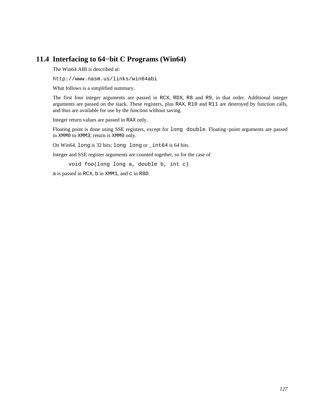# **11.4 Interfacing to 64−bit C Programs (Win64)**

The Win64 ABI is described at:

<http://www.nasm.us/links/win64abi>

What follows is a simplified summary.

The first four integer arguments are passed in RCX, RDX, R8 and R9, in that order. Additional integer arguments are passed on the stack. These registers, plus RAX, R10 and R11 are destroyed by function calls, and thus are available for use by the function without saving.

Integer return values are passed in RAX only.

Floating point is done using SSE registers, except for long double. Floating−point arguments are passed in XMM0 to XMM3; return is XMM0 only.

On Win64, long is 32 bits; long long or \_int64 is 64 bits.

Integer and SSE register arguments are counted together, so for the case of

void foo(long long a, double b, int c)

a is passed in RCX, b in XMM1, and c in R8D.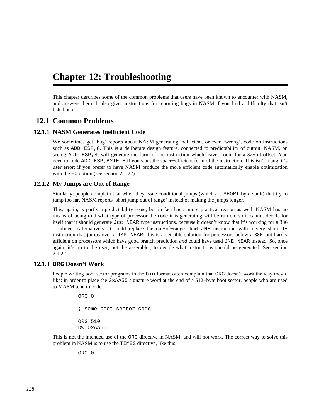# **Chapter 12: Troubleshooting**

This chapter describes some of the common problems that users have been known to encounter with NASM, and answers them. It also gives instructions for reporting bugs in NASM if you find a difficulty that isn't listed here.

# **12.1 Common Problems**

## **12.1.1 NASM Generates Inefficient Code**

<span id="page-127-0"></span>We sometimes get 'bug' reports about NASM generating inefficient, or even 'wrong', code on instructions such as ADD ESP, 8. This is a deliberate design feature, connected to predictability of output: NASM, on seeing ADD ESP, 8, will generate the form of the instruction which leaves room for a 32–bit offset. You need to code ADD ESP, BYTE 8 if you want the space–efficient form of the instruction. This isn't a bug, it's user error: if you prefer to have NASM produce the more efficient code automatically enable optimization with the −O option (see [section 2.1.22\)](#page-23-0).

## **12.1.2 My Jumps are Out of Range**

Similarly, people complain that when they issue conditional jumps (which are SHORT by default) that try to jump too far, NASM reports 'short jump out of range' instead of making the jumps longer.

This, again, is partly a predictability issue, but in fact has a more practical reason as well. NASM has no means of being told what type of processor the code it is generating will be run on; so it cannot decide for itself that it should generate Jcc NEAR type instructions, because it doesn't know that it's working for a 386 or above. Alternatively, it could replace the out−of−range short JNE instruction with a very short JE instruction that jumps over a JMP NEAR; this is a sensible solution for processors below a 386, but hardly efficient on processors which have good branch prediction *and* could have used JNE NEAR instead. So, once again, it's up to the user, not the assembler, to decide what instructions should be generated. See [section](#page-23-0) [2.1.22.](#page-23-0)

### **12.1.3 ORG Doesn't Work**

People writing boot sector programs in the bin format often complain that ORG doesn't work the way they'd like: in order to place the 0xAA55 signature word at the end of a 512−byte boot sector, people who are used to MASM tend to code

> ORG 0 ; some boot sector code ORG 510 DW 0xAA55

This is not the intended use of the ORG directive in NASM, and will not work. The correct way to solve this problem in NASM is to use the TIMES directive, like this:

ORG 0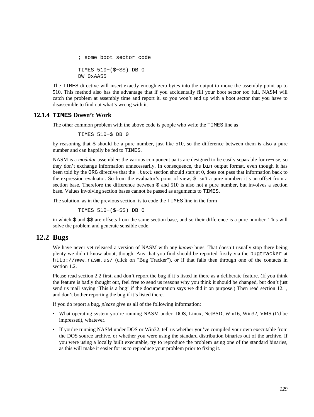```
 ; some boot sector code 
 TIMES 510−($−$$) DB 0 
 DW 0xAA55
```
The TIMES directive will insert exactly enough zero bytes into the output to move the assembly point up to 510. This method also has the advantage that if you accidentally fill your boot sector too full, NASM will catch the problem at assembly time and report it, so you won't end up with a boot sector that you have to disassemble to find out what's wrong with it.

#### **12.1.4 TIMES Doesn't Work**

The other common problem with the above code is people who write the TIMES line as

TIMES 510−\$ DB 0

by reasoning that \$ should be a pure number, just like 510, so the difference between them is also a pure number and can happily be fed to TIMES.

NASM is a *modular* assembler: the various component parts are designed to be easily separable for re−use, so they don't exchange information unnecessarily. In consequence, the bin output format, even though it has been told by the ORG directive that the .text section should start at 0, does not pass that information back to the expression evaluator. So from the evaluator's point of view, \$ isn't a pure number: it's an offset from a section base. Therefore the difference between  $\frac{1}{5}$  and 510 is also not a pure number, but involves a section base. Values involving section bases cannot be passed as arguments to TIMES.

The solution, as in the previous section, is to code the TIMES line in the form

TIMES 510−(\$−\$\$) DB 0

in which  $\frac{2}{3}$  and  $\frac{2}{3}$  are offsets from the same section base, and so their difference is a pure number. This will solve the problem and generate sensible code.

# **12.2 Bugs**

We have never yet released a version of NASM with any *known* bugs. That doesn't usually stop there being plenty we didn't know about, though. Any that you find should be reported firstly via the bugtracker at <http://www.nasm.us/> (click on "Bug Tracker"), or if that fails then through one of the contacts in [section 1.2.](#page-16-0)

Please read [section 2.2](#page-25-1) first, and don't report the bug if it's listed in there as a deliberate feature. (If you think the feature is badly thought out, feel free to send us reasons why you think it should be changed, but don't just send us mail saying 'This is a bug' if the documentation says we did it on purpose.) Then read [section 12.1](#page-127-0), and don't bother reporting the bug if it's listed there.

If you do report a bug, *please* give us all of the following information:

- What operating system you're running NASM under. DOS, Linux, NetBSD, Win16, Win32, VMS (I'd be impressed), whatever.
- If you're running NASM under DOS or Win32, tell us whether you've compiled your own executable from the DOS source archive, or whether you were using the standard distribution binaries out of the archive. If you were using a locally built executable, try to reproduce the problem using one of the standard binaries, as this will make it easier for us to reproduce your problem prior to fixing it.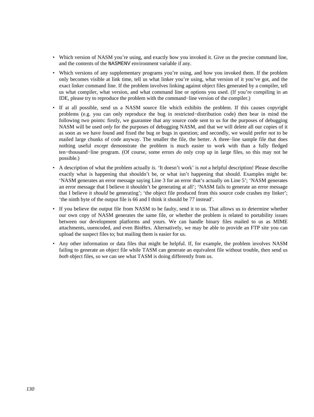- Which version of NASM you're using, and exactly how you invoked it. Give us the precise command line, and the contents of the NASMENV environment variable if any.
- Which versions of any supplementary programs you're using, and how you invoked them. If the problem only becomes visible at link time, tell us what linker you're using, what version of it you've got, and the exact linker command line. If the problem involves linking against object files generated by a compiler, tell us what compiler, what version, and what command line or options you used. (If you're compiling in an IDE, please try to reproduce the problem with the command−line version of the compiler.)
- If at all possible, send us a NASM source file which exhibits the problem. If this causes copyright problems (e.g. you can only reproduce the bug in restricted−distribution code) then bear in mind the following two points: firstly, we guarantee that any source code sent to us for the purposes of debugging NASM will be used *only* for the purposes of debugging NASM, and that we will delete all our copies of it as soon as we have found and fixed the bug or bugs in question; and secondly, we would prefer *not* to be mailed large chunks of code anyway. The smaller the file, the better. A three−line sample file that does nothing useful *except* demonstrate the problem is much easier to work with than a fully fledged ten−thousand−line program. (Of course, some errors *do* only crop up in large files, so this may not be possible.)
- A description of what the problem actually *is*. 'It doesn't work' is *not* a helpful description! Please describe exactly what is happening that shouldn't be, or what isn't happening that should. Examples might be: 'NASM generates an error message saying Line 3 for an error that's actually on Line 5'; 'NASM generates an error message that I believe it shouldn't be generating at all'; 'NASM fails to generate an error message that I believe it *should* be generating'; 'the object file produced from this source code crashes my linker'; 'the ninth byte of the output file is 66 and I think it should be 77 instead'.
- If you believe the output file from NASM to be faulty, send it to us. That allows us to determine whether our own copy of NASM generates the same file, or whether the problem is related to portability issues between our development platforms and yours. We can handle binary files mailed to us as MIME attachments, uuencoded, and even BinHex. Alternatively, we may be able to provide an FTP site you can upload the suspect files to; but mailing them is easier for us.
- Any other information or data files that might be helpful. If, for example, the problem involves NASM failing to generate an object file while TASM can generate an equivalent file without trouble, then send us *both* object files, so we can see what TASM is doing differently from us.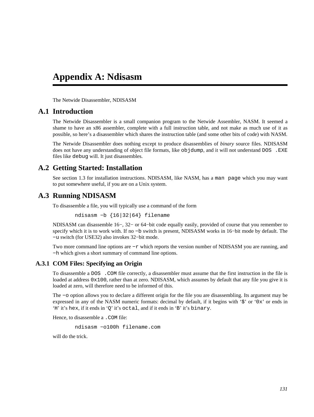# **Appendix A: Ndisasm**

The Netwide Disassembler, NDISASM

# **A.1 Introduction**

The Netwide Disassembler is a small companion program to the Netwide Assembler, NASM. It seemed a shame to have an x86 assembler, complete with a full instruction table, and not make as much use of it as possible, so here's a disassembler which shares the instruction table (and some other bits of code) with NASM.

The Netwide Disassembler does nothing except to produce disassemblies of *binary* source files. NDISASM does not have any understanding of object file formats, like objdump, and it will not understand DOS . EXE files like debug will. It just disassembles.

# **A.2 Getting Started: Installation**

See [section 1.3](#page-16-1) for installation instructions. NDISASM, like NASM, has a man page which you may want to put somewhere useful, if you are on a Unix system.

# **A.3 Running NDISASM**

To disassemble a file, you will typically use a command of the form

ndisasm −b {16|32|64} filename

NDISASM can disassemble 16−, 32− or 64−bit code equally easily, provided of course that you remember to specify which it is to work with. If no –b switch is present, NDISASM works in 16–bit mode by default. The −u switch (for USE32) also invokes 32−bit mode.

Two more command line options are −r which reports the version number of NDISASM you are running, and −h which gives a short summary of command line options.

#### **A.3.1 COM Files: Specifying an Origin**

To disassemble a DOS .COM file correctly, a disassembler must assume that the first instruction in the file is loaded at address  $0x100$ , rather than at zero. NDISASM, which assumes by default that any file you give it is loaded at zero, will therefore need to be informed of this.

The −o option allows you to declare a different origin for the file you are disassembling. Its argument may be expressed in any of the NASM numeric formats: decimal by default, if it begins with '\$' or '0x' or ends in 'H' it's hex, if it ends in 'Q' it's octal, and if it ends in 'B' it's binary.

Hence, to disassemble a . COM file:

ndisasm −o100h filename.com

will do the trick.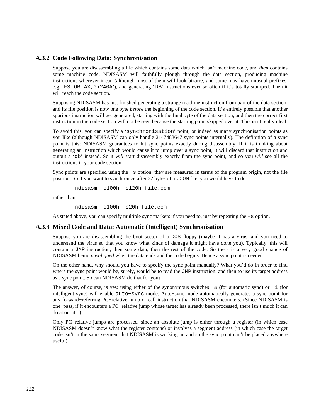#### **A.3.2 Code Following Data: Synchronisation**

Suppose you are disassembling a file which contains some data which isn't machine code, and *then* contains some machine code. NDISASM will faithfully plough through the data section, producing machine instructions wherever it can (although most of them will look bizarre, and some may have unusual prefixes, e.g. 'FS OR AX,0x240A'), and generating 'DB' instructions ever so often if it's totally stumped. Then it will reach the code section.

Supposing NDISASM has just finished generating a strange machine instruction from part of the data section, and its file position is now one byte *before* the beginning of the code section. It's entirely possible that another spurious instruction will get generated, starting with the final byte of the data section, and then the correct first instruction in the code section will not be seen because the starting point skipped over it. This isn't really ideal.

To avoid this, you can specify a 'synchronisation' point, or indeed as many synchronisation points as you like (although NDISASM can only handle 2147483647 sync points internally). The definition of a sync point is this: NDISASM guarantees to hit sync points exactly during disassembly. If it is thinking about generating an instruction which would cause it to jump over a sync point, it will discard that instruction and output a 'db' instead. So it *will* start disassembly exactly from the sync point, and so you *will* see all the instructions in your code section.

Sync points are specified using the −s option: they are measured in terms of the program origin, not the file position. So if you want to synchronize after 32 bytes of a .COM file, you would have to do

ndisasm −o100h −s120h file.com

rather than

ndisasm −o100h −s20h file.com

As stated above, you can specify multiple sync markers if you need to, just by repeating the −s option.

#### **A.3.3 Mixed Code and Data: Automatic (Intelligent) Synchronisation**

Suppose you are disassembling the boot sector of a DOS floppy (maybe it has a virus, and you need to understand the virus so that you know what kinds of damage it might have done you). Typically, this will contain a JMP instruction, then some data, then the rest of the code. So there is a very good chance of NDISASM being *misaligned* when the data ends and the code begins. Hence a sync point is needed.

On the other hand, why should you have to specify the sync point manually? What you'd do in order to find where the sync point would be, surely, would be to read the JMP instruction, and then to use its target address as a sync point. So can NDISASM do that for you?

The answer, of course, is yes: using either of the synonymous switches −a (for automatic sync) or −i (for intelligent sync) will enable auto−sync mode. Auto−sync mode automatically generates a sync point for any forward−referring PC−relative jump or call instruction that NDISASM encounters. (Since NDISASM is one−pass, if it encounters a PC−relative jump whose target has already been processed, there isn't much it can do about it...)

Only PC−relative jumps are processed, since an absolute jump is either through a register (in which case NDISASM doesn't know what the register contains) or involves a segment address (in which case the target code isn't in the same segment that NDISASM is working in, and so the sync point can't be placed anywhere useful).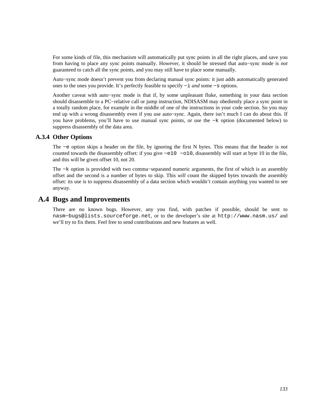For some kinds of file, this mechanism will automatically put sync points in all the right places, and save you from having to place any sync points manually. However, it should be stressed that auto−sync mode is *not* guaranteed to catch all the sync points, and you may still have to place some manually.

Auto−sync mode doesn't prevent you from declaring manual sync points: it just adds automatically generated ones to the ones you provide. It's perfectly feasible to specify −i *and* some −s options.

Another caveat with auto−sync mode is that if, by some unpleasant fluke, something in your data section should disassemble to a PC−relative call or jump instruction, NDISASM may obediently place a sync point in a totally random place, for example in the middle of one of the instructions in your code section. So you may end up with a wrong disassembly even if you use auto−sync. Again, there isn't much I can do about this. If you have problems, you'll have to use manual sync points, or use the −k option (documented below) to suppress disassembly of the data area.

### **A.3.4 Other Options**

The −e option skips a header on the file, by ignoring the first N bytes. This means that the header is *not* counted towards the disassembly offset: if you give −e10 −o10, disassembly will start at byte 10 in the file, and this will be given offset 10, not 20.

The −k option is provided with two comma–separated numeric arguments, the first of which is an assembly offset and the second is a number of bytes to skip. This *will* count the skipped bytes towards the assembly offset: its use is to suppress disassembly of a data section which wouldn't contain anything you wanted to see anyway.

# **A.4 Bugs and Improvements**

There are no known bugs. However, any you find, with patches if possible, should be sent to [nasm−bugs@lists.sourceforge.net](mailto:nasm-bugs@lists.sourceforge.net), or to the developer's site at <http://www.nasm.us/> and we'll try to fix them. Feel free to send contributions and new features as well.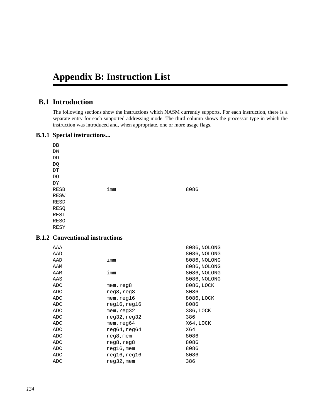# **Appendix B: Instruction List**

# **B.1 Introduction**

The following sections show the instructions which NASM currently supports. For each instruction, there is a separate entry for each supported addressing mode. The third column shows the processor type in which the instruction was introduced and, when appropriate, one or more usage flags.

### **B.1.1 Special instructions...**

| DB   |     |      |
|------|-----|------|
| DW   |     |      |
| DD   |     |      |
| DQ   |     |      |
| DΤ   |     |      |
| DO   |     |      |
| DY   |     |      |
| RESB | imm | 8086 |
| RESW |     |      |
| RESD |     |      |
| RESQ |     |      |
| REST |     |      |
| RESO |     |      |
| RESY |     |      |
|      |     |      |

# **B.1.2 Conventional instructions**

| AAA |                       | 8086, NOLONG |
|-----|-----------------------|--------------|
| AAD |                       | 8086, NOLONG |
| AAD | imm                   | 8086, NOLONG |
| AAM |                       | 8086, NOLONG |
| AAM | imm                   | 8086, NOLONG |
| AAS |                       | 8086, NOLONG |
| ADC | mem,reg8              | 8086, LOCK   |
| ADC | reg8,reg8             | 8086         |
| ADC | mem, <sub>req16</sub> | 8086, LOCK   |
| ADC | reg16,reg16           | 8086         |
| ADC | mem, reg32            | 386, LOCK    |
| ADC | reg32,reg32           | 386          |
| ADC | mem,reg64             | X64,LOCK     |
| ADC | $r$ eq64,req64        | X64          |
| ADC | reg8, mem             | 8086         |
| ADC | reg8,reg8             | 8086         |
| ADC | reg16,mem             | 8086         |
| ADC | reg16,reg16           | 8086         |
| ADC | reg32, mem            | 386          |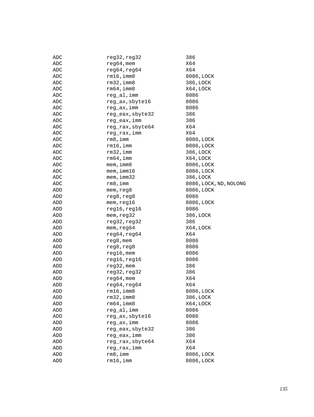| X64<br>ADC<br>reg64, reg64<br>X64<br>ADC<br>$rm16$ , imm $8$<br>ADC<br>8086, LOCK<br>rm32, imm8<br>386, LOCK<br>ADC<br>$rm 64$ , imm $8$<br>X64, LOCK<br>ADC<br>reg_al, imm<br>ADC<br>8086<br>reg_ax, sbyte16<br>ADC<br>8086<br>reg_ax, imm<br>ADC<br>8086<br>reg_eax, sbyte32<br>386<br>ADC<br>reg_eax, imm<br>386<br>ADC<br>X64<br>reg_rax, sbyte64<br>ADC<br>reg_rax, imm<br>X64<br>ADC<br>rm 8, imm<br>ADC<br>8086, LOCK<br>$rm16$ , imm<br>8086, LOCK<br>ADC<br>rm32, imm<br>386, LOCK<br>ADC<br>rm64, imm<br>X64, LOCK<br>ADC<br>mem, imm8<br>8086, LOCK<br>ADC<br>mem, imm16<br>8086, LOCK<br>ADC<br>mem, imm32<br>386, LOCK<br>ADC<br>$rm8$ , imm<br>ADC<br>8086, LOCK, ND, NOLONG<br>mem, reg8<br>8086, LOCK<br>ADD<br>reg8, reg8<br>8086<br>ADD<br>mem, reg16<br>8086, LOCK<br>ADD<br>reg16, reg16<br>8086<br>ADD<br>mem, reg32<br>386, LOCK<br>ADD<br>reg32, reg32<br>386<br>ADD<br>mem, reg64<br>X64, LOCK<br>ADD<br>reg64, reg64<br>X64<br>ADD<br>ADD<br>reg8, mem<br>8086<br>reg8, reg8<br>8086<br>ADD<br>$reg16$ , mem<br>ADD<br>8086<br>reg16, reg16<br>8086<br>ADD<br>reg32, mem<br>386<br>ADD<br>reg32, reg32<br>386<br>ADD<br>$reg64$ , mem<br>X64<br>ADD<br>reg64, reg64<br>X64<br>ADD<br>$rm16$ , imm $8$<br>8086, LOCK<br>ADD<br>$rm32$ , imm $8$<br>386, LOCK<br>ADD<br>$rm64$ , imm $8$<br>X64, LOCK<br>ADD<br>reg_al, imm<br>8086<br>ADD<br>reg_ax, sbyte16<br>8086<br>ADD<br>reg_ax, imm<br>8086<br>ADD<br>reg_eax, sbyte32<br>386<br>ADD<br>reg_eax, imm<br>386<br>ADD<br>X64<br>reg_rax, sbyte64<br>ADD<br>X64<br>reg_rax, imm<br>ADD<br>rm 8, imm<br>8086, LOCK<br>ADD<br>rm16, imm<br>8086, LOCK<br>ADD | ADC | reg32, reg32  | 386 |
|---------------------------------------------------------------------------------------------------------------------------------------------------------------------------------------------------------------------------------------------------------------------------------------------------------------------------------------------------------------------------------------------------------------------------------------------------------------------------------------------------------------------------------------------------------------------------------------------------------------------------------------------------------------------------------------------------------------------------------------------------------------------------------------------------------------------------------------------------------------------------------------------------------------------------------------------------------------------------------------------------------------------------------------------------------------------------------------------------------------------------------------------------------------------------------------------------------------------------------------------------------------------------------------------------------------------------------------------------------------------------------------------------------------------------------------------------------------------------------------------------------------------------------------------------------------------------------------------------------------------------------------|-----|---------------|-----|
|                                                                                                                                                                                                                                                                                                                                                                                                                                                                                                                                                                                                                                                                                                                                                                                                                                                                                                                                                                                                                                                                                                                                                                                                                                                                                                                                                                                                                                                                                                                                                                                                                                       |     | $reg64$ , mem |     |
|                                                                                                                                                                                                                                                                                                                                                                                                                                                                                                                                                                                                                                                                                                                                                                                                                                                                                                                                                                                                                                                                                                                                                                                                                                                                                                                                                                                                                                                                                                                                                                                                                                       |     |               |     |
|                                                                                                                                                                                                                                                                                                                                                                                                                                                                                                                                                                                                                                                                                                                                                                                                                                                                                                                                                                                                                                                                                                                                                                                                                                                                                                                                                                                                                                                                                                                                                                                                                                       |     |               |     |
|                                                                                                                                                                                                                                                                                                                                                                                                                                                                                                                                                                                                                                                                                                                                                                                                                                                                                                                                                                                                                                                                                                                                                                                                                                                                                                                                                                                                                                                                                                                                                                                                                                       |     |               |     |
|                                                                                                                                                                                                                                                                                                                                                                                                                                                                                                                                                                                                                                                                                                                                                                                                                                                                                                                                                                                                                                                                                                                                                                                                                                                                                                                                                                                                                                                                                                                                                                                                                                       |     |               |     |
|                                                                                                                                                                                                                                                                                                                                                                                                                                                                                                                                                                                                                                                                                                                                                                                                                                                                                                                                                                                                                                                                                                                                                                                                                                                                                                                                                                                                                                                                                                                                                                                                                                       |     |               |     |
|                                                                                                                                                                                                                                                                                                                                                                                                                                                                                                                                                                                                                                                                                                                                                                                                                                                                                                                                                                                                                                                                                                                                                                                                                                                                                                                                                                                                                                                                                                                                                                                                                                       |     |               |     |
|                                                                                                                                                                                                                                                                                                                                                                                                                                                                                                                                                                                                                                                                                                                                                                                                                                                                                                                                                                                                                                                                                                                                                                                                                                                                                                                                                                                                                                                                                                                                                                                                                                       |     |               |     |
|                                                                                                                                                                                                                                                                                                                                                                                                                                                                                                                                                                                                                                                                                                                                                                                                                                                                                                                                                                                                                                                                                                                                                                                                                                                                                                                                                                                                                                                                                                                                                                                                                                       |     |               |     |
|                                                                                                                                                                                                                                                                                                                                                                                                                                                                                                                                                                                                                                                                                                                                                                                                                                                                                                                                                                                                                                                                                                                                                                                                                                                                                                                                                                                                                                                                                                                                                                                                                                       |     |               |     |
|                                                                                                                                                                                                                                                                                                                                                                                                                                                                                                                                                                                                                                                                                                                                                                                                                                                                                                                                                                                                                                                                                                                                                                                                                                                                                                                                                                                                                                                                                                                                                                                                                                       |     |               |     |
|                                                                                                                                                                                                                                                                                                                                                                                                                                                                                                                                                                                                                                                                                                                                                                                                                                                                                                                                                                                                                                                                                                                                                                                                                                                                                                                                                                                                                                                                                                                                                                                                                                       |     |               |     |
|                                                                                                                                                                                                                                                                                                                                                                                                                                                                                                                                                                                                                                                                                                                                                                                                                                                                                                                                                                                                                                                                                                                                                                                                                                                                                                                                                                                                                                                                                                                                                                                                                                       |     |               |     |
|                                                                                                                                                                                                                                                                                                                                                                                                                                                                                                                                                                                                                                                                                                                                                                                                                                                                                                                                                                                                                                                                                                                                                                                                                                                                                                                                                                                                                                                                                                                                                                                                                                       |     |               |     |
|                                                                                                                                                                                                                                                                                                                                                                                                                                                                                                                                                                                                                                                                                                                                                                                                                                                                                                                                                                                                                                                                                                                                                                                                                                                                                                                                                                                                                                                                                                                                                                                                                                       |     |               |     |
|                                                                                                                                                                                                                                                                                                                                                                                                                                                                                                                                                                                                                                                                                                                                                                                                                                                                                                                                                                                                                                                                                                                                                                                                                                                                                                                                                                                                                                                                                                                                                                                                                                       |     |               |     |
|                                                                                                                                                                                                                                                                                                                                                                                                                                                                                                                                                                                                                                                                                                                                                                                                                                                                                                                                                                                                                                                                                                                                                                                                                                                                                                                                                                                                                                                                                                                                                                                                                                       |     |               |     |
|                                                                                                                                                                                                                                                                                                                                                                                                                                                                                                                                                                                                                                                                                                                                                                                                                                                                                                                                                                                                                                                                                                                                                                                                                                                                                                                                                                                                                                                                                                                                                                                                                                       |     |               |     |
|                                                                                                                                                                                                                                                                                                                                                                                                                                                                                                                                                                                                                                                                                                                                                                                                                                                                                                                                                                                                                                                                                                                                                                                                                                                                                                                                                                                                                                                                                                                                                                                                                                       |     |               |     |
|                                                                                                                                                                                                                                                                                                                                                                                                                                                                                                                                                                                                                                                                                                                                                                                                                                                                                                                                                                                                                                                                                                                                                                                                                                                                                                                                                                                                                                                                                                                                                                                                                                       |     |               |     |
|                                                                                                                                                                                                                                                                                                                                                                                                                                                                                                                                                                                                                                                                                                                                                                                                                                                                                                                                                                                                                                                                                                                                                                                                                                                                                                                                                                                                                                                                                                                                                                                                                                       |     |               |     |
|                                                                                                                                                                                                                                                                                                                                                                                                                                                                                                                                                                                                                                                                                                                                                                                                                                                                                                                                                                                                                                                                                                                                                                                                                                                                                                                                                                                                                                                                                                                                                                                                                                       |     |               |     |
|                                                                                                                                                                                                                                                                                                                                                                                                                                                                                                                                                                                                                                                                                                                                                                                                                                                                                                                                                                                                                                                                                                                                                                                                                                                                                                                                                                                                                                                                                                                                                                                                                                       |     |               |     |
|                                                                                                                                                                                                                                                                                                                                                                                                                                                                                                                                                                                                                                                                                                                                                                                                                                                                                                                                                                                                                                                                                                                                                                                                                                                                                                                                                                                                                                                                                                                                                                                                                                       |     |               |     |
|                                                                                                                                                                                                                                                                                                                                                                                                                                                                                                                                                                                                                                                                                                                                                                                                                                                                                                                                                                                                                                                                                                                                                                                                                                                                                                                                                                                                                                                                                                                                                                                                                                       |     |               |     |
|                                                                                                                                                                                                                                                                                                                                                                                                                                                                                                                                                                                                                                                                                                                                                                                                                                                                                                                                                                                                                                                                                                                                                                                                                                                                                                                                                                                                                                                                                                                                                                                                                                       |     |               |     |
|                                                                                                                                                                                                                                                                                                                                                                                                                                                                                                                                                                                                                                                                                                                                                                                                                                                                                                                                                                                                                                                                                                                                                                                                                                                                                                                                                                                                                                                                                                                                                                                                                                       |     |               |     |
|                                                                                                                                                                                                                                                                                                                                                                                                                                                                                                                                                                                                                                                                                                                                                                                                                                                                                                                                                                                                                                                                                                                                                                                                                                                                                                                                                                                                                                                                                                                                                                                                                                       |     |               |     |
|                                                                                                                                                                                                                                                                                                                                                                                                                                                                                                                                                                                                                                                                                                                                                                                                                                                                                                                                                                                                                                                                                                                                                                                                                                                                                                                                                                                                                                                                                                                                                                                                                                       |     |               |     |
|                                                                                                                                                                                                                                                                                                                                                                                                                                                                                                                                                                                                                                                                                                                                                                                                                                                                                                                                                                                                                                                                                                                                                                                                                                                                                                                                                                                                                                                                                                                                                                                                                                       |     |               |     |
|                                                                                                                                                                                                                                                                                                                                                                                                                                                                                                                                                                                                                                                                                                                                                                                                                                                                                                                                                                                                                                                                                                                                                                                                                                                                                                                                                                                                                                                                                                                                                                                                                                       |     |               |     |
|                                                                                                                                                                                                                                                                                                                                                                                                                                                                                                                                                                                                                                                                                                                                                                                                                                                                                                                                                                                                                                                                                                                                                                                                                                                                                                                                                                                                                                                                                                                                                                                                                                       |     |               |     |
|                                                                                                                                                                                                                                                                                                                                                                                                                                                                                                                                                                                                                                                                                                                                                                                                                                                                                                                                                                                                                                                                                                                                                                                                                                                                                                                                                                                                                                                                                                                                                                                                                                       |     |               |     |
|                                                                                                                                                                                                                                                                                                                                                                                                                                                                                                                                                                                                                                                                                                                                                                                                                                                                                                                                                                                                                                                                                                                                                                                                                                                                                                                                                                                                                                                                                                                                                                                                                                       |     |               |     |
|                                                                                                                                                                                                                                                                                                                                                                                                                                                                                                                                                                                                                                                                                                                                                                                                                                                                                                                                                                                                                                                                                                                                                                                                                                                                                                                                                                                                                                                                                                                                                                                                                                       |     |               |     |
|                                                                                                                                                                                                                                                                                                                                                                                                                                                                                                                                                                                                                                                                                                                                                                                                                                                                                                                                                                                                                                                                                                                                                                                                                                                                                                                                                                                                                                                                                                                                                                                                                                       |     |               |     |
|                                                                                                                                                                                                                                                                                                                                                                                                                                                                                                                                                                                                                                                                                                                                                                                                                                                                                                                                                                                                                                                                                                                                                                                                                                                                                                                                                                                                                                                                                                                                                                                                                                       |     |               |     |
|                                                                                                                                                                                                                                                                                                                                                                                                                                                                                                                                                                                                                                                                                                                                                                                                                                                                                                                                                                                                                                                                                                                                                                                                                                                                                                                                                                                                                                                                                                                                                                                                                                       |     |               |     |
|                                                                                                                                                                                                                                                                                                                                                                                                                                                                                                                                                                                                                                                                                                                                                                                                                                                                                                                                                                                                                                                                                                                                                                                                                                                                                                                                                                                                                                                                                                                                                                                                                                       |     |               |     |
|                                                                                                                                                                                                                                                                                                                                                                                                                                                                                                                                                                                                                                                                                                                                                                                                                                                                                                                                                                                                                                                                                                                                                                                                                                                                                                                                                                                                                                                                                                                                                                                                                                       |     |               |     |
|                                                                                                                                                                                                                                                                                                                                                                                                                                                                                                                                                                                                                                                                                                                                                                                                                                                                                                                                                                                                                                                                                                                                                                                                                                                                                                                                                                                                                                                                                                                                                                                                                                       |     |               |     |
|                                                                                                                                                                                                                                                                                                                                                                                                                                                                                                                                                                                                                                                                                                                                                                                                                                                                                                                                                                                                                                                                                                                                                                                                                                                                                                                                                                                                                                                                                                                                                                                                                                       |     |               |     |
|                                                                                                                                                                                                                                                                                                                                                                                                                                                                                                                                                                                                                                                                                                                                                                                                                                                                                                                                                                                                                                                                                                                                                                                                                                                                                                                                                                                                                                                                                                                                                                                                                                       |     |               |     |
|                                                                                                                                                                                                                                                                                                                                                                                                                                                                                                                                                                                                                                                                                                                                                                                                                                                                                                                                                                                                                                                                                                                                                                                                                                                                                                                                                                                                                                                                                                                                                                                                                                       |     |               |     |
|                                                                                                                                                                                                                                                                                                                                                                                                                                                                                                                                                                                                                                                                                                                                                                                                                                                                                                                                                                                                                                                                                                                                                                                                                                                                                                                                                                                                                                                                                                                                                                                                                                       |     |               |     |
|                                                                                                                                                                                                                                                                                                                                                                                                                                                                                                                                                                                                                                                                                                                                                                                                                                                                                                                                                                                                                                                                                                                                                                                                                                                                                                                                                                                                                                                                                                                                                                                                                                       |     |               |     |
|                                                                                                                                                                                                                                                                                                                                                                                                                                                                                                                                                                                                                                                                                                                                                                                                                                                                                                                                                                                                                                                                                                                                                                                                                                                                                                                                                                                                                                                                                                                                                                                                                                       |     |               |     |
|                                                                                                                                                                                                                                                                                                                                                                                                                                                                                                                                                                                                                                                                                                                                                                                                                                                                                                                                                                                                                                                                                                                                                                                                                                                                                                                                                                                                                                                                                                                                                                                                                                       |     |               |     |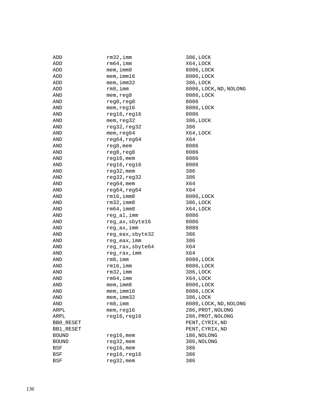| ADD                | $rm32$ , imm     | 386, LOCK              |
|--------------------|------------------|------------------------|
| ADD                | rm64, imm        | X64, LOCK              |
| ADD                | $m$ em, imm $8$  | 8086, LOCK             |
| ADD                | mem, imm16       | 8086, LOCK             |
| ADD                | mem, imm32       | 386, LOCK              |
| ADD                | rm 8, imm        | 8086, LOCK, ND, NOLONG |
| AND                | mem, reg8        | 8086, LOCK             |
| AND                | reg8, reg8       | 8086                   |
| AND                | mem, reg16       | 8086, LOCK             |
| AND                | reg16, reg16     | 8086                   |
| AND                | mem, reg32       | 386, LOCK              |
| AND                | reg32, reg32     | 386                    |
| AND                | mem, reg64       | X64, LOCK              |
| AND                | reg64, reg64     | X64                    |
| AND                | $reg8$ , mem     | 8086                   |
| AND                | reg8, reg8       | 8086                   |
| AND                | $reg16$ , mem    | 8086                   |
| AND                | reg16, reg16     | 8086                   |
| AND                | $reg32$ , mem    | 386                    |
| AND                | reg32, reg32     | 386                    |
| AND                | reg64, mem       | X64                    |
| AND                | reg64, reg64     | X64                    |
| AND                | $rm16$ , imm $8$ | 8086, LOCK             |
| AND                | $rm32$ , imm $8$ | 386, LOCK              |
| AND                | rm64, imm8       | X64, LOCK              |
| AND                | reg_al, imm      | 8086                   |
| AND                | reg_ax, sbyte16  | 8086                   |
| AND                | reg_ax, imm      | 8086                   |
| AND                | reg_eax, sbyte32 | 386                    |
| AND                | reg_eax, imm     | 386                    |
| AND                | reg_rax, sbyte64 | X64                    |
| AND                | reg_rax, imm     | X64                    |
| AND                | rm 8, imm        | 8086, LOCK             |
| AND                | rm16, imm        | 8086, LOCK             |
| AND                | $rm32$ , imm     | 386, LOCK              |
| AND                | rm64, imm        | X64, LOCK              |
| AND                | mem, imm8        | 8086, LOCK             |
| $\mbox{{\sc And}}$ | mem, imm16       | 8086, LOCK             |
| AND                | mem, imm32       | 386, LOCK              |
| AND                | $rm8$ , imm      | 8086, LOCK, ND, NOLONG |
| ARPL               | mem, reg16       | 286, PROT, NOLONG      |
| ARPL               | reg16, reg16     | 286, PROT, NOLONG      |
| BB0_RESET          |                  | PENT, CYRIX, ND        |
| BB1_RESET          |                  | PENT, CYRIX, ND        |
| <b>BOUND</b>       | $reg16$ , mem    | 186, NOLONG            |
| <b>BOUND</b>       | $reg32$ , mem    | 386, NOLONG            |
| BSF                | $reg16$ , mem    | 386                    |
| BSF                | reg16, reg16     | 386                    |
| BSF                | $reg32$ , mem    | 386                    |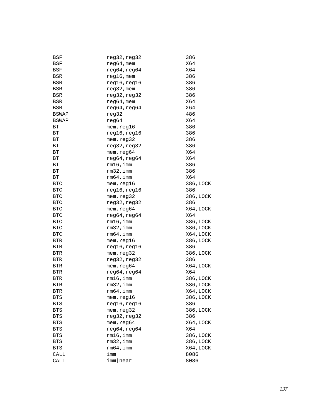| BSF                  | reg32,reg32   | 386                    |
|----------------------|---------------|------------------------|
| BSF                  | $req64$ , mem | X64                    |
| BSF                  | reg64, reg64  | X64                    |
| <b>BSR</b>           | $reg16$ , mem | 386                    |
| <b>BSR</b>           | reg16, reg16  | 386                    |
| <b>BSR</b>           | $reg32$ , mem | 386                    |
| <b>BSR</b>           | reg32, reg32  | 386                    |
| <b>BSR</b>           | $reg64$ , mem | X64                    |
| BSR                  | reg64, reg64  | X64                    |
| BSWAP                | reg32         | 486                    |
| <b>BSWAP</b>         | req64         | X64                    |
| ВT                   | mem, reg16    | 386                    |
| ВT                   | reg16, reg16  | 386                    |
| ВT                   | mem, reg32    | 386                    |
| ВT                   | reg32, reg32  | 386                    |
| ВT                   | mem, reg64    | X64                    |
| ВT                   | reg64, reg64  | X64                    |
| ВT                   | rm16, imm     | 386                    |
| ВT                   | rm32, imm     | 386                    |
| ВT                   | rm64, imm     | X64                    |
| <b>BTC</b>           | mem, reg16    | 386, LOCK              |
| <b>BTC</b>           | reg16, reg16  | 386                    |
| <b>BTC</b>           | mem, reg32    | 386, LOCK              |
| <b>BTC</b>           | reg32, reg32  | 386                    |
| <b>BTC</b>           | mem, reg64    | X64, LOCK              |
| <b>BTC</b>           | reg64, reg64  | X64                    |
| <b>BTC</b>           | rm16, imm     | 386, LOCK              |
| <b>BTC</b>           | $rm32$ , imm  | 386, LOCK              |
| <b>BTC</b>           | rm64, imm     | X64, LOCK              |
| <b>BTR</b>           | mem, reg16    | 386, LOCK              |
| <b>BTR</b>           | reg16, reg16  | 386                    |
| <b>BTR</b>           | mem, reg32    | 386, LOCK              |
| <b>BTR</b>           | reg32, reg32  | 386                    |
| <b>BTR</b>           | mem, reg64    | X64, LOCK              |
| <b>BTR</b>           | reg64, reg64  | X64                    |
| <b>BTR</b>           | rm16, imm     | 386, LOCK              |
| BTR                  | $rm32$ , imm  | 386, LOCK              |
| $\operatorname{BTR}$ | $rm64$ , imm  | X64, LOCK              |
| BTS                  | mem, reg16    | 386, LOCK              |
| BTS                  | reg16, reg16  | 386                    |
| BTS                  | mem, reg32    | 386, LOCK              |
| BTS                  | reg32, reg32  | 386                    |
| BTS                  | mem, reg64    | X64, LOCK              |
|                      | reg64, reg64  | X64                    |
| BTS                  | $rm16$ , imm  |                        |
| BTS<br>$_{\rm BTS}$  | rm32, imm     | 386, LOCK<br>386, LOCK |
|                      | rm64, imm     |                        |
| <b>BTS</b>           | imm           | X64, LOCK              |
| CALL                 |               | 8086                   |
| CALL                 | imm near      | 8086                   |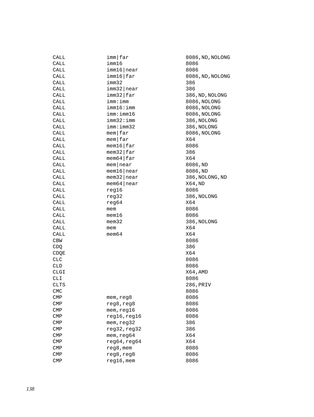| CALL         | $imm$   far                | 8086,  |
|--------------|----------------------------|--------|
| CALL         | imm16                      | 8086   |
| CALL         | imm16 near                 | 8086   |
| CALL         | imm16 far                  | 8086,  |
| CALL         | imm32                      | 386    |
| CALL         | $imm32$   near             | 386    |
| CALL         | imm32 far                  | 386,N  |
| CALL         | imm: imm                   | 8086,  |
| CALL         | imm16:imm                  | 8086,  |
| CALL         | imm:imm16                  | 8086,  |
| CALL         | imm32:imm                  | 386,N  |
| CALL         | imm:imm32                  | 386,N  |
| CALL         | $m$ em $far$               | 8086,  |
| CALL         | $m$ em $far$               | X64    |
| CALL         | $m$ em16 $\frac{1}{2}$ far | 8086   |
| CALL         | $m$ em32   far             | 386    |
| CALL         | $m$ em 64   far            | X64    |
| CALL         | $m$ em   near              | 8086,  |
| CALL         | $m$ em16   near            | 8086,  |
| CALL         | $m$ em32   near            | 386,N  |
| CALL         | $m$ em 64   near           | X64,N  |
| CALL         | reg16                      | 8086   |
| CALL         | reg32                      | 386,N  |
| CALL         | reg64                      | X64    |
| CALL         | mem                        | 8086   |
| CALL         | $m$ em $16$                | 8086   |
| CALL         | $m$ em $32$                | 386,N  |
| CALL         | mem                        | X64    |
| CALL         | $m$ em $64$                | X64    |
| <b>CBW</b>   |                            | 8086   |
| CDQ          |                            | 386    |
| CDQE         |                            | X64    |
| <b>CLC</b>   |                            | 8086   |
| <b>CLD</b>   |                            | 8086   |
| <b>CLGI</b>  |                            | X64, A |
| CLI          |                            | 8086   |
| <b>CLTS</b>  |                            | 286, P |
| <b>CMC</b>   |                            | 8086   |
| $\text{CMP}$ | mem, reg8                  | 8086   |
| $\text{CMP}$ | reg8, reg8                 | 8086   |
| $\text{CMP}$ | mem, reg16                 | 8086   |
| $\text{CMP}$ | reg16, reg16               | 8086   |
| $\text{CMP}$ | mem, reg32                 | 386    |
| CMP          | reg32, reg32               | 386    |
| CMP          | mem, reg64                 | X64    |
| CMP          | reg64, reg64               | X64    |
| CMP          | reg8, mem                  | 8086   |
| CMP          | reg8, reg8                 | 8086   |
| <b>CMP</b>   | $reg16$ , mem              | 8086   |

8086,ND,NOLONG 8086,ND,NOLONG 386,ND,NOLONG 8086,NOLONG 8086,NOLONG 8086,NOLONG 386, NOLONG 386,NOLONG 8086,NOLONG 8086,ND 8086,ND 386,NOLONG,ND X64,ND<br>8086 386,NOLONG 386,NOLONG X64,AMD 286, PRIV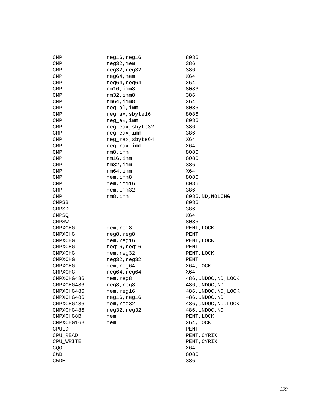| CMP            | reg16, reg16     | 8086                 |
|----------------|------------------|----------------------|
| CMP            | $reg32$ , mem    | 386                  |
| CMP            | reg32, reg32     | 386                  |
| CMP            | $reg64,$ mem     | X64                  |
| CMP            | reg64, reg64     | X64                  |
| CMP            | rm16, imm8       | 8086                 |
| CMP            | $rm32$ , imm $8$ | 386                  |
| CMP            | $rm64$ , imm $8$ | X64                  |
| CMP            | reg_al, imm      | 8086                 |
| CMP            | reg_ax, sbyte16  | 8086                 |
| CMP            | reg_ax, imm      | 8086                 |
| CMP            | reg_eax, sbyte32 | 386                  |
| CMP            | reg_eax, imm     | 386                  |
| CMP            | reg_rax, sbyte64 | X64                  |
| CMP            | reg_rax, imm     | X64                  |
| CMP            | $rm8$ , imm      | 8086                 |
| CMP            | rm16, imm        | 8086                 |
| CMP            | $rm32$ , imm     | 386                  |
| CMP            | rm64, imm        | X64                  |
| CMP            | mem, imm8        | 8086                 |
| <b>CMP</b>     | mem, imm16       | 8086                 |
| <b>CMP</b>     | mem, imm32       | 386                  |
| <b>CMP</b>     | $rm8$ , imm      | 8086, ND, NOLONG     |
| <b>CMPSB</b>   |                  | 8086                 |
| CMPSD          |                  | 386                  |
| CMPSO          |                  | X64                  |
| <b>CMPSW</b>   |                  | 8086                 |
| CMPXCHG        | mem,reg8         | PENT, LOCK           |
| CMPXCHG        | reg8, reg8       | PENT                 |
| <b>CMPXCHG</b> | mem, reg16       | PENT, LOCK           |
| <b>CMPXCHG</b> | reg16, reg16     | PENT                 |
| <b>CMPXCHG</b> | mem, reg32       | PENT, LOCK           |
| CMPXCHG        | reg32, reg32     | PENT                 |
| CMPXCHG        | mem, reg64       | X64, LOCK            |
| <b>CMPXCHG</b> | reg64, reg64     | X64                  |
| CMPXCHG486     | mem, reg8        | 486, UNDOC, ND, LOCK |
| CMPXCHG486     | reg8, reg8       | 486, UNDOC, ND       |
| CMPXCHG486     | mem, reg16       | 486, UNDOC, ND, LOCK |
| CMPXCHG486     | reg16, reg16     | 486, UNDOC, ND       |
| CMPXCHG486     | mem, reg32       | 486, UNDOC, ND, LOCK |
| CMPXCHG486     | reg32, reg32     | 486, UNDOC, ND       |
| CMPXCHG8B      | mem              | PENT, LOCK           |
| CMPXCHG16B     | mem              | X64, LOCK            |
| CPUID          |                  | PENT                 |
| CPU READ       |                  | PENT, CYRIX          |
| CPU WRITE      |                  | PENT, CYRIX          |
| CQO            |                  | X64                  |
| CWD            |                  | 8086                 |
| <b>CWDE</b>    |                  | 386                  |
|                |                  |                      |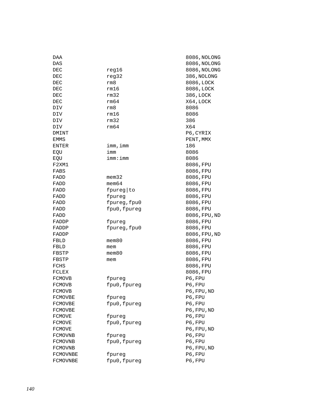| DAA           |              | 8086, NOLONG  |
|---------------|--------------|---------------|
| DAS           |              | 8086, NOLONG  |
| DEC           | reg16        | 8086, NOLONG  |
| DEC           | reg32        | 386, NOLONG   |
| DEC           | rm8          | 8086, LOCK    |
| DEC           | rm16         | 8086, LOCK    |
| DEC           | rm32         | 386, LOCK     |
| DEC           | rm64         | X64, LOCK     |
| DIV           | rm8          | 8086          |
| DIV           | rm16         | 8086          |
| DIV           | rm32         | 386           |
| DIV           | rm64         | X64           |
| DMINT         |              | P6, CYRIX     |
| EMMS          |              | PENT, MMX     |
| ENTER         | imm, imm     | 186           |
| EQU           | imm          | 8086          |
| EQU           | imm:imm      | 8086          |
| F2XM1         |              | 8086, FPU     |
| FABS          |              | 8086, FPU     |
| FADD          | $m$ em $32$  | 8086, FPU     |
| FADD          | $m$ em $64$  | 8086, FPU     |
| FADD          | fpureg to    | 8086, FPU     |
| FADD          | fpureg       | 8086, FPU     |
| FADD          | fpureg, fpu0 | 8086, FPU     |
| FADD          | fpu0, fpureg | 8086, FPU     |
| FADD          |              | 8086, FPU, ND |
| FADDP         | fpureg       | 8086, FPU     |
| FADDP         | fpureg, fpu0 | 8086, FPU     |
| FADDP         |              | 8086, FPU, ND |
| FBLD          | mem80        | 8086,FPU      |
| FBLD          | mem          | 8086,FPU      |
| FBSTP         | $m$ em $80$  | 8086,FPU      |
| FBSTP         | mem          | 8086, FPU     |
| FCHS          |              | 8086,FPU      |
| FCLEX         |              | 8086, FPU     |
| FCMOVB        | fpureg       | P6, FPU       |
| <b>FCMOVB</b> | fpu0, fpureg | P6, FPU       |
| FCMOVB        |              | P6,FPU,ND     |
| FCMOVBE       | fpureg       | P6, FPU       |
| FCMOVBE       | fpu0, fpureg | P6, FPU       |
| FCMOVBE       |              | P6, FPU, ND   |
| <b>FCMOVE</b> | fpureg       | P6, FPU       |
| <b>FCMOVE</b> | fpu0, fpureg | P6, FPU       |
| <b>FCMOVE</b> |              | P6, FPU, ND   |
| FCMOVNB       | fpureg       | P6, FPU       |
| FCMOVNB       | fpu0, fpureg | P6, FPU       |
| FCMOVNB       |              | P6, FPU, ND   |
| FCMOVNBE      | fpureg       | P6, FPU       |
| FCMOVNBE      | fpu0, fpureg | P6, FPU       |
|               |              |               |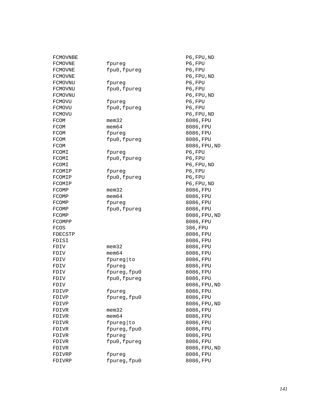| FCMOVNBE |              | P6, FPU, ND   |
|----------|--------------|---------------|
| FCMOVNE  | fpureg       | P6, FPU       |
| FCMOVNE  | fpu0, fpureg | P6, FPU       |
| FCMOVNE  |              | P6, FPU, ND   |
| FCMOVNU  | fpureg       | P6, FPU       |
| FCMOVNU  | fpu0, fpureg | P6, FPU       |
| FCMOVNU  |              | P6, FPU, ND   |
| FCMOVU   | fpureg       | P6, FPU       |
| FCMOVU   | fpu0, fpureg | P6, FPU       |
| FCMOVU   |              | P6, FPU, ND   |
| FCOM     | $m$ em $32$  | 8086, FPU     |
| FCOM     | $m$ em $64$  | 8086, FPU     |
| FCOM     | fpureg       | 8086, FPU     |
| FCOM     | fpu0, fpureg | 8086, FPU     |
| FCOM     |              | 8086, FPU, ND |
| FCOMI    | fpureg       | P6, FPU       |
| FCOMI    | fpu0, fpureg | P6, FPU       |
| FCOMI    |              | P6, FPU, ND   |
| FCOMIP   | fpureq       | P6, FPU       |
| FCOMIP   | fpu0, fpureg | P6, FPU       |
| FCOMIP   |              | P6, FPU, ND   |
| FCOMP    | $m$ em $32$  | 8086, FPU     |
| FCOMP    | $m$ em $64$  | 8086, FPU     |
| FCOMP    | fpureg       | 8086, FPU     |
| FCOMP    | fpu0, fpureg | 8086, FPU     |
| FCOMP    |              | 8086, FPU, ND |
| FCOMPP   |              | 8086, FPU     |
| FCOS     |              | 386, FPU      |
| FDECSTP  |              | 8086, FPU     |
| FDISI    |              | 8086, FPU     |
| FDIV     | $m$ em $32$  | 8086, FPU     |
| FDIV     | $m$ em $64$  | 8086, FPU     |
| FDIV     | fpureg to    | 8086, FPU     |
| FDIV     | fpureg       | 8086, FPU     |
| FDIV     | fpureg, fpu0 | 8086, FPU     |
| FDIV     | fpu0, fpureg | 8086, FPU     |
| FDIV     |              | 8086, FPU, ND |
| FDIVP    | fpureg       | 8086, FPU     |
| FDIVP    | fpureg, fpu0 | 8086, FPU     |
| FDIVP    |              | 8086, FPU, ND |
| FDIVR    | $m$ em $32$  | 8086, FPU     |
| FDIVR    | $m$ em $64$  | 8086, FPU     |
| FDIVR    | fpureg   to  | 8086, FPU     |
| FDIVR    | fpureg, fpu0 | 8086, FPU     |
| FDIVR    | fpureg       | 8086, FPU     |
| FDIVR    | fpu0, fpureg | 8086, FPU     |
| FDIVR    |              | 8086, FPU, ND |
| FDIVRP   | fpureg       | 8086, FPU     |
| FDIVRP   | fpureg, fpu0 | 8086, FPU     |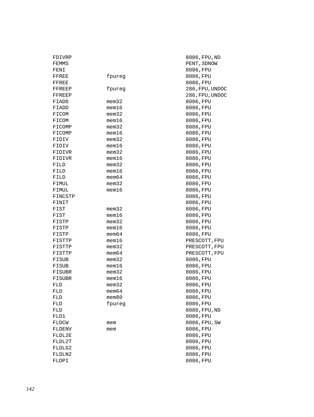| FDIVRP  |             | 8086, FPU, ND   |
|---------|-------------|-----------------|
| FEMMS   |             | PENT, 3DNOW     |
| FENI    |             | 8086, FPU       |
| FFREE   | fpureg      | 8086, FPU       |
| FFREE   |             | 8086, FPU       |
| FFREEP  | fpureg      | 286, FPU, UNDOC |
| FFREEP  |             | 286, FPU, UNDOC |
| FIADD   | mem32       | 8086, FPU       |
| FIADD   | mem16       | 8086,FPU        |
| FICOM   | mem32       | 8086, FPU       |
| FICOM   | $m$ em $16$ | 8086, FPU       |
| FICOMP  | mem32       | 8086, FPU       |
| FICOMP  | mem16       | 8086, FPU       |
| FIDIV   | mem32       | 8086, FPU       |
| FIDIV   | mem16       | 8086, FPU       |
| FIDIVR  | mem32       | 8086, FPU       |
| FIDIVR  | mem16       | 8086, FPU       |
| FILD    | mem32       | 8086, FPU       |
| FILD    | mem16       | 8086, FPU       |
| FILD    | mem64       | 8086, FPU       |
| FIMUL   | mem32       | 8086, FPU       |
| FIMUL   | mem16       | 8086, FPU       |
| FINCSTP |             | 8086, FPU       |
| FINIT   |             | 8086, FPU       |
| FIST    | mem32       | 8086, FPU       |
| FIST    | mem16       | 8086, FPU       |
| FISTP   | mem32       | 8086, FPU       |
| FISTP   | mem16       | 8086, FPU       |
| FISTP   | mem64       | 8086, FPU       |
| FISTTP  | mem16       | PRESCOTT, FPU   |
| FISTTP  | mem32       | PRESCOTT, FPU   |
| FISTTP  | mem64       | PRESCOTT, FPU   |
| FISUB   | mem32       | 8086, FPU       |
| FISUB   | mem16       | 8086, FPU       |
| FISUBR  | $m$ em $32$ | 8086, FPU       |
| FISUBR  | mem16       | 8086, FPU       |
| FLD     | mem32       | 8086, FPU       |
| FLD     | $m$ em $64$ | 8086, FPU       |
| FLD     | mem80       | 8086, FPU       |
| FLD     | fpureg      | 8086, FPU       |
| FLD     |             | 8086, FPU, ND   |
| FLD1    |             | 8086, FPU       |
| FLDCW   | mem         | 8086, FPU, SW   |
| FLDENV  | mem         | 8086, FPU       |
| FLDL2E  |             | 8086, FPU       |
| FLDL2T  |             | 8086, FPU       |
| FLDLG2  |             | 8086, FPU       |
| FLDLN2  |             | 8086, FPU       |
| FLDPI   |             | 8086, FPU       |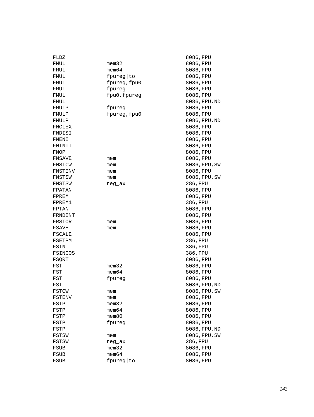| FLDZ    |              | 8086,FPU      |
|---------|--------------|---------------|
| FMUL    | mem32        | 8086, FPU     |
| FMUL    | $m$ em $64$  | 8086, FPU     |
| FMUL    | fpureg to    | 8086, FPU     |
| FMUL    | fpureg, fpu0 | 8086, FPU     |
| FMUL    | fpureg       | 8086, FPU     |
| FMUL    | fpu0, fpureg | 8086, FPU     |
| FMUL    |              | 8086, FPU, ND |
| FMULP   | fpureg       | 8086, FPU     |
| FMULP   | fpureg, fpu0 | 8086, FPU     |
| FMULP   |              | 8086, FPU, ND |
| FNCLEX  |              | 8086, FPU     |
| FNDISI  |              | 8086, FPU     |
| FNENI   |              | 8086, FPU     |
| FNINIT  |              | 8086, FPU     |
| FNOP    |              | 8086, FPU     |
| FNSAVE  | mem          | 8086, FPU     |
| FNSTCW  | mem          | 8086, FPU, SW |
| FNSTENV | mem          | 8086, FPU     |
| FNSTSW  | mem          | 8086, FPU, SW |
| FNSTSW  | reg_ax       | 286, FPU      |
| FPATAN  |              | 8086, FPU     |
| FPREM   |              | 8086, FPU     |
| FPREM1  |              | 386, FPU      |
| FPTAN   |              | 8086, FPU     |
| FRNDINT |              | 8086, FPU     |
| FRSTOR  | mem          | 8086, FPU     |
| FSAVE   | mem          | 8086, FPU     |
| FSCALE  |              | 8086, FPU     |
| FSETPM  |              | 286, FPU      |
| FSIN    |              | 386, FPU      |
| FSINCOS |              | 386, FPU      |
| FSQRT   |              | 8086, FPU     |
| FST     | mem32        | 8086, FPU     |
| FST     | mem64        | 8086, FPU     |
| FST     | fpureg       | 8086, FPU     |
| FST     |              | 8086, FPU, ND |
| FSTCW   | mem          | 8086,FPU,SW   |
| FSTENV  | mem          | 8086,FPU      |
| FSTP    | $m$ em $32$  | 8086, FPU     |
| FSTP    | $m$ em $64$  | 8086, FPU     |
| FSTP    | $m$ em $80$  | 8086, FPU     |
| FSTP    | fpureg       | 8086, FPU     |
| FSTP    |              | 8086, FPU, ND |
| FSTSW   | mem          | 8086, FPU, SW |
| FSTSW   | reg_ax       | 286, FPU      |
| FSUB    | mem32        | 8086, FPU     |
| FSUB    | $m$ em $64$  | 8086, FPU     |
| FSUB    | fpureg to    | 8086, FPU     |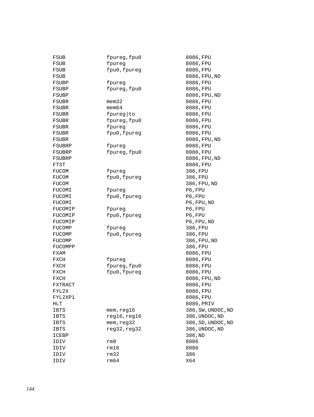| FSUB    | fpureg, fpu0 | 8086, FPU          |
|---------|--------------|--------------------|
| FSUB    | fpureg       | 8086, FPU          |
| FSUB    | fpu0, fpureg | 8086, FPU          |
| FSUB    |              | 8086, FPU, ND      |
| FSUBP   | fpureq       | 8086, FPU          |
| FSUBP   | fpureg, fpu0 | 8086, FPU          |
| FSUBP   |              | 8086, FPU, ND      |
| FSUBR   | $m$ em $32$  | 8086, FPU          |
| FSUBR   | $m$ em $64$  | 8086, FPU          |
| FSUBR   | fpureg to    | 8086, FPU          |
| FSUBR   | fpureg, fpu0 | 8086, FPU          |
| FSUBR   | fpureg       | 8086, FPU          |
| FSUBR   | fpu0, fpureg | 8086, FPU          |
| FSUBR   |              | 8086, FPU, ND      |
| FSUBRP  | fpureg       | 8086, FPU          |
| FSUBRP  | fpureg, fpu0 | 8086, FPU          |
| FSUBRP  |              | 8086, FPU, ND      |
| FTST    |              | 8086, FPU          |
| FUCOM   | fpureg       | 386, FPU           |
| FUCOM   | fpu0, fpureg | 386, FPU           |
| FUCOM   |              | 386, FPU, ND       |
| FUCOMI  | fpureg       | P6, FPU            |
| FUCOMI  | fpu0, fpureg | P6, FPU            |
| FUCOMI  |              | P6, FPU, ND        |
| FUCOMIP | fpureg       | P6, FPU            |
| FUCOMIP | fpu0, fpureg | P6, FPU            |
| FUCOMIP |              | P6, FPU, ND        |
| FUCOMP  | fpureg       | 386, FPU           |
| FUCOMP  | fpu0, fpureg | 386, FPU           |
| FUCOMP  |              | 386, FPU, ND       |
| FUCOMPP |              | 386, FPU           |
| FXAM    |              | 8086, FPU          |
| FXCH    | fpureg       | 8086, FPU          |
| FXCH    | fpureg, fpu0 | 8086, FPU          |
| FXCH    | fpu0, fpureg | 8086, FPU          |
| FXCH    |              | 8086, FPU, ND      |
| FXTRACT |              | 8086, FPU          |
| FYL2X   |              | 8086, FPU          |
| FYL2XP1 |              | 8086, FPU          |
| HLT     |              | 8086, PRIV         |
| IBTS    | mem,reg16    | 386, SW, UNDOC, ND |
| IBTS    | reg16, reg16 | 386, UNDOC, ND     |
| IBTS    | mem, reg32   | 386, SD, UNDOC, ND |
| IBTS    | reg32, reg32 | 386, UNDOC, ND     |
| ICEBP   |              | 386, ND            |
| IDIV    | rm8          | 8086               |
| IDIV    | rm16         | 8086               |
| IDIV    | rm32         | 386                |
| IDIV    | rm64         | X64                |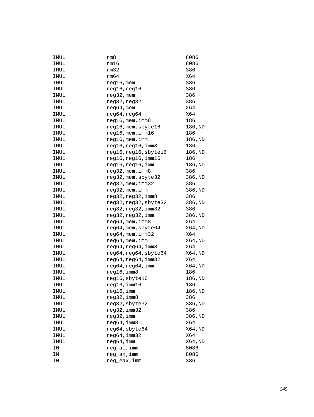| IMUL | rm8                     | 8086    |
|------|-------------------------|---------|
| IMUL | rm16                    | 8086    |
| IMUL | rm32                    | 386     |
| IMUL | rm64                    | X64     |
| IMUL | $reg16$ , mem           | 386     |
| IMUL | reg16, reg16            | 386     |
| IMUL | $reg32$ , mem           | 386     |
| IMUL | reg32, reg32            | 386     |
| IMUL | $reg64$ , mem           | X64     |
| IMUL | reg64, reg64            | X64     |
| IMUL | reg16, mem, imm8        | 186     |
| IMUL | reg16, mem, sbyte16     | 186,ND  |
| IMUL | $reg16$ , mem, imm $16$ | 186     |
| IMUL | $reg16$ , mem, imm      | 186,ND  |
| IMUL | reg16, reg16, imm8      | 186     |
| IMUL | reg16, reg16, sbyte16   | 186,ND  |
| IMUL | reg16, reg16, imm16     | 186     |
| IMUL | reg16, reg16, imm       | 186,ND  |
| IMUL | $reg32$ , mem, $imm8$   | 386     |
| IMUL | reg32, mem, sbyte32     | 386, ND |
| IMUL | $reg32$ , mem, $imm32$  | 386     |
| IMUL | reg32, mem, imm         | 386, ND |
| IMUL | reg32, reg32, imm8      | 386     |
| IMUL | reg32, reg32, sbyte32   | 386, ND |
| IMUL | reg32, reg32, imm32     | 386     |
| IMUL | reg32, reg32, imm       | 386, ND |
| IMUL | $reg64$ , mem, imm $8$  | X64     |
| IMUL | reg64, mem, sbyte64     | X64,ND  |
| IMUL | $reg64$ , mem, $imm32$  | X64     |
| IMUL | reg64, mem, imm         | X64,ND  |
| IMUL | reg64, reg64, imm8      | X64     |
| IMUL | reg64, reg64, sbyte64   | X64,ND  |
| IMUL | reg64, reg64, imm32     | X64     |
| IMUL | reg64, reg64, imm       | X64,ND  |
| IMUL | reg16, imm8             | 186     |
| IMUL | reg16, sbyte16          | 186,ND  |
| IMUL | $reg16$ , imm $16$      | 186     |
| IMUL | reg16,imm               | 186, ND |
| IMUL | reg32,imm8              | 386     |
| IMUL | reg32, sbyte32          | 386, ND |
| IMUL | reg32, imm32            | 386     |
| IMUL | reg32, imm              | 386, ND |
| IMUL | reg64, imm8             | X64     |
| IMUL | reg64, sbyte64          | X64, ND |
| IMUL | reg64, imm32            | X64     |
| IMUL | reg64, imm              | X64, ND |
| ΙN   | reg_al, imm             | 8086    |
| ΙN   | reg_ax,imm              | 8086    |
| ΙN   | reg_eax, imm            | 386     |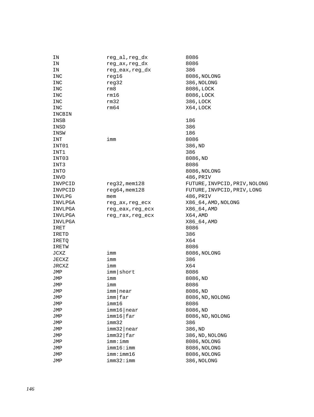| 8086<br>reg_ax, reg_dx<br>ΙN<br>386<br>reg_eax, reg_dx<br>ΙN<br>reg16<br>8086, NOLONG<br>INC<br>reg32<br>386, NOLONG<br>INC<br>8086, LOCK<br>rm8<br>INC<br>rm16<br>8086, LOCK<br>INC<br>rm32<br>386, LOCK<br>INC<br>rm64<br>X64, LOCK<br>INC<br>INCBIN<br>186<br>INSB<br>386<br>INSD<br>186<br>INSW<br>imm<br>8086<br>INT<br>INT01<br>386, ND<br>INT1<br>386<br>INT03<br>8086, ND<br>8086<br>INT3<br>8086, NOLONG<br>INTO<br>486, PRIV<br>INVD<br>$reg32$ , mem $128$<br>FUTURE, INVPCID, PRIV, NOLONG<br>INVPCID<br>$reg64$ , mem $128$<br>FUTURE, INVPCID, PRIV, LONG<br>INVPCID<br>486, PRIV<br>INVLPG<br>mem<br>X86_64, AMD, NOLONG<br>INVLPGA<br>reg_ax,reg_ecx<br>X86_64, AMD<br>INVLPGA<br>reg_eax, reg_ecx<br>X64, AMD<br>INVLPGA<br>reg_rax, reg_ecx<br>X86_64, AMD<br>INVLPGA<br>8086<br>IRET<br>386<br>IRETD<br>X64<br>IRETQ<br>8086<br>IRETW<br>JCXZ<br>8086, NOLONG<br>imm<br>386<br>JECXZ<br>imm<br>X64<br>JRCXZ<br>imm<br>imm short<br>8086<br>JMP<br>imm<br>8086,ND<br>JMP<br>imm<br>8086<br>JMP<br>imm near<br>JMP<br>8086,ND<br>8086, ND, NOLONG<br>imm far<br>JMP<br>imm16<br>8086<br>JMP<br>imm16 near<br>8086,ND<br>JMP<br>imm16 far<br>8086, ND, NOLONG<br>JMP<br>imm32<br>386<br>JMP<br>$imm32$  near<br>386, ND<br>JMP<br>imm32 far<br>386, ND, NOLONG<br>JMP<br>imm: imm<br>8086, NOLONG<br>JMP<br>imm16:imm<br>8086, NOLONG<br>JMP<br>imm:imm16<br>8086, NOLONG<br>JMP | ΙN  | reg_al,reg_dx | 8086        |
|--------------------------------------------------------------------------------------------------------------------------------------------------------------------------------------------------------------------------------------------------------------------------------------------------------------------------------------------------------------------------------------------------------------------------------------------------------------------------------------------------------------------------------------------------------------------------------------------------------------------------------------------------------------------------------------------------------------------------------------------------------------------------------------------------------------------------------------------------------------------------------------------------------------------------------------------------------------------------------------------------------------------------------------------------------------------------------------------------------------------------------------------------------------------------------------------------------------------------------------------------------------------------------------------------------------------------------------------------------------------------------------------------|-----|---------------|-------------|
|                                                                                                                                                                                                                                                                                                                                                                                                                                                                                                                                                                                                                                                                                                                                                                                                                                                                                                                                                                                                                                                                                                                                                                                                                                                                                                                                                                                                  |     |               |             |
|                                                                                                                                                                                                                                                                                                                                                                                                                                                                                                                                                                                                                                                                                                                                                                                                                                                                                                                                                                                                                                                                                                                                                                                                                                                                                                                                                                                                  |     |               |             |
|                                                                                                                                                                                                                                                                                                                                                                                                                                                                                                                                                                                                                                                                                                                                                                                                                                                                                                                                                                                                                                                                                                                                                                                                                                                                                                                                                                                                  |     |               |             |
|                                                                                                                                                                                                                                                                                                                                                                                                                                                                                                                                                                                                                                                                                                                                                                                                                                                                                                                                                                                                                                                                                                                                                                                                                                                                                                                                                                                                  |     |               |             |
|                                                                                                                                                                                                                                                                                                                                                                                                                                                                                                                                                                                                                                                                                                                                                                                                                                                                                                                                                                                                                                                                                                                                                                                                                                                                                                                                                                                                  |     |               |             |
|                                                                                                                                                                                                                                                                                                                                                                                                                                                                                                                                                                                                                                                                                                                                                                                                                                                                                                                                                                                                                                                                                                                                                                                                                                                                                                                                                                                                  |     |               |             |
|                                                                                                                                                                                                                                                                                                                                                                                                                                                                                                                                                                                                                                                                                                                                                                                                                                                                                                                                                                                                                                                                                                                                                                                                                                                                                                                                                                                                  |     |               |             |
|                                                                                                                                                                                                                                                                                                                                                                                                                                                                                                                                                                                                                                                                                                                                                                                                                                                                                                                                                                                                                                                                                                                                                                                                                                                                                                                                                                                                  |     |               |             |
|                                                                                                                                                                                                                                                                                                                                                                                                                                                                                                                                                                                                                                                                                                                                                                                                                                                                                                                                                                                                                                                                                                                                                                                                                                                                                                                                                                                                  |     |               |             |
|                                                                                                                                                                                                                                                                                                                                                                                                                                                                                                                                                                                                                                                                                                                                                                                                                                                                                                                                                                                                                                                                                                                                                                                                                                                                                                                                                                                                  |     |               |             |
|                                                                                                                                                                                                                                                                                                                                                                                                                                                                                                                                                                                                                                                                                                                                                                                                                                                                                                                                                                                                                                                                                                                                                                                                                                                                                                                                                                                                  |     |               |             |
|                                                                                                                                                                                                                                                                                                                                                                                                                                                                                                                                                                                                                                                                                                                                                                                                                                                                                                                                                                                                                                                                                                                                                                                                                                                                                                                                                                                                  |     |               |             |
|                                                                                                                                                                                                                                                                                                                                                                                                                                                                                                                                                                                                                                                                                                                                                                                                                                                                                                                                                                                                                                                                                                                                                                                                                                                                                                                                                                                                  |     |               |             |
|                                                                                                                                                                                                                                                                                                                                                                                                                                                                                                                                                                                                                                                                                                                                                                                                                                                                                                                                                                                                                                                                                                                                                                                                                                                                                                                                                                                                  |     |               |             |
|                                                                                                                                                                                                                                                                                                                                                                                                                                                                                                                                                                                                                                                                                                                                                                                                                                                                                                                                                                                                                                                                                                                                                                                                                                                                                                                                                                                                  |     |               |             |
|                                                                                                                                                                                                                                                                                                                                                                                                                                                                                                                                                                                                                                                                                                                                                                                                                                                                                                                                                                                                                                                                                                                                                                                                                                                                                                                                                                                                  |     |               |             |
|                                                                                                                                                                                                                                                                                                                                                                                                                                                                                                                                                                                                                                                                                                                                                                                                                                                                                                                                                                                                                                                                                                                                                                                                                                                                                                                                                                                                  |     |               |             |
|                                                                                                                                                                                                                                                                                                                                                                                                                                                                                                                                                                                                                                                                                                                                                                                                                                                                                                                                                                                                                                                                                                                                                                                                                                                                                                                                                                                                  |     |               |             |
|                                                                                                                                                                                                                                                                                                                                                                                                                                                                                                                                                                                                                                                                                                                                                                                                                                                                                                                                                                                                                                                                                                                                                                                                                                                                                                                                                                                                  |     |               |             |
|                                                                                                                                                                                                                                                                                                                                                                                                                                                                                                                                                                                                                                                                                                                                                                                                                                                                                                                                                                                                                                                                                                                                                                                                                                                                                                                                                                                                  |     |               |             |
|                                                                                                                                                                                                                                                                                                                                                                                                                                                                                                                                                                                                                                                                                                                                                                                                                                                                                                                                                                                                                                                                                                                                                                                                                                                                                                                                                                                                  |     |               |             |
|                                                                                                                                                                                                                                                                                                                                                                                                                                                                                                                                                                                                                                                                                                                                                                                                                                                                                                                                                                                                                                                                                                                                                                                                                                                                                                                                                                                                  |     |               |             |
|                                                                                                                                                                                                                                                                                                                                                                                                                                                                                                                                                                                                                                                                                                                                                                                                                                                                                                                                                                                                                                                                                                                                                                                                                                                                                                                                                                                                  |     |               |             |
|                                                                                                                                                                                                                                                                                                                                                                                                                                                                                                                                                                                                                                                                                                                                                                                                                                                                                                                                                                                                                                                                                                                                                                                                                                                                                                                                                                                                  |     |               |             |
|                                                                                                                                                                                                                                                                                                                                                                                                                                                                                                                                                                                                                                                                                                                                                                                                                                                                                                                                                                                                                                                                                                                                                                                                                                                                                                                                                                                                  |     |               |             |
|                                                                                                                                                                                                                                                                                                                                                                                                                                                                                                                                                                                                                                                                                                                                                                                                                                                                                                                                                                                                                                                                                                                                                                                                                                                                                                                                                                                                  |     |               |             |
|                                                                                                                                                                                                                                                                                                                                                                                                                                                                                                                                                                                                                                                                                                                                                                                                                                                                                                                                                                                                                                                                                                                                                                                                                                                                                                                                                                                                  |     |               |             |
|                                                                                                                                                                                                                                                                                                                                                                                                                                                                                                                                                                                                                                                                                                                                                                                                                                                                                                                                                                                                                                                                                                                                                                                                                                                                                                                                                                                                  |     |               |             |
|                                                                                                                                                                                                                                                                                                                                                                                                                                                                                                                                                                                                                                                                                                                                                                                                                                                                                                                                                                                                                                                                                                                                                                                                                                                                                                                                                                                                  |     |               |             |
|                                                                                                                                                                                                                                                                                                                                                                                                                                                                                                                                                                                                                                                                                                                                                                                                                                                                                                                                                                                                                                                                                                                                                                                                                                                                                                                                                                                                  |     |               |             |
|                                                                                                                                                                                                                                                                                                                                                                                                                                                                                                                                                                                                                                                                                                                                                                                                                                                                                                                                                                                                                                                                                                                                                                                                                                                                                                                                                                                                  |     |               |             |
|                                                                                                                                                                                                                                                                                                                                                                                                                                                                                                                                                                                                                                                                                                                                                                                                                                                                                                                                                                                                                                                                                                                                                                                                                                                                                                                                                                                                  |     |               |             |
|                                                                                                                                                                                                                                                                                                                                                                                                                                                                                                                                                                                                                                                                                                                                                                                                                                                                                                                                                                                                                                                                                                                                                                                                                                                                                                                                                                                                  |     |               |             |
|                                                                                                                                                                                                                                                                                                                                                                                                                                                                                                                                                                                                                                                                                                                                                                                                                                                                                                                                                                                                                                                                                                                                                                                                                                                                                                                                                                                                  |     |               |             |
|                                                                                                                                                                                                                                                                                                                                                                                                                                                                                                                                                                                                                                                                                                                                                                                                                                                                                                                                                                                                                                                                                                                                                                                                                                                                                                                                                                                                  |     |               |             |
|                                                                                                                                                                                                                                                                                                                                                                                                                                                                                                                                                                                                                                                                                                                                                                                                                                                                                                                                                                                                                                                                                                                                                                                                                                                                                                                                                                                                  |     |               |             |
|                                                                                                                                                                                                                                                                                                                                                                                                                                                                                                                                                                                                                                                                                                                                                                                                                                                                                                                                                                                                                                                                                                                                                                                                                                                                                                                                                                                                  |     |               |             |
|                                                                                                                                                                                                                                                                                                                                                                                                                                                                                                                                                                                                                                                                                                                                                                                                                                                                                                                                                                                                                                                                                                                                                                                                                                                                                                                                                                                                  |     |               |             |
|                                                                                                                                                                                                                                                                                                                                                                                                                                                                                                                                                                                                                                                                                                                                                                                                                                                                                                                                                                                                                                                                                                                                                                                                                                                                                                                                                                                                  |     |               |             |
|                                                                                                                                                                                                                                                                                                                                                                                                                                                                                                                                                                                                                                                                                                                                                                                                                                                                                                                                                                                                                                                                                                                                                                                                                                                                                                                                                                                                  |     |               |             |
|                                                                                                                                                                                                                                                                                                                                                                                                                                                                                                                                                                                                                                                                                                                                                                                                                                                                                                                                                                                                                                                                                                                                                                                                                                                                                                                                                                                                  |     |               |             |
|                                                                                                                                                                                                                                                                                                                                                                                                                                                                                                                                                                                                                                                                                                                                                                                                                                                                                                                                                                                                                                                                                                                                                                                                                                                                                                                                                                                                  |     |               |             |
|                                                                                                                                                                                                                                                                                                                                                                                                                                                                                                                                                                                                                                                                                                                                                                                                                                                                                                                                                                                                                                                                                                                                                                                                                                                                                                                                                                                                  |     |               |             |
|                                                                                                                                                                                                                                                                                                                                                                                                                                                                                                                                                                                                                                                                                                                                                                                                                                                                                                                                                                                                                                                                                                                                                                                                                                                                                                                                                                                                  |     |               |             |
|                                                                                                                                                                                                                                                                                                                                                                                                                                                                                                                                                                                                                                                                                                                                                                                                                                                                                                                                                                                                                                                                                                                                                                                                                                                                                                                                                                                                  |     |               |             |
|                                                                                                                                                                                                                                                                                                                                                                                                                                                                                                                                                                                                                                                                                                                                                                                                                                                                                                                                                                                                                                                                                                                                                                                                                                                                                                                                                                                                  |     |               |             |
|                                                                                                                                                                                                                                                                                                                                                                                                                                                                                                                                                                                                                                                                                                                                                                                                                                                                                                                                                                                                                                                                                                                                                                                                                                                                                                                                                                                                  |     |               |             |
|                                                                                                                                                                                                                                                                                                                                                                                                                                                                                                                                                                                                                                                                                                                                                                                                                                                                                                                                                                                                                                                                                                                                                                                                                                                                                                                                                                                                  | JMP | imm32:imm     | 386, NOLONG |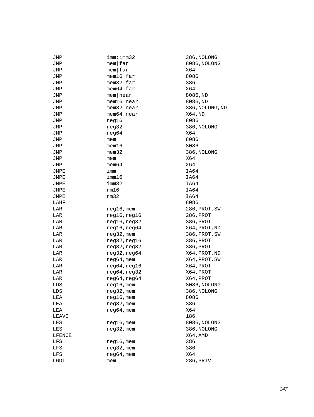| JMP         | imm:imm32                  | 386, NOLONG     |
|-------------|----------------------------|-----------------|
| JMP         | $m$ em $far$               | 8086, NOLONG    |
| JMP         | $m$ em $far$               | X64             |
| JMP         | $m$ em16   far             | 8086            |
| JMP         | $m$ em32 $\frac{1}{2}$ far | 386             |
| JMP         | $m$ em64 $\frac{1}{2}$ far | X64             |
| JMP         | $m$ em near                | 8086, ND        |
| JMP         | $m$ em16   near            | 8086, ND        |
| JMP         | $m$ em32   near            | 386, NOLONG, ND |
| JMP         | $m$ em 64   near           | X64, ND         |
| JMP         | reg16                      | 8086            |
| JMP         | reg32                      | 386, NOLONG     |
| JMP         | reg64                      | X64             |
| JMP         | mem                        | 8086            |
| JMP         | mem16                      | 8086            |
| JMP         | $m$ em $32$                | 386, NOLONG     |
| JMP         | mem                        | X64             |
| JMP         | $m$ em $64$                | X64             |
| JMPE        | imm                        | IA64            |
| JMPE        | imm16                      | IA64            |
| JMPE        | imm32                      | IA64            |
| JMPE        | rm16                       | IA64            |
| JMPE        | rm32                       | IA64            |
| LAHF        |                            | 8086            |
| LAR         | reg16, mem                 | 286,PROT,SW     |
| LAR         | reg16, reg16               | 286,PROT        |
| LAR         | reg16, reg32               | 386, PROT       |
| LAR         | reg16, reg64               | X64, PROT, ND   |
| LAR         | reg32, mem                 | 386, PROT, SW   |
| LAR         | reg32, reg16               | 386, PROT       |
| LAR         | reg32, reg32               | 386, PROT       |
| LAR         | reg32, reg64               | X64, PROT, ND   |
| LAR         | $reg64,$ mem               | X64, PROT, SW   |
| LAR         | reg64, reg16               | X64, PROT       |
| LAR         | reg64, reg32               | X64, PROT       |
| LAR         | reg64, reg64               | X64, PROT       |
| LDS         | $reg16$ , mem              | 8086, NOLONG    |
| ${\tt LDS}$ | $reg32$ , mem              | 386, NOLONG     |
| LEA         | $reg16$ , mem              | 8086            |
| LEA         | reg32, mem                 | 386             |
| LEA         | $reg64$ , mem              | X64             |
| LEAVE       |                            | 186             |
| LES         | $reg16$ , mem              | 8086, NOLONG    |
| LES         | reg32, mem                 | 386, NOLONG     |
| LFENCE      |                            | X64, AMD        |
| LFS         | $reg16$ , mem              | 386             |
| LFS         | reg32, mem                 | 386             |
| LFS         | $reg64,$ mem               | X64             |
| LGDT        | mem                        | 286, PRIV       |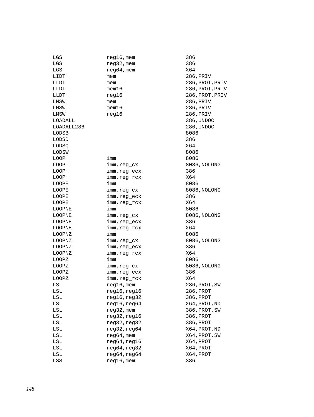| LGS        | reg16,mem     | 386    |
|------------|---------------|--------|
| LGS        | reg32, mem    | 386    |
| LGS        | $reg64$ , mem | X64    |
| LIDT       | mem           | 286, P |
| LLDT       | mem           | 286, P |
| LLDT       | $m$ em $16$   | 286, P |
| LLDT       | reg16         | 286, P |
| LMSW       | mem           | 286, P |
| LMSW       | mem16         | 286, P |
| LMSW       | reg16         | 286, P |
| LOADALL    |               | 386, U |
| LOADALL286 |               | 286,U  |
| LODSB      |               | 8086   |
| LODSD      |               | 386    |
| LODSQ      |               | X64    |
| LODSW      |               | 8086   |
| LOOP       | imm           | 8086   |
| LOOP       | imm,reg cx    | 8086,  |
| LOOP       | imm, reg ecx  | 386    |
| LOOP       | imm,reg_rcx   | X64    |
| LOOPE      | imm           | 8086   |
| LOOPE      | imm, reg cx   | 8086,  |
| LOOPE      | imm, reg ecx  | 386    |
| LOOPE      | imm,reg_rcx   | X64    |
| LOOPNE     | imm           | 8086   |
| LOOPNE     | imm,reg_cx    | 8086,  |
| LOOPNE     | imm,reg_ecx   | 386    |
| LOOPNE     | imm,reg_rcx   | X64    |
| LOOPNZ     | imm           | 8086   |
| LOOPNZ     | imm,reg_cx    | 8086,  |
| LOOPNZ     | imm,reg_ecx   | 386    |
| LOOPNZ     | imm,reg_rcx   | X64    |
| LOOPZ      | imm           | 8086   |
| LOOPZ      | imm,reg_cx    | 8086,  |
| LOOPZ      | imm, reg ecx  | 386    |
| LOOPZ      | imm, reg_rcx  | X64    |
| LSL        | $reg16$ , mem | 286, P |
| LSL        | reg16,reg16   | 286,P  |
| LSL        | reg16,reg32   | 386, P |
| LSL        | reg16, reg64  | X64,P  |
| LSL        | reg32, mem    | 386, P |
| LSL        | reg32,reg16   | 386, P |
| LSL        | reg32,reg32   | 386, P |
| LSL        | reg32,reg64   | X64,P  |
| LSL        | reg64, mem    | X64,P  |
| LSL        | reg64, reg16  | X64,P  |
| LSL        | reg64, reg32  | X64,P  |
| LSL        | reg64, reg64  | X64,P  |
| LSS        | reg16, mem    | 386    |

286, PRIV 286, PROT, PRIV 286, PROT, PRIV 286, PROT, PRIV 286, PRIV 286, PRIV 286, PRIV 386, UNDOC 286, UNDOC 8086,NOLONG 8086,NOLONG 8086,NOLONG 8086,NOLONG 8086,NOLONG 286, PROT, SW  $286, PROT$ LSL reg16,reg32 386,PROT LSL reg16,reg64 X64,PROT,ND 386, PROT, SW  $.6$  386, PROT 2 386, PROT A  $X64$ , PROT, ND X64, PROT, SW LSC REGISTER REGISTER A STRUCK Partias and the set of the set of the set of the set of the set of the set of the set of the set of the set of<br>2 April 2013 and the set of the set of the set of the set of the set of the set of the set of the set of the s<br> X64,PROT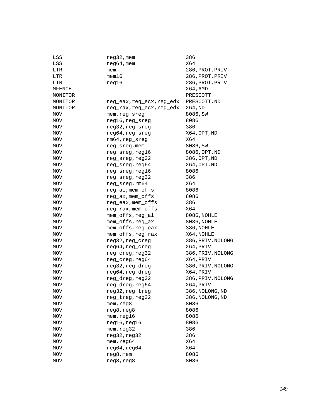| LSS     | reg32, mem                | 386               |
|---------|---------------------------|-------------------|
| LSS     | $reg64$ , mem             | X64               |
| LTR     | mem                       | 286, PROT, PRIV   |
| LTR     | mem16                     | 286, PROT, PRIV   |
| LTR     | reg16                     | 286, PROT, PRIV   |
| MFENCE  |                           | X64, AMD          |
| MONITOR |                           | PRESCOTT          |
| MONITOR | reg_eax,reg_ecx,reg_edx   | PRESCOTT, ND      |
| MONITOR | reg_rax, reg_ecx, reg_edx | X64,ND            |
| MOV     | mem, reg_sreg             | 8086, SW          |
| MOV     | reg16, reg_sreg           | 8086              |
| MOV     | reg32, reg_sreg           | 386               |
| MOV     | reg64, reg_sreg           | X64, OPT, ND      |
| MOV     | rm64, reg_sreg            | X64               |
| MOV     | reg_sreg, mem             | 8086, SW          |
| MOV     | reg_sreg,reg16            | 8086, OPT, ND     |
| MOV     | reg_sreg, reg32           | 386, OPT, ND      |
| MOV     | reg_sreg, reg64           | X64, OPT, ND      |
| MOV     | reg_sreg, reg16           | 8086              |
| MOV     | reg_sreg, reg32           | 386               |
| MOV     | reg_sreg, rm64            | X64               |
| MOV     | reg_al, mem_offs          | 8086              |
| MOV     | reg_ax, mem_offs          | 8086              |
| MOV     | reg_eax, mem_offs         | 386               |
| MOV     | reg_rax, mem_offs         | X64               |
| MOV     | mem_offs, reg_al          | 8086, NOHLE       |
| MOV     | mem_offs, reg_ax          | 8086, NOHLE       |
| MOV     | mem_offs, reg_eax         | 386, NOHLE        |
| MOV     | mem_offs, reg_rax         | X64, NOHLE        |
| MOV     | reg32, reg_creg           | 386, PRIV, NOLONG |
| MOV     | reg64, reg_creg           | X64, PRIV         |
| MOV     | reg_creg, reg32           | 386, PRIV, NOLONG |
| MOV     | reg_creg, reg64           | X64, PRIV         |
| MOV     | reg32, reg_dreg           | 386, PRIV, NOLONG |
| MOV     | reg64, reg_dreg           | X64, PRIV         |
| MOV     | reg_dreg, reg32           | 386, PRIV, NOLONG |
| MOV     | reg_dreg, reg64           | X64, PRIV         |
| MOV     | reg32, reg_treg           | 386, NOLONG, ND   |
| MOV     | reg_treg, reg32           | 386, NOLONG, ND   |
| MOV     | mem, reg8                 | 8086              |
| MOV     | reg8, reg8                | 8086              |
| MOV     | mem, reg16                | 8086              |
| MOV     | reg16, reg16              | 8086              |
| MOV     | mem, reg32                | 386               |
| MOV     | reg32, reg32              | 386               |
| MOV     | mem, reg64                | X64               |
| MOV     | reg64, reg64              | X64               |
| MOV     | reg8, mem                 | 8086              |
| MOV     | reg8, reg8                | 8086              |
|         |                           |                   |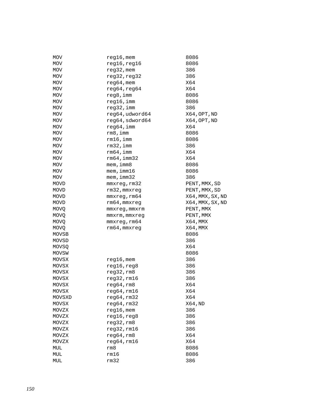| MOV         | $reg16$ , mem    | 8086             |
|-------------|------------------|------------------|
| MOV         | reg16, reg16     | 8086             |
| MOV         | $reg32$ , mem    | 386              |
| MOV         | reg32, reg32     | 386              |
| MOV         | $reg64,$ mem     | X64              |
| MOV         | reg64, reg64     | X64              |
| MOV         | reg8, imm        | 8086             |
| MOV         | reg16, imm       | 8086             |
| MOV         | $req32$ , imm    | 386              |
| MOV         | reg64, udword64  | X64, OPT, ND     |
| MOV         | reg64, sdword64  | X64, OPT, ND     |
| MOV         | $req64$ , imm    | X64              |
| MOV         | rm 8, imm        | 8086             |
| MOV         | rm16, imm        | 8086             |
| MOV         | $rm32$ , imm     | 386              |
| MOV         | rm64, imm        | X64              |
| MOV         | rm64, imm32      | X64              |
| MOV         | $m$ em, imm $8$  | 8086             |
| MOV         | $m$ em, imm $16$ | 8086             |
| MOV         | mem, imm32       | 386              |
| MOVD        | mmxreg, rm32     | PENT, MMX, SD    |
| MOVD        | rm32, mmxreq     | PENT, MMX, SD    |
| MOVD        | mmxreg, rm64     | X64, MMX, SX, ND |
| MOVD        | rm64, mmxreg     | X64, MMX, SX, ND |
| MOVQ        | mmxreg, mmxrm    | PENT, MMX        |
| <b>MOVQ</b> | mmxrm, mmxreg    | PENT, MMX        |
| <b>MOVQ</b> | mmxreg, rm64     | X64, MMX         |
| <b>MOVQ</b> | rm64, mmxreg     | X64, MMX         |
| MOVSB       |                  | 8086             |
| MOVSD       |                  | 386              |
| MOVSO       |                  | X64              |
| MOVSW       |                  | 8086             |
| MOVSX       | $reg16$ , mem    | 386              |
| MOVSX       | reg16, reg8      | 386              |
| MOVSX       | reg32, rm8       | 386              |
| MOVSX       | reg32,rm16       | 386              |
| MOVSX       | req64, rm8       | X64              |
| MOVSX       | $reg64$ , $rm16$ | X64              |
| MOVSXD      | reg64,rm32       | X64              |
| MOVSX       | reg64,rm32       | X64, ND          |
| MOVZX       | $reg16$ , mem    | 386              |
| MOVZX       | reg16, reg8      | 386              |
| MOVZX       | reg32,rm8        | 386              |
| MOVZX       | reg32,rm16       | 386              |
| MOVZX       | reg64, rm8       | X64              |
| MOVZX       | reg64,rm16       | X64              |
| MUL         | rm8              | 8086             |
| MUL         | rm16             | 8086             |
| MUL         | rm32             | 386              |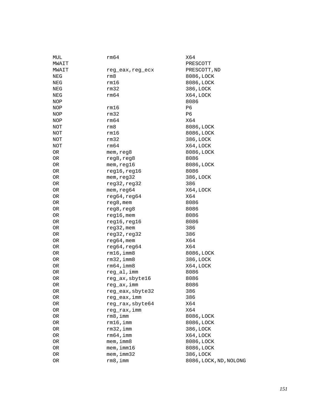| MUL   | rm64             | X64                    |
|-------|------------------|------------------------|
| MWAIT |                  | PRESCOTT               |
| MWAIT | reg_eax, reg_ecx | PRESCOTT, ND           |
| NEG   | rm8              | 8086, LOCK             |
| NEG   | rm16             | 8086, LOCK             |
| NEG   | rm32             | 386, LOCK              |
| NEG   | rm64             | X64, LOCK              |
| NOP   |                  | 8086                   |
| NOP   | rm16             | P <sub>6</sub>         |
| NOP   | rm32             | P <sub>6</sub>         |
| NOP   | rm64             | X64                    |
| NOT   | rm8              | 8086, LOCK             |
| NOT   | rm16             | 8086, LOCK             |
| NOT   | rm32             | 386, LOCK              |
| NOT   | rm64             | X64, LOCK              |
| 0R    | mem, reg8        | 8086, LOCK             |
| OR    | reg8, reg8       | 8086                   |
| OR    | mem, reg16       | 8086, LOCK             |
| OR    | reg16, reg16     | 8086                   |
| OR    | mem, reg32       | 386, LOCK              |
| OR    | reg32, reg32     | 386                    |
| OR    | mem, reg64       | X64, LOCK              |
| OR    | reg64, reg64     | X64                    |
| OR    | reg8, mem        | 8086                   |
| OR    | reg8, reg8       | 8086                   |
| OR    | $reg16$ , mem    | 8086                   |
| OR    | reg16, reg16     | 8086                   |
| OR    | $reg32$ , mem    | 386                    |
| OR    | reg32, reg32     | 386                    |
| OR    | $reg64,$ mem     | X64                    |
| OR    | reg64, reg64     | X64                    |
| OR    | $rm16$ , imm $8$ | 8086, LOCK             |
| 0R    | $rm32$ , imm $8$ | 386, LOCK              |
| 0R    | rm64, imm8       | X64, LOCK              |
| 0R    | reg_al, imm      | 8086                   |
| OR    | reg_ax, sbyte16  | 8086                   |
| 0R    | reg_ax, imm      | 8086                   |
| OR    | reg_eax, sbyte32 | 386                    |
| 0R    | reg eax, imm     | 386                    |
| OR    | reg_rax, sbyte64 | X64                    |
| OR    | reg_rax, imm     | X64                    |
| OR    | rm 8, imm        | 8086, LOCK             |
| OR    | rm16, imm        | 8086, LOCK             |
| OR    | $rm32$ , imm     | 386, LOCK              |
| OR    | rm64, imm        | X64, LOCK              |
| OR    | mem, imm8        | 8086, LOCK             |
| OR    | $m$ em, imm $16$ | 8086, LOCK             |
| OR    | mem, imm32       | 386, LOCK              |
| OR    | $rm8$ , imm      | 8086, LOCK, ND, NOLONG |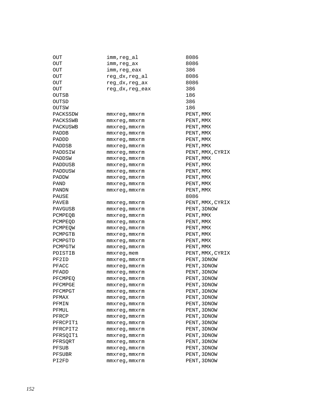| OUT      | imm,reg_al         | 8086             |
|----------|--------------------|------------------|
| OUT      | imm,reg_ax         | 8086             |
| OUT      | imm, reg_eax       | 386              |
| OUT      | reg_dx,reg_al      | 8086             |
| OUT      | reg_dx, reg_ax     | 8086             |
| OUT      | reg_dx, reg_eax    | 386              |
| OUTSB    |                    | 186              |
| OUTSD    |                    | 386              |
| OUTSW    |                    | 186              |
| PACKSSDW | mmxreg,mmxrm       | PENT, MMX        |
| PACKSSWB | mmxreg,mmxrm       | PENT, MMX        |
| PACKUSWB | mmxreg, mmxrm      | PENT, MMX        |
| PADDB    | mmxreg, mmxrm      | PENT, MMX        |
| PADDD    | mmxreg, mmxrm      | PENT, MMX        |
| PADDSB   | mmxreg, mmxrm      | PENT, MMX        |
| PADDSIW  | mmxreg, mmxrm      | PENT, MMX, CYRIX |
| PADDSW   | mmxreg, mmxrm      | PENT, MMX        |
| PADDUSB  | mmxreg, mmxrm      | PENT, MMX        |
| PADDUSW  | mmxreg, mmxrm      | PENT, MMX        |
| PADDW    | mmxreq, mmxrm      | PENT, MMX        |
| PAND     | mmxreg, mmxrm      | PENT, MMX        |
| PANDN    | mmxreq, mmxrm      | PENT, MMX        |
| PAUSE    |                    | 8086             |
| PAVEB    | mmxreg,mmxrm       | PENT, MMX, CYRIX |
| PAVGUSB  | mmxreg,mmxrm       | PENT, 3DNOW      |
| PCMPEOB  | mmxreg, mmxrm      | PENT, MMX        |
| PCMPEOD  | mmxreg, mmxrm      | PENT, MMX        |
| PCMPEOW  | mmxreg, mmxrm      | PENT, MMX        |
| PCMPGTB  | mmxreg, mmxrm      | PENT, MMX        |
| PCMPGTD  | mmxreg, mmxrm      | PENT, MMX        |
| PCMPGTW  | mmxreg, mmxrm      | PENT, MMX        |
| PDISTIB  | mmxreg, mem        | PENT, MMX, CYRIX |
| PF2ID    | $mmxreg$ , $mmxrm$ | PENT, 3DNOW      |
| PFACC    | mmxreg,mmxrm       | PENT, 3DNOW      |
| PFADD    | mmxreg,mmxrm       | PENT, 3DNOW      |
| PFCMPEQ  | mmxreg, mmxrm      | PENT, 3DNOW      |
| PFCMPGE  | mmxreg, mmxrm      | PENT, 3DNOW      |
| PFCMPGT  | mmxreg,mmxrm       | PENT, 3DNOW      |
| PFMAX    | mmxreg,mmxrm       | PENT, 3DNOW      |
| PFMIN    | mmxreg,mmxrm       | PENT, 3DNOW      |
| PFMUL    | mmxreg, mmxrm      | PENT, 3DNOW      |
| PFRCP    | mmxreg, mmxrm      | PENT, 3DNOW      |
| PFRCPIT1 | mmxreq, mmxrm      | PENT, 3DNOW      |
| PFRCPIT2 | mmxreg, mmxrm      | PENT, 3DNOW      |
| PFRSQIT1 | mmxreg, mmxrm      | PENT, 3DNOW      |
| PFRSORT  | mmxreg, mmxrm      | PENT, 3DNOW      |
| PFSUB    | mmxreg, mmxrm      | PENT, 3DNOW      |
| PFSUBR   | mmxreg, mmxrm      | PENT, 3DNOW      |
| PI2FD    | mmxreg, mmxrm      | PENT, 3DNOW      |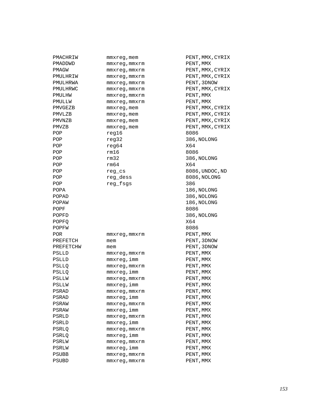| PMACHRIW     | mmxreg, mem        | PENT, MMX, CYRIX |
|--------------|--------------------|------------------|
| PMADDWD      | mmxreg, mmxrm      | PENT, MMX        |
| PMAGW        | mmxreg, mmxrm      | PENT, MMX, CYRIX |
| PMULHRIW     | mmxreg, mmxrm      | PENT, MMX, CYRIX |
| PMULHRWA     | $mmxreq$ , $mmxrm$ | PENT, 3DNOW      |
| PMULHRWC     | mmxreg, mmxrm      | PENT, MMX, CYRIX |
| PMULHW       | mmxreg, mmxrm      | PENT, MMX        |
| PMULLW       | mmxreg, mmxrm      | PENT, MMX        |
| PMVGEZB      | mmxreg, mem        | PENT, MMX, CYRIX |
| PMVLZB       | $mmxreg$ , mem     | PENT, MMX, CYRIX |
| PMVNZB       | mmxreg, mem        | PENT, MMX, CYRIX |
| PMVZB        | $mmxreg$ , mem     | PENT, MMX, CYRIX |
| POP          | req16              | 8086             |
| POP          | reg32              | 386, NOLONG      |
| POP          | req64              | X64              |
| POP          | rm16               | 8086             |
| POP          | rm32               | 386, NOLONG      |
| POP          | rm64               | X64              |
| POP          | reg_cs             | 8086,UNDOC,ND    |
| POP          | reg dess           | 8086, NOLONG     |
| POP          | reg_fsgs           | 386              |
| POPA         |                    | 186, NOLONG      |
| POPAD        |                    | 386, NOLONG      |
| POPAW        |                    | 186, NOLONG      |
| POPF         |                    | 8086             |
| POPFD        |                    | 386, NOLONG      |
| POPFO        |                    | X64              |
| POPFW        |                    | 8086             |
| POR.         | mmxreg, mmxrm      | PENT, MMX        |
| PREFETCH     | mem                | PENT, 3DNOW      |
| PREFETCHW    | mem                | PENT, 3DNOW      |
| <b>PSLLD</b> | mmxreg, mmxrm      | PENT, MMX        |
| PSLLD        | mmxreg,imm         | PENT, MMX        |
| <b>PSLLO</b> | mmxreg, mmxrm      | PENT, MMX        |
| PSLLQ        | mmxreg,imm         | PENT, MMX        |
| PSLLW        | mmxreg, mmxrm      | PENT, MMX        |
| PSLLW        | mmxreq, imm        | PENT, MMX        |
| <b>PSRAD</b> | mmxreg, mmxrm      | PENT, MMX        |
| PSRAD        | mmxreq,imm         | PENT, MMX        |
| PSRAW        | mmxreq, mmxrm      | PENT, MMX        |
| PSRAW        | mmxreg, imm        | PENT, MMX        |
| PSRLD        | mmxreq, mmxrm      | PENT, MMX        |
| PSRLD        | mmxreg, imm        | PENT, MMX        |
| PSRLO        | $mmxreg$ , $mmxrm$ | PENT, MMX        |
| PSRLO        | mmxreg, imm        | PENT, MMX        |
| PSRLW        | mmxreq, mmxrm      | PENT, MMX        |
| PSRLW        | mmxreg, imm        | PENT, MMX        |
| PSUBB        | $mmxreg$ , $mmxrm$ | PENT, MMX        |
| PSUBD        | $mmxreg$ , $mmxrm$ | PENT, MMX        |
|              |                    |                  |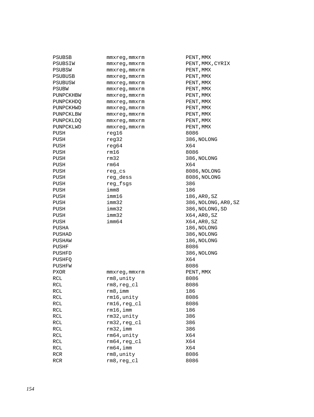| PSUBSB      | mmxreg,mmxrm   | PENT, |
|-------------|----------------|-------|
| PSUBSIW     | mmxreg, mmxrm  | PENT, |
| PSUBSW      | mmxreg, mmxrm  | PENT, |
| PSUBUSB     | mmxreg, mmxrm  | PENT, |
| PSUBUSW     | mmxreg, mmxrm  | PENT, |
| PSUBW       | mmxreq, mmxrm  | PENT, |
| PUNPCKHBW   | mmxreg, mmxrm  | PENT, |
| PUNPCKHDQ   | mmxreg, mmxrm  | PENT, |
| PUNPCKHWD   | mmxreq, mmxrm  | PENT, |
| PUNPCKLBW   | mmxreg, mmxrm  | PENT, |
| PUNPCKLDQ   | mmxreg, mmxrm  | PENT, |
| PUNPCKLWD   | mmxreg, mmxrm  | PENT, |
| PUSH        | reg16          | 8086  |
| PUSH        | reg32          | 386,N |
| PUSH        | reg64          | X64   |
| PUSH        | rm16           | 8086  |
| PUSH        | rm32           | 386,N |
| PUSH        | rm64           | X64   |
| PUSH        | reg_cs         | 8086, |
| PUSH        | reg_dess       | 8086, |
| PUSH        | reg_fsgs       | 386   |
| PUSH        | imm8           | 186   |
| PUSH        | imm16          | 186,A |
| PUSH        | imm32          | 386,N |
| PUSH        | imm32          | 386,N |
| PUSH        | imm32          | X64,A |
| PUSH        | imm64          | X64,A |
| PUSHA       |                | 186,N |
| PUSHAD      |                | 386,N |
| PUSHAW      |                | 186,N |
| PUSHF       |                | 8086  |
| PUSHFD      |                | 386,N |
| PUSHFQ      |                | X64   |
| PUSHFW      |                | 8086  |
| <b>PXOR</b> | mmxreq, mmxrm  | PENT, |
| <b>RCL</b>  | rm8,unity      | 8086  |
| <b>RCL</b>  | rm8,reg_cl     | 8086  |
| RCL         | rm8,imm        | 186   |
| RCL         | rm16, unity    | 8086  |
| RCL         | $rm16, reg_cl$ | 8086  |
| RCL         | $rm16$ , imm   | 186   |
| RCL         | rm32, unity    | 386   |
| RCL         | $rm32, reg_cl$ | 386   |
| RCL         | $rm32$ , imm   | 386   |
| RCL         | rm64, unity    | X64   |
| RCL         | $rm64, reg_c1$ | X64   |
| RCL         | $rm64$ , imm   | X64   |
| <b>RCR</b>  | rm8, unity     | 8086  |
| <b>RCR</b>  | $rm8, reg_c1$  | 8086  |

PENT, MMX PENT, MMX, CYRIX PENT, MMX PENT, MMX PENT, MMX PENT, MMX PENT, MMX PENT, MMX PENT, MMX PENT, MMX PENT, MMX PENT, MMX 386, NOLONG 386,NOLONG 8086,NOLONG 8086,NOLONG 186,AR0,SZ 386,NOLONG,AR0,SZ 386,NOLONG,SD  $X64,AR0,SZ$  $X64, AR0, SZ$ 186, NOLONG 386, NOLONG 186,NOLONG<br>8086 386, NOLONG PENT, MMX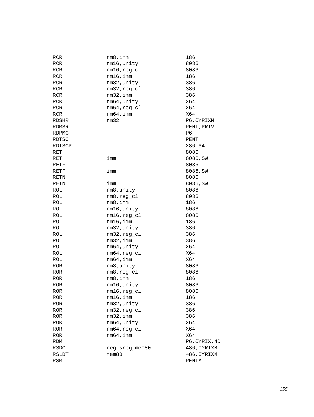| RCR          | rm 8, imm       | 186           |
|--------------|-----------------|---------------|
| RCR          | rm16, unity     | 8086          |
| RCR          | $rm16, reg_c1$  | 8086          |
| <b>RCR</b>   | $rm16$ , imm    | 186           |
| <b>RCR</b>   | rm32, unity     | 386           |
| <b>RCR</b>   | $rm32, reg_cl$  | 386           |
| <b>RCR</b>   | $rm32$ , imm    | 386           |
| <b>RCR</b>   | rm64, unity     | X64           |
| <b>RCR</b>   | $rm64, reg_c1$  | X64           |
| <b>RCR</b>   | $rm64$ , imm    | X64           |
| RDSHR        | rm32            | P6, CYRIXM    |
| RDMSR        |                 | PENT, PRIV    |
| RDPMC        |                 | P6            |
| RDTSC        |                 | PENT          |
| RDTSCP       |                 | X86_64        |
| RET          |                 | 8086          |
| RET          | imm             | 8086, SW      |
| RETF         |                 | 8086          |
| RETF         | imm             | 8086, SW      |
| RETN         |                 | 8086          |
| RETN         | imm             | 8086, SW      |
| ROL          | rm8, unity      | 8086          |
| ROL          | $rm8, reg_c1$   | 8086          |
| ROL          | rm 8, imm       | 186           |
| ROL          | rm16, unity     | 8086          |
| ROL          | $rm16, reg_c1$  | 8086          |
| ROL          | $rm16$ , imm    | 186           |
| ROL          | rm32, unity     | 386           |
| ROL          | $rm32, reg_cl$  | 386           |
| ROL          | $rm32$ , imm    | 386           |
| ROL          | rm64, unity     | X64           |
| ROL          | $rm64, reg_c1$  | X64           |
| ROL          | $rm64$ , imm    | X64           |
| <b>ROR</b>   | rm8, unity      | 8086          |
| <b>ROR</b>   | $rm8, reg_c1$   | 8086          |
| <b>ROR</b>   | $rm8$ , imm     | 186           |
| <b>ROR</b>   | rm16, unity     | 8086          |
| ROR          | $rm16, reg_cl$  | 8086          |
| $\mbox{ROR}$ | $rm16$ , imm    | 186           |
| ROR          | rm32, unity     | 386           |
| <b>ROR</b>   | $rm32, reg_cl$  | 386           |
| <b>ROR</b>   | $rm32$ , imm    | 386           |
| <b>ROR</b>   | rm64, unity     | X64           |
| <b>ROR</b>   | $rm64, reg_c1$  | X64           |
| <b>ROR</b>   | $rm64$ , imm    | X64           |
| <b>RDM</b>   |                 | P6, CYRIX, ND |
| RSDC         | reg sreg, mem80 | 486, CYRIXM   |
| RSLDT        | $m$ em $80$     | 486, CYRIXM   |
| RSM          |                 | PENTM         |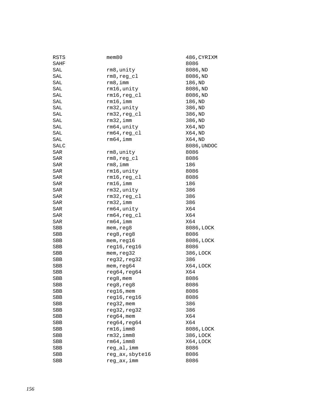| RSTS       | mem80            | 486,CYRIXM  |
|------------|------------------|-------------|
| SAHF       |                  | 8086        |
| SAL        | rm8,unity        | 8086, ND    |
| SAL        | $rm8, reg_c1$    | 8086, ND    |
| SAL        | rm8, imm         | 186, ND     |
| SAL        | rm16, unity      | 8086, ND    |
| SAL        | $rm16, reg_c1$   | 8086, ND    |
| SAL        | $rm16$ , imm     | 186, ND     |
| SAL        | rm32, unity      | 386, ND     |
| SAL        | $rm32, reg_c1$   | 386, ND     |
| SAL        | $rm32$ , imm     | 386, ND     |
| SAL        | rm64, unity      | X64, ND     |
| SAL        | $rm64, reg_c1$   | X64,ND      |
| SAL        | rm64, imm        | X64,ND      |
| SALC       |                  | 8086, UNDOC |
| SAR        | rm8,unity        | 8086        |
| SAR        | $rm8, reg_c1$    | 8086        |
| SAR        | rm 8, imm        | 186         |
| SAR        | rm16, unity      | 8086        |
| SAR        | $rm16, reg_c1$   | 8086        |
| SAR        | $rm16$ , imm     | 186         |
| SAR        | rm32, unity      | 386         |
| SAR        | $rm32, reg_c1$   | 386         |
| SAR        | $rm32$ , imm     | 386         |
| SAR        | rm64, unity      | X64         |
| SAR        | $rm64, reg_c1$   | X64         |
| SAR        | $rm64$ , imm     | X64         |
| SBB        | mem, reg8        | 8086, LOCK  |
| SBB        | reg8, reg8       | 8086        |
| SBB        | mem, reg16       | 8086, LOCK  |
| SBB        | reg16, reg16     | 8086        |
| SBB        | mem, reg32       | 386, LOCK   |
| SBB        | reg32, reg32     | 386         |
| SBB        | mem, reg64       | X64, LOCK   |
| SBB        | reg64, reg64     | X64         |
| <b>SBB</b> | reg8, mem        | 8086        |
| <b>SBB</b> | reg8, reg8       | 8086        |
| SBB        | $reg16$ , mem    | 8086        |
| SBB        | reg16,reg16      | 8086        |
| SBB        | reg32, mem       | 386         |
| SBB        | reg32, reg32     | 386         |
| SBB        | $req64$ , mem    | X64         |
| SBB        | reg64, reg64     | X64         |
| SBB        | $rm16$ , imm $8$ | 8086, LOCK  |
| SBB        | $rm32$ , imm $8$ | 386, LOCK   |
| SBB        | rm64, imm8       | X64, LOCK   |
| SBB        | reg_al, imm      | 8086        |
| SBB        | reg_ax, sbyte16  | 8086        |
| <b>SBB</b> | reg_ax, imm      | 8086        |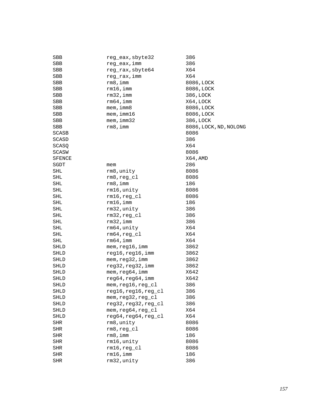| SBB          | reg_eax, sbyte32     | 386                    |
|--------------|----------------------|------------------------|
| SBB          | reg_eax,imm          | 386                    |
| SBB          | reg_rax, sbyte64     | X64                    |
| SBB          | reg_rax, imm         | X64                    |
| SBB          | rm8, imm             | 8086, LOCK             |
| SBB          | $rm16$ , imm         | 8086, LOCK             |
| SBB          | $rm32$ , imm         | 386, LOCK              |
| SBB          | $rm64$ , imm         | X64, LOCK              |
| SBB          | $m$ em, $imm8$       | 8086, LOCK             |
| SBB          | mem, imm16           | 8086, LOCK             |
| SBB          | mem, imm32           | 386, LOCK              |
| SBB          | $rm8$ , imm          | 8086, LOCK, ND, NOLONG |
| SCASB        |                      | 8086                   |
| SCASD        |                      | 386                    |
| SCASQ        |                      | X64                    |
| <b>SCASW</b> |                      | 8086                   |
| SFENCE       |                      | X64, AMD               |
| SGDT         | mem                  | 286                    |
| SHL          | rm8, unity           | 8086                   |
| SHL          | $rm8, reg_cl$        | 8086                   |
| SHL          | $rm8$ , imm          | 186                    |
| SHL          | rm16, unity          | 8086                   |
| SHL          | $rm16, reg_c1$       | 8086                   |
| SHL          | $rm16$ , imm         | 186                    |
| SHL          | rm32, unity          | 386                    |
| SHL          | $rm32, reg_cl$       | 386                    |
| SHL          | rm32, imm            | 386                    |
| SHL          | rm64, unity          | X64                    |
| SHL          | $rm64, reg_c1$       | X64                    |
| SHL          | $rm64$ , imm         | X64                    |
| SHLD         | mem, reg16, imm      | 3862                   |
| SHLD         | reg16, reg16, imm    | 3862                   |
| SHLD         | mem, reg32, imm      | 3862                   |
| SHLD         | reg32, reg32, imm    | 3862                   |
| SHLD         | mem, reg64, imm      | X642                   |
| SHLD         | reg64, reg64, imm    | X642                   |
| SHLD         | mem, reg16, reg_cl   | 386                    |
| SHLD         | reg16, reg16, reg_cl | 386                    |
| SHLD         | mem, reg32, reg_cl   | 386                    |
| <b>SHLD</b>  | reg32, reg32, reg_cl | 386                    |
| SHLD         | mem, reg64, reg_cl   | X64                    |
| SHLD         | reg64, reg64, reg_cl | X64                    |
| SHR          | rm8, unity           | 8086                   |
| SHR          | $rm8, reg_c1$        | 8086                   |
| SHR          | rm 8, imm            | 186                    |
| SHR          | rm16, unity          | 8086                   |
| SHR          | $rm16, reg_cl$       | 8086                   |
| SHR          | $rm16$ , imm         | 186                    |
| SHR          | rm32, unity          | 386                    |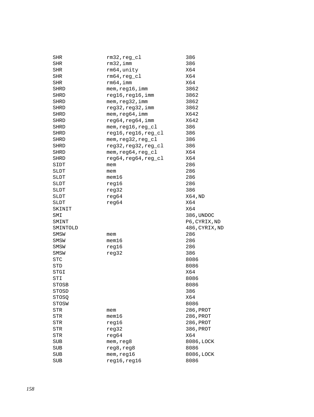| SHR        | $rm32, reg_cl$       | 386            |
|------------|----------------------|----------------|
| SHR        | rm32, imm            | 386            |
| SHR        | rm64, unity          | X64            |
| SHR        | $rm64, reg_c1$       | X64            |
| SHR        | rm64, imm            | X64            |
| SHRD       | mem, reg16, imm      | 3862           |
| SHRD       | reg16, reg16, imm    | 3862           |
| SHRD       | mem, reg32, imm      | 3862           |
| SHRD       | reg32, reg32, imm    | 3862           |
| SHRD       | mem, reg64, imm      | X642           |
| SHRD       | reg64, reg64, imm    | X642           |
| SHRD       | mem, reg16, reg_cl   | 386            |
| SHRD       | reg16, reg16, reg_cl | 386            |
| SHRD       | mem, reg32, reg_cl   | 386            |
| SHRD       | reg32, reg32, reg_cl | 386            |
| SHRD       | mem, reg64, reg_cl   | X64            |
| SHRD       | reg64, reg64, reg_cl | X64            |
| SIDT       | mem                  | 286            |
| SLDT       | mem                  | 286            |
| SLDT       | $m$ em $16$          | 286            |
| SLDT       | reg16                | 286            |
| SLDT       | reg32                | 386            |
| SLDT       | reg64                | X64, ND        |
| SLDT       | reg64                | X64            |
| SKINIT     |                      | X64            |
| SMI        |                      | 386, UNDOC     |
| SMINT      |                      | P6, CYRIX, ND  |
| SMINTOLD   |                      | 486, CYRIX, ND |
| SMSW       | mem                  | 286            |
| SMSW       | $m$ em $16$          | 286            |
| SMSW       | reg16                | 286            |
| SMSW       | reg32                | 386            |
| <b>STC</b> |                      | 8086           |
| STD        |                      | 8086           |
| STGI       |                      | X64            |
| STI        |                      | 8086           |
| STOSB      |                      | 8086           |
| STOSD      |                      | 386            |
| STOSQ      |                      | X64            |
| STOSW      |                      | 8086           |
| STR        | mem                  | 286, PROT      |
| STR        | $m$ em $16$          | 286, PROT      |
| STR        | reg16                | 286, PROT      |
| STR        | reg32                | 386, PROT      |
| STR        | reg64                | X64            |
| SUB        | mem, reg8            | 8086, LOCK     |
| SUB        | reg8, reg8           | 8086           |
| SUB        | mem, reg16           | 8086, LOCK     |
| <b>SUB</b> | reg16, reg16         | 8086           |
|            |                      |                |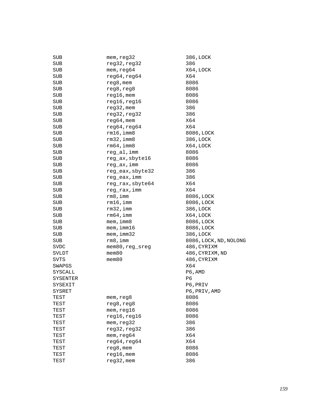| SUB      | mem, reg32       | 386, LOCK              |
|----------|------------------|------------------------|
| SUB      | reg32, reg32     | 386                    |
| SUB      | mem, reg64       | X64, LOCK              |
| SUB      | reg64, reg64     | X64                    |
| SUB      | reg8, mem        | 8086                   |
| SUB      | reg8, reg8       | 8086                   |
| SUB      | $reg16$ , mem    | 8086                   |
| SUB      | reg16, reg16     | 8086                   |
| SUB      | $reg32$ , mem    | 386                    |
| SUB      | reg32, reg32     | 386                    |
| SUB      | $reg64,$ mem     | X64                    |
| SUB      | reg64, reg64     | X64                    |
| SUB      | $rm16$ , imm $8$ | 8086, LOCK             |
| SUB      | $rm32$ , imm $8$ | 386, LOCK              |
| SUB      | $rm64$ , imm $8$ | X64, LOCK              |
| SUB      | reg_al, imm      | 8086                   |
| SUB      | reg_ax, sbyte16  | 8086                   |
| SUB      | reg_ax, imm      | 8086                   |
| SUB      | reg_eax, sbyte32 | 386                    |
| SUB      | reg_eax, imm     | 386                    |
| SUB      | reg_rax, sbyte64 | X64                    |
| SUB      | reg_rax, imm     | X64                    |
| SUB      | rm 8, imm        | 8086, LOCK             |
| SUB      | $rm16$ , imm     | 8086, LOCK             |
| SUB      | $rm32$ , imm     | 386, LOCK              |
| SUB      | $rm64$ , imm     | X64, LOCK              |
| SUB      | $m$ em, imm $8$  | 8086, LOCK             |
| SUB      | $m$ em, imm $16$ | 8086, LOCK             |
| SUB      | mem, imm32       | 386, LOCK              |
| SUB      | rm 8, imm        | 8086, LOCK, ND, NOLONG |
| SVDC     | mem80, reg_sreg  | 486, CYRIXM            |
| SVLDT    | $m$ em $80$      | 486, CYRIXM, ND        |
| SVTS     | $m$ em $80$      | 486, CYRIXM            |
| SWAPGS   |                  | X64                    |
| SYSCALL  |                  | P6, AMD                |
| SYSENTER |                  | P6                     |
| SYSEXIT  |                  | P6, PRIV               |
| SYSRET   |                  | P6, PRIV, AMD          |
| TEST     | mem, reg8        | 8086                   |
| TEST     | reg8, reg8       | 8086                   |
| TEST     | mem, reg16       | 8086                   |
| TEST     | reg16, reg16     | 8086                   |
| TEST     | mem, reg32       | 386                    |
| TEST     | reg32, reg32     | 386                    |
| TEST     | mem, reg64       | X64                    |
| TEST     | reg64, reg64     | X64                    |
| TEST     | reg8, mem        | 8086                   |
| TEST     | $reg16$ , mem    | 8086                   |
| TEST     | $reg32$ , mem    | 386                    |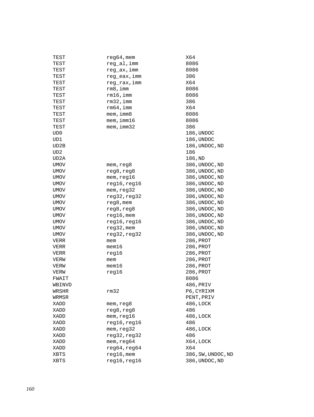| TEST   | $reg64,$ mem    | X64                |
|--------|-----------------|--------------------|
| TEST   | reg_al, imm     | 8086               |
| TEST   | reg_ax, imm     | 8086               |
| TEST   | reg_eax, imm    | 386                |
| TEST   | reg rax, imm    | X64                |
| TEST   | rm8, imm        | 8086               |
| TEST   | rm16, imm       | 8086               |
| TEST   | rm32, imm       | 386                |
| TEST   | rm64, imm       | X64                |
| TEST   | $m$ em, imm $8$ | 8086               |
| TEST   | mem, imm16      | 8086               |
| TEST   | mem, imm32      | 386                |
| UD0    |                 | 186, UNDOC         |
| UD1    |                 | 186, UNDOC         |
| UD2B   |                 | 186, UNDOC, ND     |
| UD2    |                 | 186                |
| UD2A   |                 | 186,ND             |
| UMOV   | mem,reg8        | 386, UNDOC, ND     |
| UMOV   | reg8, reg8      | 386, UNDOC, ND     |
| UMOV   | mem, reg16      | 386, UNDOC, ND     |
| UMOV   | reg16, reg16    | 386, UNDOC, ND     |
| UMOV   | mem, reg32      | 386, UNDOC, ND     |
| UMOV   | reg32, reg32    | 386, UNDOC, ND     |
| UMOV   | reg8, mem       | 386, UNDOC, ND     |
| UMOV   | reg8, reg8      | 386, UNDOC, ND     |
| UMOV   | $reg16$ , mem   | 386, UNDOC, ND     |
| UMOV   | reg16, reg16    | 386, UNDOC, ND     |
| UMOV   | $reg32$ , mem   | 386, UNDOC, ND     |
| UMOV   | reg32, reg32    | 386, UNDOC, ND     |
| VERR   | mem             | 286, PROT          |
| VERR   | mem16           | 286, PROT          |
| VERR   | reg16           | 286, PROT          |
| VERW   | mem             | 286, PROT          |
| VERW   | mem16           | 286, PROT          |
| VERW   | req16           | 286, PROT          |
| FWAIT  |                 | 8086               |
| WBINVD |                 | 486, PRIV          |
| WRSHR  | rm32            | P6, CYRIXM         |
| WRMSR  |                 | PENT, PRIV         |
| XADD   | mem, reg8       | 486, LOCK          |
| XADD   | reg8, reg8      | 486                |
| XADD   | mem, reg16      | 486, LOCK          |
| XADD   | reg16, reg16    | 486                |
| XADD   | mem, reg32      | 486, LOCK          |
| XADD   | reg32, reg32    | 486                |
| XADD   | mem, reg64      | X64, LOCK          |
| XADD   | reg64, reg64    | X64                |
| XBTS   | $reg16$ , mem   | 386, SW, UNDOC, ND |
| XBTS   | reg16, reg16    | 386, UNDOC, ND     |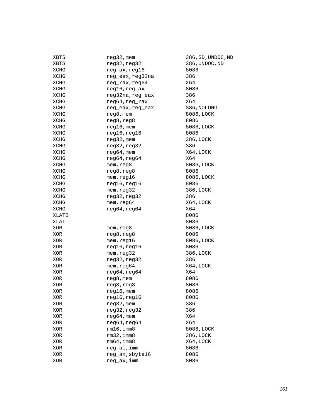| XBTS       | $reg32$ , mem    | 386, SD, UNDOC, ND |
|------------|------------------|--------------------|
| XBTS       | reg32, reg32     | 386, UNDOC, ND     |
| XCHG       | reg_ax, reg16    | 8086               |
| XCHG       | reg_eax, reg32na | 386                |
| XCHG       | reg_rax, reg64   | X64                |
| XCHG       | $reg16, reg\_ax$ | 8086               |
| XCHG       | reg32na, reg_eax | 386                |
| XCHG       | reg64, reg_rax   | X64                |
| XCHG       | reg eax, reg eax | 386, NOLONG        |
| XCHG       | reg8, mem        | 8086, LOCK         |
| XCHG       | reg8, reg8       | 8086               |
| XCHG       | $reg16$ , mem    | 8086, LOCK         |
| XCHG       | reg16,reg16      | 8086               |
| XCHG       | $reg32$ , mem    | 386, LOCK          |
| XCHG       | reg32,reg32      | 386                |
| XCHG       | $reg64,$ mem     | X64, LOCK          |
| XCHG       | reg64, reg64     | X64                |
| XCHG       | mem, reg8        | 8086, LOCK         |
| XCHG       | reg8, reg8       | 8086               |
| XCHG       | mem, reg16       | 8086, LOCK         |
| XCHG       | reg16, reg16     | 8086               |
| XCHG       | mem, reg32       | 386, LOCK          |
| XCHG       | reg32, reg32     | 386                |
| XCHG       | mem, req64       | X64,LOCK           |
| XCHG       | reg64, reg64     | X64                |
| XLATB      |                  | 8086               |
| XLAT       |                  | 8086               |
| XOR        | mem, reg8        | 8086, LOCK         |
| XOR        | reg8, reg8       | 8086               |
| XOR        | mem, reg16       | 8086, LOCK         |
| XOR        | reg16, reg16     | 8086               |
| XOR        | mem, reg32       | 386, LOCK          |
| XOR        | reg32, reg32     | 386                |
| XOR        | mem, reg64       | X64,LOCK           |
| XOR        | reg64, reg64     | X64                |
| XOR        | $reg8$ , mem     | 8086               |
| <b>XOR</b> | reg8, reg8       | 8086               |
| XOR        | $reg16$ , mem    | 8086               |
| XOR        | reg16, reg16     | 8086               |
| XOR        | $reg32$ , mem    | 386                |
| XOR        | reg32, reg32     | 386                |
| XOR        | $reg64,$ mem     | X64                |
| XOR        | reg64, reg64     | X64                |
| XOR        | $rm16$ , imm $8$ | 8086, LOCK         |
| XOR        | $rm32$ , imm $8$ | 386, LOCK          |
| XOR        | $rm64$ , imm $8$ | X64,LOCK           |
| XOR        | reg al, imm      | 8086               |
| XOR        | reg_ax, sbyte16  | 8086               |
| XOR        | reg_ax, imm      | 8086               |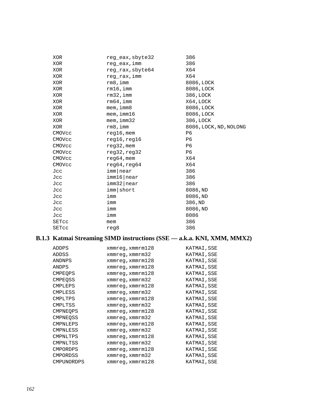| XOR          | reg eax, sbyte32 | 386                    |
|--------------|------------------|------------------------|
| XOR          | reg eax, imm     | 386                    |
| XOR          | reg rax, sbyte64 | X64                    |
| XOR          | reg rax, imm     | X64                    |
| XOR          | rm 8, imm        | 8086, LOCK             |
| XOR          | $rm16$ , imm     | 8086, LOCK             |
| XOR          | $rm32$ , imm     | 386, LOCK              |
| XOR.         | $rm64$ , imm     | X64, LOCK              |
| XOR          | $m$ em, $imm8$   | 8086, LOCK             |
| XOR          | $m$ em, imm $16$ | 8086, LOCK             |
| XOR          | mem, imm32       | 386, LOCK              |
| XOR          | rm 8, imm        | 8086, LOCK, ND, NOLONG |
| CMOVcc       | $req16$ , mem    | P6                     |
| CMOVcc       | reg16, reg16     | P6                     |
| CMOVcc       | $req32$ , mem    | P6                     |
| CMOVCC       | req32,req32      | P6                     |
| CMOVcc       | $req64$ , mem    | X64                    |
| CMOVCC       | req64,req64      | X64                    |
| Jcc          | imm near         | 386                    |
| Jcc          | imm16 near       | 386                    |
| Jcc          | $imm32$  near    | 386                    |
| Jcc          | imm short        | 8086, ND               |
| Jcc          | imm              | 8086,ND                |
| Jcc          | imm              | 386, ND                |
| Jcc          | imm              | 8086, ND               |
| Jcc          | imm              | 8086                   |
| <b>SETCC</b> | mem              | 386                    |
| SETcc        | reg8             | 386                    |

# **B.1.3 Katmai Streaming SIMD instructions (SSE –– a.k.a. KNI, XMM, MMX2)**

| ADDPS           | xmmreq, xmmrm128     | KATMAI, SSE |
|-----------------|----------------------|-------------|
| ADDSS           | xmmreg, xmmrm32      | KATMAI, SSE |
| ANDNPS          | xmmreq, xmmrm128     | KATMAI, SSE |
| ANDPS           | xmmreq, xmmrm128     | KATMAI, SSE |
| <b>CMPEQPS</b>  | xmmreq, xmmrm128     | KATMAI, SSE |
| <b>CMPEOSS</b>  | xmmreg, xmmrm32      | KATMAI, SSE |
| CMPLEPS         | xmmreq, xmmrm128     | KATMAI, SSE |
| CMPLESS         | xmmreg, xmmrm32      | KATMAI, SSE |
| CMPLTPS         | xmmreq, xmmrm128     | KATMAI, SSE |
| CMPLTSS         | $xmmreg$ , $xmmrm32$ | KATMAI, SSE |
| <b>CMPNEOPS</b> | xmmreg, xmmrm128     | KATMAI, SSE |
| CMPNEOSS        | xmmreg, xmmrm32      | KATMAI, SSE |
| CMPNLEPS        | xmmreg, xmmrm128     | KATMAI, SSE |
| CMPNLESS        | xmmreg, xmmrm32      | KATMAI, SSE |
| CMPNLTPS        | xmmreq, xmmrm128     | KATMAI, SSE |
| CMPNLTSS        | xmmreg, xmmrm32      | KATMAI, SSE |
| <b>CMPORDPS</b> | xmmreq, xmmrm128     | KATMAI, SSE |
| <b>CMPORDSS</b> | xmmreg, xmmrm32      | KATMAI, SSE |
| CMPUNORDPS      | xmmreq, xmmrm128     | KATMAI, SSE |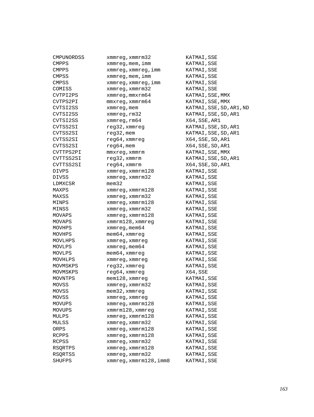| CMPUNORDSS   | xmmreq, xmmrm32                   | KATMAI, SSE              |
|--------------|-----------------------------------|--------------------------|
| <b>CMPPS</b> | xmmreg, mem, imm                  | KATMAI, SSE              |
| <b>CMPPS</b> | xmmreg, xmmreg, imm               | KATMAI, SSE              |
| <b>CMPSS</b> | $x$ mm $x$ eg, mem, imm           | KATMAI, SSE              |
| <b>CMPSS</b> | xmmreq, xmmreq, imm               | KATMAI, SSE              |
| COMISS       | xmmreg, xmmrm32                   | KATMAI, SSE              |
| CVTPI2PS     | xmmreg, mmxrm64                   | KATMAI, SSE, MMX         |
| CVTPS2PI     | $mmxreg$ , $xmmrm64$              | KATMAI, SSE, MMX         |
| CVTSI2SS     | xmmreq, mem                       | KATMAI, SSE, SD, AR1, ND |
| CVTSI2SS     | xmmreg, rm32                      | KATMAI, SSE, SD, AR1     |
| CVTSI2SS     | xmmreg, rm64                      | X64, SSE, AR1            |
| CVTSS2SI     | reg32, xmmreg                     | KATMAI, SSE, SD, AR1     |
| CVTSS2SI     | $reg32$ , mem                     | KATMAI, SSE, SD, AR1     |
| CVTSS2SI     | reg64, xmmreg                     | X64, SSE, SD, AR1        |
| CVTSS2SI     | $reg64,$ mem                      | X64, SSE, SD, AR1        |
| CVTTPS2PI    | $mmxreg$ , x $mmr$ m              | KATMAI, SSE, MMX         |
| CVTTSS2SI    | reg32, xmmrm                      | KATMAI, SSE, SD, AR1     |
| CVTTSS2SI    | reg64, xmmrm                      | X64, SSE, SD, AR1        |
| DIVPS        | xmmreq, xmmrm128                  | KATMAI, SSE              |
| DIVSS        | xmmreg, xmmrm32                   | KATMAI,SSE               |
| LDMXCSR      | $m$ em $32$                       | KATMAI, SSE              |
| MAXPS        | $x$ mm $req$ , $x$ mm $rn128$     | KATMAI, SSE              |
| MAXSS        | xmmreq, xmmrm32                   | KATMAI, SSE              |
| MINPS        | xmmreq, xmmrm128                  | KATMAI, SSE              |
| MINSS        | xmmreg, xmmrm32                   | KATMAI, SSE              |
| MOVAPS       | xmmreg, xmmrm128                  | KATMAI, SSE              |
| MOVAPS       | xmmrm128, xmmreg                  | KATMAI, SSE              |
| MOVHPS       | xmmreg, mem64                     | KATMAI, SSE              |
| MOVHPS       | $m$ em $64$ , xmm $r$ eg          | KATMAI, SSE              |
| MOVLHPS      | xmmreg, xmmreg                    | KATMAI, SSE              |
| MOVLPS       | xmmreg, mem64                     | KATMAI, SSE              |
| MOVLPS       | $m$ em $64$ , xmm $r$ eg          | KATMAI, SSE              |
| MOVHLPS      | xmmreg, xmmreg                    | KATMAI, SSE              |
| MOVMSKPS     | reg32, xmmreg                     | KATMAI, SSE              |
| MOVMSKPS     | reg64, xmmreg                     | X64, SSE                 |
| MOVNTPS      | $m$ em $128$ , xmm $r$ eg         | KATMAI, SSE              |
| MOVSS        | xmmreg, xmmrm32                   | KATMAI, SSE              |
| MOVSS        | mem32, xmmreg                     | KATMAI, SSE              |
| MOVSS        | xmmreg, xmmreg                    | KATMAI, SSE              |
| MOVUPS       | $xmmreq$ , $xmmrm128$             | KATMAI, SSE              |
| MOVUPS       | xmmrm128, xmmreg                  | KATMAI, SSE              |
| MULPS        | $x$ mm $r$ eq, $x$ mm $r$ m $128$ | KATMAI, SSE              |
| MULSS        | xmmreg, xmmrm32                   | KATMAI, SSE              |
| ORPS         | xmmreg, xmmrm128                  | KATMAI, SSE              |
| RCPPS        | xmmreg, xmmrm128                  | KATMAI, SSE              |
| RCPSS        | xmmreg, xmmrm32                   | KATMAI, SSE              |
| RSQRTPS      | xmmreg, xmmrm128                  | KATMAI, SSE              |
| RSORTSS      | xmmreq, xmmrm32                   | KATMAI, SSE              |
| SHUFPS       | xmmreq, xmmrm128, imm8            | KATMAI, SSE              |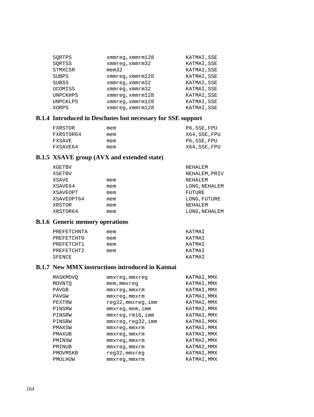| SORTPS          | $x$ mm $x$ eq, $x$ mm $x$ m $128$ | KATMAI, SSE |
|-----------------|-----------------------------------|-------------|
| SORTSS          | xmmreq, xmmrm32                   | KATMAI, SSE |
| STMXCSR         | $m$ em $32$                       | KATMAI, SSE |
| <b>SUBPS</b>    | $x$ mm $x$ eq, $x$ mm $x$ m $128$ | KATMAI, SSE |
| <b>SUBSS</b>    | xmmreq, xmmrm32                   | KATMAI, SSE |
| UCOMISS         | xmmreq, xmmrm32                   | KATMAI, SSE |
| <b>UNPCKHPS</b> | $x$ mm $x$ eq, $x$ mm $x$ m $128$ | KATMAI, SSE |
| <b>UNPCKLPS</b> | $x$ mm $x$ eq, $x$ mm $x$ m $128$ | KATMAI, SSE |
| XORPS           | $x$ mm $x$ eq, $x$ mm $x$ m $128$ | KATMAI, SSE |

### **B.1.4 Introduced in Deschutes but necessary for SSE support**

| FXRSTOR   | mem | P6, SSE, FPU  |
|-----------|-----|---------------|
| FXRSTOR64 | mem | X64, SSE, FPU |
| FXSAVE    | mem | P6, SSE, FPU  |
| FXSAVE64  | mem | X64, SSE, FPU |

# **B.1.5 XSAVE group (AVX and extended state)**

|     | NEHALEM       |
|-----|---------------|
|     | NEHALEM, PRIV |
| mem | NEHALEM       |
| mem | LONG, NEHALEM |
| mem | FUTURE        |
| mem | LONG, FUTURE  |
| mem | NEHALEM       |
| mem | LONG, NEHALEM |
|     |               |

# **B.1.6 Generic memory operations**

| PREFETCHNTA | mem | KATMAT |
|-------------|-----|--------|
| PREFETCHTO  | mem | KATMAT |
| PREFETCHT1  | mem | KATMAT |
| PREFETCHT2  | mem | KATMAT |
| SFENCE      |     | KATMAT |

### **B.1.7 New MMX instructions introduced in Katmai**

| MASKMOVO     | mmxreq,mmxreq       | KATMAI, MMX |
|--------------|---------------------|-------------|
| MOVNTO       | mem, mmxreq         | KATMAI, MMX |
| <b>PAVGB</b> | $mmxreq$ , $mmxrm$  | KATMAI, MMX |
| <b>PAVGW</b> | mmxreq, mmxrm       | KATMAI, MMX |
| PEXTRW       | reg32, mmxreg, imm  | KATMAI, MMX |
| PINSRW       | $mmxreq$ , mem, imm | KATMAI, MMX |
| PINSRW       | mmxreq,rm16,imm     | KATMAI, MMX |
| PINSRW       | mmxreq, req32, imm  | KATMAI, MMX |
| PMAXSW       | mmxreq,mmxrm        | KATMAI, MMX |
| PMAXUB       | mmxreq,mmxrm        | KATMAI, MMX |
| PMINSW       | mmxreq,mmxrm        | KATMAI, MMX |
| PMINUB       | $mmxreq$ , $mmxrm$  | KATMAI, MMX |
| PMOVMSKB     | reg32, mmxreg       | KATMAI, MMX |
| PMULHUW      | mmxreq,mmxrm        | KATMAI, MMX |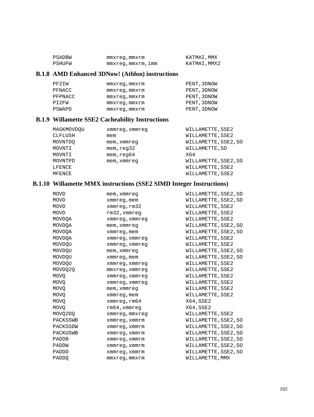| PSADBW | mmxreg,mmxrm     | KATMAI, MMX  |
|--------|------------------|--------------|
| PSHUFW | mmxreq,mmxrm,imm | KATMAI, MMX2 |

### **B.1.8 AMD Enhanced 3DNow! (Athlon) instructions**

| PF2IW   | mmxreq, mmxrm      | PENT, 3DNOW |
|---------|--------------------|-------------|
| PFNACC  | mmxreq, mmxrm      | PENT, 3DNOW |
| PFPNACC | mmxreq, mmxrm      | PENT, 3DNOW |
| PI2FW   | $mmxreq$ , $mmxrm$ | PENT, 3DNOW |
| PSWAPD  | mmxreq, mmxrm      | PENT, 3DNOW |

### **B.1.9 Willamette SSE2 Cacheability Instructions**

| MASKMOVDOU | xmmreg, xmmreg | WILLAMETTE, SSE2     |
|------------|----------------|----------------------|
| CLFLUSH    | mem            | WILLAMETTE, SSE2     |
| MOVNTDO    | mem, xmmreg    | WILLAMETTE, SSE2, SO |
| MOVNTI     | mem, read32    | WILLAMETTE, SD       |
| MOVNTI     | mem, read64    | X64                  |
| MOVNTPD    | mem, xmmreg    | WILLAMETTE, SSE2, SO |
| LFENCE     |                | WILLAMETTE, SSE2     |
| MFENCE     |                | WILLAMETTE, SSE2     |

# **B.1.10 Willamette MMX instructions (SSE2 SIMD Integer Instructions)**

| <b>MOVD</b>  | mem, xmmreg        | WILLAMETTE, SSE2, SD |
|--------------|--------------------|----------------------|
| <b>MOVD</b>  | xmmreg, mem        | WILLAMETTE, SSE2, SD |
| <b>MOVD</b>  | xmmreq, rm32       | WILLAMETTE, SSE2     |
| MOVD         | $rm32$ , xmmreq    | WILLAMETTE, SSE2     |
| MOVDOA       | xmmreg, xmmreg     | WILLAMETTE, SSE2     |
| MOVDOA       | mem, xmmreq        | WILLAMETTE, SSE2, SO |
| MOVDOA       | xmmreg, mem        | WILLAMETTE, SSE2, SO |
| MOVDOA       | xmmreg, xmmreg     | WILLAMETTE, SSE2     |
| MOVDOU       | xmmreg, xmmreg     | WILLAMETTE, SSE2     |
| MOVDQU       | mem, xmmreq        | WILLAMETTE, SSE2, SO |
| MOVDOU       | xmmreg, mem        | WILLAMETTE, SSE2, SO |
| MOVDOU       | xmmreg, xmmreg     | WILLAMETTE, SSE2     |
| MOVDO20      | mmxreq, xmmreq     | WILLAMETTE, SSE2     |
| <b>MOVO</b>  | xmmreg, xmmreq     | WILLAMETTE, SSE2     |
| <b>MOVO</b>  | xmmreg, xmmreg     | WILLAMETTE, SSE2     |
| <b>MOVO</b>  | mem, xmmreq        | WILLAMETTE, SSE2     |
| <b>MOVO</b>  | xmmreg, mem        | WILLAMETTE, SSE2     |
| <b>MOVO</b>  | xmmreq, rm64       | X64, SSE2            |
| <b>MOVO</b>  | $rm64$ , xmmreq    | X64, SSE2            |
| MOVQ2DQ      | xmmreg, mmxreg     | WILLAMETTE, SSE2     |
| PACKSSWB     | xmmreq, xmmrm      | WILLAMETTE, SSE2, SO |
| PACKSSDW     | xmmreq, xmmrm      | WILLAMETTE, SSE2, SO |
| PACKUSWB     | xmmreq, xmmrm      | WILLAMETTE, SSE2, SO |
| <b>PADDB</b> | xmmreq, xmmrm      | WILLAMETTE, SSE2, SO |
| PADDW        | xmmreq, xmmrm      | WILLAMETTE, SSE2, SO |
| PADDD        | xmmreq, xmmrm      | WILLAMETTE, SSE2, SO |
| <b>PADDO</b> | $mmxreg$ , $mmxrm$ | WILLAMETTE, MMX      |
|              |                    |                      |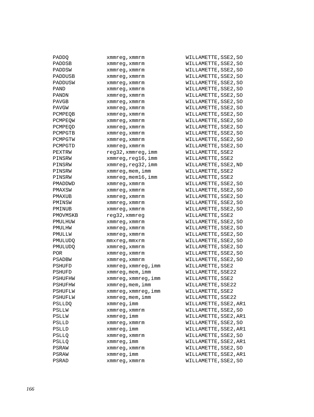| PADDO         | xmmreg, xmmrm             | V |
|---------------|---------------------------|---|
| PADDSB        | xmmreg,xmmrm              | V |
| PADDSW        | xmmreg,xmmrm              | V |
| PADDUSB       | xmmreg,xmmrm              | V |
| PADDUSW       | xmmreg,xmmrm              | V |
| PAND          | xmmreg,xmmrm              | V |
| PANDN         | xmmreg,xmmrm              | V |
| PAVGB         | xmmreg,xmmrm              | V |
| PAVGW         | xmmreg,xmmrm              | V |
| PCMPEOB       | xmmreg,xmmrm              | V |
| PCMPEOW       | xmmreg,xmmrm              | V |
| PCMPEOD       | xmmreg, xmmrm             | V |
| PCMPGTB       | xmmreg, xmmrm             | V |
| PCMPGTW       | xmmreg, xmmrm             | V |
| PCMPGTD       | xmmreg, xmmrm             | V |
| PEXTRW        | reg32, xmmreg, imm        | V |
| PINSRW        | xmmreg, reg16, imm        | V |
| PINSRW        | xmmreg, reg32, imm        | V |
| PINSRW        | xmmreg, mem, imm          | V |
| PINSRW        | $xmmreg$ , mem $16$ , imm | V |
| PMADDWD       | xmmreg,xmmrm              | V |
| PMAXSW        | xmmreg,xmmrm              | V |
| PMAXUB        | xmmreg, xmmrm             | V |
| PMINSW        | xmmreg, xmmrm             | V |
| PMINUB        | xmmreg, xmmrm             | V |
| PMOVMSKB      | reg32,xmmreg              | V |
| PMULHUW       | xmmreg, xmmrm             | V |
| PMULHW        | xmmreg, xmmrm             | V |
| PMULLW        | xmmreg,xmmrm              | V |
| PMULUDQ       | mmxreg,mmxrm              | V |
| PMULUDQ       | xmmreg, xmmrm             | V |
| <b>POR</b>    | xmmreg, xmmrm             | V |
| <b>PSADBW</b> | xmmreg, xmmrm             | V |
| PSHUFD        | xmmreg, xmmreg, imm       | V |
| PSHUFD        | xmmreg, mem, imm          | V |
| PSHUFHW       | xmmreg, xmmreg, imm       | V |
| PSHUFHW       | xmmreg,mem,imm            | V |
| PSHUFLW       | xmmreg,xmmreg,imm         | V |
| PSHUFLW       | xmmreg, mem, imm          | V |
| <b>PSLLDQ</b> | xmmreg, imm               | V |
| PSLLW         | xmmreg, xmmrm             | V |
| PSLLW         | xmmreg,imm                | V |
| PSLLD         | xmmreg, xmmrm             | V |
| PSLLD         | xmmreg,imm                | V |
| PSLLQ         | xmmreg, xmmrm             | V |
| PSLLQ         | xmmreg,imm                | V |
| PSRAW         | xmmreg, xmmrm             | V |
| PSRAW         | xmmreg,imm                | V |
| PSRAD         | xmmreg, xmmrm             | V |

WILLAMETTE, SSE2, SO WILLAMETTE,SSE2,SO WILLAMETTE,SSE2,SO WILLAMETTE,SSE2,SO WILLAMETTE,SSE2,SO WILLAMETTE,SSE2,SO WILLAMETTE,SSE2,SO WILLAMETTE,SSE2,SO WILLAMETTE,SSE2,SO WILLAMETTE, SSE2, SO WILLAMETTE,SSE2,SO WILLAMETTE,SSE2,SO WILLAMETTE,SSE2,SO WILLAMETTE,SSE2,SO WILLAMETTE,SSE2,SO WILLAMETTE, SSE2 WILLAMETTE,SSE2 WILLAMETTE,SSE2,ND WILLAMETTE, SSE2 WILLAMETTE,SSE2 WILLAMETTE, SSE2, SO WILLAMETTE,SSE2,SO WILLAMETTE, SSE2, SO WILLAMETTE,SSE2,SO WILLAMETTE,SSE2,SO WILLAMETTE,SSE2 WILLAMETTE,SSE2,SO WILLAMETTE,SSE2,SO WILLAMETTE,SSE2,SO WILLAMETTE,SSE2,SO WILLAMETTE,SSE2,SO WILLAMETTE, SSE2, SO WILLAMETTE,SSE2,SO WILLAMETTE, SSE2 WILLAMETTE,SSE22 WILLAMETTE,SSE2 WILLAMETTE, SSE22 WILLAMETTE, SSE2 WILLAMETTE, SSE22 WILLAMETTE,SSE2,AR1 WILLAMETTE,SSE2,SO WILLAMETTE,SSE2,AR1 WILLAMETTE, SSE2, SO WILLAMETTE,SSE2,AR1 WILLAMETTE,SSE2,SO WILLAMETTE,SSE2,AR1 WILLAMETTE,SSE2,SO WILLAMETTE, SSE2, AR1 WILLAMETTE,SSE2,SO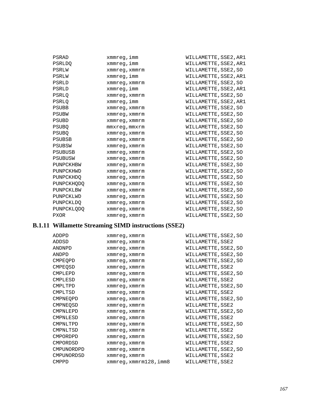| PSRAD             | xmmreg,imm         | WILLAMETTE, SSE2, AR1 |
|-------------------|--------------------|-----------------------|
| <b>PSRLDO</b>     | xmmreg,imm         | WILLAMETTE, SSE2, AR1 |
| <b>PSRLW</b>      | xmmreq, xmmrm      | WILLAMETTE, SSE2, SO  |
| PSRLW             | xmmreg,imm         | WILLAMETTE, SSE2, AR1 |
| PSRLD             | xmmreq, xmmrm      | WILLAMETTE, SSE2, SO  |
| PSRLD             | xmmreg,imm         | WILLAMETTE, SSE2, AR1 |
| <b>PSRLO</b>      | xmmreq, xmmrm      | WILLAMETTE, SSE2, SO  |
| <b>PSRLO</b>      | xmmreg,imm         | WILLAMETTE, SSE2, AR1 |
| <b>PSUBB</b>      | xmmreq, xmmrm      | WILLAMETTE, SSE2, SO  |
| <b>PSUBW</b>      | xmmreq, xmmrm      | WILLAMETTE, SSE2, SO  |
| <b>PSUBD</b>      | xmmreq, xmmrm      | WILLAMETTE, SSE2, SO  |
| <b>PSUBO</b>      | $mmxreq$ , $mmxrm$ | WILLAMETTE, SSE2, SO  |
| <b>PSUBO</b>      | xmmreq, xmmrm      | WILLAMETTE, SSE2, SO  |
| <b>PSUBSB</b>     | xmmreq, xmmrm      | WILLAMETTE, SSE2, SO  |
| PSUBSW            | xmmreq, xmmrm      | WILLAMETTE, SSE2, SO  |
| <b>PSUBUSB</b>    | xmmreq, xmmrm      | WILLAMETTE, SSE2, SO  |
| PSUBUSW           | xmmreq, xmmrm      | WILLAMETTE, SSE2, SO  |
| PUNPCKHBW         | xmmreq, xmmrm      | WILLAMETTE, SSE2, SO  |
| PUNPCKHWD         | xmmreq, xmmrm      | WILLAMETTE, SSE2, SO  |
| PUNPCKHDO         | xmmreq, xmmrm      | WILLAMETTE, SSE2, SO  |
| <b>PUNPCKHODO</b> | xmmreq, xmmrm      | WILLAMETTE, SSE2, SO  |
| PUNPCKLBW         | xmmreq, xmmrm      | WILLAMETTE, SSE2, SO  |
| PUNPCKLWD         | xmmreq, xmmrm      | WILLAMETTE, SSE2, SO  |
| <b>PUNPCKLDO</b>  | xmmreq, xmmrm      | WILLAMETTE, SSE2, SO  |
| PUNPCKLQDQ        | xmmreq, xmmrm      | WILLAMETTE, SSE2, SO  |
| <b>PXOR</b>       | xmmreq, xmmrm      | WILLAMETTE, SSE2, SO  |

#### **B.1.11 Willamette Streaming SIMD instructions (SSE2)**

| ADDPD          | xmmreg, xmmrm        | WILLAMETTE, SSE2, SO |
|----------------|----------------------|----------------------|
| ADDSD          | xmmreg, xmmrm        | WILLAMETTE, SSE2     |
| <b>ANDNPD</b>  | xmmreq, xmmrm        | WILLAMETTE, SSE2, SO |
| ANDPD          | xmmreq, xmmrm        | WILLAMETTE, SSE2, SO |
| <b>CMPEQPD</b> | xmmreq, xmmrm        | WILLAMETTE, SSE2, SO |
| CMPEOSD        | xmmreq, xmmrm        | WILLAMETTE, SSE2     |
| CMPLEPD        | xmmreq, xmmrm        | WILLAMETTE, SSE2, SO |
| CMPLESD        | xmmreg, xmmrm        | WILLAMETTE, SSE2     |
| CMPLTPD        | xmmreq, xmmrm        | WILLAMETTE, SSE2, SO |
| CMPLTSD        | xmmreq, xmmrm        | WILLAMETTE, SSE2     |
| CMPNEOPD       | xmmreq, xmmrm        | WILLAMETTE, SSE2, SO |
| CMPNEOSD       | xmmreq, xmmrm        | WILLAMETTE, SSE2     |
| CMPNLEPD       | xmmreq, xmmrm        | WILLAMETTE, SSE2, SO |
| CMPNLESD       | xmmreq, xmmrm        | WILLAMETTE, SSE2     |
| CMPNLTPD       | xmmreq, xmmrm        | WILLAMETTE, SSE2, SO |
| CMPNLTSD       | xmmreq, xmmrm        | WILLAMETTE, SSE2     |
| CMPORDPD       | xmmreq, xmmrm        | WILLAMETTE, SSE2, SO |
| CMPORDSD       | xmmreq, xmmrm        | WILLAMETTE, SSE2     |
| CMPUNORDPD     | xmmreq, xmmrm        | WILLAMETTE, SSE2, SO |
| CMPUNORDSD     | xmmreq, xmmrm        | WILLAMETTE, SSE2     |
| CMPPD          | xmmreq,xmmrm128,imm8 | WILLAMETTE, SSE2     |
|                |                      |                      |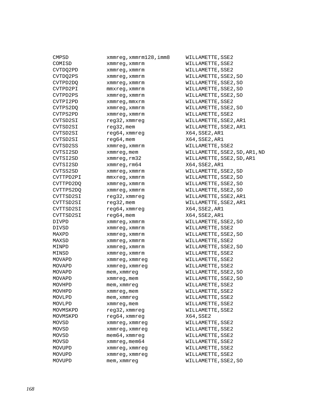| CMPSD     | xmmreg,xmmrm128,imm8    |
|-----------|-------------------------|
| COMISD    | xmmreg, xmmrm           |
| CVTDQ2PD  | xmmreg, xmmrm           |
| CVTDQ2PS  | xmmreg, xmmrm           |
| CVTPD2DQ  | xmmreg, xmmrm           |
| CVTPD2PI  | mmxreg, xmmrm           |
| CVTPD2PS  | xmmreg, xmmrm           |
| CVTPI2PD  | xmmreg, mmxrm           |
| CVTPS2DQ  | xmmreg, xmmrm           |
| CVTPS2PD  | xmmreg, xmmrm           |
| CVTSD2SI  | reg32, xmmreg           |
| CVTSD2SI  | reg32, mem              |
| CVTSD2SI  | reg64, xmmreg           |
| CVTSD2SI  | reg64, mem              |
| CVTSD2SS  | xmmreg, xmmrm           |
| CVTSI2SD  | xmmreg, mem             |
| CVTSI2SD  | xmmreg, rm32            |
| CVTSI2SD  | xmmreg, rm64            |
| CVTSS2SD  | xmmreq, xmmrm           |
| CVTTPD2PI | $mmxreq$ , $xmmrm$      |
| CVTTPD2DQ | xmmreg, xmmrm           |
| CVTTPS2DQ | xmmreq, xmmrm           |
| CVTTSD2SI | reg32, xmmreg           |
| CVTTSD2SI | reg32, mem              |
| CVTTSD2SI | reg64, xmmreg           |
| CVTTSD2SI | $reg64$ , mem           |
| DIVPD     | xmmreg, xmmrm           |
| DIVSD     | xmmreg, xmmrm           |
| MAXPD     | xmmreg, xmmrm           |
| MAXSD     | xmmreg, xmmrm           |
| MINPD     | xmmreg, xmmrm           |
| MINSD     | xmmreg, xmmrm           |
| MOVAPD    | xmmreg, xmmreg          |
| MOVAPD    | xmmreg, xmmreg          |
| MOVAPD    | mem, xmmreg             |
| MOVAPD    | xmmreg, mem             |
| MOVHPD    | mem, xmmreq             |
| MOVHPD    | xmmreg, mem             |
| MOVLPD    | mem, xmmreq             |
| MOVLPD    | xmmreg, mem             |
| MOVMSKPD  | reg32,xmmreg            |
| MOVMSKPD  | reg64, xmmreg           |
| MOVSD     | xmmreg, xmmreg          |
| MOVSD     | xmmreg, xmmreg          |
| MOVSD     | mem64,xmmreg            |
| MOVSD     | $x$ mm $x$ eq, mem $64$ |
| MOVUPD    | xmmreg, xmmreg          |
| MOVUPD    | xmmreg, xmmreg          |
| MOVUPD    | mem, xmmreq             |

er<br>128,imm8 WILLAMETTE,SSE2 WILLAMETTE, SSE2 WILLAMETTE, SSE2 WILLAMETTE, SSE2, SO WILLAMETTE, SSE2, SO WILLAMETTE, SSE2, SO WILLAMETTE, SSE2, SO WILLAMETTE, SSE2 WILLAMETTE, SSE2, SO WILLAMETTE, SSE2 WILLAMETTE, SSE2, AR1 WILLAMETTE, SSE2, AR1 X64,SSE2,AR1 X64,SSE2,AR1 WILLAMETTE, SSE2 WILLAMETTE, SSE2, SD, AR1, ND WILLAMETTE, SSE2, SD, AR1 X64,SSE2,AR1 WILLAMETTE, SSE2, SD WILLAMETTE, SSE2, SO WILLAMETTE, SSE2, SO WILLAMETTE, SSE2, SO WILLAMETTE, SSE2, AR1 WILLAMETTE, SSE2, AR1 X64,SSE2,AR1  $X64$ , SSE2, AR1 WILLAMETTE, SSE2, SO WILLAMETTE, SSE2 WILLAMETTE, SSE2, SO WILLAMETTE, SSE2 WILLAMETTE, SSE2, SO WILLAMETTE, SSE2 WILLAMETTE, SSE2 WILLAMETTE, SSE2 WILLAMETTE, SSE2, SO WILLAMETTE, SSE2, SO WILLAMETTE, SSE2 WILLAMETTE, SSE2 WILLAMETTE, SSE2 WILLAMETTE, SSE2 WILLAMETTE, SSE2 X64,SSE2 WILLAMETTE, SSE2 WILLAMETTE, SSE2 WILLAMETTE, SSE2 WILLAMETTE, SSE2 WILLAMETTE, SSE2 WILLAMETTE, SSE2 WILLAMETTE, SSE2, SO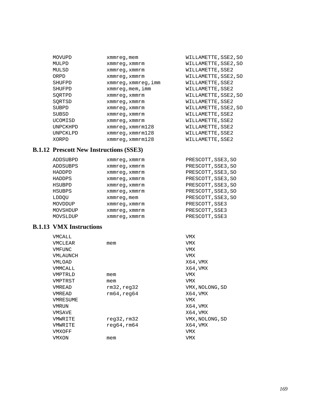| MOVUPD        | xmmreg, mem                   | WILLAMETTE, SSE2, SO |
|---------------|-------------------------------|----------------------|
| MULPD         | xmmreg, xmmrm                 | WILLAMETTE, SSE2, SO |
| MULSD         | xmmreq, xmmrm                 | WILLAMETTE, SSE2     |
| ORPD          | xmmreg, xmmrm                 | WILLAMETTE, SSE2, SO |
| SHUFPD        | xmmreg,xmmreg,imm             | WILLAMETTE, SSE2     |
| <b>SHUFPD</b> | $x$ mm $x$ eq, mem, imm       | WILLAMETTE, SSE2     |
| SORTPD        | xmmreq, xmmrm                 | WILLAMETTE, SSE2, SO |
| SORTSD        | xmmreq, xmmrm                 | WILLAMETTE, SSE2     |
| SUBPD         | xmmreq, xmmrm                 | WILLAMETTE, SSE2, SO |
| SUBSD         | xmmreq, xmmrm                 | WILLAMETTE, SSE2     |
| UCOMISD       | xmmreq, xmmrm                 | WILLAMETTE, SSE2     |
| UNPCKHPD      | xmmreq, xmmrm128              | WILLAMETTE, SSE2     |
| UNPCKLPD      | $x$ mm $req$ , $x$ mm $rn128$ | WILLAMETTE, SSE2     |
| XORPD         | xmmreq, xmmrm128              | WILLAMETTE, SSE2     |

# **B.1.12 Prescott New Instructions (SSE3)**

| ADDSUBPD | xmmreg, xmmrm | PRESCOTT, SSE3, SO |
|----------|---------------|--------------------|
| ADDSUBPS | xmmreg, xmmrm | PRESCOTT, SSE3, SO |
| HADDPD   | xmmreq, xmmrm | PRESCOTT, SSE3, SO |
| HADDPS   | xmmreg, xmmrm | PRESCOTT, SSE3, SO |
| HSUBPD   | xmmreq, xmmrm | PRESCOTT, SSE3, SO |
| HSUBPS   | xmmreq, xmmrm | PRESCOTT, SSE3, SO |
| LDDOU    | xmmreg, mem   | PRESCOTT, SSE3, SO |
| MOVDDUP  | xmmreq, xmmrm | PRESCOTT, SSE3     |
| MOVSHDUP | xmmreq, xmmrm | PRESCOTT, SSE3     |
| MOVSLDUP | xmmreq, xmmrm | PRESCOTT, SSE3     |

# **B.1.13 VMX Instructions**

| VMCALL   |                      | <b>VMX</b>      |
|----------|----------------------|-----------------|
| VMCLEAR  | mem                  | VMX             |
| VMFUNC   |                      | VMX             |
| VMLAUNCH |                      | VMX             |
| VMLOAD   |                      | X64, VMX        |
| VMMCALL  |                      | X64,VMX         |
| VMPTRLD  | mem                  | VMX             |
| VMPTRST  | mem                  | VMX             |
| VMREAD   | rm32, read32         | VMX, NOLONG, SD |
| VMREAD   | rm64, read64         | X64,VMX         |
| VMRESUME |                      | VMX             |
| VMRUN    |                      | X64, VMX        |
| VMSAVE   |                      | X64,VMX         |
| VMWRITE  | req32,rm32           | VMX, NOLONG, SD |
| VMWRITE  | $r$ eq $64$ ,rm $64$ | X64, VMX        |
| VMXOFF   |                      | VMX             |
| VMXON    | mem                  | VMX             |
|          |                      |                 |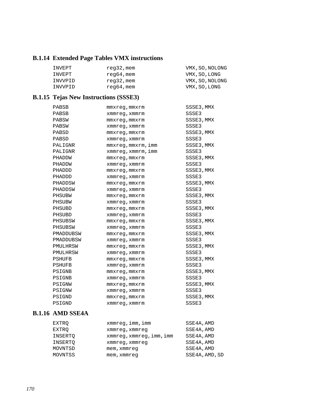# **B.1.14 Extended Page Tables VMX instructions**

| INVEPT  | reg32, mem | VMX, SO, NOLONG |
|---------|------------|-----------------|
| INVEPT  | reg64,mem  | VMX, SO, LONG   |
| INVVPID | reg32, mem | VMX, SO, NOLONG |
| INVVPID | reg64, mem | VMX, SO, LONG   |

# **B.1.15 Tejas New Instructions (SSSE3)**

| PABSB         | mmxreg, mmxrm      | SSSE3, MMX |
|---------------|--------------------|------------|
| PABSB         | xmmreq, xmmrm      | SSSE3      |
| PABSW         | $mmxreg$ , $mmxrm$ | SSSE3, MMX |
| PABSW         | xmmreg, xmmrm      | SSSE3      |
| PABSD         | mmxreq, mmxrm      | SSSE3, MMX |
| PABSD         | xmmreq, xmmrm      | SSSE3      |
| PALIGNR       | mmxreg,mmxrm,imm   | SSSE3, MMX |
| PALIGNR       | xmmreg, xmmrm, imm | SSSE3      |
| PHADDW        | mmxreq, mmxrm      | SSSE3, MMX |
| PHADDW        | xmmreg, xmmrm      | SSSE3      |
| PHADDD        | mmxreq, mmxrm      | SSSE3, MMX |
| PHADDD        | xmmreg, xmmrm      | SSSE3      |
| PHADDSW       | $mmxreq$ , $mmxrm$ | SSSE3, MMX |
| PHADDSW       | xmmreq, xmmrm      | SSSE3      |
| PHSUBW        | $mmxreg$ , $mmxrm$ | SSSE3, MMX |
| PHSUBW        | xmmreq, xmmrm      | SSSE3      |
| PHSUBD        | $mmxreg$ , $mmxrm$ | SSSE3, MMX |
| PHSUBD        | xmmreq, xmmrm      | SSSE3      |
| PHSUBSW       | $mmxreq$ , $mmxrm$ | SSSE3, MMX |
| PHSUBSW       | xmmreg, xmmrm      | SSSE3      |
| PMADDUBSW     | $mmxreg$ , $mmxrm$ | SSSE3, MMX |
| PMADDUBSW     | xmmreq, xmmrm      | SSSE3      |
| PMULHRSW      | $mmxreg$ , $mmxrm$ | SSSE3, MMX |
| PMULHRSW      | xmmreg, xmmrm      | SSSE3      |
| <b>PSHUFB</b> | $mmxreq$ , $mmxrm$ | SSSE3, MMX |
| PSHUFB        | xmmreq, xmmrm      | SSSE3      |
| PSIGNB        | $mmxreg$ , $mmxrm$ | SSSE3, MMX |
| PSIGNB        | xmmreq, xmmrm      | SSSE3      |
| PSIGNW        | $mmxreg$ , $mmxrm$ | SSSE3, MMX |
| PSIGNW        | xmmreg, xmmrm      | SSSE3      |
| PSIGND        | mmxreg, mmxrm      | SSSE3, MMX |
| PSIGND        | xmmreq, xmmrm      | SSSE3      |

### **B.1.16 AMD SSE4A**

| EXTRO   | $x$ mm $x$ eq, $imm$ , $imm$ | SSE4A, AMD     |
|---------|------------------------------|----------------|
| EXTRO   | xmmreg, xmmreg               | SSE4A, AMD     |
| INSERTO | xmmreg, xmmreg, imm, imm     | SSE4A, AMD     |
| INSERTO | xmmreg, xmmreg               | SSE4A, AMD     |
| MOVNTSD | mem, xmmreg                  | SSE4A, AMD     |
| MOVNTSS | mem, xmmreq                  | SSE4A, AMD, SD |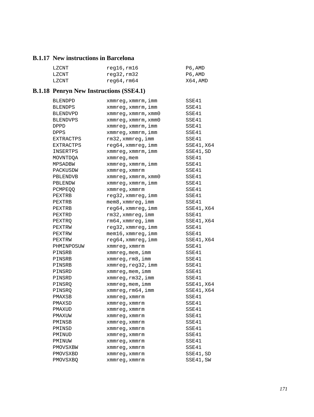### **B.1.17 New instructions in Barcelona**

| LZCNT | reg16,rm16           | P6,AMD  |
|-------|----------------------|---------|
| LZCNT | reg32,rm32           | P6,AMD  |
| LZCNT | $r$ eq6 $4$ ,rm6 $4$ | X64.AMD |

# **B.1.18 Penryn New Instructions (SSE4.1)**

| BLENDPD         | xmmreg, xmmrm, imm          | SSE41      |
|-----------------|-----------------------------|------------|
| <b>BLENDPS</b>  | xmmreg,xmmrm,imm            | SSE41      |
| BLENDVPD        | xmmreg, xmmrm, xmm0         | SSE41      |
| <b>BLENDVPS</b> | $xmmreg$ , $xmmrm$ , $xmm0$ | SSE41      |
| <b>DPPD</b>     | xmmreg, xmmrm, imm          | SSE41      |
| <b>DPPS</b>     | xmmreg, xmmrm, imm          | SSE41      |
| EXTRACTPS       | rm32,xmmreg,imm             | SSE41      |
| EXTRACTPS       | reg64,xmmreg,imm            | SSE41, X64 |
| INSERTPS        | xmmreg, xmmrm, imm          | SSE41, SD  |
| MOVNTDQA        | xmmreg, mem                 | SSE41      |
| MPSADBW         | xmmreg, xmmrm, imm          | SSE41      |
| PACKUSDW        | xmmreg, xmmrm               | SSE41      |
| PBLENDVB        | xmmreg, xmmrm, xmm0         | SSE41      |
| PBLENDW         | xmmreg, xmmrm, imm          | SSE41      |
| <b>PCMPEQQ</b>  | xmmreq, xmmrm               | SSE41      |
| PEXTRB          | reg32, xmmreg, imm          | SSE41      |
| PEXTRB          | mem8, xmmreg, imm           | SSE41      |
| PEXTRB          | reg64, xmmreg, imm          | SSE41, X64 |
| PEXTRD          | rm32, xmmreg, imm           | SSE41      |
| PEXTRO          | rm64, xmmreg, imm           | SSE41, X64 |
| PEXTRW          | reg32, xmmreg, imm          | SSE41      |
| PEXTRW          | mem16,xmmreg,imm            | SSE41      |
| PEXTRW          | reg64, xmmreg, imm          | SSE41, X64 |
| PHMINPOSUW      | xmmreq, xmmrm               | SSE41      |
| PINSRB          | xmmreg,mem,imm              | SSE41      |
| PINSRB          | xmmreg, rm8, imm            | SSE41      |
| PINSRB          | xmmreg,reg32,imm            | SSE41      |
| PINSRD          | xmmreg, mem, imm            | SSE41      |
| PINSRD          | xmmreq,rm32,imm             | SSE41      |
| PINSRO          | xmmreg, mem, imm            | SSE41, X64 |
| PINSRQ          | xmmreg, rm64, imm           | SSE41, X64 |
| PMAXSB          | xmmreq, xmmrm               | SSE41      |
| PMAXSD          | xmmreg, xmmrm               | SSE41      |
| PMAXUD          | xmmreq, xmmrm               | SSE41      |
| PMAXUW          | xmmreg, xmmrm               | SSE41      |
| PMINSB          | xmmreg, xmmrm               | SSE41      |
| PMINSD          | xmmreg, xmmrm               | SSE41      |
| PMINUD          | xmmreg, xmmrm               | SSE41      |
| PMINUW          | xmmreq, xmmrm               | SSE41      |
| PMOVSXBW        | xmmreg, xmmrm               | SSE41      |
| PMOVSXBD        | xmmreg, xmmrm               | SSE41,SD   |
| <b>PMOVSXBO</b> | xmmreg, xmmrm               | SSE41, SW  |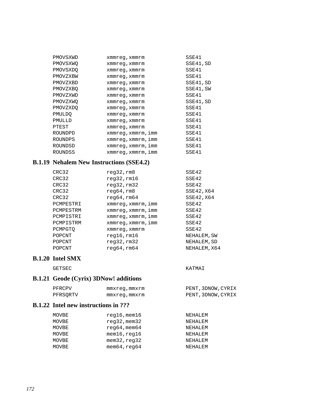| PMOVSXWD        | xmmreq, xmmrm      | SSE41     |
|-----------------|--------------------|-----------|
| PMOVSXWO        | xmmreg, xmmrm      | SSE41, SD |
| <b>PMOVSXDO</b> | xmmreg,xmmrm       | SSE41     |
| PMOVZXBW        | xmmreg, xmmrm      | SSE41     |
| PMOVZXBD        | xmmreg, xmmrm      | SSE41, SD |
| PMOVZXBO        | xmmreg,xmmrm       | SSE41, SW |
| PMOVZXWD        | xmmreg, xmmrm      | SSE41     |
| PMOVZXWO        | xmmreq, xmmrm      | SSE41, SD |
| PMOVZXDO        | xmmreq, xmmrm      | SSE41     |
| PMULDO          | xmmreg, xmmrm      | SSE41     |
| PMULLD          | xmmreg,xmmrm       | SSE41     |
| PTEST           | xmmreg, xmmrm      | SSE41     |
| ROUNDPD         | xmmreg,xmmrm,imm   | SSE41     |
| ROUNDPS         | xmmreg,xmmrm,imm   | SSE41     |
| ROUNDSD         | xmmreg,xmmrm,imm   | SSE41     |
| ROUNDSS         | xmmreg, xmmrm, imm | SSE41     |

### **B.1.19 Nehalem New Instructions (SSE4.2)**

| CRC32     | req32,rm8          | SSE42        |
|-----------|--------------------|--------------|
| CRC32     | $req32$ , $rm16$   | SSE42        |
| CRC32     | req32,rm32         | SSE42        |
| CRC32     | req64,rm8          | SSE42, X64   |
| CRC32     | req64, rm64        | SSE42, X64   |
| PCMPESTRI | xmmreq, xmmrm, imm | SSE42        |
| PCMPESTRM | xmmreq,xmmrm,imm   | SSE42        |
| PCMPISTRI | xmmreq, xmmrm, imm | SSE42        |
| PCMPISTRM | xmmreq, xmmrm, imm | SSE42        |
| PCMPGTO   | xmmreq, xmmrm      | SSE42        |
| POPCNT    | $req16$ , $rm16$   | NEHALEM, SW  |
| POPCNT    | req32,rm32         | NEHALEM, SD  |
| POPCNT    | req64, rm64        | NEHALEM, X64 |
|           |                    |              |

### **B.1.20 Intel SMX**

GETSEC KATMAI

# **B.1.21 Geode (Cyrix) 3DNow! additions**

| PFRCPV   | mmxreq,mmxrm | PENT, 3DNOW, CYRIX |
|----------|--------------|--------------------|
| PFRSORTV | mmxreq,mmxrm | PENT, 3DNOW, CYRIX |

#### **B.1.22 Intel new instructions in ???**

| MOVBE | $req16$ , mem $16$        | NEHALEM |
|-------|---------------------------|---------|
| MOVBE | $req32$ , mem $32$        | NEHALEM |
| MOVBE | $req64$ , mem $64$        | NEHALEM |
| MOVBE | $m$ em $16$ , $req16$     | NEHALEM |
| MOVBE | $m$ em $32$ , $r$ eq $32$ | NEHALEM |
| MOVBE | $m$ em $64$ , $r$ eq $64$ | NEHALEM |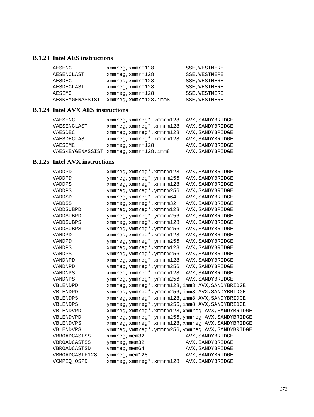# **B.1.23 Intel AES instructions**

| AESENC          | $xmmreq$ , $xmmrm128$  | SSE, WESTMERE        |
|-----------------|------------------------|----------------------|
| AESENCLAST      | $xmmreq$ , $xmmrm128$  | SSE, WESTMERE        |
| AESDEC          | $xmmreq$ , $xmmrm128$  | SSE, WESTMERE        |
| AESDECLAST      | $xmmreq$ , $xmmrm128$  | SSE, WESTMERE        |
| AESIMC          | $xmmreq$ , $xmmrm128$  | SSE, WESTMERE        |
| AESKEYGENASSIST | xmmreq, xmmrm128, imm8 | <b>SSE, WESTMERE</b> |

### **B.1.24 Intel AVX AES instructions**

| VAESENC     | xmmreq, xmmreq*, xmmrm128               | AVX, SANDYBRIDGE |
|-------------|-----------------------------------------|------------------|
| VAESENCLAST | xmmreq, xmmreq*, xmmrm128               | AVX, SANDYBRIDGE |
| VAESDEC     | xmmreq, xmmreq*, xmmrm128               | AVX, SANDYBRIDGE |
| VAESDECLAST | xmmreq, xmmreq*, xmmrm128               | AVX, SANDYBRIDGE |
| VAESIMC     | $x$ mm $x$ eq, $x$ mm $x$ m $128$       | AVX, SANDYBRIDGE |
|             | VAESKEYGENASSIST xmmreq, xmmrm128, imm8 | AVX, SANDYBRIDGE |

# **B.1.25 Intel AVX instructions**

| VADDPD              | xmmreg, xmmreg*, xmmrm128                          | AVX, SANDYBRIDGE |
|---------------------|----------------------------------------------------|------------------|
| VADDPD              | ymmreg, ymmreg*, ymmrm256                          | AVX, SANDYBRIDGE |
| VADDPS              | $xmmreg$ , $xmmreg*$ , $xmmrm128$                  | AVX, SANDYBRIDGE |
| VADDPS              | ymmreg, ymmreg*, ymmrm256                          | AVX, SANDYBRIDGE |
| VADDSD              | xmmreg, xmmreg*, xmmrm64                           | AVX, SANDYBRIDGE |
| <b>VADDSS</b>       | $xmmreq, xmmreq*$ , $xmmr@32$                      | AVX, SANDYBRIDGE |
| VADDSUBPD           | xmmreg, xmmreg*, xmmrm128                          | AVX, SANDYBRIDGE |
| VADDSUBPD           | ymmreg, ymmreg*, ymmrm256                          | AVX, SANDYBRIDGE |
| VADDSUBPS           | xmmreg, xmmreg*, xmmrm128                          | AVX, SANDYBRIDGE |
| VADDSUBPS           | ymmreg, ymmreg*, ymmrm256                          | AVX, SANDYBRIDGE |
| <b>VANDPD</b>       | xmmreg, xmmreg*, xmmrm128                          | AVX, SANDYBRIDGE |
| VANDPD              | ymmreg, ymmreg*, ymmrm256                          | AVX, SANDYBRIDGE |
| VANDPS              | xmmreg, xmmreg*, xmmrm128                          | AVX, SANDYBRIDGE |
| <b>VANDPS</b>       | ymmreg, ymmreg*, ymmrm256                          | AVX, SANDYBRIDGE |
| VANDNPD             | $xmmreg$ , $xmmreg*$ , $xmmrm128$                  | AVX, SANDYBRIDGE |
| VANDNPD             | ymmreg, ymmreg*, ymmrm256                          | AVX, SANDYBRIDGE |
| VANDNPS             | xmmreg, xmmreg*, xmmrm128                          | AVX, SANDYBRIDGE |
| <b>VANDNPS</b>      | ymmreg, ymmreg*, ymmrm256                          | AVX, SANDYBRIDGE |
| VBLENDPD            | xmmreg, xmmreg*, xmmrm128, imm8 AVX, SANDYBRIDGE   |                  |
| VBLENDPD            | ymmreg, ymmreg*, ymmrm256, imm8 AVX, SANDYBRIDGE   |                  |
| VBLENDPS            | xmmreg, xmmreg*, xmmrm128, imm8 AVX, SANDYBRIDGE   |                  |
| VBLENDPS            | ymmreg, ymmreg*, ymmrm256, imm8 AVX, SANDYBRIDGE   |                  |
| VBLENDVPD           | xmmreq, xmmreq*, xmmrm128, xmmreq AVX, SANDYBRIDGE |                  |
| VBLENDVPD           | ymmreg, ymmreg*, ymmrm256, ymmreg AVX, SANDYBRIDGE |                  |
| VBLENDVPS           | xmmreg, xmmreg*, xmmrm128, xmmreg AVX, SANDYBRIDGE |                  |
| VBLENDVPS           | ymmreg, ymmreg*, ymmrm256, ymmreg AVX, SANDYBRIDGE |                  |
| <b>VBROADCASTSS</b> | $xmmreg$ , mem $32$                                | AVX, SANDYBRIDGE |
| VBROADCASTSS        | ymmreg, mem32                                      | AVX, SANDYBRIDGE |
| VBROADCASTSD        | ymmreg, mem64                                      | AVX, SANDYBRIDGE |
| VBROADCASTF128      | ymmreg, mem128                                     | AVX, SANDYBRIDGE |
| VCMPEO OSPD         | xmmreg, xmmreg*, xmmrm128                          | AVX, SANDYBRIDGE |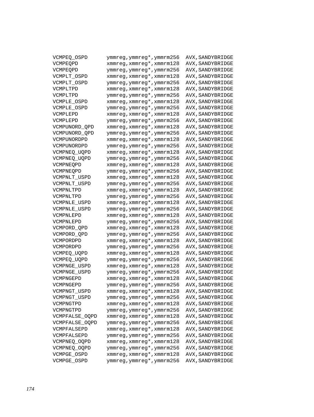| VCMPEQ_OSPD         | ymmreg, ymmreg*, ymmrm256 | AVX, SANDYBRIDGE |
|---------------------|---------------------------|------------------|
| VCMPEOPD            | xmmreg, xmmreg*, xmmrm128 | AVX, SANDYBRIDGE |
| VCMPEOPD            | ymmreg, ymmreg*, ymmrm256 | AVX, SANDYBRIDGE |
| VCMPLT_OSPD         | xmmreg, xmmreg*, xmmrm128 | AVX, SANDYBRIDGE |
| VCMPLT OSPD         | ymmreg, ymmreg*, ymmrm256 | AVX, SANDYBRIDGE |
| VCMPLTPD            | xmmreg, xmmreg*, xmmrm128 | AVX, SANDYBRIDGE |
| VCMPLTPD            | ymmreg, ymmreg*, ymmrm256 | AVX, SANDYBRIDGE |
| VCMPLE_OSPD         | xmmreg, xmmreg*, xmmrm128 | AVX, SANDYBRIDGE |
| VCMPLE OSPD         | ymmreg, ymmreg*, ymmrm256 | AVX, SANDYBRIDGE |
| VCMPLEPD            | xmmreg, xmmreg*, xmmrm128 | AVX, SANDYBRIDGE |
| VCMPLEPD            | ymmreg, ymmreg*, ymmrm256 | AVX, SANDYBRIDGE |
| VCMPUNORD_QPD       | xmmreg, xmmreg*, xmmrm128 | AVX, SANDYBRIDGE |
| VCMPUNORD QPD       | ymmreg, ymmreg*, ymmrm256 | AVX, SANDYBRIDGE |
| VCMPUNORDPD         | xmmreg, xmmreg*, xmmrm128 | AVX, SANDYBRIDGE |
| VCMPUNORDPD         | ymmreg, ymmreg*, ymmrm256 | AVX, SANDYBRIDGE |
| VCMPNEQ_UQPD        | xmmreg, xmmreg*, xmmrm128 | AVX, SANDYBRIDGE |
| VCMPNEQ_UQPD        | ymmreg, ymmreg*, ymmrm256 | AVX, SANDYBRIDGE |
| VCMPNEOPD           | xmmreg, xmmreg*, xmmrm128 | AVX, SANDYBRIDGE |
| VCMPNEQPD           | ymmreg, ymmreg*, ymmrm256 | AVX, SANDYBRIDGE |
| VCMPNLT_USPD        | xmmreg, xmmreg*, xmmrm128 | AVX, SANDYBRIDGE |
| VCMPNLT USPD        | ymmreg, ymmreg*, ymmrm256 | AVX, SANDYBRIDGE |
| VCMPNLTPD           | xmmreg, xmmreg*, xmmrm128 | AVX, SANDYBRIDGE |
| VCMPNLTPD           | ymmreg, ymmreg*, ymmrm256 | AVX, SANDYBRIDGE |
| VCMPNLE USPD        | xmmreg, xmmreg*, xmmrm128 | AVX, SANDYBRIDGE |
| <b>VCMPNLE USPD</b> | ymmreg, ymmreg*, ymmrm256 | AVX, SANDYBRIDGE |
| VCMPNLEPD           | xmmreg, xmmreg*, xmmrm128 | AVX, SANDYBRIDGE |
| VCMPNLEPD           | ymmreg, ymmreg*, ymmrm256 | AVX, SANDYBRIDGE |
| VCMPORD_QPD         | xmmreg, xmmreg*, xmmrm128 | AVX, SANDYBRIDGE |
| VCMPORD OPD         | ymmreg, ymmreg*, ymmrm256 | AVX, SANDYBRIDGE |
| VCMPORDPD           | xmmreg, xmmreg*, xmmrm128 | AVX, SANDYBRIDGE |
| VCMPORDPD           | ymmreg, ymmreg*, ymmrm256 | AVX, SANDYBRIDGE |
| VCMPEQ_UQPD         | xmmreg, xmmreg*, xmmrm128 | AVX, SANDYBRIDGE |
| VCMPEQ_UQPD         | ymmreg, ymmreg*, ymmrm256 | AVX, SANDYBRIDGE |
| VCMPNGE_USPD        | xmmreg, xmmreg*, xmmrm128 | AVX, SANDYBRIDGE |
| VCMPNGE USPD        | ymmreg, ymmreg*, ymmrm256 | AVX, SANDYBRIDGE |
| VCMPNGEPD           | xmmreg, xmmreg*, xmmrm128 | AVX, SANDYBRIDGE |
| VCMPNGEPD           | ymmreg, ymmreg*, ymmrm256 | AVX, SANDYBRIDGE |
| VCMPNGT_USPD        | xmmreg, xmmreg*, xmmrm128 | AVX, SANDYBRIDGE |
| VCMPNGT_USPD        | ymmreg, ymmreg*, ymmrm256 | AVX, SANDYBRIDGE |
| VCMPNGTPD           | xmmreg, xmmreg*, xmmrm128 | AVX, SANDYBRIDGE |
| VCMPNGTPD           | ymmreg, ymmreg*, ymmrm256 | AVX, SANDYBRIDGE |
| VCMPFALSE_OQPD      | xmmreg, xmmreg*, xmmrm128 | AVX, SANDYBRIDGE |
| VCMPFALSE_OQPD      | ymmreg, ymmreg*, ymmrm256 | AVX, SANDYBRIDGE |
| VCMPFALSEPD         | xmmreg, xmmreg*, xmmrm128 | AVX, SANDYBRIDGE |
| VCMPFALSEPD         | ymmreg, ymmreg*, ymmrm256 | AVX, SANDYBRIDGE |
| VCMPNEQ_OQPD        | xmmreg, xmmreg*, xmmrm128 | AVX, SANDYBRIDGE |
| VCMPNEQ_OQPD        | ymmreg, ymmreg*, ymmrm256 | AVX, SANDYBRIDGE |
| VCMPGE_OSPD         | xmmreg, xmmreg*, xmmrm128 | AVX, SANDYBRIDGE |
| VCMPGE OSPD         | ymmreg, ymmreg*, ymmrm256 | AVX, SANDYBRIDGE |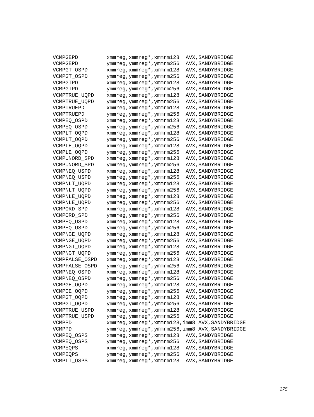| VCMPGEPD       | xmmreg, xmmreg*, xmmrm128                        | AVX, SANDYBRIDGE |
|----------------|--------------------------------------------------|------------------|
| VCMPGEPD       | ymmreg, ymmreg*, ymmrm256                        | AVX, SANDYBRIDGE |
| VCMPGT_OSPD    | xmmreg, xmmreg*, xmmrm128                        | AVX, SANDYBRIDGE |
| VCMPGT OSPD    | ymmreg, ymmreg*, ymmrm256                        | AVX, SANDYBRIDGE |
| VCMPGTPD       | xmmreg, xmmreg*, xmmrm128                        | AVX, SANDYBRIDGE |
| VCMPGTPD       | ymmreg, ymmreg*, ymmrm256                        | AVX, SANDYBRIDGE |
| VCMPTRUE_UQPD  | xmmreg, xmmreg*, xmmrm128                        | AVX, SANDYBRIDGE |
| VCMPTRUE_UQPD  | ymmreg, ymmreg*, ymmrm256                        | AVX, SANDYBRIDGE |
| VCMPTRUEPD     | xmmreg, xmmreg*, xmmrm128                        | AVX, SANDYBRIDGE |
| VCMPTRUEPD     | ymmreg, ymmreg*, ymmrm256                        | AVX, SANDYBRIDGE |
| VCMPEQ_OSPD    | xmmreg, xmmreg*, xmmrm128                        | AVX, SANDYBRIDGE |
| VCMPEQ_OSPD    | ymmreg, ymmreg*, ymmrm256                        | AVX, SANDYBRIDGE |
| VCMPLT_OQPD    | xmmreg, xmmreg*, xmmrm128                        | AVX, SANDYBRIDGE |
| VCMPLT_OQPD    | ymmreg, ymmreg*, ymmrm256                        | AVX, SANDYBRIDGE |
| VCMPLE_OQPD    | xmmreg, xmmreg*, xmmrm128                        | AVX, SANDYBRIDGE |
| VCMPLE_OQPD    | ymmreg, ymmreg*, ymmrm256                        | AVX, SANDYBRIDGE |
| VCMPUNORD_SPD  | xmmreg, xmmreg*, xmmrm128                        | AVX, SANDYBRIDGE |
| VCMPUNORD_SPD  | ymmreg, ymmreg*, ymmrm256                        | AVX, SANDYBRIDGE |
| VCMPNEQ_USPD   | xmmreg, xmmreg*, xmmrm128                        | AVX, SANDYBRIDGE |
| VCMPNEQ_USPD   | ymmreg, ymmreg*, ymmrm256                        | AVX, SANDYBRIDGE |
| VCMPNLT_UQPD   | xmmreg, xmmreg*, xmmrm128                        | AVX, SANDYBRIDGE |
| VCMPNLT_UQPD   | ymmreg, ymmreg*, ymmrm256                        | AVX, SANDYBRIDGE |
| VCMPNLE_UQPD   | xmmreg, xmmreg*, xmmrm128                        | AVX, SANDYBRIDGE |
| VCMPNLE_UQPD   | ymmreg, ymmreg*, ymmrm256                        | AVX, SANDYBRIDGE |
| VCMPORD_SPD    | xmmreg, xmmreg*, xmmrm128                        | AVX, SANDYBRIDGE |
| VCMPORD_SPD    | ymmreg, ymmreg*, ymmrm256                        | AVX, SANDYBRIDGE |
| VCMPEQ_USPD    | xmmreg, xmmreg*, xmmrm128                        | AVX, SANDYBRIDGE |
| VCMPEQ_USPD    | ymmreg, ymmreg*, ymmrm256                        | AVX, SANDYBRIDGE |
| VCMPNGE_UQPD   | xmmreg, xmmreg*, xmmrm128                        | AVX, SANDYBRIDGE |
| VCMPNGE_UQPD   | ymmreg, ymmreg*, ymmrm256                        | AVX, SANDYBRIDGE |
| VCMPNGT_UQPD   | xmmreg, xmmreg*, xmmrm128                        | AVX, SANDYBRIDGE |
| VCMPNGT_UQPD   | ymmreg, ymmreg*, ymmrm256                        | AVX, SANDYBRIDGE |
| VCMPFALSE_OSPD | xmmreg, xmmreg*, xmmrm128                        | AVX, SANDYBRIDGE |
| VCMPFALSE_OSPD | ymmreg, ymmreg*, ymmrm256                        | AVX, SANDYBRIDGE |
| VCMPNEQ_OSPD   | xmmreg, xmmreg*, xmmrm128                        | AVX, SANDYBRIDGE |
| VCMPNEQ_OSPD   | ymmreg, ymmreg*, ymmrm256                        | AVX, SANDYBRIDGE |
| VCMPGE_OQPD    | xmmreg, xmmreg*, xmmrm128                        | AVX, SANDYBRIDGE |
| VCMPGE_OQPD    | ymmreg, ymmreg*, ymmrm256                        | AVX, SANDYBRIDGE |
| VCMPGT_OQPD    | xmmreg, xmmreg*, xmmrm128                        | AVX, SANDYBRIDGE |
| VCMPGT_OQPD    | ymmreg, ymmreg*, ymmrm256                        | AVX, SANDYBRIDGE |
| VCMPTRUE_USPD  | xmmreg, xmmreg*, xmmrm128                        | AVX, SANDYBRIDGE |
| VCMPTRUE_USPD  | ymmreg, ymmreg*, ymmrm256                        | AVX, SANDYBRIDGE |
| VCMPPD         | xmmreg, xmmreg*, xmmrm128, imm8 AVX, SANDYBRIDGE |                  |
| VCMPPD         | ymmreg, ymmreg*, ymmrm256, imm8 AVX, SANDYBRIDGE |                  |
| VCMPEQ_OSPS    | xmmreg, xmmreg*, xmmrm128                        | AVX, SANDYBRIDGE |
| VCMPEQ_OSPS    | ymmreg, ymmreg*, ymmrm256                        | AVX, SANDYBRIDGE |
| VCMPEQPS       | xmmreg, xmmreg*, xmmrm128                        | AVX, SANDYBRIDGE |
| VCMPEQPS       | ymmreg, ymmreg*, ymmrm256                        | AVX, SANDYBRIDGE |
| VCMPLT_OSPS    | xmmreg, xmmreg*, xmmrm128                        | AVX, SANDYBRIDGE |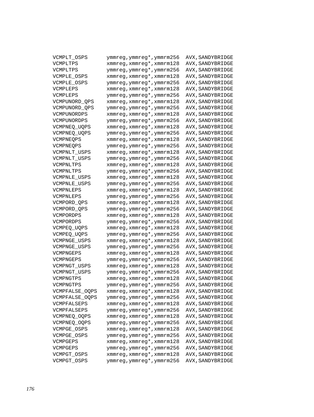| VCMPLT_OSPS           | ymmreg, ymmreg*, ymmrm256 | AVX, SANDYBRIDGE |
|-----------------------|---------------------------|------------------|
| VCMPLTPS              | xmmreg, xmmreg*, xmmrm128 | AVX, SANDYBRIDGE |
| VCMPLTPS              | ymmreg, ymmreg*, ymmrm256 | AVX, SANDYBRIDGE |
| VCMPLE_OSPS           | xmmreg, xmmreg*, xmmrm128 | AVX, SANDYBRIDGE |
| VCMPLE_OSPS           | ymmreg, ymmreg*, ymmrm256 | AVX, SANDYBRIDGE |
| VCMPLEPS              | xmmreg, xmmreg*, xmmrm128 | AVX, SANDYBRIDGE |
| VCMPLEPS              | ymmreg, ymmreg*, ymmrm256 | AVX, SANDYBRIDGE |
| VCMPUNORD_QPS         | xmmreg, xmmreg*, xmmrm128 | AVX, SANDYBRIDGE |
| VCMPUNORD_QPS         | ymmreg, ymmreg*, ymmrm256 | AVX, SANDYBRIDGE |
| VCMPUNORDPS           | xmmreg, xmmreg*, xmmrm128 | AVX, SANDYBRIDGE |
| VCMPUNORDPS           | ymmreg, ymmreg*, ymmrm256 | AVX, SANDYBRIDGE |
| VCMPNEQ_UQPS          | xmmreg, xmmreg*, xmmrm128 | AVX, SANDYBRIDGE |
| VCMPNEQ_UQPS          | ymmreg, ymmreg*, ymmrm256 | AVX, SANDYBRIDGE |
| VCMPNEQPS             | xmmreg, xmmreg*, xmmrm128 | AVX, SANDYBRIDGE |
| VCMPNEOPS             | ymmreg, ymmreg*, ymmrm256 | AVX, SANDYBRIDGE |
| VCMPNLT_USPS          | xmmreg, xmmreg*, xmmrm128 | AVX, SANDYBRIDGE |
| VCMPNLT_USPS          | ymmreg, ymmreg*, ymmrm256 | AVX, SANDYBRIDGE |
| VCMPNLTPS             | xmmreg, xmmreg*, xmmrm128 | AVX, SANDYBRIDGE |
| VCMPNLTPS             | ymmreg, ymmreg*, ymmrm256 | AVX, SANDYBRIDGE |
| <b>VCMPNLE USPS</b>   | xmmreg, xmmreg*, xmmrm128 | AVX, SANDYBRIDGE |
| VCMPNLE_USPS          | ymmreg, ymmreg*, ymmrm256 | AVX, SANDYBRIDGE |
| VCMPNLEPS             | xmmreg, xmmreg*, xmmrm128 | AVX, SANDYBRIDGE |
| VCMPNLEPS             | ymmreg, ymmreg*, ymmrm256 | AVX, SANDYBRIDGE |
| VCMPORD_QPS           | xmmreg, xmmreg*, xmmrm128 | AVX, SANDYBRIDGE |
| VCMPORD_QPS           | ymmreg, ymmreg*, ymmrm256 | AVX, SANDYBRIDGE |
| VCMPORDPS             | xmmreg, xmmreg*, xmmrm128 | AVX, SANDYBRIDGE |
| VCMPORDPS             | ymmreg, ymmreg*, ymmrm256 | AVX, SANDYBRIDGE |
| VCMPEQ_UQPS           | xmmreg, xmmreg*, xmmrm128 | AVX, SANDYBRIDGE |
| VCMPEQ_UQPS           | ymmreg, ymmreg*, ymmrm256 | AVX, SANDYBRIDGE |
| VCMPNGE_USPS          | xmmreg, xmmreg*, xmmrm128 | AVX, SANDYBRIDGE |
| VCMPNGE_USPS          | ymmreg, ymmreg*, ymmrm256 | AVX, SANDYBRIDGE |
| VCMPNGEPS             | xmmreg, xmmreg*, xmmrm128 | AVX, SANDYBRIDGE |
| VCMPNGEPS             | ymmreg, ymmreg*, ymmrm256 | AVX, SANDYBRIDGE |
| VCMPNGT_USPS          | xmmreg, xmmreg*, xmmrm128 | AVX, SANDYBRIDGE |
| VCMPNGT_USPS          | ymmreg, ymmreg*, ymmrm256 | AVX, SANDYBRIDGE |
| VCMPNGTPS             | xmmreg, xmmreg*, xmmrm128 | AVX, SANDYBRIDGE |
| VCMPNGTPS             | ymmreg, ymmreg*, ymmrm256 | AVX, SANDYBRIDGE |
| VCMPFALSE_OQPS        | xmmreg, xmmreg*, xmmrm128 | AVX, SANDYBRIDGE |
| <b>VCMPFALSE OQPS</b> | ymmreg, ymmreg*, ymmrm256 | AVX, SANDYBRIDGE |
| VCMPFALSEPS           | xmmreg, xmmreg*, xmmrm128 | AVX, SANDYBRIDGE |
| VCMPFALSEPS           | ymmreg, ymmreg*, ymmrm256 | AVX, SANDYBRIDGE |
| VCMPNEQ_OQPS          | xmmreg, xmmreg*, xmmrm128 | AVX, SANDYBRIDGE |
| VCMPNEQ_OQPS          | ymmreg, ymmreg*, ymmrm256 | AVX, SANDYBRIDGE |
| VCMPGE_OSPS           | xmmreg, xmmreg*, xmmrm128 | AVX, SANDYBRIDGE |
| VCMPGE_OSPS           | ymmreg, ymmreg*, ymmrm256 | AVX, SANDYBRIDGE |
| VCMPGEPS              | xmmreg, xmmreg*, xmmrm128 | AVX, SANDYBRIDGE |
| VCMPGEPS              | ymmreg, ymmreg*, ymmrm256 | AVX, SANDYBRIDGE |
| VCMPGT_OSPS           | xmmreg, xmmreg*, xmmrm128 | AVX, SANDYBRIDGE |
| VCMPGT_OSPS           | ymmreg, ymmreg*, ymmrm256 | AVX, SANDYBRIDGE |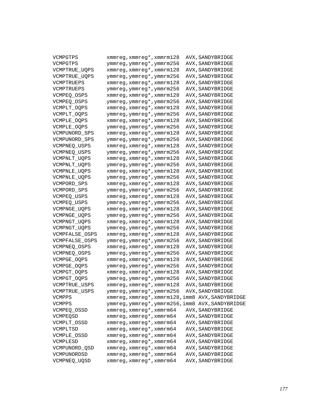| VCMPGTPS              | xmmreg, xmmreg*, xmmrm128                        | AVX, SANDYBRIDGE |
|-----------------------|--------------------------------------------------|------------------|
| VCMPGTPS              | ymmreg, ymmreg*, ymmrm256                        | AVX, SANDYBRIDGE |
| VCMPTRUE_UQPS         | xmmreg, xmmreg*, xmmrm128                        | AVX, SANDYBRIDGE |
| VCMPTRUE_UQPS         | ymmreg, ymmreg*, ymmrm256                        | AVX, SANDYBRIDGE |
| VCMPTRUEPS            | xmmreg, xmmreg*, xmmrm128                        | AVX, SANDYBRIDGE |
| VCMPTRUEPS            | ymmreg, ymmreg*, ymmrm256                        | AVX, SANDYBRIDGE |
| VCMPEO OSPS           | xmmreg, xmmreg*, xmmrm128                        | AVX, SANDYBRIDGE |
| VCMPEQ_OSPS           | ymmreg, ymmreg*, ymmrm256                        | AVX, SANDYBRIDGE |
| VCMPLT_OQPS           | xmmreg, xmmreg*, xmmrm128                        | AVX, SANDYBRIDGE |
| VCMPLT_OQPS           | ymmreg, ymmreg*, ymmrm256                        | AVX, SANDYBRIDGE |
| VCMPLE_OQPS           | xmmreg, xmmreg*, xmmrm128                        | AVX, SANDYBRIDGE |
| VCMPLE_OQPS           | ymmreg, ymmreg*, ymmrm256                        | AVX, SANDYBRIDGE |
| VCMPUNORD_SPS         | xmmreg, xmmreg*, xmmrm128                        | AVX, SANDYBRIDGE |
| VCMPUNORD_SPS         | ymmreg, ymmreg*, ymmrm256                        | AVX, SANDYBRIDGE |
| VCMPNEQ USPS          | xmmreg, xmmreg*, xmmrm128                        | AVX, SANDYBRIDGE |
| VCMPNEQ USPS          | ymmreg, ymmreg*, ymmrm256                        | AVX, SANDYBRIDGE |
| VCMPNLT_UQPS          | xmmreg, xmmreg*, xmmrm128                        | AVX, SANDYBRIDGE |
| VCMPNLT_UQPS          | ymmreg, ymmreg*, ymmrm256                        | AVX, SANDYBRIDGE |
| VCMPNLE_UQPS          | xmmreg, xmmreg*, xmmrm128                        | AVX, SANDYBRIDGE |
| VCMPNLE_UQPS          | ymmreg, ymmreg*, ymmrm256                        | AVX, SANDYBRIDGE |
| VCMPORD_SPS           | xmmreg, xmmreg*, xmmrm128                        | AVX, SANDYBRIDGE |
| VCMPORD SPS           | ymmreg, ymmreg*, ymmrm256                        | AVX, SANDYBRIDGE |
| VCMPEQ USPS           | xmmreg, xmmreg*, xmmrm128                        | AVX, SANDYBRIDGE |
| VCMPEQ USPS           | ymmreg, ymmreg*, ymmrm256                        | AVX, SANDYBRIDGE |
| VCMPNGE_UQPS          | xmmreg, xmmreg*, xmmrm128                        | AVX, SANDYBRIDGE |
| VCMPNGE_UQPS          | ymmreg, ymmreg*, ymmrm256                        | AVX, SANDYBRIDGE |
| VCMPNGT_UQPS          | xmmreg, xmmreg*, xmmrm128                        | AVX, SANDYBRIDGE |
| VCMPNGT_UQPS          | ymmreg, ymmreg*, ymmrm256                        | AVX, SANDYBRIDGE |
| VCMPFALSE_OSPS        | xmmreg, xmmreg*, xmmrm128                        | AVX, SANDYBRIDGE |
| <b>VCMPFALSE OSPS</b> | ymmreg, ymmreg*, ymmrm256                        | AVX, SANDYBRIDGE |
| VCMPNEQ_OSPS          | xmmreg, xmmreg*, xmmrm128                        | AVX, SANDYBRIDGE |
| VCMPNEQ_OSPS          | ymmreg, ymmreg*, ymmrm256                        | AVX, SANDYBRIDGE |
| VCMPGE_OQPS           | xmmreg, xmmreg*, xmmrm128                        | AVX, SANDYBRIDGE |
| VCMPGE_OQPS           | ymmreg, ymmreg*, ymmrm256                        | AVX, SANDYBRIDGE |
| VCMPGT_OQPS           | xmmreg, xmmreg*, xmmrm128                        | AVX, SANDYBRIDGE |
| VCMPGT_OQPS           | ymmreg, ymmreg*, ymmrm256                        | AVX, SANDYBRIDGE |
| VCMPTRUE_USPS         | xmmreg, xmmreg*, xmmrm128                        | AVX, SANDYBRIDGE |
| VCMPTRUE_USPS         | ymmreg,ymmreg*,ymmrm256 AVX,SANDYBRIDGE          |                  |
| VCMPPS                | xmmreg, xmmreg*, xmmrm128, imm8 AVX, SANDYBRIDGE |                  |
| VCMPPS                | ymmreg, ymmreg*, ymmrm256, imm8 AVX, SANDYBRIDGE |                  |
| VCMPEQ_OSSD           | xmmreg, xmmreg*, xmmrm64                         | AVX, SANDYBRIDGE |
| VCMPEOSD              | xmmreg, xmmreg*, xmmrm64                         | AVX, SANDYBRIDGE |
| VCMPLT_OSSD           | xmmreg, xmmreg*, xmmrm64                         | AVX, SANDYBRIDGE |
| VCMPLTSD              | xmmreg, xmmreg*, xmmrm64                         | AVX, SANDYBRIDGE |
| VCMPLE_OSSD           | xmmreg, xmmreg*, xmmrm64                         | AVX, SANDYBRIDGE |
| VCMPLESD              | xmmreg, xmmreg*, xmmrm64                         | AVX, SANDYBRIDGE |
| VCMPUNORD_QSD         | xmmreg, xmmreg*, xmmrm64                         | AVX, SANDYBRIDGE |
| VCMPUNORDSD           | xmmreg, xmmreg*, xmmrm64                         | AVX, SANDYBRIDGE |
| VCMPNEQ_UQSD          | xmmreg, xmmreg*, xmmrm64                         | AVX, SANDYBRIDGE |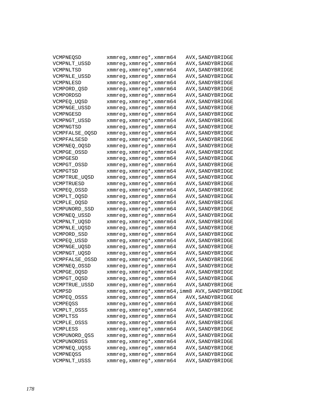| VCMPNEQSD      | xmmreg, xmmreg*, xmmrm64 | AVX, SANDYBRIDGE                                |
|----------------|--------------------------|-------------------------------------------------|
| VCMPNLT_USSD   | xmmreg, xmmreg*, xmmrm64 | AVX, SANDYBRIDGE                                |
| VCMPNLTSD      | xmmreg, xmmreg*, xmmrm64 | AVX, SANDYBRIDGE                                |
| VCMPNLE USSD   | xmmreg, xmmreg*, xmmrm64 | AVX, SANDYBRIDGE                                |
| VCMPNLESD      | xmmreg, xmmreg*, xmmrm64 | AVX, SANDYBRIDGE                                |
| VCMPORD OSD    | xmmreg, xmmreg*, xmmrm64 | AVX, SANDYBRIDGE                                |
| VCMPORDSD      | xmmreg, xmmreg*, xmmrm64 | AVX, SANDYBRIDGE                                |
| VCMPEO UOSD    | xmmreg, xmmreg*, xmmrm64 | AVX, SANDYBRIDGE                                |
| VCMPNGE USSD   | xmmreg, xmmreg*, xmmrm64 | AVX, SANDYBRIDGE                                |
| VCMPNGESD      | xmmreg, xmmreg*, xmmrm64 | AVX, SANDYBRIDGE                                |
| VCMPNGT USSD   | xmmreg, xmmreg*, xmmrm64 | AVX, SANDYBRIDGE                                |
| VCMPNGTSD      | xmmreg, xmmreg*, xmmrm64 | AVX, SANDYBRIDGE                                |
| VCMPFALSE OOSD | xmmreg, xmmreg*, xmmrm64 | AVX, SANDYBRIDGE                                |
| VCMPFALSESD    | xmmreg, xmmreg*, xmmrm64 | AVX, SANDYBRIDGE                                |
| VCMPNEO OOSD   | xmmreg, xmmreg*, xmmrm64 | AVX, SANDYBRIDGE                                |
| VCMPGE_OSSD    | xmmreg, xmmreg*, xmmrm64 | AVX, SANDYBRIDGE                                |
| VCMPGESD       | xmmreg, xmmreg*, xmmrm64 | AVX, SANDYBRIDGE                                |
| VCMPGT OSSD    | xmmreg, xmmreg*, xmmrm64 | AVX, SANDYBRIDGE                                |
| VCMPGTSD       | xmmreg, xmmreg*, xmmrm64 | AVX, SANDYBRIDGE                                |
| VCMPTRUE UOSD  | xmmreg, xmmreg*, xmmrm64 | AVX, SANDYBRIDGE                                |
| VCMPTRUESD     | xmmreg, xmmreg*, xmmrm64 | AVX, SANDYBRIDGE                                |
| VCMPEO OSSD    | xmmreg, xmmreg*, xmmrm64 | AVX, SANDYBRIDGE                                |
| VCMPLT_OQSD    | xmmreg, xmmreg*, xmmrm64 | AVX, SANDYBRIDGE                                |
| VCMPLE_OQSD    | xmmreg, xmmreg*, xmmrm64 | AVX, SANDYBRIDGE                                |
| VCMPUNORD SSD  | xmmreg, xmmreg*, xmmrm64 | AVX, SANDYBRIDGE                                |
| VCMPNEQ_USSD   | xmmreg, xmmreg*, xmmrm64 | AVX, SANDYBRIDGE                                |
| VCMPNLT_UQSD   | xmmreg, xmmreg*, xmmrm64 | AVX, SANDYBRIDGE                                |
| VCMPNLE_UQSD   | xmmreg, xmmreg*, xmmrm64 | AVX, SANDYBRIDGE                                |
| VCMPORD_SSD    | xmmreg, xmmreg*, xmmrm64 | AVX, SANDYBRIDGE                                |
| VCMPEO USSD    | xmmreg, xmmreg*, xmmrm64 | AVX, SANDYBRIDGE                                |
| VCMPNGE_UQSD   | xmmreg, xmmreg*, xmmrm64 | AVX, SANDYBRIDGE                                |
| VCMPNGT_UQSD   | xmmreg, xmmreg*, xmmrm64 | AVX, SANDYBRIDGE                                |
| VCMPFALSE OSSD | xmmreg, xmmreg*, xmmrm64 | AVX, SANDYBRIDGE                                |
| VCMPNEQ_OSSD   | xmmreg, xmmreg*, xmmrm64 | AVX, SANDYBRIDGE                                |
| VCMPGE_OQSD    | xmmreg, xmmreg*, xmmrm64 | AVX, SANDYBRIDGE                                |
| VCMPGT_OQSD    | xmmreg, xmmreg*, xmmrm64 | AVX, SANDYBRIDGE                                |
| VCMPTRUE_USSD  | xmmreg, xmmreg*, xmmrm64 | AVX, SANDYBRIDGE                                |
| VCMPSD         |                          | xmmreg, xmmreg*, xmmrm64, imm8 AVX, SANDYBRIDGE |
| VCMPEQ OSSS    | xmmreg, xmmreg*, xmmrm64 | AVX, SANDYBRIDGE                                |
| VCMPEQSS       | xmmreg, xmmreg*, xmmrm64 | AVX, SANDYBRIDGE                                |
| VCMPLT_OSSS    | xmmreg, xmmreg*, xmmrm64 | AVX, SANDYBRIDGE                                |
| VCMPLTSS       | xmmreg, xmmreg*, xmmrm64 | AVX, SANDYBRIDGE                                |
| VCMPLE_OSSS    | xmmreg, xmmreg*, xmmrm64 | AVX, SANDYBRIDGE                                |
| VCMPLESS       | xmmreg, xmmreg*, xmmrm64 | AVX, SANDYBRIDGE                                |
| VCMPUNORD_QSS  | xmmreg, xmmreg*, xmmrm64 | AVX, SANDYBRIDGE                                |
| VCMPUNORDSS    | xmmreg, xmmreg*, xmmrm64 | AVX, SANDYBRIDGE                                |
| VCMPNEQ_UQSS   | xmmreg, xmmreg*, xmmrm64 | AVX, SANDYBRIDGE                                |
| VCMPNEQSS      | xmmreg, xmmreg*, xmmrm64 | AVX, SANDYBRIDGE                                |
| VCMPNLT USSS   | xmmreg, xmmreg*, xmmrm64 | AVX, SANDYBRIDGE                                |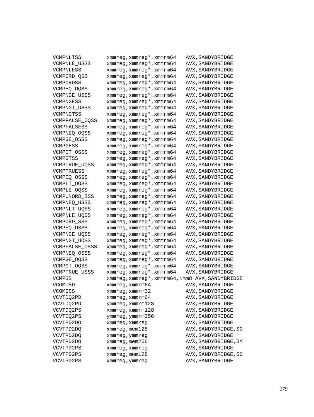| VCMPNLTSS            | xmmreg, xmmreg*, xmmrm64 | AVX, SANDYBRIDGE                                |
|----------------------|--------------------------|-------------------------------------------------|
| <b>VCMPNLE USSS</b>  | xmmreg, xmmreg*, xmmrm64 | AVX, SANDYBRIDGE                                |
| VCMPNLESS            | xmmreg, xmmreg*, xmmrm64 | AVX, SANDYBRIDGE                                |
| VCMPORD_QSS          | xmmreg, xmmreg*, xmmrm64 | AVX, SANDYBRIDGE                                |
| VCMPORDSS            | xmmreg, xmmreg*, xmmrm64 | AVX, SANDYBRIDGE                                |
| VCMPEQ_UQSS          | xmmreg, xmmreg*, xmmrm64 | AVX, SANDYBRIDGE                                |
| VCMPNGE_USSS         | xmmreg, xmmreg*, xmmrm64 | AVX, SANDYBRIDGE                                |
| VCMPNGESS            | xmmreg, xmmreg*, xmmrm64 | AVX, SANDYBRIDGE                                |
| VCMPNGT USSS         | xmmreg, xmmreg*, xmmrm64 | AVX, SANDYBRIDGE                                |
| VCMPNGTSS            | xmmreg, xmmreg*, xmmrm64 | AVX, SANDYBRIDGE                                |
| VCMPFALSE_OQSS       | xmmreg, xmmreg*, xmmrm64 | AVX, SANDYBRIDGE                                |
| VCMPFALSESS          | xmmreg, xmmreg*, xmmrm64 | AVX, SANDYBRIDGE                                |
| VCMPNEQ_OQSS         | xmmreg, xmmreg*, xmmrm64 | AVX, SANDYBRIDGE                                |
| VCMPGE_OSSS          | xmmreg, xmmreg*, xmmrm64 | AVX, SANDYBRIDGE                                |
| VCMPGESS             | xmmreg, xmmreg*, xmmrm64 | AVX, SANDYBRIDGE                                |
| VCMPGT_OSSS          | xmmreg, xmmreg*, xmmrm64 | AVX, SANDYBRIDGE                                |
| VCMPGTSS             | xmmreg, xmmreg*, xmmrm64 | AVX, SANDYBRIDGE                                |
| VCMPTRUE_UQSS        | xmmreg, xmmreg*, xmmrm64 | AVX, SANDYBRIDGE                                |
| VCMPTRUESS           | xmmreg, xmmreg*, xmmrm64 | AVX, SANDYBRIDGE                                |
| VCMPEQ_OSSS          | xmmreg, xmmreg*, xmmrm64 | AVX, SANDYBRIDGE                                |
| VCMPLT_OQSS          | xmmreg, xmmreg*, xmmrm64 | AVX, SANDYBRIDGE                                |
| VCMPLE_OQSS          | xmmreg, xmmreg*, xmmrm64 | AVX, SANDYBRIDGE                                |
| VCMPUNORD SSS        | xmmreg, xmmreg*, xmmrm64 | AVX, SANDYBRIDGE                                |
| VCMPNEQ_USSS         | xmmreg, xmmreg*, xmmrm64 | AVX, SANDYBRIDGE                                |
| VCMPNLT_UQSS         | xmmreg, xmmreg*, xmmrm64 | AVX, SANDYBRIDGE                                |
| VCMPNLE_UQSS         | xmmreg, xmmreg*, xmmrm64 | AVX, SANDYBRIDGE                                |
| VCMPORD_SSS          | xmmreg, xmmreg*, xmmrm64 | AVX, SANDYBRIDGE                                |
| VCMPEQ_USSS          | xmmreg, xmmreg*, xmmrm64 | AVX, SANDYBRIDGE                                |
| VCMPNGE_UQSS         | xmmreg, xmmreg*, xmmrm64 | AVX, SANDYBRIDGE                                |
| VCMPNGT_UQSS         | xmmreg, xmmreg*, xmmrm64 | AVX, SANDYBRIDGE                                |
| VCMPFALSE_OSSS       | xmmreg, xmmreg*, xmmrm64 | AVX, SANDYBRIDGE                                |
| VCMPNEQ_OSSS         | xmmreg, xmmreg*, xmmrm64 | AVX, SANDYBRIDGE                                |
| VCMPGE_OQSS          | xmmreg, xmmreg*, xmmrm64 | AVX, SANDYBRIDGE                                |
| VCMPGT_OQSS          | xmmreg, xmmreg*, xmmrm64 | AVX, SANDYBRIDGE                                |
| <b>VCMPTRUE USSS</b> | xmmreg, xmmreg*, xmmrm64 | AVX, SANDYBRIDGE                                |
| <b>VCMPSS</b>        |                          | xmmreg, xmmreg*, xmmrm64, imm8 AVX, SANDYBRIDGE |
| VCOMISD              | xmmreg, xmmrm64          | AVX, SANDYBRIDGE                                |
| VCOMISS              | xmmreg, xmmrm32          | AVX, SANDYBRIDGE                                |
| VCVTDQ2PD            | xmmreg, xmmrm64          | AVX, SANDYBRIDGE                                |
| VCVTDO2PD            | ymmreg, xmmrm128         | AVX, SANDYBRIDGE                                |
| VCVTDO2PS            | xmmreg, xmmrm128         | AVX, SANDYBRIDGE                                |
| VCVTDQ2PS            | ymmreg, ymmrm256         | AVX, SANDYBRIDGE                                |
| VCVTPD2DQ            | xmmreg, xmmreg           | AVX, SANDYBRIDGE                                |
| VCVTPD2DO            | $xmmreg$ , mem $128$     | AVX, SANDYBRIDGE, SO                            |
| VCVTPD2DO            | xmmreg, ymmreg           | AVX, SANDYBRIDGE                                |
| VCVTPD2DQ            | xmmreg, mem256           | AVX, SANDYBRIDGE, SY                            |
| VCVTPD2PS            | xmmreg, xmmreg           | AVX, SANDYBRIDGE                                |
| VCVTPD2PS            | xmmreg, mem128           | AVX, SANDYBRIDGE, SO                            |
| VCVTPD2PS            | xmmreg, ymmreg           | AVX, SANDYBRIDGE                                |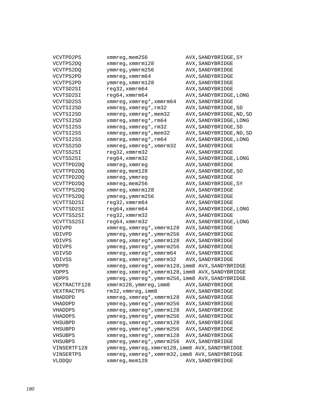| VCVTPD2PS     | $xmmreg$ , mem $256$                             | AVX, SANDYBRIDGE, SY     |
|---------------|--------------------------------------------------|--------------------------|
| VCVTPS2DQ     | $x$ mm $r$ eq, $x$ mm $r$ m $128$                | AVX, SANDYBRIDGE         |
| VCVTPS2DQ     | ymmreg, ymmrm256                                 | AVX, SANDYBRIDGE         |
| VCVTPS2PD     | xmmreg, xmmrm64                                  | AVX, SANDYBRIDGE         |
| VCVTPS2PD     | ymmreg, xmmrm128                                 | AVX, SANDYBRIDGE         |
| VCVTSD2SI     | $req32$ , xmm $rm64$                             | AVX, SANDYBRIDGE         |
| VCVTSD2SI     | reg64, xmmrm64                                   | AVX, SANDYBRIDGE, LONG   |
| VCVTSD2SS     | xmmreg, xmmreg*, xmmrm64                         | AVX, SANDYBRIDGE         |
| VCVTSI2SD     | xmmreg, xmmreg*, rm32                            | AVX, SANDYBRIDGE, SD     |
| VCVTSI2SD     | xmmreq, xmmreq*, mem32                           | AVX, SANDYBRIDGE, ND, SD |
| VCVTSI2SD     | xmmreq, xmmreq*, rm64                            | AVX, SANDYBRIDGE, LONG   |
| VCVTSI2SS     | xmmreg, xmmreg*, rm32                            | AVX, SANDYBRIDGE, SD     |
| VCVTSI2SS     | xmmreg, xmmreg*, mem32                           | AVX, SANDYBRIDGE, ND, SD |
| VCVTSI2SS     | xmmreg, xmmreg*, rm64                            | AVX, SANDYBRIDGE, LONG   |
| VCVTSS2SD     | xmmreg, xmmreg*, xmmrm32                         | AVX, SANDYBRIDGE         |
| VCVTSS2SI     | reg32, xmmrm32                                   | AVX, SANDYBRIDGE         |
| VCVTSS2SI     | reg64, xmmrm32                                   | AVX, SANDYBRIDGE, LONG   |
| VCVTTPD2DQ    | xmmreg, xmmreg                                   | AVX, SANDYBRIDGE         |
| VCVTTPD2DQ    | $xmm$ req, mem $128$                             | AVX, SANDYBRIDGE, SO     |
| VCVTTPD2DO    | xmmreg, ymmreg                                   | AVX, SANDYBRIDGE         |
| VCVTTPD2DO    | xmmreg, mem256                                   | AVX, SANDYBRIDGE, SY     |
| VCVTTPS2DQ    | xmmreq, xmmrm128                                 | AVX, SANDYBRIDGE         |
| VCVTTPS2DO    | ymmreg, ymmrm256                                 | AVX, SANDYBRIDGE         |
| VCVTTSD2SI    | reg32, xmmrm64                                   | AVX, SANDYBRIDGE         |
| VCVTTSD2SI    | reg64, xmmrm64                                   | AVX, SANDYBRIDGE, LONG   |
| VCVTTSS2SI    | reg32, xmmrm32                                   | AVX, SANDYBRIDGE         |
| VCVTTSS2SI    | reg64, xmmrm32                                   | AVX, SANDYBRIDGE, LONG   |
| VDIVPD        | xmmreg, xmmreg*, xmmrm128                        | AVX, SANDYBRIDGE         |
| VDIVPD        | ymmreg, ymmreg*, ymmrm256                        | AVX, SANDYBRIDGE         |
| <b>VDIVPS</b> | xmmreg, xmmreg*, xmmrm128                        | AVX, SANDYBRIDGE         |
| <b>VDIVPS</b> | ymmreg, ymmreg*, ymmrm256                        | AVX, SANDYBRIDGE         |
| <b>VDIVSD</b> | xmmreg, xmmreg*, xmmrm64                         | AVX, SANDYBRIDGE         |
| <b>VDIVSS</b> | xmmreg, xmmreg*, xmmrm32                         | AVX, SANDYBRIDGE         |
| <b>VDPPD</b>  | xmmreg, xmmreg*, xmmrm128, imm8 AVX, SANDYBRIDGE |                          |
| <b>VDPPS</b>  | xmmreg, xmmreg*, xmmrm128, imm8 AVX, SANDYBRIDGE |                          |
| <b>VDPPS</b>  | ymmreg, ymmreg*, ymmrm256, imm8 AVX, SANDYBRIDGE |                          |
| VEXTRACTF128  | xmmrm128, ymmreg, imm8                           | AVX, SANDYBRIDGE         |
| VEXTRACTPS    | rm32,xmmreg,imm8                                 | AVX, SANDYBRIDGE         |
| VHADDPD       | xmmreg, xmmreg*, xmmrm128                        | AVX, SANDYBRIDGE         |
| VHADDPD       | ymmreg, ymmreg*, ymmrm256                        | AVX, SANDYBRIDGE         |
| VHADDPS       | xmmreg, xmmreg*, xmmrm128                        | AVX, SANDYBRIDGE         |
| VHADDPS       | ymmreg, ymmreg*, ymmrm256                        | AVX, SANDYBRIDGE         |
| VHSUBPD       | xmmreg, xmmreg*, xmmrm128                        | AVX, SANDYBRIDGE         |
| VHSUBPD       | ymmreg, ymmreg*, ymmrm256                        | AVX, SANDYBRIDGE         |
| VHSUBPS       | xmmreg, xmmreg*, xmmrm128                        | AVX, SANDYBRIDGE         |
| VHSUBPS       | ymmreg, ymmreg*, ymmrm256                        | AVX, SANDYBRIDGE         |
| VINSERTF128   | ymmreg, ymmreg, xmmrm128, imm8 AVX, SANDYBRIDGE  |                          |
| VINSERTPS     | xmmreg, xmmreg*, xmmrm32, imm8 AVX, SANDYBRIDGE  |                          |
| VLDDQU        | xmmreg, mem128                                   | AVX, SANDYBRIDGE         |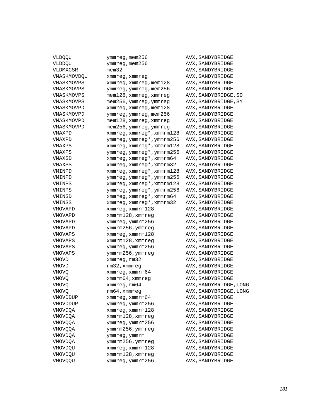| VLDQQU         | ymmreg, mem256            | AVX, SANDYBRIDGE       |
|----------------|---------------------------|------------------------|
| VLDDQU         | ymmreg, mem256            | AVX, SANDYBRIDGE       |
| VLDMXCSR       | $m$ em $32$               | AVX, SANDYBRIDGE       |
| VMASKMOVDQU    | xmmreg, xmmreg            | AVX, SANDYBRIDGE       |
| VMASKMOVPS     | xmmreg, xmmreg, mem128    | AVX, SANDYBRIDGE       |
| VMASKMOVPS     | ymmreg, ymmreg, mem256    | AVX, SANDYBRIDGE       |
| VMASKMOVPS     | mem128, xmmreg, xmmreg    | AVX, SANDYBRIDGE, SO   |
| VMASKMOVPS     | mem256, ymmreg, ymmreg    | AVX, SANDYBRIDGE, SY   |
| VMASKMOVPD     | xmmreg, xmmreg, mem128    | AVX, SANDYBRIDGE       |
| VMASKMOVPD     | ymmreg, ymmreg, mem256    | AVX, SANDYBRIDGE       |
| VMASKMOVPD     | mem128, xmmreg, xmmreg    | AVX, SANDYBRIDGE       |
| VMASKMOVPD     | mem256, ymmreg, ymmreg    | AVX, SANDYBRIDGE       |
| VMAXPD         | xmmreg, xmmreg*, xmmrm128 | AVX, SANDYBRIDGE       |
| VMAXPD         | ymmreg, ymmreg*, ymmrm256 | AVX, SANDYBRIDGE       |
| VMAXPS         | xmmreg, xmmreg*, xmmrm128 | AVX, SANDYBRIDGE       |
| VMAXPS         | ymmreg, ymmreg*, ymmrm256 | AVX, SANDYBRIDGE       |
| VMAXSD         | xmmreg, xmmreg*, xmmrm64  | AVX, SANDYBRIDGE       |
| VMAXSS         | xmmreg, xmmreg*, xmmrm32  | AVX, SANDYBRIDGE       |
| VMINPD         | xmmreg, xmmreg*, xmmrm128 | AVX, SANDYBRIDGE       |
| VMINPD         | ymmreg, ymmreg*, ymmrm256 | AVX, SANDYBRIDGE       |
| VMINPS         | xmmreg, xmmreg*, xmmrm128 | AVX, SANDYBRIDGE       |
| VMINPS         | ymmreg, ymmreg*, ymmrm256 | AVX, SANDYBRIDGE       |
| VMINSD         | xmmreg, xmmreg*, xmmrm64  | AVX, SANDYBRIDGE       |
| VMINSS         | xmmreg, xmmreg*, xmmrm32  | AVX, SANDYBRIDGE       |
| VMOVAPD        | xmmreg, xmmrm128          | AVX, SANDYBRIDGE       |
| VMOVAPD        | xmmrm128, xmmreg          | AVX, SANDYBRIDGE       |
| VMOVAPD        | ymmreg, ymmrm256          | AVX, SANDYBRIDGE       |
| VMOVAPD        | ymmrm256, ymmreg          | AVX, SANDYBRIDGE       |
| VMOVAPS        | xmmreg, xmmrm128          | AVX, SANDYBRIDGE       |
| <b>VMOVAPS</b> | xmmrm128, xmmreg          | AVX, SANDYBRIDGE       |
| <b>VMOVAPS</b> | ymmreg, ymmrm256          | AVX, SANDYBRIDGE       |
| <b>VMOVAPS</b> | ymmrm256, ymmreg          | AVX, SANDYBRIDGE       |
| VMOVD          | xmmreg, rm32              | AVX, SANDYBRIDGE       |
| VMOVD          | rm32, xmmreg              | AVX, SANDYBRIDGE       |
| VMOVQ          | xmmreg, xmmrm64           | AVX, SANDYBRIDGE       |
| <b>VMOVO</b>   | xmmrm64, xmmreg           | AVX, SANDYBRIDGE       |
| <b>VMOVO</b>   | xmmreg, rm64              | AVX, SANDYBRIDGE, LONG |
| VMOVQ          | rm64, xmmreg              | AVX, SANDYBRIDGE, LONG |
| VMOVDDUP       | xmmreg, xmmrm64           | AVX, SANDYBRIDGE       |
| VMOVDDUP       | ymmreg, ymmrm256          | AVX, SANDYBRIDGE       |
| VMOVDQA        | xmmreg, xmmrm128          | AVX, SANDYBRIDGE       |
| VMOVDQA        | xmmrm128, xmmreg          | AVX, SANDYBRIDGE       |
| <b>VMOVQQA</b> | ymmreg, ymmrm256          | AVX, SANDYBRIDGE       |
| VMOVQQA        | ymmrm256,ymmreg           | AVX, SANDYBRIDGE       |
| VMOVDQA        | ymmreg, ymmrm             | AVX, SANDYBRIDGE       |
| <b>VMOVDQA</b> | ymmrm256, ymmreg          | AVX, SANDYBRIDGE       |
| VMOVDQU        | xmmreg, xmmrm128          | AVX, SANDYBRIDGE       |
| VMOVDQU        | xmmrm128, xmmreg          | AVX, SANDYBRIDGE       |
| VMOVQQU        | ymmreg, ymmrm256          | AVX, SANDYBRIDGE       |
|                |                           |                        |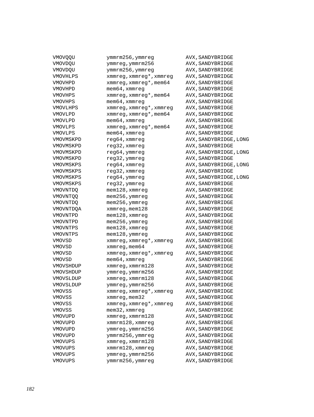| VMOVQQU          | ymmrm256,ymmreg          | AVX, SANDYBRIDGE       |
|------------------|--------------------------|------------------------|
| VMOVDQU          | ymmreg, ymmrm256         | AVX, SANDYBRIDGE       |
| VMOVDQU          | ymmrm256, ymmreg         | AVX, SANDYBRIDGE       |
| <b>VMOVHLPS</b>  | xmmreg, xmmreg*, xmmreg  | AVX, SANDYBRIDGE       |
| VMOVHPD          | xmmreg, xmmreg*, mem64   | AVX, SANDYBRIDGE       |
| VMOVHPD          | $m$ em $64$ , xmm $r$ eg | AVX, SANDYBRIDGE       |
| VMOVHPS          | xmmreg, xmmreg*, mem64   | AVX, SANDYBRIDGE       |
| VMOVHPS          | $m$ em 64, xmm $r$ eq    | AVX, SANDYBRIDGE       |
| <b>VMOVLHPS</b>  | xmmreg, xmmreg*, xmmreg  | AVX, SANDYBRIDGE       |
| VMOVLPD          | xmmreg, xmmreg*, mem64   | AVX, SANDYBRIDGE       |
| VMOVLPD          | $m$ em $64$ , xmm $r$ eg | AVX, SANDYBRIDGE       |
| <b>VMOVLPS</b>   | xmmreg, xmmreg*, mem64   | AVX, SANDYBRIDGE       |
| <b>VMOVLPS</b>   | $m$ em 64, xmm $r$ eg    | AVX, SANDYBRIDGE       |
| VMOVMSKPD        | reg64, xmmreg            | AVX, SANDYBRIDGE, LONG |
| VMOVMSKPD        | reg32, xmmreg            | AVX, SANDYBRIDGE       |
| VMOVMSKPD        | reg64, ymmreg            | AVX, SANDYBRIDGE, LONG |
| VMOVMSKPD        | reg32, ymmreg            | AVX, SANDYBRIDGE       |
| VMOVMSKPS        | reg64, xmmreg            | AVX, SANDYBRIDGE, LONG |
| VMOVMSKPS        | reg32, xmmreg            | AVX, SANDYBRIDGE       |
| VMOVMSKPS        | reg64, ymmreg            | AVX, SANDYBRIDGE, LONG |
| VMOVMSKPS        | reg32, ymmreg            | AVX, SANDYBRIDGE       |
| <b>VMOVNTDO</b>  | mem128, xmmreg           | AVX, SANDYBRIDGE       |
| <b>VMOVNTOO</b>  | mem256, ymmreg           | AVX, SANDYBRIDGE       |
| <b>VMOVNTDO</b>  | mem256, ymmreg           | AVX, SANDYBRIDGE       |
| <b>VMOVNTDOA</b> | xmmreg, mem128           | AVX, SANDYBRIDGE       |
| VMOVNTPD         | mem128, xmmreg           | AVX, SANDYBRIDGE       |
| VMOVNTPD         | mem256, ymmreg           | AVX, SANDYBRIDGE       |
| VMOVNTPS         | mem128, xmmreg           | AVX, SANDYBRIDGE       |
| VMOVNTPS         | mem128, ymmreg           | AVX, SANDYBRIDGE       |
| <b>VMOVSD</b>    | xmmreg, xmmreg*, xmmreg  | AVX, SANDYBRIDGE       |
| <b>VMOVSD</b>    | xmmreg, mem64            | AVX, SANDYBRIDGE       |
| <b>VMOVSD</b>    | xmmreg, xmmreg*, xmmreg  | AVX, SANDYBRIDGE       |
| <b>VMOVSD</b>    | mem64, xmmreg            | AVX, SANDYBRIDGE       |
| VMOVSHDUP        | xmmreg, xmmrm128         | AVX, SANDYBRIDGE       |
| VMOVSHDUP        | ymmreg, ymmrm256         | AVX, SANDYBRIDGE       |
| VMOVSLDUP        | xmmreg, xmmrm128         | AVX, SANDYBRIDGE       |
| VMOVSLDUP        | ymmreg, ymmrm256         | AVX, SANDYBRIDGE       |
| VMOVSS           | xmmreg, xmmreg*, xmmreg  | AVX, SANDYBRIDGE       |
| VMOVSS           | $x$ mm $x$ eg, mem $32$  | AVX, SANDYBRIDGE       |
| VMOVSS           | xmmreg, xmmreg*, xmmreg  | AVX, SANDYBRIDGE       |
| VMOVSS           | mem32, xmmreg            | AVX, SANDYBRIDGE       |
| VMOVUPD          | xmmreg, xmmrm128         | AVX, SANDYBRIDGE       |
| VMOVUPD          | xmmrm128, xmmreg         | AVX, SANDYBRIDGE       |
| VMOVUPD          | ymmreg, ymmrm256         | AVX, SANDYBRIDGE       |
| VMOVUPD          | ymmrm256, ymmreg         | AVX, SANDYBRIDGE       |
| <b>VMOVUPS</b>   | xmmreg, xmmrm128         | AVX, SANDYBRIDGE       |
| <b>VMOVUPS</b>   | xmmrm128, xmmreg         | AVX, SANDYBRIDGE       |
| VMOVUPS          | ymmreg, ymmrm256         | AVX, SANDYBRIDGE       |
| VMOVUPS          | ymmrm256, ymmreg         | AVX, SANDYBRIDGE       |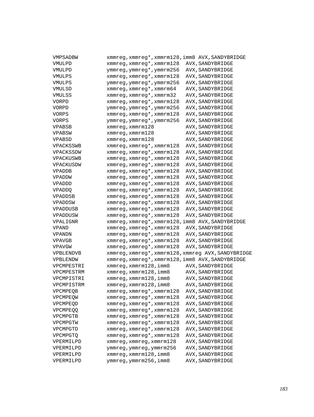| VMPSADBW        |                                   | xmmreg, xmmreg*, xmmrm128, imm8 AVX, SANDYBRIDGE   |
|-----------------|-----------------------------------|----------------------------------------------------|
| VMULPD          | xmmreg, xmmreg*, xmmrm128         | AVX, SANDYBRIDGE                                   |
| VMULPD          | ymmreg, ymmreg*, ymmrm256         | AVX, SANDYBRIDGE                                   |
| VMULPS          | xmmreg, xmmreg*, xmmrm128         | AVX, SANDYBRIDGE                                   |
| <b>VMULPS</b>   | ymmreg, ymmreg*, ymmrm256         | AVX, SANDYBRIDGE                                   |
| VMULSD          | xmmreg, xmmreg*, xmmrm64          | AVX, SANDYBRIDGE                                   |
| VMULSS          | xmmreg, xmmreg*, xmmrm32          | AVX, SANDYBRIDGE                                   |
| VORPD           | xmmreg, xmmreg*, xmmrm128         | AVX, SANDYBRIDGE                                   |
| VORPD           | ymmreg, ymmreg*, ymmrm256         | AVX, SANDYBRIDGE                                   |
| VORPS           | xmmreg, xmmreg*, xmmrm128         | AVX, SANDYBRIDGE                                   |
| VORPS           | ymmreg, ymmreg*, ymmrm256         | AVX, SANDYBRIDGE                                   |
| <b>VPABSB</b>   | xmmreq, xmmrm128                  | AVX, SANDYBRIDGE                                   |
| VPABSW          | xmmreg, xmmrm128                  | AVX, SANDYBRIDGE                                   |
| <b>VPABSD</b>   | $xmmreq$ , $xmmrm128$             | AVX, SANDYBRIDGE                                   |
| VPACKSSWB       | xmmreg, xmmreg*, xmmrm128         | AVX, SANDYBRIDGE                                   |
| VPACKSSDW       | xmmreg, xmmreg*, xmmrm128         | AVX, SANDYBRIDGE                                   |
| VPACKUSWB       | xmmreg, xmmreg*, xmmrm128         | AVX, SANDYBRIDGE                                   |
| VPACKUSDW       | xmmreg, xmmreg*, xmmrm128         | AVX, SANDYBRIDGE                                   |
| <b>VPADDB</b>   | xmmreg, xmmreg*, xmmrm128         | AVX, SANDYBRIDGE                                   |
| <b>VPADDW</b>   | xmmreg, xmmreg*, xmmrm128         | AVX, SANDYBRIDGE                                   |
| VPADDD          | xmmreg, xmmreg*, xmmrm128         | AVX, SANDYBRIDGE                                   |
| VPADDQ          | xmmreg, xmmreg*, xmmrm128         | AVX, SANDYBRIDGE                                   |
| VPADDSB         | xmmreg, xmmreg*, xmmrm128         | AVX, SANDYBRIDGE                                   |
| VPADDSW         | xmmreg, xmmreg*, xmmrm128         | AVX, SANDYBRIDGE                                   |
| <b>VPADDUSB</b> | xmmreg, xmmreg*, xmmrm128         | AVX, SANDYBRIDGE                                   |
| VPADDUSW        | xmmreg, xmmreg*, xmmrm128         | AVX, SANDYBRIDGE                                   |
| VPALIGNR        |                                   | xmmreg, xmmreg*, xmmrm128, imm8 AVX, SANDYBRIDGE   |
| <b>VPAND</b>    | xmmreg, xmmreg*, xmmrm128         | AVX, SANDYBRIDGE                                   |
| <b>VPANDN</b>   | xmmreg, xmmreg*, xmmrm128         | AVX, SANDYBRIDGE                                   |
| <b>VPAVGB</b>   | xmmreg, xmmreg*, xmmrm128         | AVX, SANDYBRIDGE                                   |
| <b>VPAVGW</b>   | xmmreg, xmmreg*, xmmrm128         | AVX, SANDYBRIDGE                                   |
| VPBLENDVB       |                                   | xmmreg, xmmreg*, xmmrm128, xmmreg AVX, SANDYBRIDGE |
| VPBLENDW        |                                   | xmmreg, xmmreg*, xmmrm128, imm8 AVX, SANDYBRIDGE   |
| VPCMPESTRI      | xmmreq, xmmrm128, imm8            | AVX, SANDYBRIDGE                                   |
| VPCMPESTRM      | xmmreg, xmmrm128, imm8            | AVX, SANDYBRIDGE                                   |
| VPCMPISTRI      | xmmreg, xmmrm128, imm8            | AVX, SANDYBRIDGE                                   |
| VPCMPISTRM      | xmmreg, xmmrm128, imm8            | AVX, SANDYBRIDGE                                   |
| VPCMPEQB        | xmmreg, xmmreg*, xmmrm128         | AVX, SANDYBRIDGE                                   |
| VPCMPEQW        | $xmmreg$ , $xmmreg*$ , $xmmrm128$ | AVX, SANDYBRIDGE                                   |
| VPCMPEOD        | xmmreg, xmmreg*, xmmrm128         | AVX, SANDYBRIDGE                                   |
| <b>VPCMPEOO</b> | xmmreg, xmmreg*, xmmrm128         | AVX, SANDYBRIDGE                                   |
| VPCMPGTB        | xmmreg, xmmreg*, xmmrm128         | AVX, SANDYBRIDGE                                   |
| VPCMPGTW        | xmmreg, xmmreg*, xmmrm128         | AVX, SANDYBRIDGE                                   |
| VPCMPGTD        | xmmreg, xmmreg*, xmmrm128         | AVX, SANDYBRIDGE                                   |
| VPCMPGTQ        | xmmreg, xmmreg*, xmmrm128         | AVX, SANDYBRIDGE                                   |
| VPERMILPD       | xmmreg, xmmreg, xmmrm128          | AVX, SANDYBRIDGE                                   |
| VPERMILPD       | ymmreg, ymmreg, ymmrm256          | AVX, SANDYBRIDGE                                   |
| VPERMILPD       | xmmreg, xmmrm128, imm8            | AVX, SANDYBRIDGE                                   |
| VPERMILPD       | ymmreg, ymmrm256, imm8            | AVX, SANDYBRIDGE                                   |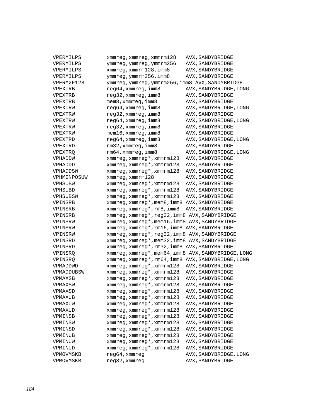| VPERMILPS      | xmmreg, xmmreg, xmmrm128                            | AVX, SANDYBRIDGE       |
|----------------|-----------------------------------------------------|------------------------|
| VPERMILPS      | ymmreg, ymmreg, ymmrm256                            | AVX, SANDYBRIDGE       |
| VPERMILPS      | xmmreg, xmmrm128, imm8                              | AVX, SANDYBRIDGE       |
| VPERMILPS      | ymmreg, ymmrm256, imm8                              | AVX, SANDYBRIDGE       |
| VPERM2F128     | ymmreg, ymmreg, ymmrm256, imm8 AVX, SANDYBRIDGE     |                        |
| <b>VPEXTRB</b> | reg64, xmmreg, imm8                                 | AVX, SANDYBRIDGE, LONG |
| VPEXTRB        | reg32, xmmreg, imm8                                 | AVX, SANDYBRIDGE       |
| VPEXTRB        | mem8, xmmreg, imm8                                  | AVX, SANDYBRIDGE       |
| VPEXTRW        | reg64, xmmreg, imm8                                 | AVX, SANDYBRIDGE, LONG |
| VPEXTRW        | reg32, xmmreg, imm8                                 | AVX, SANDYBRIDGE       |
| VPEXTRW        | reg64, xmmreg, imm8                                 | AVX, SANDYBRIDGE, LONG |
| VPEXTRW        | reg32, xmmreg, imm8                                 | AVX, SANDYBRIDGE       |
| VPEXTRW        | mem16, xmmreg, imm8                                 | AVX, SANDYBRIDGE       |
| VPEXTRD        | reg64, xmmreg, imm8                                 | AVX, SANDYBRIDGE, LONG |
| VPEXTRD        | rm32, xmmreg, imm8                                  | AVX, SANDYBRIDGE       |
| <b>VPEXTRQ</b> | rm64, xmmreg, imm8                                  | AVX, SANDYBRIDGE, LONG |
| VPHADDW        | xmmreg, xmmreg*, xmmrm128                           | AVX, SANDYBRIDGE       |
| VPHADDD        | xmmreg, xmmreg*, xmmrm128                           | AVX, SANDYBRIDGE       |
| VPHADDSW       | xmmreg, xmmreg*, xmmrm128                           | AVX, SANDYBRIDGE       |
| VPHMINPOSUW    | xmmreg, xmmrm128                                    | AVX, SANDYBRIDGE       |
| VPHSUBW        | xmmreg, xmmreg*, xmmrm128                           | AVX, SANDYBRIDGE       |
| VPHSUBD        | xmmreg, xmmreg*, xmmrm128                           | AVX, SANDYBRIDGE       |
| VPHSUBSW       | xmmreg, xmmreg*, xmmrm128                           | AVX, SANDYBRIDGE       |
| VPINSRB        | xmmreg, xmmreg*, mem8, imm8 AVX, SANDYBRIDGE        |                        |
| VPINSRB        | xmmreg, xmmreg*, rm8, imm8                          | AVX, SANDYBRIDGE       |
| VPINSRB        | xmmreg, xmmreg*, reg32, imm8 AVX, SANDYBRIDGE       |                        |
| VPINSRW        | xmmreg, xmmreg*, mem16, imm8 AVX, SANDYBRIDGE       |                        |
| VPINSRW        | xmmreg, xmmreg*, rm16, imm8 AVX, SANDYBRIDGE        |                        |
| VPINSRW        | xmmreg, xmmreg*, reg32, imm8 AVX, SANDYBRIDGE       |                        |
| VPINSRD        | xmmreg, xmmreg*, mem32, imm8 AVX, SANDYBRIDGE       |                        |
| VPINSRD        | xmmreg, xmmreg*, rm32, imm8 AVX, SANDYBRIDGE        |                        |
| VPINSRQ        | xmmreg, xmmreg*, mem64, imm8 AVX, SANDYBRIDGE, LONG |                        |
| VPINSRQ        | xmmreq, xmmreq*, rm64, imm8 AVX, SANDYBRIDGE, LONG  |                        |
| VPMADDWD       | xmmreg, xmmreg*, xmmrm128                           | AVX, SANDYBRIDGE       |
| VPMADDUBSW     | xmmreg, xmmreg*, xmmrm128                           | AVX, SANDYBRIDGE       |
| VPMAXSB        | xmmreg, xmmreg*, xmmrm128                           | AVX, SANDYBRIDGE       |
| VPMAXSW        | xmmreg, xmmreg*, xmmrm128                           | AVX, SANDYBRIDGE       |
| VPMAXSD        | xmmreg, xmmreg*, xmmrm128                           | AVX, SANDYBRIDGE       |
| VPMAXUB        | xmmreg, xmmreg*, xmmrm128                           | AVX, SANDYBRIDGE       |
| VPMAXUW        | xmmreg, xmmreg*, xmmrm128                           | AVX, SANDYBRIDGE       |
| VPMAXUD        | xmmreg, xmmreg*, xmmrm128                           | AVX, SANDYBRIDGE       |
| VPMINSB        | xmmreg, xmmreg*, xmmrm128                           | AVX, SANDYBRIDGE       |
| VPMINSW        | xmmreg, xmmreg*, xmmrm128                           | AVX, SANDYBRIDGE       |
| VPMINSD        | xmmreg, xmmreg*, xmmrm128                           | AVX, SANDYBRIDGE       |
| VPMINUB        | xmmreg, xmmreg*, xmmrm128                           | AVX, SANDYBRIDGE       |
| VPMINUW        | xmmreg, xmmreg*, xmmrm128                           | AVX, SANDYBRIDGE       |
| VPMINUD        | xmmreg, xmmreg*, xmmrm128                           | AVX, SANDYBRIDGE       |
| VPMOVMSKB      | reg64, xmmreg                                       | AVX, SANDYBRIDGE, LONG |
| VPMOVMSKB      | reg32, xmmreg                                       | AVX, SANDYBRIDGE       |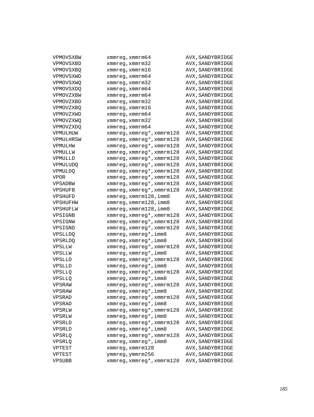| VPMOVSXBW        | $x$ mm $x$ eq, $x$ mm $x$ m $64$ | AVX, SANDYBRIDGE |
|------------------|----------------------------------|------------------|
| VPMOVSXBD        | xmmreq, xmmrm32                  | AVX, SANDYBRIDGE |
| <b>VPMOVSXBO</b> | xmmreq, xmmrm16                  | AVX, SANDYBRIDGE |
| VPMOVSXWD        | xmmreg, xmmrm64                  | AVX, SANDYBRIDGE |
| VPMOVSXWO        | xmmreg, xmmrm32                  | AVX, SANDYBRIDGE |
| VPMOVSXDQ        | xmmreg, xmmrm64                  | AVX, SANDYBRIDGE |
| VPMOVZXBW        | xmmreg, xmmrm64                  | AVX, SANDYBRIDGE |
| VPMOVZXBD        | xmmreg, xmmrm32                  | AVX, SANDYBRIDGE |
| VPMOVZXBQ        | xmmreg, xmmrm16                  | AVX, SANDYBRIDGE |
| VPMOVZXWD        | xmmreg, xmmrm64                  | AVX, SANDYBRIDGE |
| VPMOVZXWQ        | xmmreg, xmmrm32                  | AVX, SANDYBRIDGE |
| VPMOVZXDO        | xmmreg, xmmrm64                  | AVX, SANDYBRIDGE |
| VPMULHUW         | xmmreg, xmmreg*, xmmrm128        | AVX, SANDYBRIDGE |
| VPMULHRSW        | xmmreg, xmmreg*, xmmrm128        | AVX, SANDYBRIDGE |
| VPMULHW          | xmmreg, xmmreg*, xmmrm128        | AVX, SANDYBRIDGE |
| VPMULLW          | xmmreg, xmmreg*, xmmrm128        | AVX, SANDYBRIDGE |
| VPMULLD          | xmmreg, xmmreg*, xmmrm128        | AVX, SANDYBRIDGE |
| <b>VPMULUDO</b>  | xmmreg, xmmreg*, xmmrm128        | AVX, SANDYBRIDGE |
| <b>VPMULDQ</b>   | xmmreg, xmmreg*, xmmrm128        | AVX, SANDYBRIDGE |
| <b>VPOR</b>      | xmmreg, xmmreg*, xmmrm128        | AVX, SANDYBRIDGE |
| VPSADBW          | xmmreg, xmmreg*, xmmrm128        | AVX, SANDYBRIDGE |
| <b>VPSHUFB</b>   | xmmreg, xmmreg*, xmmrm128        | AVX, SANDYBRIDGE |
| VPSHUFD          | xmmreq, xmmrm128, imm8           | AVX, SANDYBRIDGE |
| VPSHUFHW         | xmmreq, xmmrm128, imm8           | AVX, SANDYBRIDGE |
| VPSHUFLW         | xmmreg, xmmrm128, imm8           | AVX, SANDYBRIDGE |
| VPSIGNB          | xmmreg, xmmreg*, xmmrm128        | AVX, SANDYBRIDGE |
| VPSIGNW          | xmmreg, xmmreg*, xmmrm128        | AVX, SANDYBRIDGE |
| VPSIGND          | xmmreg, xmmreg*, xmmrm128        | AVX, SANDYBRIDGE |
| <b>VPSLLDQ</b>   | xmmreg, xmmreg*, imm8            | AVX, SANDYBRIDGE |
| <b>VPSRLDQ</b>   | xmmreg, xmmreg*, imm8            | AVX, SANDYBRIDGE |
| VPSLLW           | xmmreg, xmmreg*, xmmrm128        | AVX, SANDYBRIDGE |
| VPSLLW           | xmmreg, xmmreg*, imm8            | AVX, SANDYBRIDGE |
| VPSLLD           | xmmreg, xmmreg*, xmmrm128        | AVX, SANDYBRIDGE |
| VPSLLD           | xmmreg, xmmreg*, imm8            | AVX, SANDYBRIDGE |
| VPSLLQ           | xmmreg, xmmreg*, xmmrm128        | AVX, SANDYBRIDGE |
| <b>VPSLLQ</b>    | xmmreg, xmmreg*, imm8            | AVX, SANDYBRIDGE |
| VPSRAW           | xmmreg, xmmreg*, xmmrm128        | AVX, SANDYBRIDGE |
| VPSRAW           | xmmreg, xmmreg*, imm8            | AVX, SANDYBRIDGE |
| VPSRAD           | xmmreg, xmmreg*, xmmrm128        | AVX, SANDYBRIDGE |
| VPSRAD           | xmmreg, xmmreg*, imm8            | AVX, SANDYBRIDGE |
| VPSRLW           | xmmreg, xmmreg*, xmmrm128        | AVX, SANDYBRIDGE |
| VPSRLW           | xmmreg, xmmreg*, imm8            | AVX, SANDYBRIDGE |
| VPSRLD           | xmmreg, xmmreg*, xmmrm128        | AVX, SANDYBRIDGE |
| VPSRLD           | xmmreg, xmmreg*, imm8            | AVX, SANDYBRIDGE |
| VPSRLQ           | xmmreg, xmmreg*, xmmrm128        | AVX, SANDYBRIDGE |
| VPSRLQ           | xmmreg, xmmreg*, imm8            | AVX, SANDYBRIDGE |
| VPTEST           | xmmreg, xmmrm128                 | AVX, SANDYBRIDGE |
| VPTEST           | ymmreg, ymmrm256                 | AVX, SANDYBRIDGE |
| VPSUBB           | xmmreg, xmmreg*, xmmrm128        | AVX, SANDYBRIDGE |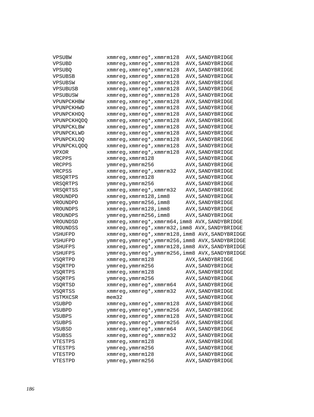| VPSUBW             | xmmreg, xmmreg*, xmmrm128                        | AVX, SANDYBRIDGE                     |
|--------------------|--------------------------------------------------|--------------------------------------|
| VPSUBD             | xmmreg, xmmreg*, xmmrm128                        | AVX, SANDYBRIDGE                     |
| <b>VPSUBO</b>      | xmmreg, xmmreg*, xmmrm128                        | AVX, SANDYBRIDGE                     |
| <b>VPSUBSB</b>     | xmmreg, xmmreg*, xmmrm128                        | AVX, SANDYBRIDGE                     |
| VPSUBSW            | xmmreg, xmmreg*, xmmrm128                        | AVX, SANDYBRIDGE                     |
| <b>VPSUBUSB</b>    | xmmreg, xmmreg*, xmmrm128                        | AVX, SANDYBRIDGE                     |
| VPSUBUSW           | xmmreg, xmmreg*, xmmrm128                        | AVX, SANDYBRIDGE                     |
| VPUNPCKHBW         | xmmreg, xmmreg*, xmmrm128                        | AVX, SANDYBRIDGE                     |
| VPUNPCKHWD         | xmmreg, xmmreg*, xmmrm128                        | AVX, SANDYBRIDGE                     |
| VPUNPCKHDQ         | xmmreg, xmmreg*, xmmrm128                        | AVX, SANDYBRIDGE                     |
| <b>VPUNPCKHODO</b> | xmmreg, xmmreg*, xmmrm128                        | AVX, SANDYBRIDGE                     |
| VPUNPCKLBW         | xmmreg, xmmreg*, xmmrm128                        | AVX, SANDYBRIDGE                     |
| VPUNPCKLWD         | xmmreg, xmmreg*, xmmrm128                        | AVX, SANDYBRIDGE                     |
| VPUNPCKLDQ         | xmmreg, xmmreg*, xmmrm128                        | AVX, SANDYBRIDGE                     |
| <b>VPUNPCKLODO</b> | xmmreg, xmmreg*, xmmrm128                        | AVX, SANDYBRIDGE                     |
| VPXOR              | xmmreg, xmmreg*, xmmrm128                        | AVX, SANDYBRIDGE                     |
| VRCPPS             | xmmreg, xmmrm128                                 | AVX, SANDYBRIDGE                     |
| VRCPPS             | ymmreg, ymmrm256                                 | AVX, SANDYBRIDGE                     |
| VRCPSS             | xmmreg, xmmreg*, xmmrm32                         | AVX, SANDYBRIDGE                     |
| VRSQRTPS           | xmmreg, xmmrm128                                 | AVX, SANDYBRIDGE                     |
| VRSORTPS           | ymmreg, ymmrm256                                 | AVX, SANDYBRIDGE                     |
| VRSQRTSS           | xmmreg, xmmreg*, xmmrm32                         | AVX, SANDYBRIDGE                     |
| VROUNDPD           | xmmreg, xmmrm128, imm8                           | AVX, SANDYBRIDGE                     |
| VROUNDPD           | ymmreg, ymmrm256, imm8                           | AVX, SANDYBRIDGE                     |
| VROUNDPS           | xmmreg, xmmrm128, imm8                           | AVX, SANDYBRIDGE                     |
| VROUNDPS           | ymmreg, ymmrm256, imm8                           | AVX, SANDYBRIDGE                     |
| VROUNDSD           | xmmreg, xmmreg*, xmmrm64, imm8 AVX, SANDYBRIDGE  |                                      |
| VROUNDSS           | xmmreg, xmmreg*, xmmrm32, imm8 AVX, SANDYBRIDGE  |                                      |
| VSHUFPD            | xmmreg, xmmreg*, xmmrm128, imm8 AVX, SANDYBRIDGE |                                      |
| VSHUFPD            | ymmreg, ymmreg*, ymmrm256, imm8 AVX, SANDYBRIDGE |                                      |
| VSHUFPS            | xmmreg, xmmreg*, xmmrm128, imm8 AVX, SANDYBRIDGE |                                      |
| VSHUFPS            | ymmreg, ymmreg*, ymmrm256, imm8 AVX, SANDYBRIDGE |                                      |
| VSORTPD            | xmmreg, xmmrm128                                 | AVX, SANDYBRIDGE                     |
| VSQRTPD            | ymmreg, ymmrm256                                 | AVX, SANDYBRIDGE                     |
| VSQRTPS            | xmmreg, xmmrm128                                 | AVX, SANDYBRIDGE                     |
| VSQRTPS            |                                                  |                                      |
| VSQRTSD            | ymmreg, ymmrm256                                 | AVX, SANDYBRIDGE                     |
|                    | xmmreg, xmmreg*, xmmrm64                         | AVX, SANDYBRIDGE                     |
| VSQRTSS            | xmmreg, xmmreg*, xmmrm32                         | AVX, SANDYBRIDGE                     |
| VSTMXCSR           | $m$ em $32$                                      | AVX, SANDYBRIDGE                     |
| VSUBPD             | xmmreg, xmmreg*, xmmrm128                        | AVX, SANDYBRIDGE                     |
| VSUBPD             | ymmreg, ymmreg*, ymmrm256                        | AVX, SANDYBRIDGE                     |
| VSUBPS             | xmmreg, xmmreg*, xmmrm128                        | AVX, SANDYBRIDGE                     |
| VSUBPS             | ymmreg, ymmreg*, ymmrm256                        | AVX, SANDYBRIDGE                     |
| VSUBSD             | xmmreg, xmmreg*, xmmrm64                         | AVX, SANDYBRIDGE                     |
| VSUBSS             | xmmreg, xmmreg*, xmmrm32                         | AVX, SANDYBRIDGE                     |
| VTESTPS            | xmmreg, xmmrm128                                 | AVX, SANDYBRIDGE                     |
| VTESTPS            | ymmreg, ymmrm256                                 | AVX, SANDYBRIDGE                     |
| VTESTPD<br>VTESTPD | xmmreg, xmmrm128<br>ymmreg, ymmrm256             | AVX, SANDYBRIDGE<br>AVX, SANDYBRIDGE |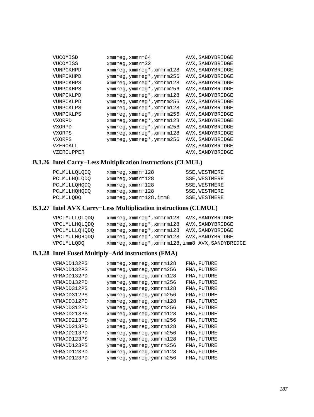| VUCOMISD      | $x$ mm $x$ eq, $x$ mm $x$ m $64$  | AVX, SANDYBRIDGE |
|---------------|-----------------------------------|------------------|
| VUCOMISS      | $xmmreg$ , $xmmrm32$              | AVX, SANDYBRIDGE |
| VUNPCKHPD     | $xmmreg$ , $xmmreg*$ , $xmmrm128$ | AVX, SANDYBRIDGE |
| VUNPCKHPD     | ymmreg, ymmreg*, ymmrm256         | AVX, SANDYBRIDGE |
| VUNPCKHPS     | $xmmreg$ , $xmmreg*$ , $xmmrm128$ | AVX, SANDYBRIDGE |
| VUNPCKHPS     | ymmreg, ymmreg*, ymmrm256         | AVX, SANDYBRIDGE |
| VUNPCKLPD     | $xmmreg$ , $xmmreg*$ , $xmmrm128$ | AVX, SANDYBRIDGE |
| VUNPCKLPD     | ymmreg, ymmreg*, ymmrm256         | AVX, SANDYBRIDGE |
| VUNPCKLPS     | $xmmreg$ , $xmmreg*$ , $xmmrm128$ | AVX, SANDYBRIDGE |
| VUNPCKLPS     | ymmreg, ymmreg*, ymmrm256         | AVX, SANDYBRIDGE |
| <b>VXORPD</b> | $xmmreg$ , $xmmreg*$ , $xmmrm128$ | AVX, SANDYBRIDGE |
| <b>VXORPD</b> | ymmreg, ymmreg*, ymmrm256         | AVX, SANDYBRIDGE |
| VXORPS        | xmmreg, xmmreg*, xmmrm128         | AVX, SANDYBRIDGE |
| VXORPS        | ymmreg, ymmreg*, ymmrm256         | AVX, SANDYBRIDGE |
| VZEROALL      |                                   | AVX, SANDYBRIDGE |
| VZEROUPPER    |                                   | AVX, SANDYBRIDGE |

# **B.1.26 Intel Carry−Less Multiplication instructions (CLMUL)**

| <b>PCLMULLOLODO</b> | $x$ mm $req$ , $x$ mm $r$ m $128$ | SSE, WESTMERE |
|---------------------|-----------------------------------|---------------|
| PCLMULHOLODO        | $x$ mm $x$ eq, $x$ mm $x$ m $128$ | SSE, WESTMERE |
| <b>PCLMULLOHODO</b> | $x$ mm $req$ , $x$ mm $r$ m $128$ | SSE, WESTMERE |
| <b>PCLMULHOHODO</b> | $xmm$ req, $xmm$ rm $128$         | SSE, WESTMERE |
| <b>PCLMULODO</b>    | xmmreq, xmmrm128, imm8            | SSE, WESTMERE |

# **B.1.27 Intel AVX Carry−Less Multiplication instructions (CLMUL)**

| <b>VPCLMULLOLODO</b> | xmmreq, xmmreq*, xmmrm128 AVX, SANDYBRIDGE       |                  |
|----------------------|--------------------------------------------------|------------------|
| <b>VPCLMULHOLODO</b> | xmmreg, xmmreg*, xmmrm128                        | AVX, SANDYBRIDGE |
| <b>VPCLMULLOHODO</b> | xmmreg, xmmreg*, xmmrm128                        | AVX, SANDYBRIDGE |
| VPCLMULHOHODO        | xmmreg, xmmreg*, xmmrm128 AVX, SANDYBRIDGE       |                  |
| <b>VPCLMULODO</b>    | xmmreg, xmmreg*, xmmrm128, imm8 AVX, SANDYBRIDGE |                  |
|                      |                                                  |                  |

# **B.1.28 Intel Fused Multiply−Add instructions (FMA)**

| VFMADD132PS | xmmreg,xmmreg,xmmrm128   | FMA, FUTURE |
|-------------|--------------------------|-------------|
| VFMADD132PS | ymmreg, ymmreg, ymmrm256 | FMA, FUTURE |
| VFMADD132PD | xmmreq, xmmreq, xmmrm128 | FMA, FUTURE |
| VFMADD132PD | ymmreg, ymmreg, ymmrm256 | FMA, FUTURE |
| VFMADD312PS | xmmreg, xmmreg, xmmrm128 | FMA, FUTURE |
| VFMADD312PS | ymmreg, ymmreg, ymmrm256 | FMA, FUTURE |
| VFMADD312PD | xmmreq, xmmreq, xmmrm128 | FMA, FUTURE |
| VFMADD312PD | ymmreg, ymmreg, ymmrm256 | FMA, FUTURE |
| VFMADD213PS | xmmreq, xmmreq, xmmrm128 | FMA, FUTURE |
| VFMADD213PS | ymmreg, ymmreg, ymmrm256 | FMA, FUTURE |
| VFMADD213PD | xmmreq, xmmreq, xmmrm128 | FMA, FUTURE |
| VFMADD213PD | ymmreg, ymmreg, ymmrm256 | FMA, FUTURE |
| VFMADD123PS | xmmreq, xmmreq, xmmrm128 | FMA, FUTURE |
| VFMADD123PS | ymmreg, ymmreg, ymmrm256 | FMA, FUTURE |
| VFMADD123PD | xmmreq, xmmreq, xmmrm128 | FMA, FUTURE |
| VFMADD123PD | ymmreg, ymmreg, ymmrm256 | FMA, FUTURE |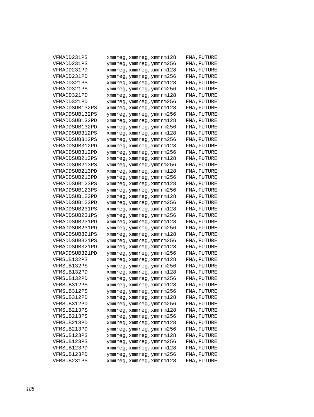| VFMADD231PS    | xmmreg, xmmreg, xmmrm128 | FMA, FUTURE |
|----------------|--------------------------|-------------|
| VFMADD231PS    | ymmreg, ymmreg, ymmrm256 | FMA, FUTURE |
| VFMADD231PD    | xmmreg,xmmreg,xmmrm128   | FMA, FUTURE |
| VFMADD231PD    | ymmreg,ymmreg,ymmrm256   | FMA, FUTURE |
| VFMADD321PS    | xmmreg, xmmreg, xmmrm128 | FMA, FUTURE |
| VFMADD321PS    | ymmreg,ymmreg,ymmrm256   | FMA, FUTURE |
| VFMADD321PD    | xmmreg,xmmreg,xmmrm128   | FMA, FUTURE |
| VFMADD321PD    | ymmreg,ymmreg,ymmrm256   | FMA, FUTURE |
| VFMADDSUB132PS | xmmreg, xmmreg, xmmrm128 | FMA, FUTURE |
| VFMADDSUB132PS | ymmreg, ymmreg, ymmrm256 | FMA, FUTURE |
| VFMADDSUB132PD | xmmreg,xmmreg,xmmrm128   | FMA, FUTURE |
| VFMADDSUB132PD | ymmreg, ymmreg, ymmrm256 | FMA, FUTURE |
| VFMADDSUB312PS | xmmreg,xmmreg,xmmrm128   | FMA, FUTURE |
| VFMADDSUB312PS | ymmreg,ymmreg,ymmrm256   | FMA, FUTURE |
| VFMADDSUB312PD | xmmreg,xmmreg,xmmrm128   | FMA, FUTURE |
| VFMADDSUB312PD | ymmreg,ymmreg,ymmrm256   | FMA, FUTURE |
| VFMADDSUB213PS | xmmreg,xmmreg,xmmrm128   | FMA, FUTURE |
| VFMADDSUB213PS | ymmreg,ymmreg,ymmrm256   | FMA, FUTURE |
| VFMADDSUB213PD | xmmreg,xmmreg,xmmrm128   | FMA, FUTURE |
| VFMADDSUB213PD | ymmreg,ymmreg,ymmrm256   | FMA, FUTURE |
| VFMADDSUB123PS | xmmreg,xmmreg,xmmrm128   | FMA, FUTURE |
| VFMADDSUB123PS | ymmreg,ymmreg,ymmrm256   | FMA, FUTURE |
| VFMADDSUB123PD | xmmreg,xmmreg,xmmrm128   | FMA, FUTURE |
| VFMADDSUB123PD | ymmreg, ymmreg, ymmrm256 | FMA, FUTURE |
| VFMADDSUB231PS | xmmreg, xmmreg, xmmrm128 | FMA, FUTURE |
| VFMADDSUB231PS | ymmreg,ymmreg,ymmrm256   | FMA, FUTURE |
| VFMADDSUB231PD | xmmreg,xmmreg,xmmrm128   | FMA, FUTURE |
| VFMADDSUB231PD | ymmreg,ymmreg,ymmrm256   | FMA, FUTURE |
| VFMADDSUB321PS | xmmreg,xmmreg,xmmrm128   | FMA, FUTURE |
| VFMADDSUB321PS | ymmreg,ymmreg,ymmrm256   | FMA, FUTURE |
| VFMADDSUB321PD | xmmreg, xmmreg, xmmrm128 | FMA, FUTURE |
| VFMADDSUB321PD | ymmreg,ymmreg,ymmrm256   | FMA, FUTURE |
| VFMSUR132PS    | xmmreg, xmmreg, xmmrm128 | FMA, FUTURE |
| VFMSUR132PS    | ymmreg, ymmreg, ymmrm256 | FMA, FUTURE |
| VFMSUB132PD    | xmmreg, xmmreg, xmmrm128 | FMA, FUTURE |
| VFMSUB132PD    | ymmreg, ymmreg, ymmrm256 | FMA, FUTURE |
| VFMSUB312PS    | xmmreg, xmmreg, xmmrm128 | FMA, FUTURE |
| VFMSUB312PS    | ymmreg,ymmreg,ymmrm256   | FMA, FUTURE |
| VFMSUB312PD    | xmmreg, xmmreg, xmmrm128 | FMA, FUTURE |
| VFMSUB312PD    | ymmreg, ymmreg, ymmrm256 | FMA, FUTURE |
| VFMSUB213PS    | xmmreg, xmmreg, xmmrm128 | FMA, FUTURE |
| VFMSUB213PS    | ymmreg, ymmreg, ymmrm256 | FMA, FUTURE |
| VFMSUB213PD    | xmmreg, xmmreg, xmmrm128 | FMA, FUTURE |
| VFMSUB213PD    | ymmreg, ymmreg, ymmrm256 | FMA, FUTURE |
| VFMSUB123PS    | xmmreg, xmmreg, xmmrm128 | FMA, FUTURE |
| VFMSUB123PS    | ymmreg, ymmreg, ymmrm256 | FMA, FUTURE |
| VFMSUB123PD    | xmmreg, xmmreg, xmmrm128 | FMA, FUTURE |
| VFMSUB123PD    | ymmreg, ymmreg, ymmrm256 | FMA, FUTURE |
| VFMSUB231PS    | xmmreg, xmmreg, xmmrm128 | FMA, FUTURE |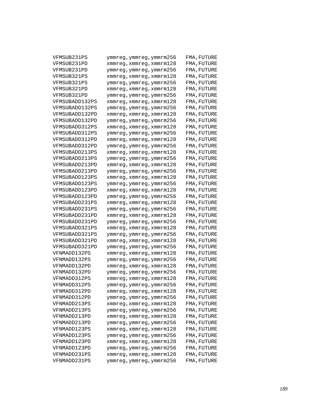| VFMSUB231PS    | ymmreg,ymmreg,ymmrm256   | FMA, FUTURE |
|----------------|--------------------------|-------------|
| VFMSUB231PD    | xmmreg,xmmreg,xmmrm128   | FMA, FUTURE |
| VFMSUB231PD    | ymmreg, ymmreg, ymmrm256 | FMA, FUTURE |
| VFMSUB321PS    | xmmreg,xmmreg,xmmrm128   | FMA, FUTURE |
| VFMSUB321PS    | ymmreg,ymmreg,ymmrm256   | FMA, FUTURE |
| VFMSUB321PD    | xmmreg,xmmreg,xmmrm128   | FMA, FUTURE |
| VFMSUB321PD    | ymmreg,ymmreg,ymmrm256   | FMA, FUTURE |
| VFMSUBADD132PS | xmmreg,xmmreg,xmmrm128   | FMA, FUTURE |
| VFMSUBADD132PS | ymmreg,ymmreg,ymmrm256   | FMA, FUTURE |
| VFMSUBADD132PD | xmmreg,xmmreg,xmmrm128   | FMA, FUTURE |
| VFMSUBADD132PD | ymmreg,ymmreg,ymmrm256   | FMA, FUTURE |
| VFMSUBADD312PS | xmmreg,xmmreg,xmmrm128   | FMA, FUTURE |
| VFMSUBADD312PS | ymmreg,ymmreg,ymmrm256   | FMA, FUTURE |
| VFMSUBADD312PD | xmmreg,xmmreg,xmmrm128   | FMA, FUTURE |
| VFMSUBADD312PD | ymmreg,ymmreg,ymmrm256   | FMA, FUTURE |
| VFMSUBADD213PS | xmmreg,xmmreg,xmmrm128   | FMA, FUTURE |
| VFMSUBADD213PS | ymmreg,ymmreg,ymmrm256   | FMA, FUTURE |
| VFMSUBADD213PD | xmmreg,xmmreg,xmmrm128   | FMA, FUTURE |
| VFMSUBADD213PD | ymmreg,ymmreg,ymmrm256   | FMA, FUTURE |
| VFMSUBADD123PS | xmmreg,xmmreg,xmmrm128   | FMA, FUTURE |
| VFMSUBADD123PS | ymmreg,ymmreg,ymmrm256   | FMA, FUTURE |
| VFMSUBADD123PD | xmmreg,xmmreg,xmmrm128   | FMA, FUTURE |
| VFMSUBADD123PD | ymmreg,ymmreg,ymmrm256   | FMA, FUTURE |
| VFMSUBADD231PS | xmmreg,xmmreg,xmmrm128   | FMA, FUTURE |
| VFMSUBADD231PS | ymmreg,ymmreg,ymmrm256   | FMA, FUTURE |
| VFMSUBADD231PD | xmmreg,xmmreg,xmmrm128   | FMA, FUTURE |
| VFMSUBADD231PD | ymmreg,ymmreg,ymmrm256   | FMA, FUTURE |
| VFMSUBADD321PS | xmmreg,xmmreg,xmmrm128   | FMA, FUTURE |
| VFMSUBADD321PS | ymmreg,ymmreg,ymmrm256   | FMA, FUTURE |
| VFMSUBADD321PD | xmmreg,xmmreg,xmmrm128   | FMA, FUTURE |
| VFMSUBADD321PD | ymmreg,ymmreg,ymmrm256   | FMA, FUTURE |
| VFNMADD132PS   | xmmreg,xmmreg,xmmrm128   | FMA, FUTURE |
| VFNMADD132PS   | ymmreg, ymmreg, ymmrm256 | FMA, FUTURE |
| VFNMADD132PD   | xmmreg,xmmreg,xmmrm128   | FMA, FUTURE |
| VFNMADD132PD   | ymmreg, ymmreg, ymmrm256 | FMA, FUTURE |
| VFNMADD312PS   | xmmreg,xmmreg,xmmrm128   | FMA, FUTURE |
| VFNMADD312PS   | ymmreg, ymmreg, ymmrm256 | FMA, FUTURE |
| VFNMADD312PD   | xmmreg, xmmreg, xmmrm128 | FMA, FUTURE |
| VFNMADD312PD   | ymmreg,ymmreg,ymmrm256   | FMA, FUTURE |
| VFNMADD213PS   | xmmreg, xmmreg, xmmrm128 | FMA, FUTURE |
| VFNMADD213PS   | ymmreg, ymmreg, ymmrm256 | FMA, FUTURE |
| VFNMADD213PD   | xmmreg, xmmreg, xmmrm128 | FMA, FUTURE |
| VFNMADD213PD   | ymmreg, ymmreg, ymmrm256 | FMA, FUTURE |
| VFNMADD123PS   | xmmreg, xmmreg, xmmrm128 | FMA, FUTURE |
| VFNMADD123PS   | ymmreg, ymmreg, ymmrm256 | FMA, FUTURE |
| VFNMADD123PD   | xmmreg, xmmreg, xmmrm128 | FMA, FUTURE |
| VFNMADD123PD   | ymmreg, ymmreg, ymmrm256 | FMA, FUTURE |
| VFNMADD231PS   | xmmreg, xmmreg, xmmrm128 | FMA, FUTURE |
| VFNMADD231PS   | ymmreg, ymmreg, ymmrm256 | FMA, FUTURE |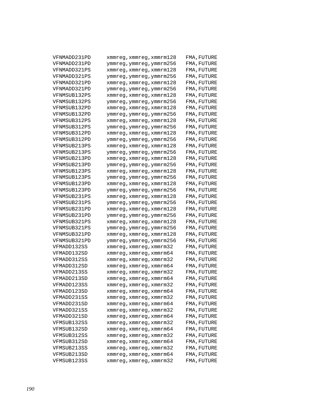| VFNMADD231PD | xmmreg,xmmreg,xmmrm128   | FMA, FUTURE |
|--------------|--------------------------|-------------|
| VFNMADD231PD | ymmreg,ymmreg,ymmrm256   | FMA, FUTURE |
| VFNMADD321PS | xmmreg,xmmreg,xmmrm128   | FMA, FUTURE |
| VFNMADD321PS | ymmreg,ymmreg,ymmrm256   | FMA, FUTURE |
| VFNMADD321PD | xmmreg,xmmreg,xmmrm128   | FMA, FUTURE |
| VFNMADD321PD | ymmreg,ymmreg,ymmrm256   | FMA, FUTURE |
| VFNMSUB132PS | xmmreg,xmmreg,xmmrm128   | FMA, FUTURE |
| VFNMSUB132PS | ymmreg,ymmreg,ymmrm256   | FMA, FUTURE |
| VFNMSUB132PD | xmmreg,xmmreg,xmmrm128   | FMA, FUTURE |
| VFNMSUB132PD | ymmreg,ymmreg,ymmrm256   | FMA, FUTURE |
| VFNMSUB312PS | xmmreg,xmmreg,xmmrm128   | FMA, FUTURE |
| VFNMSUB312PS | ymmreg,ymmreg,ymmrm256   | FMA, FUTURE |
| VFNMSUB312PD | xmmreg,xmmreg,xmmrm128   | FMA, FUTURE |
| VFNMSUB312PD | ymmreg,ymmreg,ymmrm256   | FMA, FUTURE |
| VFNMSUB213PS | xmmreg,xmmreg,xmmrm128   | FMA, FUTURE |
| VFNMSUB213PS | ymmreg,ymmreg,ymmrm256   | FMA, FUTURE |
| VFNMSUB213PD | xmmreg,xmmreg,xmmrm128   | FMA, FUTURE |
| VFNMSUB213PD | ymmreg,ymmreg,ymmrm256   | FMA, FUTURE |
| VFNMSUB123PS | xmmreg,xmmreg,xmmrm128   | FMA, FUTURE |
| VFNMSUB123PS | ymmreg,ymmreg,ymmrm256   | FMA, FUTURE |
| VFNMSUB123PD | xmmreg,xmmreg,xmmrm128   | FMA, FUTURE |
| VFNMSUB123PD | ymmreg,ymmreg,ymmrm256   | FMA, FUTURE |
| VFNMSUB231PS | xmmreg,xmmreg,xmmrm128   | FMA, FUTURE |
| VFNMSUB231PS | ymmreg,ymmreg,ymmrm256   | FMA, FUTURE |
| VFNMSUB231PD | xmmreg,xmmreg,xmmrm128   | FMA, FUTURE |
| VFNMSUB231PD | ymmreg,ymmreg,ymmrm256   | FMA, FUTURE |
| VFNMSUB321PS | xmmreg,xmmreg,xmmrm128   | FMA, FUTURE |
| VFNMSUB321PS | ymmreg,ymmreg,ymmrm256   | FMA, FUTURE |
| VFNMSUB321PD | xmmreg,xmmreg,xmmrm128   | FMA, FUTURE |
| VFNMSUB321PD | ymmreg, ymmreg, ymmrm256 | FMA, FUTURE |
| VFMADD132SS  | xmmreg,xmmreg,xmmrm32    | FMA, FUTURE |
| VFMADD132SD  | xmmreg,xmmreg,xmmrm64    | FMA, FUTURE |
| VFMADD312SS  | xmmreg,xmmreg,xmmrm32    | FMA, FUTURE |
| VFMADD312SD  | xmmreg,xmmreg,xmmrm64    | FMA, FUTURE |
| VFMADD213SS  | xmmreg,xmmreg,xmmrm32    | FMA, FUTURE |
| VFMADD213SD  | xmmreg, xmmreg, xmmrm64  | FMA, FUTURE |
| VFMADD123SS  | xmmreg, xmmreg, xmmrm32  | FMA, FUTURE |
| VFMADD123SD  | xmmreg,xmmreg,xmmrm64    | FMA, FUTURE |
| VFMADD231SS  | xmmreg,xmmreg,xmmrm32    | FMA, FUTURE |
| VFMADD231SD  | xmmreg, xmmreg, xmmrm64  | FMA, FUTURE |
| VFMADD321SS  | xmmreg, xmmreg, xmmrm32  | FMA, FUTURE |
| VFMADD321SD  | xmmreg, xmmreg, xmmrm64  | FMA, FUTURE |
| VFMSUB132SS  | xmmreg, xmmreg, xmmrm32  | FMA, FUTURE |
| VFMSUB132SD  | xmmreg, xmmreg, xmmrm64  | FMA, FUTURE |
| VFMSUB312SS  | xmmreg, xmmreg, xmmrm32  | FMA, FUTURE |
| VFMSUB312SD  | xmmreg, xmmreg, xmmrm64  | FMA, FUTURE |
| VFMSUB213SS  | xmmreg, xmmreg, xmmrm32  | FMA, FUTURE |
| VFMSUB213SD  | xmmreg, xmmreg, xmmrm64  | FMA, FUTURE |
| VFMSUB123SS  | xmmreg, xmmreg, xmmrm32  | FMA, FUTURE |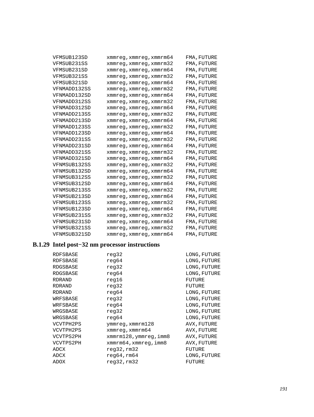| VFMSUB123SD  | xmmreg, xmmreg, xmmrm64 | FMA, FUTURE |
|--------------|-------------------------|-------------|
| VFMSUB231SS  | xmmreg, xmmreg, xmmrm32 | FMA, FUTURE |
| VFMSUB231SD  | xmmreg, xmmreg, xmmrm64 | FMA, FUTURE |
| VFMSUB321SS  | xmmreg, xmmreg, xmmrm32 | FMA, FUTURE |
| VFMSUB321SD  | xmmreq, xmmreq, xmmrm64 | FMA, FUTURE |
| VFNMADD132SS | xmmreg, xmmreg, xmmrm32 | FMA, FUTURE |
| VFNMADD132SD | xmmreq, xmmreq, xmmrm64 | FMA, FUTURE |
| VFNMADD312SS | xmmreg, xmmreg, xmmrm32 | FMA, FUTURE |
| VFNMADD312SD | xmmreg, xmmreg, xmmrm64 | FMA, FUTURE |
| VFNMADD213SS | xmmreq, xmmreq, xmmrm32 | FMA, FUTURE |
| VFNMADD213SD | xmmreg, xmmreg, xmmrm64 | FMA, FUTURE |
| VFNMADD123SS | xmmreg, xmmreg, xmmrm32 | FMA, FUTURE |
| VFNMADD123SD | xmmreg, xmmreg, xmmrm64 | FMA, FUTURE |
| VFNMADD231SS | xmmreq, xmmreq, xmmrm32 | FMA, FUTURE |
| VFNMADD231SD | xmmreg, xmmreg, xmmrm64 | FMA, FUTURE |
| VFNMADD321SS | xmmreg, xmmreg, xmmrm32 | FMA, FUTURE |
| VFNMADD321SD | xmmreq, xmmreq, xmmrm64 | FMA, FUTURE |
| VFNMSUB132SS | xmmreg, xmmreg, xmmrm32 | FMA, FUTURE |
| VFNMSUB132SD | xmmreg, xmmreg, xmmrm64 | FMA, FUTURE |
| VFNMSUB312SS | xmmreq, xmmreq, xmmrm32 | FMA, FUTURE |
| VFNMSUB312SD | xmmreq, xmmreq, xmmrm64 | FMA, FUTURE |
| VFNMSUB213SS | xmmreg, xmmreg, xmmrm32 | FMA, FUTURE |
| VFNMSUB213SD | xmmreg, xmmreg, xmmrm64 | FMA, FUTURE |
| VFNMSUB123SS | xmmreg, xmmreg, xmmrm32 | FMA, FUTURE |
| VFNMSUB123SD | xmmreg, xmmreg, xmmrm64 | FMA, FUTURE |
| VFNMSUB231SS | xmmreq, xmmreq, xmmrm32 | FMA, FUTURE |
| VFNMSUB231SD | xmmreg, xmmreg, xmmrm64 | FMA, FUTURE |
| VFNMSUB321SS | xmmreg, xmmreg, xmmrm32 | FMA, FUTURE |
| VFNMSUB321SD | xmmreg, xmmreg, xmmrm64 | FMA, FUTURE |

# **B.1.29 Intel post−32 nm processor instructions**

| RDFSBASE      | reg32                  | LONG, FUTURE |
|---------------|------------------------|--------------|
| RDFSBASE      | reg64                  | LONG, FUTURE |
| RDGSBASE      | reg32                  | LONG, FUTURE |
| RDGSBASE      | reg64                  | LONG, FUTURE |
| RDRAND        | reg16                  | FUTURE       |
| <b>RDRAND</b> | reg32                  | FUTURE       |
| <b>RDRAND</b> | reg64                  | LONG, FUTURE |
| WRFSBASE      | reg32                  | LONG, FUTURE |
| WRFSBASE      | reg64                  | LONG, FUTURE |
| WRGSBASE      | reg32                  | LONG, FUTURE |
| WRGSBASE      | reg64                  | LONG, FUTURE |
| VCVTPH2PS     | ymmreg,xmmrm128        | AVX, FUTURE  |
| VCVTPH2PS     | xmmreg,xmmrm64         | AVX, FUTURE  |
| VCVTPS2PH     | xmmrm128, ymmreg, imm8 | AVX, FUTURE  |
| VCVTPS2PH     | xmmrm64,xmmreq,imm8    | AVX, FUTURE  |
| ADCX          | reg32,rm32             | FUTURE       |
| ADCX          | req64, rm64            | LONG, FUTURE |
| ADOX          | reg32,rm32             | FUTURE       |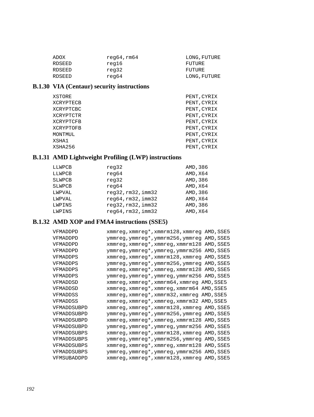| ADOX   | req64, rm64 | LONG, FUTURE |
|--------|-------------|--------------|
| RDSEED | reg16       | FUTURE       |
| RDSEED | reg32       | FUTURE       |
| RDSEED | reg64       | LONG, FUTURE |

# **B.1.30 VIA (Centaur) security instructions**

| XSTORE    | PENT, CYRIX |
|-----------|-------------|
| XCRYPTECB | PENT, CYRIX |
| XCRYPTCBC | PENT, CYRIX |
| XCRYPTCTR | PENT, CYRIX |
| XCRYPTCFB | PENT, CYRIX |
| XCRYPTOFB | PENT, CYRIX |
| MONTMUL   | PENT, CYRIX |
| XSHA1     | PENT, CYRIX |
| XSHA256   | PENT, CYRIX |

# **B.1.31 AMD Lightweight Profiling (LWP) instructions**

| LLWPCB        | reg32              | AMD, 386 |
|---------------|--------------------|----------|
| LLWPCB        | reg64              | AMD, X64 |
| <b>SLWPCB</b> | reg32              | AMD, 386 |
| SLWPCB        | reg64              | AMD, X64 |
| LWPVAL        | req32, rm32, imm32 | AMD, 386 |
| LWPVAL        | req64, rm32, imm32 | AMD, X64 |
| LWPINS        | reg32,rm32,imm32   | AMD, 386 |
| LWPINS        | reg64,rm32,imm32   | AMD, X64 |

# **B.1.32 AMD XOP and FMA4 instructions (SSE5)**

| VFMADDPD    | xmmreg, xmmreg*, xmmrm128, xmmreg AMD, SSE5 |
|-------------|---------------------------------------------|
| VFMADDPD    | ymmreg, ymmreg*, ymmrm256, ymmreg AMD, SSE5 |
| VFMADDPD    | xmmreg, xmmreg*, xmmreg, xmmrm128 AMD, SSE5 |
| VFMADDPD    | ymmreg, ymmreg*, ymmreg, ymmrm256 AMD, SSE5 |
| VFMADDPS    | xmmreg, xmmreg*, xmmrm128, xmmreg AMD, SSE5 |
| VFMADDPS    | ymmreg, ymmreg*, ymmrm256, ymmreg AMD, SSE5 |
| VFMADDPS    | xmmreg, xmmreg*, xmmreg, xmmrm128 AMD, SSE5 |
| VFMADDPS    | ymmreg, ymmreg*, ymmreg, ymmrm256 AMD, SSE5 |
| VFMADDSD    | xmmreg, xmmreg*, xmmrm64, xmmreg AMD, SSE5  |
| VFMADDSD    | xmmreg, xmmreg*, xmmreg, xmmrm64 AMD, SSE5  |
| VFMADDSS    | xmmreg, xmmreg*, xmmrm32, xmmreg AMD, SSE5  |
| VFMADDSS    | xmmreg, xmmreg*, xmmreg, xmmrm32 AMD, SSE5  |
| VFMADDSUBPD | xmmreg, xmmreg*, xmmrm128, xmmreg AMD, SSE5 |
| VFMADDSUBPD | ymmreg, ymmreg*, ymmrm256, ymmreg AMD, SSE5 |
| VFMADDSUBPD | xmmreg, xmmreg*, xmmreg, xmmrm128 AMD, SSE5 |
| VFMADDSUBPD | ymmreg, ymmreg*, ymmreg, ymmrm256 AMD, SSE5 |
| VFMADDSUBPS | xmmreg, xmmreg*, xmmrm128, xmmreg AMD, SSE5 |
| VFMADDSUBPS | ymmreg, ymmreg*, ymmrm256, ymmreg AMD, SSE5 |
| VFMADDSUBPS | xmmreg, xmmreg*, xmmreg, xmmrm128 AMD, SSE5 |
| VFMADDSUBPS | ymmreg, ymmreg*, ymmreg, ymmrm256 AMD, SSE5 |
| VFMSUBADDPD | xmmreg, xmmreg*, xmmrm128, xmmreg AMD, SSE5 |
|             |                                             |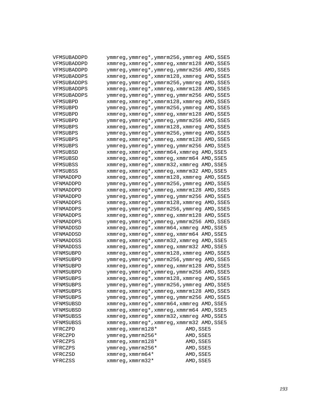| VFMSUBADDPD | ymmreg, ymmreg*, ymmrm256, ymmreg AMD, SSE5 |           |
|-------------|---------------------------------------------|-----------|
| VFMSUBADDPD | xmmreg, xmmreg*, xmmreg, xmmrm128 AMD, SSE5 |           |
| VFMSUBADDPD | ymmreg, ymmreg*, ymmreg, ymmrm256 AMD, SSE5 |           |
| VFMSUBADDPS | xmmreg, xmmreg*, xmmrm128, xmmreg AMD, SSE5 |           |
| VFMSUBADDPS | ymmreg, ymmreg*, ymmrm256, ymmreg AMD, SSE5 |           |
| VFMSUBADDPS | xmmreg, xmmreg*, xmmreg, xmmrm128 AMD, SSE5 |           |
| VFMSUBADDPS | ymmreg, ymmreg*, ymmreg, ymmrm256 AMD, SSE5 |           |
| VFMSUBPD    | xmmreg, xmmreg*, xmmrm128, xmmreg AMD, SSE5 |           |
| VFMSUBPD    | ymmreg, ymmreg*, ymmrm256, ymmreg AMD, SSE5 |           |
| VFMSUBPD    | xmmreg, xmmreg*, xmmreg, xmmrm128 AMD, SSE5 |           |
| VFMSUBPD    | ymmreg, ymmreg*, ymmreg, ymmrm256 AMD, SSE5 |           |
| VFMSUBPS    | xmmreg, xmmreg*, xmmrm128, xmmreg AMD, SSE5 |           |
| VFMSUBPS    | ymmreg, ymmreg*, ymmrm256, ymmreg AMD, SSE5 |           |
| VFMSUBPS    | xmmreg, xmmreg*, xmmreg, xmmrm128 AMD, SSE5 |           |
| VFMSUBPS    | ymmreg, ymmreg*, ymmreg, ymmrm256 AMD, SSE5 |           |
| VFMSUBSD    | xmmreg, xmmreg*, xmmrm64, xmmreg AMD, SSE5  |           |
| VFMSUBSD    | xmmreg, xmmreg*, xmmreg, xmmrm64 AMD, SSE5  |           |
| VFMSUBSS    | xmmreg, xmmreg*, xmmrm32, xmmreg AMD, SSE5  |           |
| VFMSUBSS    | xmmreg, xmmreg*, xmmreg, xmmrm32 AMD, SSE5  |           |
| VFNMADDPD   | xmmreg, xmmreg*, xmmrm128, xmmreg AMD, SSE5 |           |
| VFNMADDPD   | ymmreg, ymmreg*, ymmrm256, ymmreg AMD, SSE5 |           |
| VFNMADDPD   | xmmreg, xmmreg*, xmmreg, xmmrm128 AMD, SSE5 |           |
| VFNMADDPD   | ymmreg, ymmreg*, ymmreg, ymmrm256 AMD, SSE5 |           |
| VFNMADDPS   | xmmreg, xmmreg*, xmmrm128, xmmreg AMD, SSE5 |           |
| VFNMADDPS   | ymmreg, ymmreg*, ymmrm256, ymmreg AMD, SSE5 |           |
| VFNMADDPS   | xmmreg, xmmreg*, xmmreg, xmmrm128 AMD, SSE5 |           |
| VFNMADDPS   | ymmreg, ymmreg*, ymmreg, ymmrm256 AMD, SSE5 |           |
| VFNMADDSD   | xmmreg, xmmreg*, xmmrm64, xmmreg AMD, SSE5  |           |
| VFNMADDSD   | xmmreg, xmmreg*, xmmreg, xmmrm64 AMD, SSE5  |           |
| VFNMADDSS   | xmmreg, xmmreg*, xmmrm32, xmmreg AMD, SSE5  |           |
| VFNMADDSS   | xmmreg, xmmreg*, xmmreg, xmmrm32 AMD, SSE5  |           |
| VFNMSUBPD   | xmmreg, xmmreg*, xmmrm128, xmmreg AMD, SSE5 |           |
| VFNMSUBPD   | ymmreg, ymmreg*, ymmrm256, ymmreg AMD, SSE5 |           |
| VFNMSUBPD   | xmmreg, xmmreg*, xmmreg, xmmrm128 AMD, SSE5 |           |
| VFNMSUBPD   | ymmreg, ymmreg*, ymmreg, ymmrm256 AMD, SSE5 |           |
| VFNMSUBPS   | xmmreg, xmmreg*, xmmrm128, xmmreg AMD, SSE5 |           |
| VFNMSUBPS   | ymmreg, ymmreg*, ymmrm256, ymmreg AMD, SSE5 |           |
| VFNMSUBPS   | xmmreg, xmmreg*, xmmreg, xmmrm128 AMD, SSE5 |           |
| VFNMSUBPS   | ymmreg, ymmreg*, ymmreg, ymmrm256 AMD, SSE5 |           |
| VFNMSUBSD   | xmmreg, xmmreg*, xmmrm64, xmmreg AMD, SSE5  |           |
| VFNMSUBSD   | xmmreg, xmmreg*, xmmreg, xmmrm64 AMD, SSE5  |           |
| VFNMSUBSS   | xmmreg, xmmreg*, xmmrm32, xmmreg AMD, SSE5  |           |
| VFNMSUBSS   | xmmreg, xmmreg*, xmmreg, xmmrm32 AMD, SSE5  |           |
| VFRCZPD     | $x$ mmreg, $x$ mmrm128*                     | AMD, SSE5 |
| VFRCZPD     | ymmreg, ymmrm256*                           | AMD, SSE5 |
| VFRCZPS     | $x$ mmreg, $x$ mmrm $128*$                  | AMD, SSE5 |
| VFRCZPS     | ymmreg, ymmrm256*                           | AMD, SSE5 |
| VFRCZSD     | xmmreg, xmmrm64 $*$                         | AMD, SSE5 |
| VFRCZSS     | $x$ mmreq, $x$ mmrm $32*$                   | AMD, SSE5 |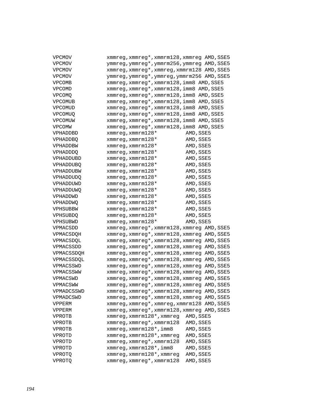| <b>VPCMOV</b>    | xmmreg, xmmreg*, xmmrm128, xmmreg AMD, SSE5  |
|------------------|----------------------------------------------|
| <b>VPCMOV</b>    | ymmreg, ymmreg*, ymmrm256, ymmreg AMD, SSE5  |
| <b>VPCMOV</b>    | xmmreg, xmmreg*, xmmreg, xmmrm128 AMD, SSE5  |
| <b>VPCMOV</b>    | ymmreg, ymmreg*, ymmreg, ymmrm256 AMD, SSE5  |
| <b>VPCOMB</b>    | xmmreg, xmmreg*, xmmrm128, imm8 AMD, SSE5    |
| <b>VPCOMD</b>    | xmmreg, xmmreg*, xmmrm128, imm8 AMD, SSE5    |
| VPCOMO           | xmmreg, xmmreg*, xmmrm128, imm8 AMD, SSE5    |
| VPCOMUB          | xmmreg, xmmreg*, xmmrm128, imm8 AMD, SSE5    |
| VPCOMUD          | xmmreg, xmmreg*, xmmrm128, imm8 AMD, SSE5    |
| <b>VPCOMUQ</b>   | xmmreg, xmmreg*, xmmrm128, imm8 AMD, SSE5    |
| VPCOMUW          | xmmreg, xmmreg*, xmmrm128, imm8 AMD, SSE5    |
| <b>VPCOMW</b>    | xmmreg, xmmreg*, xmmrm128, imm8 AMD, SSE5    |
| VPHADDBD         | $x$ mmreq, $x$ mmrm $128*$<br>AMD, SSE5      |
| <b>VPHADDBQ</b>  | AMD, SSE5<br>$x$ mmreq, $x$ mmrm $128*$      |
| VPHADDBW         | $x$ mmreq, $x$ mmrm $128*$<br>AMD, SSE5      |
| <b>VPHADDDQ</b>  | AMD, SSE5<br>$x$ mmreq, $x$ mmrm $128*$      |
| VPHADDUBD        | AMD, SSE5<br>$x$ mmreq, $x$ mmrm $128*$      |
| <b>VPHADDUBQ</b> | AMD, SSE5<br>$x$ mmreq, $x$ mmrm $128*$      |
| VPHADDUBW        | AMD, SSE5<br>$x$ mmreq, $x$ mmrm $128*$      |
| <b>VPHADDUDQ</b> | AMD, SSE5<br>$x$ mmreq, $x$ mmrm $128*$      |
| VPHADDUWD        | AMD, SSE5<br>$x$ mmreq, $x$ mmrm $128*$      |
| VPHADDUWQ        | AMD, SSE5<br>$x$ mmreq, $x$ mmrm $128*$      |
| VPHADDWD         | AMD, SSE5<br>$x$ mmreq, $x$ mmrm $128*$      |
| VPHADDWQ         | AMD, SSE5<br>$x$ mmreq, $x$ mmrm $128*$      |
| VPHSUBBW         | AMD, SSE5<br>$x$ mmreq, $x$ mmrm $128*$      |
| <b>VPHSUBDQ</b>  | AMD, SSE5<br>$x$ mmreq, $x$ mmrm $128*$      |
| VPHSUBWD         | $x$ mmreq, $x$ mmrm $128*$<br>AMD, SSE5      |
| VPMACSDD         | xmmreg, xmmreg*, xmmrm128, xmmreg AMD, SSE5  |
| VPMACSDOH        | xmmreg, xmmreg*, xmmrm128, xmmreg AMD, SSE5  |
| VPMACSDOL        | xmmreg, xmmreg*, xmmrm128, xmmreg AMD, SSE5  |
| VPMACSSDD        | xmmreg, xmmreg*, xmmrm128, xmmreg AMD, SSE5  |
| VPMACSSDOH       | xmmreg, xmmreg*, xmmrm128, xmmreg AMD, SSE5  |
| VPMACSSDOL       | xmmreg, xmmreg*, xmmrm128, xmmreg AMD, SSE5  |
| VPMACSSWD        | xmmreg, xmmreg*, xmmrm128, xmmreg AMD, SSE5  |
| VPMACSSWW        | xmmreg, xmmreg*, xmmrm128, xmmreg AMD, SSE5  |
| VPMACSWD         | xmmreg, xmmreg*, xmmrm128, xmmreg AMD, SSE5  |
| VPMACSWW         | xmmreg, xmmreg*, xmmrm128, xmmreg AMD, SSE5  |
| VPMADCSSWD       | xmmreg, xmmreg*, xmmrm128, xmmreg AMD, SSE5  |
| VPMADCSWD        | xmmreg, xmmreg*, xmmrm128, xmmreg AMD, SSE5  |
| VPPERM           | xmmreg, xmmreg*, xmmreg, xmmrm128 AMD, SSE5  |
| VPPERM           | xmmreg, xmmreg*, xmmrm128, xmmreg AMD, SSE5  |
| VPROTB           | xmmreg, xmmrm128*, xmmreg<br>AMD, SSE5       |
| VPROTB           | xmmreg, xmmreg*, xmmrm128<br>AMD, SSE5       |
| VPROTB           | $xmmreg$ , $xmmrm128*$ , $imm8$<br>AMD, SSE5 |
| VPROTD           | xmmreg, xmmrm128*, xmmreg<br>AMD, SSE5       |
| VPROTD           | xmmreg, xmmreg*, xmmrm128<br>AMD, SSE5       |
| VPROTD           | xmmreg, xmmrm128*, imm8<br>AMD, SSE5         |
| VPROTQ           | xmmreg, xmmrm128*, xmmreg<br>AMD, SSE5       |
| VPROTO           | xmmreg, xmmreg*, xmmrm128<br>AMD, SSE5       |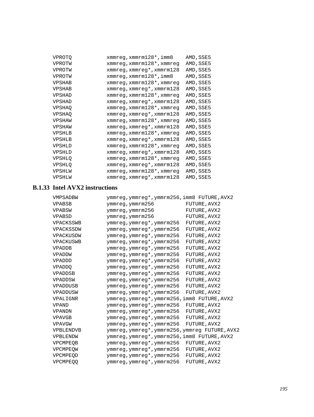| VPROTQ        | xmmreg,xmmrm128*,imm8             | AMD, SSE5 |
|---------------|-----------------------------------|-----------|
| VPROTW        | xmmreg, xmmrm128*, xmmreg         | AMD, SSE5 |
| VPROTW        | xmmreg, xmmreg*, xmmrm128         | AMD, SSE5 |
| VPROTW        | xmmreg,xmmrm128*,imm8             | AMD, SSE5 |
| <b>VPSHAB</b> | xmmreg, xmmrm128*, xmmreg         | AMD, SSE5 |
| <b>VPSHAB</b> | $xmmreg, xmmreg*$ , $xmmrm128$    | AMD, SSE5 |
| <b>VPSHAD</b> | xmmreg, xmmrm128*, xmmreg         | AMD, SSE5 |
| <b>VPSHAD</b> | $xmmreg, xmmreg*$ , $xmmrm128$    | AMD, SSE5 |
| <b>VPSHAO</b> | xmmreg,xmmrm128*,xmmreg           | AMD, SSE5 |
| <b>VPSHAO</b> | $xmmreg, xmmreg*$ , $xmmrm128$    | AMD, SSE5 |
| VPSHAW        | xmmreg, xmmrm128*, xmmreg         | AMD, SSE5 |
| VPSHAW        | xmmreg,xmmreg*,xmmrm128           | AMD, SSE5 |
| VPSHLB        | xmmreg,xmmrm128*,xmmreg           | AMD, SSE5 |
| VPSHLB        | $xmmreg, xmmreg*$ , $xmmrm128$    | AMD, SSE5 |
| <b>VPSHLD</b> | xmmreg, xmmrm128*, xmmreg         | AMD, SSE5 |
| <b>VPSHLD</b> | $xmmreg, xmmreg*$ , $xmmrm128$    | AMD, SSE5 |
| <b>VPSHLO</b> | xmmreg,xmmrm128*,xmmreg           | AMD, SSE5 |
| <b>VPSHLO</b> | $xmmreg$ , $xmmreg*$ , $xmmrm128$ | AMD, SSE5 |
| VPSHLW        | xmmreg, xmmrm128*, xmmreg         | AMD, SSE5 |
| VPSHLW        | xmmreg, xmmreg*, xmmrm128         | AMD, SSE5 |

# **B.1.33 Intel AVX2 instructions**

|                                                                    | ymmreg, ymmreg*, ymmrm256, imm8 FUTURE, AVX2 |
|--------------------------------------------------------------------|----------------------------------------------|
| FUTURE, AVX2<br><b>VPABSB</b><br>ymmreg, ymmrm256                  |                                              |
| <b>VPABSW</b><br>ymmreg, ymmrm256<br>FUTURE, AVX2                  |                                              |
| <b>VPABSD</b><br>FUTURE, AVX2<br>ymmreg, ymmrm256                  |                                              |
| <b>VPACKSSWB</b><br>ymmreg, ymmreg*, ymmrm256<br>FUTURE, AVX2      |                                              |
| VPACKSSDW<br>ymmreg, ymmreg*, ymmrm256<br>FUTURE, AVX2             |                                              |
| VPACKUSDW<br>ymmreg, ymmreg*, ymmrm256<br>FUTURE, AVX2             |                                              |
| <b>VPACKUSWB</b><br>FUTURE, AVX2<br>ymmreg,ymmreg*,ymmrm256        |                                              |
| FUTURE, AVX2<br><b>VPADDB</b><br>ymmreg, ymmreg*, ymmrm256         |                                              |
| FUTURE, AVX2<br>VPADDW<br>ymmreg, ymmreg*, ymmrm256                |                                              |
| <b>VPADDD</b><br>ymmreg, ymmreg*, ymmrm256<br>FUTURE, AVX2         |                                              |
| <b>VPADDO</b><br>ymmreg, ymmreg*, ymmrm256<br>FUTURE, AVX2         |                                              |
| FUTURE, AVX2<br><b>VPADDSB</b><br>ymmreg,ymmreg*,ymmrm256          |                                              |
| FUTURE, AVX2<br>VPADDSW<br>ymmreg, ymmreg*, ymmrm256               |                                              |
| <b>VPADDUSB</b><br>ymmreg, ymmreg*, ymmrm256<br>FUTURE, AVX2       |                                              |
| VPADDUSW<br>ymmreg, ymmreg*, ymmrm256<br>FUTURE, AVX2              |                                              |
| ymmreg, ymmreg*, ymmrm256, imm8 FUTURE, AVX2<br>VPALIGNR           |                                              |
| FUTURE, AVX2<br>ymmreg, ymmreg*, ymmrm256<br><b>VPAND</b>          |                                              |
| <b>VPANDN</b><br>FUTURE, AVX2<br>ymmreg, ymmreg*, ymmrm256         |                                              |
| ymmreg, ymmreg*, ymmrm256<br><b>VPAVGB</b><br>FUTURE, AVX2         |                                              |
| <b>VPAVGW</b><br>FUTURE, AVX2<br>ymmreg, ymmreg*, ymmrm256         |                                              |
| <b>VPBLENDVB</b><br>ymmreg, ymmreg*, ymmrm256, ymmreg FUTURE, AVX2 |                                              |
| ymmreg, ymmreg*, ymmrm256, imm8 FUTURE, AVX2<br>VPBLENDW           |                                              |
| VPCMPEQB<br>FUTURE, AVX2<br>ymmreg, ymmreg*, ymmrm256              |                                              |
| VPCMPEQW<br>ymmreg, ymmreg*, ymmrm256<br>FUTURE, AVX2              |                                              |
| VPCMPEOD<br>FUTURE, AVX2<br>ymmreg, ymmreg*, ymmrm256              |                                              |
| <b>VPCMPEOO</b><br>ymmreg, ymmreg*, ymmrm256<br>FUTURE, AVX2       |                                              |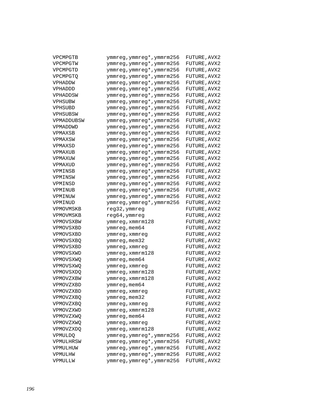| VPCMPGTB        | ymmreg, ymmreg*, ymmrm256 | FUTURE, AVX2 |
|-----------------|---------------------------|--------------|
| VPCMPGTW        | ymmreg, ymmreg*, ymmrm256 | FUTURE, AVX2 |
| VPCMPGTD        | ymmreg, ymmreg*, ymmrm256 | FUTURE, AVX2 |
| <b>VPCMPGTO</b> | ymmreg, ymmreg*, ymmrm256 | FUTURE, AVX2 |
| VPHADDW         | ymmreg, ymmreg*, ymmrm256 | FUTURE, AVX2 |
| VPHADDD         | ymmreg, ymmreg*, ymmrm256 | FUTURE, AVX2 |
| VPHADDSW        | ymmreg, ymmreg*, ymmrm256 | FUTURE, AVX2 |
| VPHSUBW         | ymmreg, ymmreg*, ymmrm256 | FUTURE, AVX2 |
| VPHSUBD         | ymmreg, ymmreg*, ymmrm256 | FUTURE, AVX2 |
| VPHSUBSW        | ymmreg, ymmreg*, ymmrm256 | FUTURE, AVX2 |
| VPMADDUBSW      | ymmreg, ymmreg*, ymmrm256 | FUTURE, AVX2 |
| VPMADDWD        | ymmreg, ymmreg*, ymmrm256 | FUTURE, AVX2 |
| VPMAXSB         | ymmreg, ymmreg*, ymmrm256 | FUTURE, AVX2 |
| VPMAXSW         | ymmreg, ymmreg*, ymmrm256 | FUTURE, AVX2 |
| VPMAXSD         | ymmreg, ymmreg*, ymmrm256 | FUTURE, AVX2 |
| VPMAXUB         | ymmreg, ymmreg*, ymmrm256 | FUTURE, AVX2 |
| VPMAXUW         | ymmreg, ymmreg*, ymmrm256 | FUTURE, AVX2 |
| VPMAXUD         | ymmreg, ymmreg*, ymmrm256 | FUTURE, AVX2 |
| VPMINSB         | ymmreg, ymmreg*, ymmrm256 | FUTURE, AVX2 |
| VPMINSW         | ymmreg, ymmreg*, ymmrm256 | FUTURE, AVX2 |
| VPMINSD         | ymmreg, ymmreg*, ymmrm256 | FUTURE, AVX2 |
| VPMINUB         | ymmreg, ymmreg*, ymmrm256 | FUTURE, AVX2 |
| VPMINUW         | ymmreg, ymmreg*, ymmrm256 | FUTURE, AVX2 |
| VPMINUD         | ymmreg, ymmreg*, ymmrm256 | FUTURE, AVX2 |
| VPMOVMSKB       | reg32, ymmreg             | FUTURE, AVX2 |
| VPMOVMSKB       | reg64, ymmreg             | FUTURE, AVX2 |
| VPMOVSXBW       | ymmreg, xmmrm128          | FUTURE, AVX2 |
| VPMOVSXBD       | ymmreg, mem64             | FUTURE, AVX2 |
| VPMOVSXBD       | ymmreg, xmmreg            | FUTURE, AVX2 |
| VPMOVSXBQ       | ymmreg, mem32             | FUTURE, AVX2 |
| VPMOVSXBD       | ymmreg, xmmreg            | FUTURE, AVX2 |
| VPMOVSXWD       | ymmreg, xmmrm128          | FUTURE, AVX2 |
| VPMOVSXWO       | ymmreg, mem64             | FUTURE, AVX2 |
| VPMOVSXWQ       | ymmreg, xmmreg            | FUTURE, AVX2 |
| VPMOVSXDQ       | ymmreg, xmmrm128          | FUTURE, AVX2 |
| VPMOVZXBW       | ymmreg, xmmrm128          | FUTURE, AVX2 |
| VPMOVZXBD       | ymmreg, mem64             | FUTURE, AVX2 |
| VPMOVZXBD       | ymmreg,xmmreg             | FUTURE, AVX2 |
| VPMOVZXBQ       | ymmreg,mem32              | FUTURE, AVX2 |
| VPMOVZXBQ       | ymmreg, xmmreg            | FUTURE, AVX2 |
| VPMOVZXWD       | ymmreg, xmmrm128          | FUTURE, AVX2 |
| VPMOVZXWQ       | ymmreg, mem64             | FUTURE, AVX2 |
| VPMOVZXWQ       | ymmreg, xmmreg            | FUTURE, AVX2 |
| VPMOVZXDQ       | ymmreg, xmmrm128          | FUTURE, AVX2 |
| VPMULDQ         | ymmreg,ymmreg*,ymmrm256   | FUTURE, AVX2 |
| VPMULHRSW       | ymmreg, ymmreg*, ymmrm256 | FUTURE, AVX2 |
| VPMULHUW        | ymmreg, ymmreg*, ymmrm256 | FUTURE, AVX2 |
| VPMULHW         | ymmreg, ymmreg*, ymmrm256 | FUTURE, AVX2 |
| VPMULLW         | ymmreg, ymmreg*, ymmrm256 | FUTURE, AVX2 |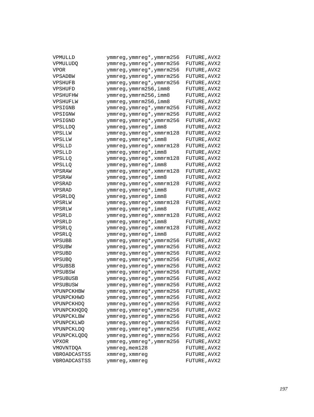| VPMULLD            | ymmreg, ymmreg*, ymmrm256 | FUTURE, AVX2 |
|--------------------|---------------------------|--------------|
| <b>VPMULUDO</b>    | ymmreg, ymmreg*, ymmrm256 | FUTURE, AVX2 |
| <b>VPOR</b>        | ymmreg, ymmreg*, ymmrm256 | FUTURE, AVX2 |
| VPSADBW            | ymmreg, ymmreg*, ymmrm256 | FUTURE, AVX2 |
| VPSHUFB            | ymmreg, ymmreg*, ymmrm256 | FUTURE, AVX2 |
| VPSHUFD            | ymmreg, ymmrm256, imm8    | FUTURE, AVX2 |
| VPSHUFHW           | ymmreg, ymmrm256, imm8    | FUTURE, AVX2 |
| VPSHUFLW           | ymmreg, ymmrm256, imm8    | FUTURE, AVX2 |
| VPSIGNB            | ymmreg, ymmreg*, ymmrm256 | FUTURE, AVX2 |
| VPSIGNW            | ymmreg, ymmreg*, ymmrm256 | FUTURE, AVX2 |
| VPSIGND            | ymmreg, ymmreg*, ymmrm256 | FUTURE, AVX2 |
| <b>VPSLLDQ</b>     | ymmreg, ymmreg*, imm8     | FUTURE, AVX2 |
| VPSLLW             | ymmreg, ymmreg*, xmmrm128 | FUTURE, AVX2 |
| VPSLLW             | ymmreg, ymmreg*, imm8     | FUTURE, AVX2 |
| VPSLLD             | ymmreg, ymmreg*, xmmrm128 | FUTURE, AVX2 |
| VPSLLD             | ymmreg, ymmreg*, imm8     | FUTURE, AVX2 |
| <b>VPSLLQ</b>      | ymmreg, ymmreg*, xmmrm128 | FUTURE, AVX2 |
| <b>VPSLLQ</b>      | ymmreg, ymmreg*, imm8     | FUTURE, AVX2 |
| VPSRAW             | ymmreg, ymmreg*, xmmrm128 | FUTURE, AVX2 |
| VPSRAW             | ymmreg, ymmreg*, imm8     | FUTURE, AVX2 |
| VPSRAD             | ymmreg, ymmreg*, xmmrm128 | FUTURE, AVX2 |
| VPSRAD             | ymmreg, ymmreg*, imm8     | FUTURE, AVX2 |
| <b>VPSRLDO</b>     | ymmreg, ymmreg*, imm8     | FUTURE, AVX2 |
| VPSRLW             | ymmreg, ymmreg*, xmmrm128 | FUTURE, AVX2 |
| VPSRLW             | ymmreg, ymmreg*, imm8     | FUTURE, AVX2 |
| VPSRLD             | ymmreg, ymmreg*, xmmrm128 | FUTURE, AVX2 |
| VPSRLD             | ymmreg, ymmreg*, imm8     | FUTURE, AVX2 |
| <b>VPSRLQ</b>      | ymmreg, ymmreg*, xmmrm128 | FUTURE, AVX2 |
| <b>VPSRLQ</b>      | ymmreg,ymmreg*,imm8       | FUTURE, AVX2 |
| VPSUBB             | ymmreg, ymmreg*, ymmrm256 | FUTURE, AVX2 |
| VPSUBW             | ymmreg, ymmreg*, ymmrm256 | FUTURE, AVX2 |
| VPSUBD             | ymmreg, ymmreg*, ymmrm256 | FUTURE, AVX2 |
| VPSUBQ             | ymmreg, ymmreg*, ymmrm256 | FUTURE, AVX2 |
| VPSUBSB            | ymmreg, ymmreg*, ymmrm256 | FUTURE, AVX2 |
| VPSUBSW            | ymmreg, ymmreg*, ymmrm256 | FUTURE, AVX2 |
| VPSUBUSB           | ymmreg, ymmreg*, ymmrm256 | FUTURE, AVX2 |
| VPSUBUSW           | ymmreg, ymmreg*, ymmrm256 | FUTURE, AVX2 |
| VPUNPCKHBW         | ymmreg,ymmreg*,ymmrm256   | FUTURE, AVX2 |
| VPUNPCKHWD         | ymmreg, ymmreg*, ymmrm256 | FUTURE, AVX2 |
| VPUNPCKHDQ         | ymmreg, ymmreg*, ymmrm256 | FUTURE, AVX2 |
| VPUNPCKHQDQ        | ymmreg, ymmreg*, ymmrm256 | FUTURE, AVX2 |
| VPUNPCKLBW         | ymmreg, ymmreg*, ymmrm256 | FUTURE, AVX2 |
| VPUNPCKLWD         | ymmreg, ymmreg*, ymmrm256 | FUTURE, AVX2 |
| VPUNPCKLDQ         | ymmreg, ymmreg*, ymmrm256 | FUTURE, AVX2 |
| <b>VPUNPCKLODO</b> | ymmreg, ymmreg*, ymmrm256 | FUTURE, AVX2 |
| VPXOR              | ymmreg, ymmreg*, ymmrm256 | FUTURE, AVX2 |
| VMOVNTDQA          | ymmreg, mem128            | FUTURE, AVX2 |
| VBROADCASTSS       | xmmreg, xmmreg            | FUTURE, AVX2 |
| VBROADCASTSS       | ymmreg, xmmreg            | FUTURE, AVX2 |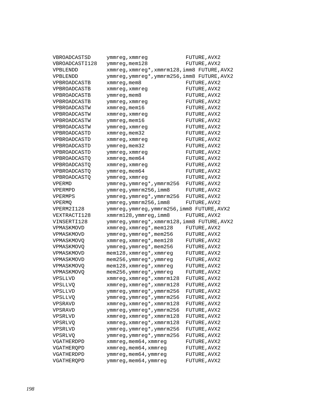| VBROADCASTSD             | ymmreg, xmmreg                                     | FUTURE, AVX2                 |
|--------------------------|----------------------------------------------------|------------------------------|
| VBROADCASTI128           | ymmreg, mem128                                     | FUTURE, AVX2                 |
| VPBLENDD                 | xmmreg, xmmreg*, xmmrm128, imm8 FUTURE, AVX2       |                              |
| VPBLENDD                 | ymmreg, ymmreg*, ymmrm256, imm8 FUTURE, AVX2       |                              |
| VPBROADCASTB             | xmmreg, mem8                                       | FUTURE, AVX2                 |
| VPBROADCASTB             | xmmreg, xmmreg                                     | FUTURE, AVX2                 |
| VPBROADCASTB             | ymmreg, mem8                                       | FUTURE, AVX2                 |
| VPBROADCASTB             | ymmreg, xmmreg                                     | FUTURE, AVX2                 |
| VPBROADCASTW             | xmmreg, mem16                                      | FUTURE, AVX2                 |
| VPBROADCASTW             | xmmreg, xmmreg                                     | FUTURE, AVX2                 |
| VPBROADCASTW             | ymmreg, mem16                                      | FUTURE, AVX2                 |
| VPBROADCASTW             | ymmreg, xmmreg                                     | FUTURE, AVX2                 |
| VPBROADCASTD             | xmmreg, mem32                                      | FUTURE, AVX2                 |
| VPBROADCASTD             | xmmreg, xmmreg                                     | FUTURE, AVX2                 |
| VPBROADCASTD             | ymmreg, mem32                                      | FUTURE, AVX2                 |
| VPBROADCASTD             | ymmreg, xmmreg                                     | FUTURE, AVX2                 |
| <b>VPBROADCASTO</b>      | xmmreq, mem64                                      | FUTURE, AVX2                 |
| <b>VPBROADCASTO</b>      | xmmreg, xmmreg                                     | FUTURE, AVX2                 |
| <b>VPBROADCASTO</b>      | ymmreg, mem64                                      | FUTURE, AVX2                 |
| <b>VPBROADCASTO</b>      | ymmreg, xmmreg                                     | FUTURE, AVX2                 |
| VPERMD                   | ymmreg, ymmreg*, ymmrm256                          | FUTURE, AVX2                 |
| VPERMPD                  | ymmreg, ymmrm256, imm8                             | FUTURE, AVX2                 |
| VPERMPS                  | ymmreg, ymmreg*, ymmrm256                          | FUTURE, AVX2                 |
| VPERMQ                   | ymmreg, ymmrm256, imm8                             | FUTURE, AVX2                 |
|                          |                                                    |                              |
| VPERM2I128               |                                                    |                              |
| VEXTRACTI128             | ymmreg, ymmreg, ymmrm256, imm8 FUTURE, AVX2        |                              |
| VINSERTI128              | xmmrm128, ymmreg, imm8                             | FUTURE, AVX2                 |
| VPMASKMOVD               | ymmreg, ymmreg*, xmmrm128, imm8 FUTURE, AVX2       |                              |
| VPMASKMOVD               | xmmreg, xmmreg*, mem128                            | FUTURE, AVX2                 |
|                          | ymmreg, ymmreg*, mem256                            | FUTURE, AVX2                 |
| <b>VPMASKMOVQ</b>        | xmmreg, xmmreg*, mem128                            | FUTURE, AVX2                 |
| VPMASKMOVQ<br>VPMASKMOVD | ymmreg, ymmreg*, mem256                            | FUTURE, AVX2                 |
| VPMASKMOVD               | mem128, xmmreg*, xmmreg                            | FUTURE, AVX2                 |
| VPMASKMOVQ               | mem256, ymmreg*, ymmreg                            | FUTURE, AVX2<br>FUTURE, AVX2 |
| VPMASKMOVO               | mem128, xmmreg*, xmmreg                            |                              |
| <b>VPSLLVD</b>           | mem256, ymmreg*, ymmreg                            | FUTURE, AVX2<br>FUTURE, AVX2 |
| <b>VPSLLVQ</b>           | xmmreg, xmmreg*, xmmrm128                          |                              |
|                          | xmmreg, xmmreg*, xmmrm128                          | FUTURE, AVX2                 |
| VPSLLVD<br>VPSLLVO       | ymmreg,ymmreg*,ymmrm256                            | FUTURE, AVX2<br>FUTURE, AVX2 |
| VPSRAVD                  | ymmreg, ymmreg*, ymmrm256                          | FUTURE, AVX2                 |
| VPSRAVD                  | xmmreg, xmmreg*, xmmrm128                          | FUTURE, AVX2                 |
| VPSRLVD                  | ymmreg, ymmreg*, ymmrm256                          | FUTURE, AVX2                 |
| VPSRLVQ                  | xmmreg, xmmreg*, xmmrm128                          | FUTURE, AVX2                 |
| VPSRLVD                  | xmmreg, xmmreg*, xmmrm128                          |                              |
| <b>VPSRLVQ</b>           | ymmreg, ymmreg*, ymmrm256                          | FUTURE, AVX2                 |
| VGATHERDPD               | ymmreg, ymmreg*, ymmrm256<br>xmmreg, mem64, xmmreg | FUTURE, AVX2<br>FUTURE, AVX2 |
| VGATHERQPD               | xmmreg, mem64, xmmreg                              | FUTURE, AVX2                 |
| VGATHERDPD               | ymmreg, mem64, ymmreg                              | FUTURE, AVX2                 |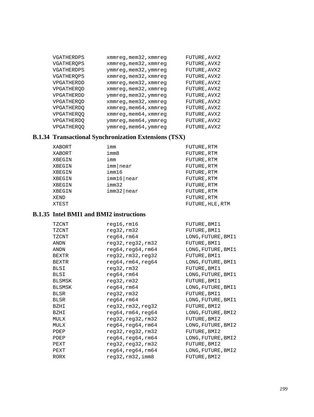| VGATHERDPS        | xmmreg, mem32, xmmreg | FUTURE, AVX2 |
|-------------------|-----------------------|--------------|
| VGATHERQPS        | xmmreg, mem32, xmmreg | FUTURE, AVX2 |
| VGATHERDPS        | ymmreg, mem32, ymmreg | FUTURE, AVX2 |
| VGATHERQPS        | xmmreg, mem32, xmmreg | FUTURE, AVX2 |
| VPGATHERDD        | xmmreg, mem32, xmmreg | FUTURE, AVX2 |
| VPGATHEROD        | xmmreg, mem32, xmmreg | FUTURE, AVX2 |
| VPGATHERDD        | ymmreg, mem32, ymmreg | FUTURE, AVX2 |
| VPGATHEROD        | xmmreg, mem32, xmmreg | FUTURE, AVX2 |
| VPGATHERDQ        | xmmreg, mem64, xmmreg | FUTURE, AVX2 |
| <b>VPGATHEROQ</b> | xmmreg, mem64, xmmreg | FUTURE, AVX2 |
| VPGATHERDQ        | ymmreg, mem64, ymmreg | FUTURE, AVX2 |
| <b>VPGATHEROO</b> | ymmreg, mem64, ymmreg | FUTURE, AVX2 |

# **B.1.34 Transactional Synchronization Extensions (TSX)**

| XABORT | imm           | FUTURE, RTM      |
|--------|---------------|------------------|
| XABORT | imm8          | FUTURE, RTM      |
| XBEGIN | imm           | FUTURE, RTM      |
| XBEGIN | imm near      | FUTURE, RTM      |
| XBEGIN | imm16         | FUTURE, RTM      |
| XBEGIN | imm16 near    | FUTURE, RTM      |
| XBEGIN | imm32         | FUTURE, RTM      |
| XBEGIN | $imm32$  near | FUTURE, RTM      |
| XEND   |               | FUTURE, RTM      |
| XTEST  |               | FUTURE, HLE, RTM |

# **B.1.35 Intel BMI1 and BMI2 instructions**

| TZCNT         | $req16$ , $rm16$   | FUTURE, BMI1       |
|---------------|--------------------|--------------------|
| TZCNT         | req32,rm32         | FUTURE, BMI1       |
| TZCNT         | req64, rm64        | LONG, FUTURE, BMI1 |
| <b>ANDN</b>   | req32,req32,rm32   | FUTURE, BMI1       |
| ANDN          | req64,req64,rm64   | LONG, FUTURE, BMI1 |
| <b>BEXTR</b>  | req32, rm32, req32 | FUTURE, BMI1       |
| <b>BEXTR</b>  | reg64, rm64, reg64 | LONG, FUTURE, BMI1 |
| <b>BLSI</b>   | req32,rm32         | FUTURE, BMI1       |
| BLSI          | req64, rm64        | LONG, FUTURE, BMI1 |
| <b>BLSMSK</b> | req32,rm32         | FUTURE, BMI1       |
| BLSMSK        | req64, rm64        | LONG, FUTURE, BMI1 |
| BLSR          | req32,rm32         | FUTURE, BMI1       |
| <b>BLSR</b>   | req64, rm64        | LONG, FUTURE, BMI1 |
| BZHI          | req32, rm32, req32 | FUTURE, BMI2       |
| BZHI          | req64, rm64, req64 | LONG, FUTURE, BMI2 |
| MULX          | req32,req32,rm32   | FUTURE, BMI2       |
| MULX          | req64,req64,rm64   | LONG, FUTURE, BMI2 |
| PDEP          | req32,req32,rm32   | FUTURE, BMI2       |
| PDEP          | req64,req64,rm64   | LONG, FUTURE, BMI2 |
| PEXT          | req32,req32,rm32   | FUTURE, BMI2       |
| PEXT          | req64,req64,rm64   | LONG, FUTURE, BMI2 |
| RORX          | req32, rm32, imm8  | FUTURE, BMI2       |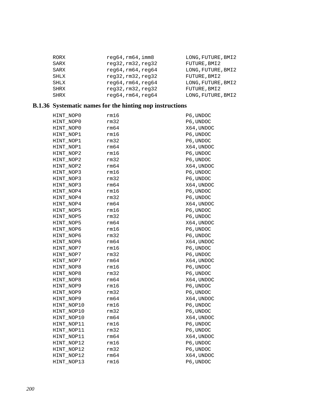| RORX        | req64, rm64, imm8  | LONG, FUTURE, BMI2 |
|-------------|--------------------|--------------------|
| SARX        | reg32,rm32,reg32   | FUTURE, BMI2       |
| SARX        | reg64, rm64, reg64 | LONG, FUTURE, BMI2 |
| <b>SHLX</b> | req32, rm32, req32 | FUTURE, BMI2       |
| SHLX        | reg64, rm64, reg64 | LONG, FUTURE, BMI2 |
| <b>SHRX</b> | req32, rm32, req32 | FUTURE, BMI2       |
| <b>SHRX</b> | req64, rm64, req64 | LONG, FUTURE, BMI2 |

# **B.1.36 Systematic names for the hinting nop instructions**

| HINT NOPO  | rm16 | P6, UNDOC |
|------------|------|-----------|
| HINT NOPO  | rm32 | P6, UNDOC |
| HINT NOPO  | rm64 | X64,UNDOC |
| HINT NOP1  | rm16 | P6, UNDOC |
| HINT_NOP1  | rm32 | P6, UNDOC |
| HINT_NOP1  | rm64 | X64,UNDOC |
| HINT_NOP2  | rm16 | P6, UNDOC |
| HINT NOP2  | rm32 | P6, UNDOC |
| HINT NOP2  | rm64 | X64,UNDOC |
| HINT_NOP3  | rm16 | P6, UNDOC |
| HINT_NOP3  | rm32 | P6, UNDOC |
| HINT_NOP3  | rm64 | X64,UNDOC |
| HINT_NOP4  | rm16 | P6, UNDOC |
| HINT_NOP4  | rm32 | P6, UNDOC |
| HINT_NOP4  | rm64 | X64,UNDOC |
| HINT_NOP5  | rm16 | P6, UNDOC |
| HINT_NOP5  | rm32 | P6, UNDOC |
| HINT NOP5  | rm64 | X64,UNDOC |
| HINT NOP6  | rm16 | P6, UNDOC |
| HINT NOP6  | rm32 | P6, UNDOC |
| HINT NOP6  | rm64 | X64,UNDOC |
| HINT NOP7  | rm16 | P6, UNDOC |
| HINT_NOP7  | rm32 | P6, UNDOC |
| HINT_NOP7  | rm64 | X64,UNDOC |
| HINT NOP8  | rm16 | P6, UNDOC |
| HINT NOP8  | rm32 | P6, UNDOC |
| HINT_NOP8  | rm64 | X64,UNDOC |
| HINT_NOP9  | rm16 | P6, UNDOC |
| HINT_NOP9  | rm32 | P6, UNDOC |
| HINT NOP9  | rm64 | X64,UNDOC |
| HINT_NOP10 | rm16 | P6, UNDOC |
| HINT_NOP10 | rm32 | P6, UNDOC |
| HINT NOP10 | rm64 | X64,UNDOC |
| HINT NOP11 | rm16 | P6, UNDOC |
| HINT_NOP11 | rm32 | P6, UNDOC |
| HINT NOP11 | rm64 | X64,UNDOC |
| HINT_NOP12 | rm16 | P6, UNDOC |
| HINT_NOP12 | rm32 | P6, UNDOC |
| HINT_NOP12 | rm64 | X64,UNDOC |
| HINT NOP13 | rm16 | P6, UNDOC |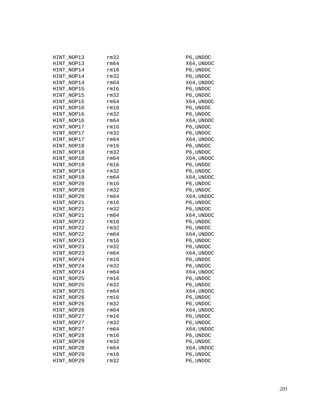| HINT NOP13 | rm32 | P6, UNDOC  |
|------------|------|------------|
| HINT_NOP13 | rm64 | X64, UNDOC |
| HINT_NOP14 | rm16 | P6, UNDOC  |
| HINT_NOP14 | rm32 | P6,UNDOC   |
| HINT_NOP14 | rm64 | X64, UNDOC |
| HINT_NOP15 | rm16 | P6, UNDOC  |
| HINT_NOP15 | rm32 | P6,UNDOC   |
| HINT_NOP15 | rm64 | X64, UNDOC |
| HINT_NOP16 | rm16 | P6, UNDOC  |
| HINT_NOP16 | rm32 | P6, UNDOC  |
| HINT_NOP16 | rm64 | X64, UNDOC |
| HINT_NOP17 | rm16 | P6, UNDOC  |
| HINT_NOP17 | rm32 | P6, UNDOC  |
| HINT_NOP17 | rm64 | X64,UNDOC  |
| HINT_NOP18 | rm16 | P6, UNDOC  |
| HINT_NOP18 | rm32 | P6, UNDOC  |
| HINT_NOP18 | rm64 | X64,UNDOC  |
| HINT_NOP19 | rm16 | P6, UNDOC  |
| HINT_NOP19 | rm32 | P6, UNDOC  |
| HINT_NOP19 | rm64 | X64, UNDOC |
| HINT_NOP20 | rm16 | P6, UNDOC  |
| HINT_NOP20 | rm32 | P6, UNDOC  |
| HINT_NOP20 | rm64 | X64,UNDOC  |
| HINT_NOP21 | rm16 | P6, UNDOC  |
| HINT_NOP21 | rm32 | P6, UNDOC  |
| HINT_NOP21 | rm64 | X64,UNDOC  |
| HINT_NOP22 | rm16 | P6, UNDOC  |
| HINT_NOP22 | rm32 | P6, UNDOC  |
| HINT_NOP22 | rm64 | X64,UNDOC  |
| HINT_NOP23 | rm16 | P6, UNDOC  |
| HINT_NOP23 | rm32 | P6, UNDOC  |
| HINT_NOP23 | rm64 | X64,UNDOC  |
| HINT_NOP24 | rm16 | P6, UNDOC  |
| HINT_NOP24 | rm32 | P6, UNDOC  |
| HINT_NOP24 | rm64 | X64,UNDOC  |
| HINT_NOP25 | rm16 | P6, UNDOC  |
| HINT_NOP25 | rm32 | P6, UNDOC  |
| HINT_NOP25 | rm64 | X64,UNDOC  |
| HINT_NOP26 | rm16 | P6, UNDOC  |
| HINT_NOP26 | rm32 | P6, UNDOC  |
| HINT_NOP26 | rm64 | X64, UNDOC |
| HINT_NOP27 | rm16 | P6, UNDOC  |
| HINT_NOP27 | rm32 | P6, UNDOC  |
| HINT_NOP27 | rm64 | X64, UNDOC |
| HINT_NOP28 | rm16 | P6, UNDOC  |
| HINT_NOP28 | rm32 | P6, UNDOC  |
| HINT_NOP28 | rm64 | X64, UNDOC |
| HINT_NOP29 | rm16 | P6, UNDOC  |
| HINT NOP29 | rm32 | P6, UNDOC  |
|            |      |            |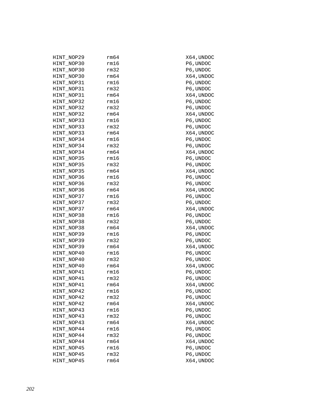| HINT NOP29 | rm64 | X64,UNDOC  |
|------------|------|------------|
| HINT NOP30 | rm16 | P6, UNDOC  |
| HINT NOP30 | rm32 | P6, UNDOC  |
| HINT NOP30 | rm64 | X64, UNDOC |
| HINT NOP31 | rm16 | P6, UNDOC  |
| HINT NOP31 | rm32 | P6, UNDOC  |
| HINT NOP31 | rm64 | X64,UNDOC  |
| HINT NOP32 | rm16 | P6,UNDOC   |
| HINT NOP32 | rm32 | P6, UNDOC  |
| HINT NOP32 | rm64 | X64,UNDOC  |
| HINT NOP33 | rm16 | P6, UNDOC  |
| HINT NOP33 | rm32 | P6, UNDOC  |
| HINT NOP33 | rm64 | X64,UNDOC  |
| HINT NOP34 | rm16 | P6,UNDOC   |
| HINT NOP34 | rm32 | P6, UNDOC  |
| HINT NOP34 | rm64 | X64,UNDOC  |
| HINT NOP35 | rm16 | P6, UNDOC  |
| HINT NOP35 | rm32 | P6, UNDOC  |
| HINT NOP35 | rm64 | X64,UNDOC  |
| HINT NOP36 | rm16 | P6, UNDOC  |
| HINT NOP36 | rm32 | P6, UNDOC  |
| HINT NOP36 | rm64 | X64,UNDOC  |
| HINT NOP37 | rm16 | P6,UNDOC   |
| HINT NOP37 | rm32 | P6,UNDOC   |
| HINT NOP37 | rm64 | X64,UNDOC  |
| HINT NOP38 | rm16 | P6,UNDOC   |
| HINT NOP38 | rm32 | P6,UNDOC   |
| HINT NOP38 | rm64 | X64,UNDOC  |
| HINT NOP39 | rm16 | P6,UNDOC   |
| HINT NOP39 | rm32 | P6,UNDOC   |
| HINT NOP39 | rm64 | X64,UNDOC  |
| HINT NOP40 | rm16 | P6,UNDOC   |
| HINT NOP40 | rm32 | P6, UNDOC  |
| HINT NOP40 | rm64 | X64,UNDOC  |
| HINT NOP41 | rm16 | P6, UNDOC  |
| HINT NOP41 | rm32 | P6, UNDOC  |
| HINT NOP41 | rm64 | X64, UNDOC |
| HINT_NOP42 | rm16 | P6,UNDOC   |
| HINT NOP42 | rm32 | P6,UNDOC   |
| HINT NOP42 | rm64 | X64, UNDOC |
| HINT NOP43 | rm16 | P6, UNDOC  |
| HINT NOP43 | rm32 | P6, UNDOC  |
| HINT NOP43 | rm64 | X64, UNDOC |
| HINT NOP44 | rm16 | P6, UNDOC  |
| HINT NOP44 | rm32 | P6, UNDOC  |
| HINT NOP44 | rm64 | X64, UNDOC |
| HINT NOP45 | rm16 | P6, UNDOC  |
| HINT NOP45 | rm32 | P6, UNDOC  |
| HINT NOP45 | rm64 | X64, UNDOC |
|            |      |            |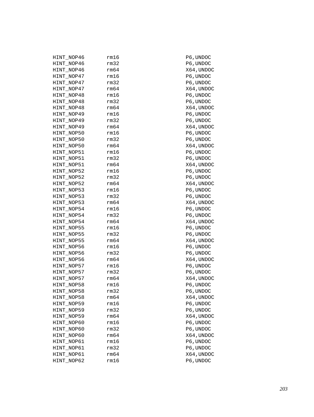| HINT_NOP46 | rm16 | P6,UNDOC   |
|------------|------|------------|
| HINT NOP46 | rm32 | P6,UNDOC   |
| HINT_NOP46 | rm64 | X64, UNDOC |
| HINT_NOP47 | rm16 | P6,UNDOC   |
| HINT_NOP47 | rm32 | P6, UNDOC  |
| HINT_NOP47 | rm64 | X64, UNDOC |
| HINT_NOP48 | rm16 | P6, UNDOC  |
| HINT_NOP48 | rm32 | P6, UNDOC  |
| HINT_NOP48 | rm64 | X64, UNDOC |
| HINT_NOP49 | rm16 | P6, UNDOC  |
| HINT NOP49 | rm32 | P6, UNDOC  |
| HINT_NOP49 | rm64 | X64, UNDOC |
| HINT_NOP50 | rm16 | P6, UNDOC  |
| HINT_NOP50 | rm32 | P6, UNDOC  |
| HINT_NOP50 | rm64 | X64, UNDOC |
| HINT_NOP51 | rm16 | P6, UNDOC  |
| HINT_NOP51 | rm32 | P6, UNDOC  |
| HINT_NOP51 | rm64 | X64, UNDOC |
| HINT NOP52 | rm16 | P6, UNDOC  |
| HINT_NOP52 | rm32 | P6, UNDOC  |
| HINT_NOP52 | rm64 | X64, UNDOC |
| HINT_NOP53 | rm16 | P6, UNDOC  |
| HINT_NOP53 | rm32 | P6, UNDOC  |
| HINT_NOP53 | rm64 | X64, UNDOC |
| HINT_NOP54 | rm16 | P6, UNDOC  |
| HINT_NOP54 | rm32 | P6, UNDOC  |
| HINT_NOP54 | rm64 | X64,UNDOC  |
| HINT_NOP55 | rm16 | P6, UNDOC  |
| HINT_NOP55 | rm32 | P6, UNDOC  |
| HINT_NOP55 | rm64 | X64,UNDOC  |
| HINT_NOP56 | rm16 | P6, UNDOC  |
| HINT_NOP56 | rm32 | P6, UNDOC  |
| HINT_NOP56 | rm64 | X64, UNDOC |
| HINT_NOP57 | rm16 | P6, UNDOC  |
| HINT_NOP57 | rm32 | P6, UNDOC  |
| HINT NOP57 | rm64 | X64,UNDOC  |
| HINT_NOP58 | rm16 | P6, UNDOC  |
| HINT_NOP58 | rm32 | P6, UNDOC  |
| HINT_NOP58 | rm64 | X64,UNDOC  |
| HINT_NOP59 | rm16 | P6, UNDOC  |
| HINT_NOP59 | rm32 | P6, UNDOC  |
| HINT_NOP59 | rm64 | X64, UNDOC |
| HINT NOP60 | rm16 | P6, UNDOC  |
| HINT NOP60 | rm32 | P6, UNDOC  |
| HINT NOP60 | rm64 | X64, UNDOC |
| HINT_NOP61 | rm16 | P6, UNDOC  |
| HINT_NOP61 | rm32 | P6, UNDOC  |
| HINT_NOP61 | rm64 | X64, UNDOC |
| HINT_NOP62 | rm16 | P6, UNDOC  |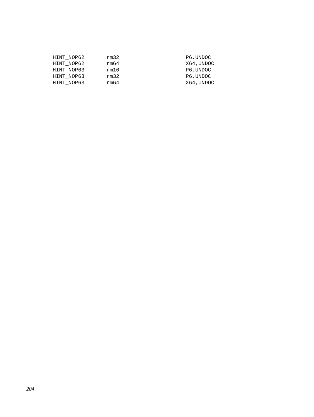| HINT NOP62 | rm32 | P6, UNDOC  |
|------------|------|------------|
| HINT NOP62 | rm64 | X64, UNDOC |
| HINT NOP63 | rm16 | P6, UNDOC  |
| HINT NOP63 | rm32 | P6, UNDOC  |
| HINT NOP63 | rm64 | X64, UNDOC |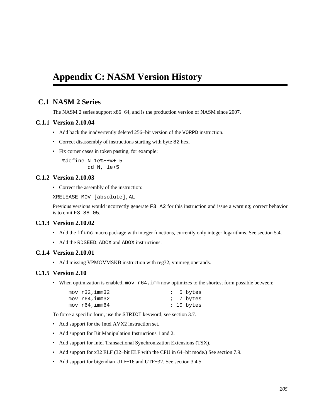# **Appendix C: NASM Version History**

# **C.1 NASM 2 Series**

The NASM 2 series support x86−64, and is the production version of NASM since 2007.

#### **C.1.1 Version 2.10.04**

- Add back the inadvertently deleted 256−bit version of the VORPD instruction.
- Correct disassembly of instructions starting with byte 82 hex.
- Fix corner cases in token pasting, for example:

 %define N 1e%++%+ 5 dd N, 1e+5

#### **C.1.2 Version 2.10.03**

• Correct the assembly of the instruction:

XRELEASE MOV [absolute],AL

Previous versions would incorrectly generate F3 A2 for this instruction and issue a warning; correct behavior is to emit F3 88 05.

# **C.1.3 Version 2.10.02**

- Add the ifunc macro package with integer functions, currently only integer logarithms. See [section 5.4.](#page-74-0)
- Add the RDSEED, ADCX and ADOX instructions.

#### **C.1.4 Version 2.10.01**

• Add missing VPMOVMSKB instruction with reg32, ymmreg operands.

# **C.1.5 Version 2.10**

• When optimization is enabled, mov  $r64$ , imm now optimizes to the shortest form possible between:

| mov r32, imm32        |  | ; 5 bytes  |
|-----------------------|--|------------|
| mov r64,imm32         |  | ; 7 bytes  |
| $mov$ $r64$ , $imm64$ |  | ; 10 bytes |

To force a specific form, use the STRICT keyword, see [section 3.7.](#page-37-0)

- Add support for the Intel AVX2 instruction set.
- Add support for Bit Manipulation Instructions 1 and 2.
- Add support for Intel Transactional Synchronization Extensions (TSX).
- Add support for x32 ELF (32−bit ELF with the CPU in 64−bit mode.) See [section 7.9.](#page-94-0)
- Add support for bigendian UTF−16 and UTF−32. See [section 3.4.5.](#page-34-0)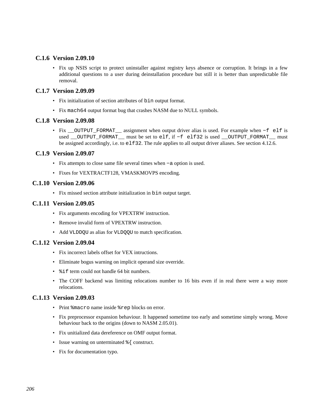# **C.1.6 Version 2.09.10**

• Fix up NSIS script to protect uninstaller against registry keys absence or corruption. It brings in a few additional questions to a user during deinstallation procedure but still it is better than unpredictable file removal.

# **C.1.7 Version 2.09.09**

- Fix initialization of section attributes of bin output format.
- Fix mach64 output format bug that crashes NASM due to NULL symbols.

# **C.1.8 Version 2.09.08**

• Fix \_\_OUTPUT\_FORMAT\_\_ assignment when output driver alias is used. For example when −f elf is used \_\_OUTPUT\_FORMAT\_\_ must be set to elf, if −f elf32 is used \_\_OUTPUT\_FORMAT\_\_ must be assigned accordingly, i.e. to elf32. The rule applies to all output driver aliases. See [section 4.12.6.](#page-68-0)

# **C.1.9 Version 2.09.07**

- Fix attempts to close same file several times when −a option is used.
- Fixes for VEXTRACTF128, VMASKMOVPS encoding.

# **C.1.10 Version 2.09.06**

• Fix missed section attribute initialization in bin output target.

# **C.1.11 Version 2.09.05**

- Fix arguments encoding for VPEXTRW instruction.
- Remove invalid form of VPEXTRW instruction.
- Add VLDDQU as alias for VLDQQU to match specification.

# **C.1.12 Version 2.09.04**

- Fix incorrect labels offset for VEX intructions.
- Eliminate bogus warning on implicit operand size override.
- $\text{\%}$  if term could not handle 64 bit numbers.
- The COFF backend was limiting relocations number to 16 bits even if in real there were a way more relocations.

# **C.1.13 Version 2.09.03**

- Print %macro name inside %rep blocks on error.
- Fix preprocessor expansion behaviour. It happened sometime too early and sometime simply wrong. Move behaviour back to the origins (down to NASM 2.05.01).
- Fix unitialized data dereference on OMF output format.
- Issue warning on unterminated  $\frac{1}{6}$  construct.
- Fix for documentation typo.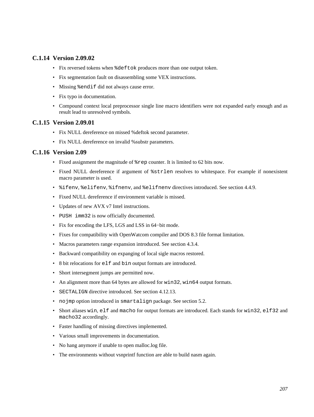# **C.1.14 Version 2.09.02**

- Fix reversed tokens when %deftok produces more than one output token.
- Fix segmentation fault on disassembling some VEX instructions.
- Missing %endif did not always cause error.
- Fix typo in documentation.
- Compound context local preprocessor single line macro identifiers were not expanded early enough and as result lead to unresolved symbols.

# **C.1.15 Version 2.09.01**

- Fix NULL dereference on missed %deftok second parameter.
- Fix NULL dereference on invalid %substr parameters.

# **C.1.16 Version 2.09**

- Fixed assignment the magnitude of %rep counter. It is limited to 62 bits now.
- Fixed NULL dereference if argument of %strlen resolves to whitespace. For example if nonexistent macro parameter is used.
- %ifenv, %elifenv, %ifnenv, and %elifnenv directives introduced. See [section 4.4.9.](#page-56-0)
- Fixed NULL dereference if environment variable is missed.
- Updates of new AVX v7 Intel instructions.
- PUSH imm32 is now officially documented.
- Fix for encoding the LFS, LGS and LSS in 64−bit mode.
- Fixes for compatibility with OpenWatcom compiler and DOS 8.3 file format limitation.
- Macros parameters range expansion introduced. See [section 4.3.4.](#page-48-0)
- Backward compatibility on expanging of local sigle macros restored.
- 8 bit relocations for elf and bin output formats are introduced.
- Short intersegment jumps are permitted now.
- An alignment more than 64 bytes are allowed for win32, win64 output formats.
- SECTALIGN directive introduced. See [section 4.12.13.](#page-72-0)
- nojmp option introduced in smartalign package. See [section 5.2.](#page-73-0)
- Short aliases win, elf and macho for output formats are introduced. Each stands for win32, elf32 and macho32 accordingly.
- Faster handling of missing directives implemented.
- Various small improvements in documentation.
- No hang anymore if unable to open malloc.log file.
- The environments without vsnprintf function are able to build nasm again.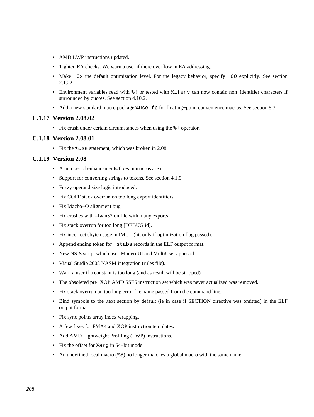- AMD LWP instructions updated.
- Tighten EA checks. We warn a user if there overflow in EA addressing.
- Make −Ox the default optimization level. For the legacy behavior, specify −O0 explicitly. See [section](#page-23-0) [2.1.22.](#page-23-0)
- Environment variables read with %! or tested with %ifenv can now contain non−identifier characters if surrounded by quotes. See [section 4.10.2.](#page-66-0)
- Add a new standard macro package %use fp for floating−point convenience macros. See [section 5.3](#page-74-1).

#### **C.1.17 Version 2.08.02**

• Fix crash under certain circumstances when using the %+ operator.

#### **C.1.18 Version 2.08.01**

• Fix the %use statement, which was broken in 2.08.

#### **C.1.19 Version 2.08**

- A number of enhancements/fixes in macros area.
- Support for converting strings to tokens. See [section 4.1.9.](#page-44-0)
- Fuzzy operand size logic introduced.
- Fix COFF stack overrun on too long export identifiers.
- Fix Macho−O alignment bug.
- Fix crashes with –fwin32 on file with many exports.
- Fix stack overrun for too long [DEBUG id].
- Fix incorrect sbyte usage in IMUL (hit only if optimization flag passed).
- Append ending token for .stabs records in the ELF output format.
- New NSIS script which uses ModernUI and MultiUser approach.
- Visual Studio 2008 NASM integration (rules file).
- Warn a user if a constant is too long (and as result will be stripped).
- The obsoleted pre−XOP AMD SSE5 instruction set which was never actualized was removed.
- Fix stack overrun on too long error file name passed from the command line.
- Bind symbols to the .text section by default (ie in case if SECTION directive was omitted) in the ELF output format.
- Fix sync points array index wrapping.
- A few fixes for FMA4 and XOP instruction templates.
- Add AMD Lightweight Profiling (LWP) instructions.
- Fix the offset for %arg in 64−bit mode.
- An undefined local macro (%\$) no longer matches a global macro with the same name.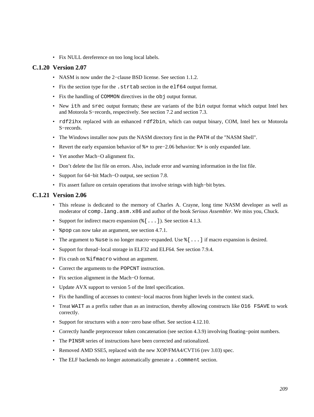• Fix NULL dereference on too long local labels.

# **C.1.20 Version 2.07**

- NASM is now under the 2−clause BSD license. See [section 1.1.2.](#page-15-0)
- Fix the section type for the .strtab section in the elf64 output format.
- Fix the handling of COMMON directives in the obj output format.
- New ith and srec output formats; these are variants of the bin output format which output Intel hex and Motorola S−records, respectively. See [section 7.2](#page-83-0) and [section 7.3.](#page-83-1)
- rdf2ihx replaced with an enhanced rdf2bin, which can output binary, COM, Intel hex or Motorola S−records.
- The Windows installer now puts the NASM directory first in the PATH of the "NASM Shell".
- Revert the early expansion behavior of %+ to pre−2.06 behavior: %+ is only expanded late.
- Yet another Mach−O alignment fix.
- Don't delete the list file on errors. Also, include error and warning information in the list file.
- Support for 64−bit Mach−O output, see [section 7.8.](#page-94-1)
- Fix assert failure on certain operations that involve strings with high−bit bytes.

# **C.1.21 Version 2.06**

- This release is dedicated to the memory of Charles A. Crayne, long time NASM developer as well as moderator of comp.lang.asm.x86 and author of the book *Serious Assembler*. We miss you, Chuck.
- Support for indirect macro expansion  $(\xi$  [ . . . ]). See [section 4.1.3.](#page-42-0)
- & pop can now take an argument, see [section 4.7.1](#page-59-0).
- The argument to %use is no longer macro−expanded. Use %[...] if macro expansion is desired.
- Support for thread−local storage in ELF32 and ELF64. See [section 7.9.4.](#page-96-0)
- Fix crash on  $\text{\%ifmarrow}$  without an argument.
- Correct the arguments to the POPCNT instruction.
- Fix section alignment in the Mach−O format.
- Update AVX support to version 5 of the Intel specification.
- Fix the handling of accesses to context−local macros from higher levels in the context stack.
- Treat WAIT as a prefix rather than as an instruction, thereby allowing constructs like O16 FSAVE to work correctly.
- Support for structures with a non−zero base offset. See [section 4.12.10.](#page-69-0)
- Correctly handle preprocessor token concatenation (see [section 4.3.9\)](#page-51-0) involving floating−point numbers.
- The PINSR series of instructions have been corrected and rationalized.
- Removed AMD SSE5, replaced with the new XOP/FMA4/CVT16 (rev 3.03) spec.
- The ELF backends no longer automatically generate a . comment section.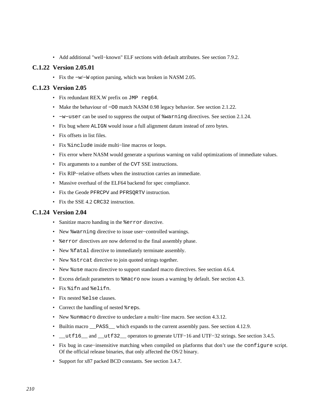• Add additional "well−known" ELF sections with default attributes. See [section 7.9.2.](#page-94-2)

#### **C.1.22 Version 2.05.01**

• Fix the −w/−W option parsing, which was broken in NASM 2.05.

#### **C.1.23 Version 2.05**

- Fix redundant REX.W prefix on JMP reg64.
- Make the behaviour of −O0 match NASM 0.98 legacy behavior. See [section 2.1.22.](#page-23-0)
- −w−user can be used to suppress the output of %warning directives. See [section 2.1.24.](#page-23-1)
- Fix bug where ALIGN would issue a full alignment datum instead of zero bytes.
- Fix offsets in list files.
- Fix %include inside multi−line macros or loops.
- Fix error where NASM would generate a spurious warning on valid optimizations of immediate values.
- Fix arguments to a number of the CVT SSE instructions.
- Fix RIP−relative offsets when the instruction carries an immediate.
- Massive overhaul of the ELF64 backend for spec compliance.
- Fix the Geode PFRCPV and PFRSQRTV instruction.
- Fix the SSE 4.2 CRC32 instruction.

# **C.1.24 Version 2.04**

- Sanitize macro handing in the  $s$ error directive.
- New %warning directive to issue user−controlled warnings.
- % error directives are now deferred to the final assembly phase.
- New  $\text{\$fatal}$  directive to immediately terminate assembly.
- New %strcat directive to join quoted strings together.
- New %use macro directive to support standard macro directives. See [section 4.6.4.](#page-59-1)
- Excess default parameters to  $\epsilon$  macro now issues a warning by default. See [section 4.3.](#page-45-0)
- Fix %ifn and %elifn.
- Fix nested %else clauses.
- Correct the handling of nested %reps.
- New %unmacro directive to undeclare a multi−line macro. See [section 4.3.12.](#page-52-0)
- Builtin macro <u>pass</u> which expands to the current assembly pass. See [section 4.12.9.](#page-69-1)
- \_\_utf16\_\_ and \_\_utf32\_\_ operators to generate UTF−16 and UTF−32 strings. See [section 3.4.5.](#page-34-0)
- Fix bug in case−insensitive matching when compiled on platforms that don't use the configure script. Of the official release binaries, that only affected the OS/2 binary.
- Support for x87 packed BCD constants. See [section 3.4.7.](#page-35-0)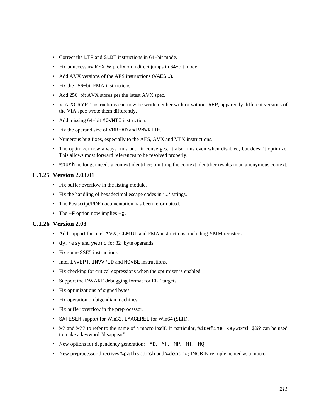- Correct the LTR and SLDT instructions in 64−bit mode.
- Fix unnecessary REX.W prefix on indirect jumps in 64−bit mode.
- Add AVX versions of the AES instructions (VAES...).
- Fix the 256−bit FMA instructions.
- Add 256−bit AVX stores per the latest AVX spec.
- VIA XCRYPT instructions can now be written either with or without REP, apparently different versions of the VIA spec wrote them differently.
- Add missing 64−bit MOVNTI instruction.
- Fix the operand size of VMREAD and VMWRITE.
- Numerous bug fixes, especially to the AES, AVX and VTX instructions.
- The optimizer now always runs until it converges. It also runs even when disabled, but doesn't optimize. This allows most forward references to be resolved properly.
- $\gamma$  &  $\gamma$  and no longer needs a context identifier; omitting the context identifier results in an anonymous context.

# **C.1.25 Version 2.03.01**

- Fix buffer overflow in the listing module.
- Fix the handling of hexadecimal escape codes in '...' strings.
- The Postscript/PDF documentation has been reformatted.
- The −F option now implies −g.

#### **C.1.26 Version 2.03**

- Add support for Intel AVX, CLMUL and FMA instructions, including YMM registers.
- dy, resy and yword for 32−byte operands.
- Fix some SSE5 instructions.
- Intel INVEPT, INVVPID and MOVBE instructions.
- Fix checking for critical expressions when the optimizer is enabled.
- Support the DWARF debugging format for ELF targets.
- Fix optimizations of signed bytes.
- Fix operation on bigendian machines.
- Fix buffer overflow in the preprocessor.
- SAFESEH support for Win32, IMAGEREL for Win64 (SEH).
- %? and %?? to refer to the name of a macro itself. In particular, %idefine keyword \$%? can be used to make a keyword "disappear".
- New options for dependency generation: −MD, −MF, −MP, −MT, −MQ.
- New preprocessor directives %pathsearch and %depend; INCBIN reimplemented as a macro.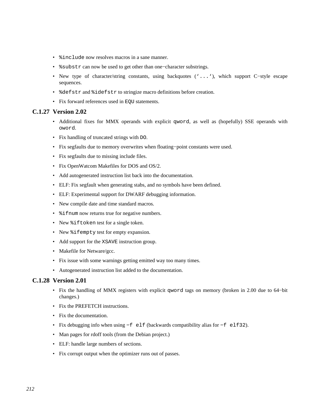- $\sin$ clude now resolves macros in a sane manner.
- %substr can now be used to get other than one−character substrings.
- New type of character/string constants, using backquotes ('...'), which support C−style escape sequences.
- %defstr and %idefstr to stringize macro definitions before creation.
- Fix forward references used in EQU statements.

# **C.1.27 Version 2.02**

- Additional fixes for MMX operands with explicit qword, as well as (hopefully) SSE operands with oword.
- Fix handling of truncated strings with DO.
- Fix segfaults due to memory overwrites when floating−point constants were used.
- Fix segfaults due to missing include files.
- Fix OpenWatcom Makefiles for DOS and OS/2.
- Add autogenerated instruction list back into the documentation.
- ELF: Fix segfault when generating stabs, and no symbols have been defined.
- ELF: Experimental support for DWARF debugging information.
- New compile date and time standard macros.
- %ifnum now returns true for negative numbers.
- New %iftoken test for a single token.
- New %ifempty test for empty expansion.
- Add support for the XSAVE instruction group.
- Makefile for Netware/gcc.
- Fix issue with some warnings getting emitted way too many times.
- Autogenerated instruction list added to the documentation.

# **C.1.28 Version 2.01**

- Fix the handling of MMX registers with explicit qword tags on memory (broken in 2.00 due to 64−bit changes.)
- Fix the PREFETCH instructions.
- Fix the documentation.
- Fix debugging info when using −f elf (backwards compatibility alias for −f elf32).
- Man pages for rdoff tools (from the Debian project.)
- ELF: handle large numbers of sections.
- Fix corrupt output when the optimizer runs out of passes.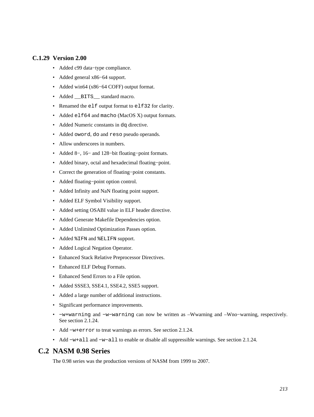# **C.1.29 Version 2.00**

- Added c99 data−type compliance.
- Added general x86−64 support.
- Added win64 (x86−64 COFF) output format.
- Added BITS \_\_ standard macro.
- Renamed the elf output format to elf32 for clarity.
- Added elf64 and macho (MacOS X) output formats.
- Added Numeric constants in dq directive.
- Added oword, do and reso pseudo operands.
- Allow underscores in numbers.
- Added 8−, 16− and 128−bit floating−point formats.
- Added binary, octal and hexadecimal floating−point.
- Correct the generation of floating−point constants.
- Added floating−point option control.
- Added Infinity and NaN floating point support.
- Added ELF Symbol Visibility support.
- Added setting OSABI value in ELF header directive.
- Added Generate Makefile Dependencies option.
- Added Unlimited Optimization Passes option.
- Added %IFN and %ELIFN support.
- Added Logical Negation Operator.
- Enhanced Stack Relative Preprocessor Directives.
- Enhanced ELF Debug Formats.
- Enhanced Send Errors to a File option.
- Added SSSE3, SSE4.1, SSE4.2, SSE5 support.
- Added a large number of additional instructions.
- Significant performance improvements.
- −w+warning and −w−warning can now be written as –Wwarning and –Wno−warning, respectively. See [section 2.1.24.](#page-23-1)
- Add −w+error to treat warnings as errors. See [section 2.1.24.](#page-23-1)
- Add −w+all and −w−all to enable or disable all suppressible warnings. See [section 2.1.24.](#page-23-1)

# **C.2 NASM 0.98 Series**

The 0.98 series was the production versions of NASM from 1999 to 2007.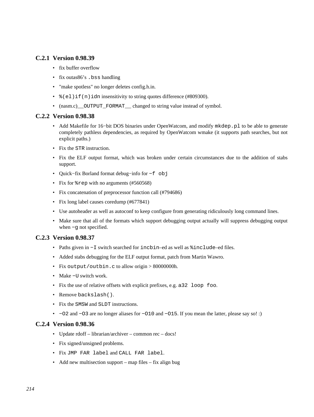# **C.2.1 Version 0.98.39**

- fix buffer overflow
- fix outas86's .bss handling
- "make spotless" no longer deletes config.h.in.
- $*(e1)$ if(n)idn insensitivity to string quotes difference (#809300).
- (nasm.c)\_\_OUTPUT\_FORMAT\_\_ changed to string value instead of symbol.

# **C.2.2 Version 0.98.38**

- Add Makefile for 16–bit DOS binaries under OpenWatcom, and modify mkdep.pl to be able to generate completely pathless dependencies, as required by OpenWatcom wmake (it supports path searches, but not explicit paths.)
- Fix the STR instruction.
- Fix the ELF output format, which was broken under certain circumstances due to the addition of stabs support.
- Quick−fix Borland format debug−info for −f obj
- Fix for  $*$  rep with no arguments (#560568)
- Fix concatenation of preprocessor function call (#794686)
- Fix long label causes coredump (#677841)
- Use autoheader as well as autoconf to keep configure from generating ridiculously long command lines.
- Make sure that all of the formats which support debugging output actually will suppress debugging output when −g not specified.

# **C.2.3 Version 0.98.37**

- Paths given in −I switch searched for incbin–ed as well as %include–ed files.
- Added stabs debugging for the ELF output format, patch from Martin Wawro.
- Fix output/outbin.c to allow origin > 80000000h.
- Make −U switch work.
- Fix the use of relative offsets with explicit prefixes, e.g. a32 loop foo.
- Remove backslash().
- Fix the SMSW and SLDT instructions.
- −O2 and −O3 are no longer aliases for −O10 and −O15. If you mean the latter, please say so! :)

# **C.2.4 Version 0.98.36**

- Update rdoff librarian/archiver common rec docs!
- Fix signed/unsigned problems.
- Fix JMP FAR label and CALL FAR label.
- Add new multisection support map files fix align bug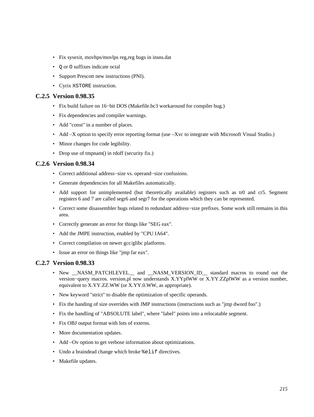- Fix sysexit, movhps/movlps reg,reg bugs in insns.dat
- Q or O suffixes indicate octal
- Support Prescott new instructions (PNI).
- Cyrix XSTORE instruction.

# **C.2.5 Version 0.98.35**

- Fix build failure on 16−bit DOS (Makefile.bc3 workaround for compiler bug.)
- Fix dependencies and compiler warnings.
- Add "const" in a number of places.
- Add –X option to specify error reporting format (use –Xvc to integrate with Microsoft Visual Studio.)
- Minor changes for code legibility.
- Drop use of tmpnam() in rdoff (security fix.)

# **C.2.6 Version 0.98.34**

- Correct additional address−size vs. operand−size confusions.
- Generate dependencies for all Makefiles automatically.
- Add support for unimplemented (but theoretically available) registers such as tr0 and cr5. Segment registers 6 and 7 are called segr6 and segr7 for the operations which they can be represented.
- Correct some disassembler bugs related to redundant address−size prefixes. Some work still remains in this area.
- Correctly generate an error for things like "SEG eax".
- Add the JMPE instruction, enabled by "CPU IA64".
- Correct compilation on newer gcc/glibc platforms.
- Issue an error on things like "jmp far eax".

# **C.2.7 Version 0.98.33**

- New \_NASM\_PATCHLEVEL\_ and \_NASM\_VERSION\_ID\_ standard macros to round out the version−query macros. version.pl now understands X.YYplWW or X.YY.ZZplWW as a version number, equivalent to X.YY.ZZ.WW (or X.YY.0.WW, as appropriate).
- New keyword "strict" to disable the optimization of specific operands.
- Fix the handing of size overrides with JMP instructions (instructions such as "jmp dword foo".)
- Fix the handling of "ABSOLUTE label", where "label" points into a relocatable segment.
- Fix OBJ output format with lots of externs.
- More documentation updates.
- Add –Ov option to get verbose information about optimizations.
- Undo a braindead change which broke  $\ell$ elif directives.
- Makefile updates.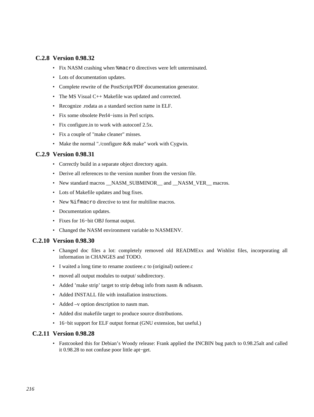# **C.2.8 Version 0.98.32**

- Fix NASM crashing when %macro directives were left unterminated.
- Lots of documentation updates.
- Complete rewrite of the PostScript/PDF documentation generator.
- The MS Visual C++ Makefile was updated and corrected.
- Recognize .rodata as a standard section name in ELF.
- Fix some obsolete Perl4−isms in Perl scripts.
- Fix configure.in to work with autoconf 2.5x.
- Fix a couple of "make cleaner" misses.
- Make the normal "./configure && make" work with Cygwin.

#### **C.2.9 Version 0.98.31**

- Correctly build in a separate object directory again.
- Derive all references to the version number from the version file.
- New standard macros \_\_NASM\_SUBMINOR\_\_ and \_\_NASM\_VER\_\_ macros.
- Lots of Makefile updates and bug fixes.
- New  $\frac{1}{2}$  fmacro directive to test for multiline macros.
- Documentation updates.
- Fixes for 16−bit OBJ format output.
- Changed the NASM environment variable to NASMENV.

#### **C.2.10 Version 0.98.30**

- Changed doc files a lot: completely removed old READMExx and Wishlist files, incorporating all information in CHANGES and TODO.
- I waited a long time to rename zoutieee.c to (original) outieee.c
- moved all output modules to output/ subdirectory.
- Added 'make strip' target to strip debug info from nasm & ndisasm.
- Added INSTALL file with installation instructions.
- Added –v option description to nasm man.
- Added dist makefile target to produce source distributions.
- 16−bit support for ELF output format (GNU extension, but useful.)

# **C.2.11 Version 0.98.28**

• Fastcooked this for Debian's Woody release: Frank applied the INCBIN bug patch to 0.98.25alt and called it 0.98.28 to not confuse poor little apt−get.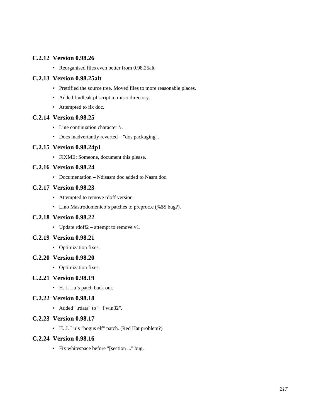# **C.2.12 Version 0.98.26**

• Reorganised files even better from 0.98.25alt

# **C.2.13 Version 0.98.25alt**

- Prettified the source tree. Moved files to more reasonable places.
- Added findleak.pl script to misc/ directory.
- Attempted to fix doc.

# **C.2.14 Version 0.98.25**

- Line continuation character  $\setminus$ .
- Docs inadvertantly reverted "dos packaging".

# **C.2.15 Version 0.98.24p1**

• FIXME: Someone, document this please.

# **C.2.16 Version 0.98.24**

• Documentation – Ndisasm doc added to Nasm.doc.

# **C.2.17 Version 0.98.23**

- Attempted to remove rdoff version1
- Lino Mastrodomenico's patches to preproc.c (%\$\$ bug?).

# **C.2.18 Version 0.98.22**

• Update rdoff2 – attempt to remove v1.

# **C.2.19 Version 0.98.21**

• Optimization fixes.

# **C.2.20 Version 0.98.20**

• Optimization fixes.

# **C.2.21 Version 0.98.19**

• H. J. Lu's patch back out.

# **C.2.22 Version 0.98.18**

• Added ".rdata" to "−f win32".

# **C.2.23 Version 0.98.17**

• H. J. Lu's "bogus elf" patch. (Red Hat problem?)

# **C.2.24 Version 0.98.16**

• Fix whitespace before "[section ..." bug.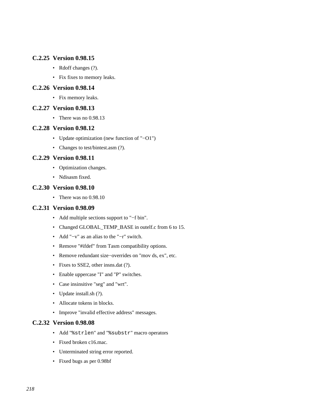# **C.2.25 Version 0.98.15**

- Rdoff changes (?).
- Fix fixes to memory leaks.

### **C.2.26 Version 0.98.14**

• Fix memory leaks.

#### **C.2.27 Version 0.98.13**

• There was no 0.98.13

#### **C.2.28 Version 0.98.12**

- Update optimization (new function of "−O1")
- Changes to test/bintest.asm (?).

## **C.2.29 Version 0.98.11**

- Optimization changes.
- Ndisasm fixed.

### **C.2.30 Version 0.98.10**

• There was no 0.98.10

## **C.2.31 Version 0.98.09**

- Add multiple sections support to "−f bin".
- Changed GLOBAL\_TEMP\_BASE in outelf.c from 6 to 15.
- Add "−v" as an alias to the "−r" switch.
- Remove "#ifdef" from Tasm compatibility options.
- Remove redundant size−overrides on "mov ds, ex", etc.
- Fixes to SSE2, other insns.dat (?).
- Enable uppercase "I" and "P" switches.
- Case insinsitive "seg" and "wrt".
- Update install.sh (?).
- Allocate tokens in blocks.
- Improve "invalid effective address" messages.

# **C.2.32 Version 0.98.08**

- Add "%strlen" and "%substr" macro operators
- Fixed broken c16.mac.
- Unterminated string error reported.
- Fixed bugs as per 0.98bf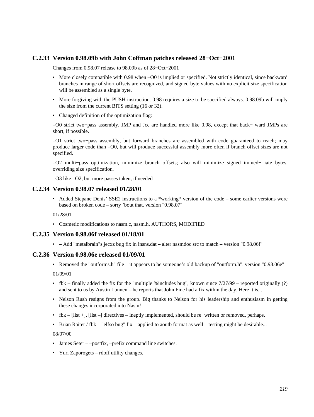# **C.2.33 Version 0.98.09b with John Coffman patches released 28−Oct−2001**

Changes from 0.98.07 release to 98.09b as of 28−Oct−2001

- More closely compatible with 0.98 when –O0 is implied or specified. Not strictly identical, since backward branches in range of short offsets are recognized, and signed byte values with no explicit size specification will be assembled as a single byte.
- More forgiving with the PUSH instruction. 0.98 requires a size to be specified always. 0.98.09b will imply the size from the current BITS setting (16 or 32).
- Changed definition of the optimization flag:

–O0 strict two−pass assembly, JMP and Jcc are handled more like 0.98, except that back− ward JMPs are short, if possible.

–O1 strict two−pass assembly, but forward branches are assembled with code guaranteed to reach; may produce larger code than –O0, but will produce successful assembly more often if branch offset sizes are not specified.

–O2 multi−pass optimization, minimize branch offsets; also will minimize signed immed− iate bytes, overriding size specification.

–O3 like –O2, but more passes taken, if needed

#### **C.2.34 Version 0.98.07 released 01/28/01**

• Added Stepane Denis' SSE2 instructions to a \*working\* version of the code – some earlier versions were based on broken code – sorry 'bout that. version "0.98.07"

01/28/01

• Cosmetic modifications to nasm.c, nasm.h, AUTHORS, MODIFIED

### **C.2.35 Version 0.98.06f released 01/18/01**

• – Add "metalbrain"s jecxz bug fix in insns.dat – alter nasmdoc.src to match – version "0.98.06f"

### **C.2.36 Version 0.98.06e released 01/09/01**

• Removed the "outforms.h" file – it appears to be someone's old backup of "outform.h". version "0.98.06e"

01/09/01

- fbk finally added the fix for the "multiple %includes bug", known since  $7/27/99$  reported originally (?) and sent to us by Austin Lunnen – he reports that John Fine had a fix within the day. Here it is...
- Nelson Rush resigns from the group. Big thanks to Nelson for his leadership and enthusiasm in getting these changes incorporated into Nasm!
- fbk [list +], [list –] directives ineptly implemented, should be re−written or removed, perhaps.
- Brian Raiter / fbk "elfso bug" fix applied to aoutb format as well testing might be desirable...

08/07/00

- James Seter –postfix, –prefix command line switches.
- Yuri Zaporogets rdoff utility changes.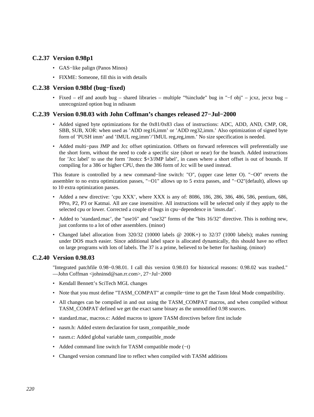# **C.2.37 Version 0.98p1**

- GAS−like palign (Panos Minos)
- FIXME: Someone, fill this in with details

# **C.2.38 Version 0.98bf (bug−fixed)**

• Fixed – elf and aoutb bug – shared libraries – multiple "%include" bug in "−f obj" – jcxz, jecxz bug – unrecognized option bug in ndisasm

# **C.2.39 Version 0.98.03 with John Coffman's changes released 27−Jul−2000**

- Added signed byte optimizations for the 0x81/0x83 class of instructions: ADC, ADD, AND, CMP, OR, SBB, SUB, XOR: when used as 'ADD reg16,imm' or 'ADD reg32,imm.' Also optimization of signed byte form of 'PUSH imm' and 'IMUL reg,imm'/'IMUL reg,reg,imm.' No size specification is needed.
- Added multi−pass JMP and Jcc offset optimization. Offsets on forward references will preferentially use the short form, without the need to code a specific size (short or near) for the branch. Added instructions for 'Jcc label' to use the form 'Jnotcc \$+3/JMP label', in cases where a short offset is out of bounds. If compiling for a 386 or higher CPU, then the 386 form of Jcc will be used instead.

This feature is controlled by a new command−line switch: "O", (upper case letter O). "−O0" reverts the assembler to no extra optimization passes, "−O1" allows up to 5 extra passes, and "−O2"(default), allows up to 10 extra optimization passes.

- Added a new directive: 'cpu XXX', where XXX is any of: 8086, 186, 286, 386, 486, 586, pentium, 686, PPro, P2, P3 or Katmai. All are case insensitive. All instructions will be selected only if they apply to the selected cpu or lower. Corrected a couple of bugs in cpu−dependence in 'insns.dat'.
- Added to 'standard.mac', the "use16" and "use32" forms of the "bits 16/32" directive. This is nothing new, just conforms to a lot of other assemblers. (minor)
- Changed label allocation from  $320/32$  (10000 labels @ 200K+) to  $32/37$  (1000 labels); makes running under DOS much easier. Since additional label space is allocated dynamically, this should have no effect on large programs with lots of labels. The 37 is a prime, believed to be better for hashing. (minor)

# **C.2.40 Version 0.98.03**

"Integrated patchfile 0.98−0.98.01. I call this version 0.98.03 for historical reasons: 0.98.02 was trashed." ––John Coffman <johninsd@san.rr.com>, 27−Jul−2000

- Kendall Bennett's SciTech MGL changes
- Note that you must define "TASM\_COMPAT" at compile−time to get the Tasm Ideal Mode compatibility.
- All changes can be compiled in and out using the TASM\_COMPAT macros, and when compiled without TASM\_COMPAT defined we get the exact same binary as the unmodified 0.98 sources.
- standard.mac, macros.c: Added macros to ignore TASM directives before first include
- nasm.h: Added extern declaration for tasm\_compatible\_mode
- nasm.c: Added global variable tasm\_compatible\_mode
- Added command line switch for TASM compatible mode (−t)
- Changed version command line to reflect when compiled with TASM additions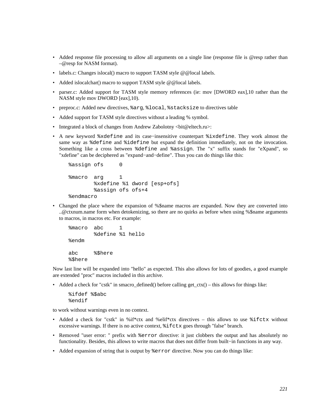- Added response file processing to allow all arguments on a single line (response file is @resp rather than –@resp for NASM format).
- labels.c: Changes islocal() macro to support TASM style @@local labels.
- Added islocalchar() macro to support TASM style @@local labels.
- parser.c: Added support for TASM style memory references (ie: mov [DWORD eax], 10 rather than the NASM style mov DWORD [eax],10).
- preproc.c: Added new directives, %arg, %local, %stacksize to directives table
- Added support for TASM style directives without a leading % symbol.
- Integrated a block of changes from Andrew Zabolotny  $\langle \text{bit@eltech} . \text{ru} \rangle$ :
- A new keyword %xdefine and its case−insensitive counterpart %ixdefine. They work almost the same way as %define and %idefine but expand the definition immediately, not on the invocation. Something like a cross between %define and %assign. The "x" suffix stands for "eXpand", so "xdefine" can be deciphered as "expand−and−define". Thus you can do things like this:

```
 %assign ofs 0 
 %macro arg 1 
         %xdefine %1 dword [esp+ofs] 
         %assign ofs ofs+4 
 %endmacro
```
• Changed the place where the expansion of %\$name macros are expanded. Now they are converted into ..@ctxnum.name form when detokenizing, so there are no quirks as before when using %\$name arguments to macros, in macros etc. For example:

```
 %macro abc 1 
         %define %1 hello 
 %endm 
 abc %$here 
 %$here
```
Now last line will be expanded into "hello" as expected. This also allows for lots of goodies, a good example are extended "proc" macros included in this archive.

• Added a check for "cstk" in smacro defined() before calling get  $ctx()$  – this allows for things like:

```
 %ifdef %$abc 
 %endif
```
to work without warnings even in no context.

- Added a check for "cstk" in %if\*ctx and %elif\*ctx directives this allows to use  $\text{\$ifctx without}$ excessive warnings. If there is no active context, %ifctx goes through "false" branch.
- Removed "user error: " prefix with  $\epsilon$  error directive: it just clobbers the output and has absolutely no functionality. Besides, this allows to write macros that does not differ from built−in functions in any way.
- Added expansion of string that is output by  $\epsilon$  exported integer and  $\epsilon$  and  $\epsilon$  and  $\epsilon$  is a  $\epsilon$ .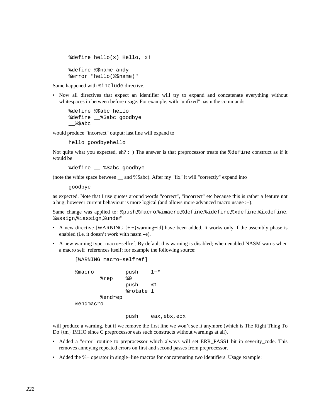```
 %define hello(x) Hello, x! 
 %define %$name andy 
 %error "hello(%$name)"
```
Same happened with %include directive.

• Now all directives that expect an identifier will try to expand and concatenate everything without whitespaces in between before usage. For example, with "unfixed" nasm the commands

 %define %\$abc hello %define \_\_%\$abc goodbye  $\$$ \$abc

would produce "incorrect" output: last line will expand to

hello goodbyehello

Not quite what you expected, eh? :–) The answer is that preprocessor treats the %define construct as if it would be

%define \_\_ %\$abc goodbye

(note the white space between \_\_ and %\$abc). After my "fix" it will "correctly" expand into

goodbye

as expected. Note that I use quotes around words "correct", "incorrect" etc because this is rather a feature not a bug; however current behaviour is more logical (and allows more advanced macro usage :−).

Same change was applied to: %push,%macro,%imacro,%define,%idefine,%xdefine,%ixdefine, %assign,%iassign,%undef

- A new directive [WARNING {+|−}warning–id] have been added. It works only if the assembly phase is enabled (i.e. it doesn't work with nasm –e).
- A new warning type: macro−selfref. By default this warning is disabled; when enabled NASM warns when a macro self−references itself; for example the following source:

```
 [WARNING macro−selfref] 
 %macro push 1−* 
         %rep %0 
                push %1 
                 %rotate 1 
         %endrep 
 %endmacro
```
push eax,ebx,ecx

will produce a warning, but if we remove the first line we won't see it anymore (which is The Right Thing To Do {tm} IMHO since C preprocessor eats such constructs without warnings at all).

- Added a "error" routine to preprocessor which always will set ERR\_PASS1 bit in severity\_code. This removes annoying repeated errors on first and second passes from preprocessor.
- Added the %+ operator in single−line macros for concatenating two identifiers. Usage example: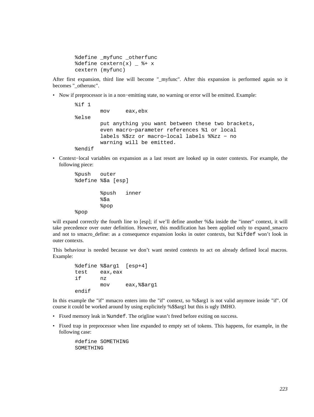```
 %define _myfunc _otherfunc 
\deltadefine cextern(x) \delta + x
 cextern (myfunc)
```
After first expansion, third line will become " myfunc". After this expansion is performed again so it becomes " otherunc".

• Now if preprocessor is in a non−emitting state, no warning or error will be emitted. Example:

```
 %if 1 
         mov eax,ebx 
 %else 
         put anything you want between these two brackets, 
         even macro−parameter references %1 or local 
         labels %$zz or macro−local labels %%zz − no 
         warning will be emitted. 
 %endif
```
• Context−local variables on expansion as a last resort are looked up in outer contexts. For example, the following piece:

```
 %push outer 
 %define %$a [esp] 
          %push inner 
          %$a 
          %pop 
 %pop
```
will expand correctly the fourth line to [esp]; if we'll define another %\$a inside the "inner" context, it will take precedence over outer definition. However, this modification has been applied only to expand\_smacro and not to smacro\_define: as a consequence expansion looks in outer contexts, but %ifdef won't look in outer contexts.

This behaviour is needed because we don't want nested contexts to act on already defined local macros. Example:

```
 %define %$arg1 [esp+4] 
       test eax,eax 
 if nz 
              mov eax,%$arg1 
       endif
```
In this example the "if" mmacro enters into the "if" context, so %\$arg1 is not valid anymore inside "if". Of course it could be worked around by using explicitely %\$\$arg1 but this is ugly IMHO.

- Fixed memory leak in %undef. The origline wasn't freed before exiting on success.
- Fixed trap in preprocessor when line expanded to empty set of tokens. This happens, for example, in the following case:

 #define SOMETHING SOMETHING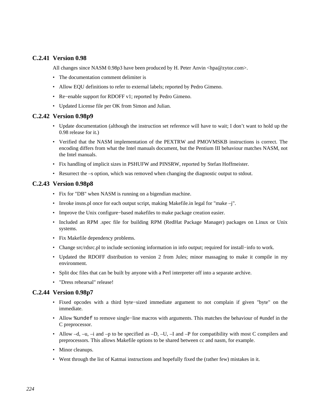# **C.2.41 Version 0.98**

All changes since NASM 0.98p3 have been produced by H. Peter Anvin <hpa@zytor.com>.

- The documentation comment delimiter is
- Allow EQU definitions to refer to external labels; reported by Pedro Gimeno.
- Re−enable support for RDOFF v1; reported by Pedro Gimeno.
- Updated License file per OK from Simon and Julian.

## **C.2.42 Version 0.98p9**

- Update documentation (although the instruction set reference will have to wait; I don't want to hold up the 0.98 release for it.)
- Verified that the NASM implementation of the PEXTRW and PMOVMSKB instructions is correct. The encoding differs from what the Intel manuals document, but the Pentium III behaviour matches NASM, not the Intel manuals.
- Fix handling of implicit sizes in PSHUFW and PINSRW, reported by Stefan Hoffmeister.
- Resurrect the –s option, which was removed when changing the diagnostic output to stdout.

## **C.2.43 Version 0.98p8**

- Fix for "DB" when NASM is running on a bigendian machine.
- Invoke insns.pl once for each output script, making Makefile.in legal for "make –j".
- Improve the Unix configure−based makefiles to make package creation easier.
- Included an RPM .spec file for building RPM (RedHat Package Manager) packages on Linux or Unix systems.
- Fix Makefile dependency problems.
- Change src/rdsrc.pl to include sectioning information in info output; required for install−info to work.
- Updated the RDOFF distribution to version 2 from Jules; minor massaging to make it compile in my environment.
- Split doc files that can be built by anyone with a Perl interpreter off into a separate archive.
- "Dress rehearsal" release!

#### **C.2.44 Version 0.98p7**

- Fixed opcodes with a third byte−sized immediate argument to not complain if given "byte" on the immediate.
- Allow %undef to remove single–line macros with arguments. This matches the behaviour of #undef in the C preprocessor.
- Allow  $-d$ ,  $-u$ ,  $-i$  and  $-p$  to be specified as  $-D$ ,  $-U$ ,  $-i$  and  $-P$  for compatibility with most C compilers and preprocessors. This allows Makefile options to be shared between cc and nasm, for example.
- Minor cleanups.
- Went through the list of Katmai instructions and hopefully fixed the (rather few) mistakes in it.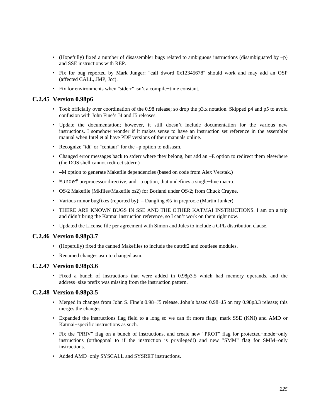- (Hopefully) fixed a number of disassembler bugs related to ambiguous instructions (disambiguated by  $-p$ ) and SSE instructions with REP.
- Fix for bug reported by Mark Junger: "call dword 0x12345678" should work and may add an OSP (affected CALL, JMP, Jcc).
- Fix for environments when "stderr" isn't a compile−time constant.

# **C.2.45 Version 0.98p6**

- Took officially over coordination of the 0.98 release; so drop the p3.x notation. Skipped p4 and p5 to avoid confusion with John Fine's J4 and J5 releases.
- Update the documentation; however, it still doesn't include documentation for the various new instructions. I somehow wonder if it makes sense to have an instruction set reference in the assembler manual when Intel et al have PDF versions of their manuals online.
- Recognize "idt" or "centaur" for the –p option to ndisasm.
- Changed error messages back to stderr where they belong, but add an –E option to redirect them elsewhere (the DOS shell cannot redirect stderr.)
- –M option to generate Makefile dependencies (based on code from Alex Verstak.)
- %undef preprocessor directive, and –u option, that undefines a single−line macro.
- OS/2 Makefile (Mkfiles/Makefile.os2) for Borland under OS/2; from Chuck Crayne.
- Various minor bugfixes (reported by): Dangling %s in preproc.c (Martin Junker)
- THERE ARE KNOWN BUGS IN SSE AND THE OTHER KATMAI INSTRUCTIONS. I am on a trip and didn't bring the Katmai instruction reference, so I can't work on them right now.
- Updated the License file per agreement with Simon and Jules to include a GPL distribution clause.

#### **C.2.46 Version 0.98p3.7**

- (Hopefully) fixed the canned Makefiles to include the outrdf2 and zoutieee modules.
- Renamed changes.asm to changed.asm.

### **C.2.47 Version 0.98p3.6**

• Fixed a bunch of instructions that were added in 0.98p3.5 which had memory operands, and the address−size prefix was missing from the instruction pattern.

# **C.2.48 Version 0.98p3.5**

- Merged in changes from John S. Fine's 0.98−J5 release. John's based 0.98−J5 on my 0.98p3.3 release; this merges the changes.
- Expanded the instructions flag field to a long so we can fit more flags; mark SSE (KNI) and AMD or Katmai−specific instructions as such.
- Fix the "PRIV" flag on a bunch of instructions, and create new "PROT" flag for protected−mode−only instructions (orthogonal to if the instruction is privileged!) and new "SMM" flag for SMM−only instructions.
- Added AMD−only SYSCALL and SYSRET instructions.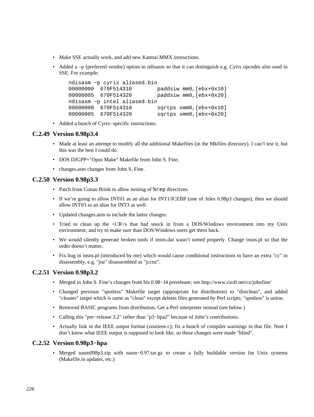- Make SSE actually work, and add new Katmai MMX instructions.
- Added a –p (preferred vendor) option to ndisasm so that it can distinguish e.g. Cyrix opcodes also used in SSE. For example:

```
 ndisasm −p cyrix aliased.bin 
 00000000 670F514310 paddsiw mm0,[ebx+0x10] 
 00000005 670F514320 paddsiw mm0,[ebx+0x20] 
 ndisasm −p intel aliased.bin 
 00000000 670F514310 sqrtps xmm0,[ebx+0x10] 
 00000005 670F514320 sqrtps xmm0,[ebx+0x20]
```
• Added a bunch of Cyrix−specific instructions.

# **C.2.49 Version 0.98p3.4**

- Made at least an attempt to modify all the additional Makefiles (in the Mkfiles directory). I can't test it, but this was the best I could do.
- DOS DJGPP+"Opus Make" Makefile from John S. Fine.
- changes.asm changes from John S. Fine.

# **C.2.50 Version 0.98p3.3**

- Patch from Conan Brink to allow nesting of  $*$ rep directives.
- If we're going to allow INT01 as an alias for INT1/ICEBP (one of Jules 0.98p3 changes), then we should allow INT03 as an alias for INT3 as well.
- Updated changes.asm to include the latest changes.
- Tried to clean up the <CR>s that had snuck in from a DOS/Windows environment into my Unix environment, and try to make sure than DOS/Windows users get them back.
- We would silently generate broken tools if insns.dat wasn't sorted properly. Change insns.pl so that the order doesn't matter.
- Fix bug in insns.pl (introduced by me) which would cause conditional instructions to have an extra "cc" in disassembly, e.g. "jnz" disassembled as "jccnz".

# **C.2.51 Version 0.98p3.2**

- Merged in John S. Fine's changes from his 0.98−J4 prerelease; see http://www.csoft.net/cz/johnfine/
- Changed previous "spotless" Makefile target (appropriate for distribution) to "distclean", and added "cleaner" target which is same as "clean" except deletes files generated by Perl scripts; "spotless" is union.
- Removed BASIC programs from distribution. Get a Perl interpreter instead (see below.)
- Calling this "pre−release 3.2" rather than "p3−hpa2" because of John's contributions.
- Actually link in the IEEE output format (zoutieee.c); fix a bunch of compiler warnings in that file. Note I don't know what IEEE output is supposed to look like, so these changes were made "blind".

# **C.2.52 Version 0.98p3−hpa**

• Merged nasm098p3.zip with nasm−0.97.tar.gz to create a fully buildable version for Unix systems (Makefile.in updates, etc.)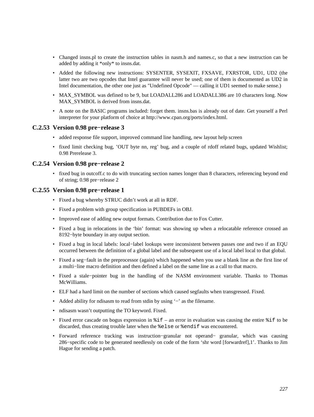- Changed insns.pl to create the instruction tables in nasm.h and names.c, so that a new instruction can be added by adding it \*only\* to insns.dat.
- Added the following new instructions: SYSENTER, SYSEXIT, FXSAVE, FXRSTOR, UD1, UD2 (the latter two are two opcodes that Intel guarantee will never be used; one of them is documented as UD2 in Intel documentation, the other one just as "Undefined Opcode" –– calling it UD1 seemed to make sense.)
- MAX\_SYMBOL was defined to be 9, but LOADALL286 and LOADALL386 are 10 characters long. Now MAX\_SYMBOL is derived from insns.dat.
- A note on the BASIC programs included: forget them. insns.bas is already out of date. Get yourself a Perl interpreter for your platform of choice at [http://www.cpan.org/ports/index.html.](http://www.cpan.org/ports/index.html)

# **C.2.53 Version 0.98 pre−release 3**

- added response file support, improved command line handling, new layout help screen
- fixed limit checking bug, 'OUT byte nn, reg' bug, and a couple of rdoff related bugs, updated Wishlist; 0.98 Prerelease 3.

## **C.2.54 Version 0.98 pre−release 2**

• fixed bug in outcoff.c to do with truncating section names longer than 8 characters, referencing beyond end of string; 0.98 pre−release 2

## **C.2.55 Version 0.98 pre−release 1**

- Fixed a bug whereby STRUC didn't work at all in RDF.
- Fixed a problem with group specification in PUBDEFs in OBJ.
- Improved ease of adding new output formats. Contribution due to Fox Cutter.
- Fixed a bug in relocations in the 'bin' format: was showing up when a relocatable reference crossed an 8192−byte boundary in any output section.
- Fixed a bug in local labels: local−label lookups were inconsistent between passes one and two if an EQU occurred between the definition of a global label and the subsequent use of a local label local to that global.
- Fixed a seg−fault in the preprocessor (again) which happened when you use a blank line as the first line of a multi−line macro definition and then defined a label on the same line as a call to that macro.
- Fixed a stale−pointer bug in the handling of the NASM environment variable. Thanks to Thomas McWilliams.
- ELF had a hard limit on the number of sections which caused segfaults when transgressed. Fixed.
- Added ability for ndisasm to read from stdin by using '−' as the filename.
- ndisasm wasn't outputting the TO keyword. Fixed.
- Fixed error cascade on bogus expression in  $\hat{\tau}$  = an error in evaluation was causing the entire  $\hat{\tau}$  to be discarded, thus creating trouble later when the %else or %endif was encountered.
- Forward reference tracking was instruction−granular not operand− granular, which was causing 286−specific code to be generated needlessly on code of the form 'shr word [forwardref],1'. Thanks to Jim Hague for sending a patch.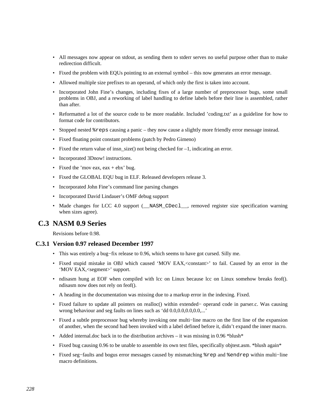- All messages now appear on stdout, as sending them to stderr serves no useful purpose other than to make redirection difficult.
- Fixed the problem with EQUs pointing to an external symbol this now generates an error message.
- Allowed multiple size prefixes to an operand, of which only the first is taken into account.
- Incorporated John Fine's changes, including fixes of a large number of preprocessor bugs, some small problems in OBJ, and a reworking of label handling to define labels before their line is assembled, rather than after.
- Reformatted a lot of the source code to be more readable. Included 'coding.txt' as a guideline for how to format code for contributors.
- Stopped nested %reps causing a panic they now cause a slightly more friendly error message instead.
- Fixed floating point constant problems (patch by Pedro Gimeno)
- Fixed the return value of insn  $size()$  not being checked for  $-1$ , indicating an error.
- Incorporated 3Dnow! instructions.
- Fixed the 'mov eax,  $eax + ebx$ ' bug.
- Fixed the GLOBAL EQU bug in ELF. Released developers release 3.
- Incorporated John Fine's command line parsing changes
- Incorporated David Lindauer's OMF debug support
- Made changes for LCC 4.0 support (\_\_NASM\_CDecl\_\_, removed register size specification warning when sizes agree).

# **C.3 NASM 0.9 Series**

Revisions before 0.98.

#### **C.3.1 Version 0.97 released December 1997**

- This was entirely a bug−fix release to 0.96, which seems to have got cursed. Silly me.
- Fixed stupid mistake in OBJ which caused 'MOV EAX,<constant>' to fail. Caused by an error in the 'MOV EAX,<segment>' support.
- ndisasm hung at EOF when compiled with lcc on Linux because lcc on Linux somehow breaks feof(). ndisasm now does not rely on feof().
- A heading in the documentation was missing due to a markup error in the indexing. Fixed.
- Fixed failure to update all pointers on realloc() within extended− operand code in parser.c. Was causing wrong behaviour and seg faults on lines such as 'dd 0.0,0.0,0.0,0.0,...'
- Fixed a subtle preprocessor bug whereby invoking one multi−line macro on the first line of the expansion of another, when the second had been invoked with a label defined before it, didn't expand the inner macro.
- Added internal.doc back in to the distribution archives it was missing in 0.96 \*blush\*
- Fixed bug causing 0.96 to be unable to assemble its own test files, specifically objtest.asm. \*blush again\*
- Fixed seg−faults and bogus error messages caused by mismatching %rep and %endrep within multi−line macro definitions.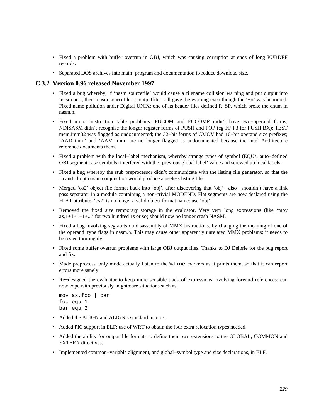- Fixed a problem with buffer overrun in OBJ, which was causing corruption at ends of long PUBDEF records.
- Separated DOS archives into main−program and documentation to reduce download size.

## **C.3.2 Version 0.96 released November 1997**

- Fixed a bug whereby, if 'nasm sourcefile' would cause a filename collision warning and put output into 'nasm.out', then 'nasm sourcefile –o outputfile' still gave the warning even though the '−o' was honoured. Fixed name pollution under Digital UNIX: one of its header files defined R\_SP, which broke the enum in nasm.h.
- Fixed minor instruction table problems: FUCOM and FUCOMP didn't have two−operand forms; NDISASM didn't recognise the longer register forms of PUSH and POP (eg FF F3 for PUSH BX); TEST mem,imm32 was flagged as undocumented; the 32–bit forms of CMOV had 16–bit operand size prefixes; 'AAD imm' and 'AAM imm' are no longer flagged as undocumented because the Intel Architecture reference documents them.
- Fixed a problem with the local−label mechanism, whereby strange types of symbol (EQUs, auto−defined OBJ segment base symbols) interfered with the 'previous global label' value and screwed up local labels.
- Fixed a bug whereby the stub preprocessor didn't communicate with the listing file generator, so that the –a and –l options in conjunction would produce a useless listing file.
- Merged 'os2' object file format back into 'obj', after discovering that 'obj' \_also\_ shouldn't have a link pass separator in a module containing a non−trivial MODEND. Flat segments are now declared using the FLAT attribute. 'os2' is no longer a valid object format name: use 'obj'.
- Removed the fixed−size temporary storage in the evaluator. Very very long expressions (like 'mov  $ax,1+1+1+1+...$  for two hundred 1s or so) should now no longer crash NASM.
- Fixed a bug involving segfaults on disassembly of MMX instructions, by changing the meaning of one of the operand−type flags in nasm.h. This may cause other apparently unrelated MMX problems; it needs to be tested thoroughly.
- Fixed some buffer overrun problems with large OBJ output files. Thanks to DJ Delorie for the bug report and fix.
- Made preprocess–only mode actually listen to the  $\frac{1}{2}$  line markers as it prints them, so that it can report errors more sanely.
- Re−designed the evaluator to keep more sensible track of expressions involving forward references: can now cope with previously−nightmare situations such as:

```
 mov ax,foo | bar 
 foo equ 1 
 bar equ 2
```
- Added the ALIGN and ALIGNB standard macros.
- Added PIC support in ELF: use of WRT to obtain the four extra relocation types needed.
- Added the ability for output file formats to define their own extensions to the GLOBAL, COMMON and EXTERN directives.
- Implemented common−variable alignment, and global−symbol type and size declarations, in ELF.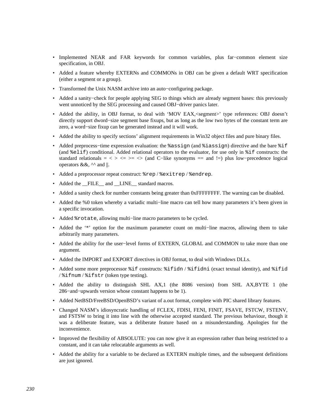- Implemented NEAR and FAR keywords for common variables, plus far−common element size specification, in OBJ.
- Added a feature whereby EXTERNs and COMMONs in OBJ can be given a default WRT specification (either a segment or a group).
- Transformed the Unix NASM archive into an auto−configuring package.
- Added a sanity−check for people applying SEG to things which are already segment bases: this previously went unnoticed by the SEG processing and caused OBJ−driver panics later.
- Added the ability, in OBJ format, to deal with 'MOV EAX, <segment>' type references: OBJ doesn't directly support dword−size segment base fixups, but as long as the low two bytes of the constant term are zero, a word−size fixup can be generated instead and it will work.
- Added the ability to specify sections' alignment requirements in Win32 object files and pure binary files.
- Added preprocess–time expression evaluation: the %assign (and %iassign) directive and the bare %if (and %elif) conditional. Added relational operators to the evaluator, for use only in %if constructs: the standard relationals =  $\langle \rangle \langle \rangle = \rangle$  =  $\langle \rangle$  (and C−like synonyms = and !=) plus low-precedence logical operators &&,  $\wedge$  and ||.
- Added a preprocessor repeat construct: %rep / %exitrep / %endrep.
- Added the FILE and LINE standard macros.
- Added a sanity check for number constants being greater than 0xFFFFFFFF. The warning can be disabled.
- Added the %0 token whereby a variadic multi−line macro can tell how many parameters it's been given in a specific invocation.
- Added %rotate, allowing multi–line macro parameters to be cycled.
- Added the '\*' option for the maximum parameter count on multi−line macros, allowing them to take arbitrarily many parameters.
- Added the ability for the user−level forms of EXTERN, GLOBAL and COMMON to take more than one argument.
- Added the IMPORT and EXPORT directives in OBJ format, to deal with Windows DLLs.
- Added some more preprocessor  $\text{if common conditions}$   $\text{if not } \text{if not } \text{if not } \text{if not } \text{if not } \text{if not } \text{if not } \text{if not } \text{if not } \text{if not } \text{if not } \text{if not } \text{if not } \text{if not } \text{if not } \text{if not } \text{if not } \text{if not } \text{if not } \text{if not } \text{if not } \text{if not } \text{if not } \text{if not } \text{if not } \text{if not } \text{if not } \text{if not } \text{if not } \text{if not }$ / %ifnum / %ifstr (token type testing).
- Added the ability to distinguish SHL AX,1 (the 8086 version) from SHL AX,BYTE 1 (the 286−and−upwards version whose constant happens to be 1).
- Added NetBSD/FreeBSD/OpenBSD's variant of a.out format, complete with PIC shared library features.
- Changed NASM's idiosyncratic handling of FCLEX, FDISI, FENI, FINIT, FSAVE, FSTCW, FSTENV, and FSTSW to bring it into line with the otherwise accepted standard. The previous behaviour, though it was a deliberate feature, was a deliberate feature based on a misunderstanding. Apologies for the inconvenience.
- Improved the flexibility of ABSOLUTE: you can now give it an expression rather than being restricted to a constant, and it can take relocatable arguments as well.
- Added the ability for a variable to be declared as EXTERN multiple times, and the subsequent definitions are just ignored.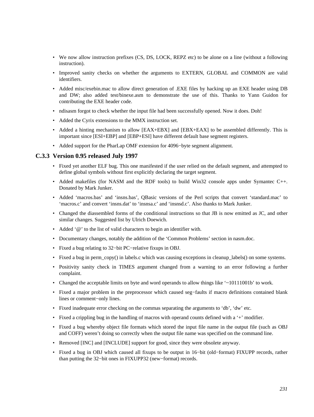- We now allow instruction prefixes (CS, DS, LOCK, REPZ etc) to be alone on a line (without a following instruction).
- Improved sanity checks on whether the arguments to EXTERN, GLOBAL and COMMON are valid identifiers.
- Added misc/exebin.mac to allow direct generation of .EXE files by hacking up an EXE header using DB and DW; also added test/binexe.asm to demonstrate the use of this. Thanks to Yann Guidon for contributing the EXE header code.
- ndisasm forgot to check whether the input file had been successfully opened. Now it does. Doh!
- Added the Cyrix extensions to the MMX instruction set.
- Added a hinting mechanism to allow [EAX+EBX] and [EBX+EAX] to be assembled differently. This is important since [ESI+EBP] and [EBP+ESI] have different default base segment registers.
- Added support for the PharLap OMF extension for 4096−byte segment alignment.

## **C.3.3 Version 0.95 released July 1997**

- Fixed yet another ELF bug. This one manifested if the user relied on the default segment, and attempted to define global symbols without first explicitly declaring the target segment.
- Added makefiles (for NASM and the RDF tools) to build Win32 console apps under Symantec C++. Donated by Mark Junker.
- Added 'macros.bas' and 'insns.bas', QBasic versions of the Perl scripts that convert 'standard.mac' to 'macros.c' and convert 'insns.dat' to 'insnsa.c' and 'insnsd.c'. Also thanks to Mark Junker.
- Changed the diassembled forms of the conditional instructions so that JB is now emitted as JC, and other similar changes. Suggested list by Ulrich Doewich.
- Added '@' to the list of valid characters to begin an identifier with.
- Documentary changes, notably the addition of the 'Common Problems' section in nasm.doc.
- Fixed a bug relating to 32−bit PC−relative fixups in OBJ.
- Fixed a bug in perm\_copy() in labels.c which was causing exceptions in cleanup\_labels() on some systems.
- Positivity sanity check in TIMES argument changed from a warning to an error following a further complaint.
- Changed the acceptable limits on byte and word operands to allow things like '~10111001b' to work.
- Fixed a major problem in the preprocessor which caused seg−faults if macro definitions contained blank lines or comment−only lines.
- Fixed inadequate error checking on the commas separating the arguments to 'db', 'dw' etc.
- Fixed a crippling bug in the handling of macros with operand counts defined with a '+' modifier.
- Fixed a bug whereby object file formats which stored the input file name in the output file (such as OBJ and COFF) weren't doing so correctly when the output file name was specified on the command line.
- Removed [INC] and [INCLUDE] support for good, since they were obsolete anyway.
- Fixed a bug in OBJ which caused all fixups to be output in 16−bit (old−format) FIXUPP records, rather than putting the 32−bit ones in FIXUPP32 (new−format) records.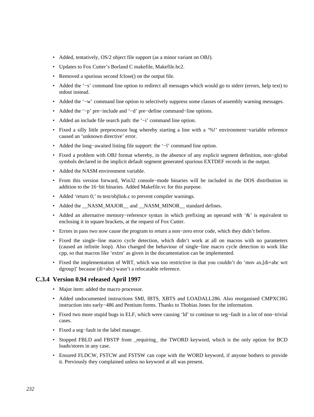- Added, tentatively, OS/2 object file support (as a minor variant on OBJ).
- Updates to Fox Cutter's Borland C makefile, Makefile.bc2.
- Removed a spurious second fclose() on the output file.
- Added the '−s' command line option to redirect all messages which would go to stderr (errors, help text) to stdout instead.
- Added the '−w' command line option to selectively suppress some classes of assembly warning messages.
- Added the '−p' pre−include and '−d' pre−define command−line options.
- Added an include file search path: the '−i' command line option.
- Fixed a silly little preprocessor bug whereby starting a line with a '%!' environment−variable reference caused an 'unknown directive' error.
- Added the long−awaited listing file support: the '−l' command line option.
- Fixed a problem with OBJ format whereby, in the absence of any explicit segment definition, non−global symbols declared in the implicit default segment generated spurious EXTDEF records in the output.
- Added the NASM environment variable.
- From this version forward, Win32 console−mode binaries will be included in the DOS distribution in addition to the 16−bit binaries. Added Makefile.vc for this purpose.
- Added 'return 0;' to test/objlink.c to prevent compiler warnings.
- Added the \_\_NASM\_MAJOR\_\_ and \_\_NASM\_MINOR\_\_ standard defines.
- Added an alternative memory−reference syntax in which prefixing an operand with '&' is equivalent to enclosing it in square brackets, at the request of Fox Cutter.
- Errors in pass two now cause the program to return a non−zero error code, which they didn't before.
- Fixed the single−line macro cycle detection, which didn't work at all on macros with no parameters (caused an infinite loop). Also changed the behaviour of single−line macro cycle detection to work like cpp, so that macros like 'extrn' as given in the documentation can be implemented.
- Fixed the implementation of WRT, which was too restrictive in that you couldn't do 'mov ax, [di+abc wrt dgroup]' because (di+abc) wasn't a relocatable reference.

#### **C.3.4 Version 0.94 released April 1997**

- Major item: added the macro processor.
- Added undocumented instructions SMI, IBTS, XBTS and LOADALL286. Also reorganised CMPXCHG instruction into early−486 and Pentium forms. Thanks to Thobias Jones for the information.
- Fixed two more stupid bugs in ELF, which were causing 'ld' to continue to seg−fault in a lot of non−trivial cases.
- Fixed a seg−fault in the label manager.
- Stopped FBLD and FBSTP from \_requiring\_ the TWORD keyword, which is the only option for BCD loads/stores in any case.
- Ensured FLDCW, FSTCW and FSTSW can cope with the WORD keyword, if anyone bothers to provide it. Previously they complained unless no keyword at all was present.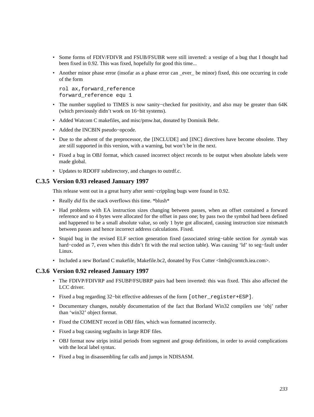- Some forms of FDIV/FDIVR and FSUB/FSUBR were still inverted: a vestige of a bug that I thought had been fixed in 0.92. This was fixed, hopefully for good this time...
- Another minor phase error (insofar as a phase error can ever be minor) fixed, this one occurring in code of the form

```
 rol ax,forward_reference 
 forward_reference equ 1
```
- The number supplied to TIMES is now sanity−checked for positivity, and also may be greater than 64K (which previously didn't work on 16−bit systems).
- Added Watcom C makefiles, and misc/pmw.bat, donated by Dominik Behr.
- Added the INCBIN pseudo−opcode.
- Due to the advent of the preprocessor, the [INCLUDE] and [INC] directives have become obsolete. They are still supported in this version, with a warning, but won't be in the next.
- Fixed a bug in OBJ format, which caused incorrect object records to be output when absolute labels were made global.
- Updates to RDOFF subdirectory, and changes to outrdf.c.

# **C.3.5 Version 0.93 released January 1997**

This release went out in a great hurry after semi−crippling bugs were found in 0.92.

- Really *did* fix the stack overflows this time. \*blush\*
- Had problems with EA instruction sizes changing between passes, when an offset contained a forward reference and so 4 bytes were allocated for the offset in pass one; by pass two the symbol had been defined and happened to be a small absolute value, so only 1 byte got allocated, causing instruction size mismatch between passes and hence incorrect address calculations. Fixed.
- Stupid bug in the revised ELF section generation fixed (associated string−table section for .symtab was hard−coded as 7, even when this didn't fit with the real section table). Was causing 'ld' to seg−fault under Linux.
- Included a new Borland C makefile, Makefile.bc2, donated by Fox Cutter <lmb@comtch.iea.com>.

#### **C.3.6 Version 0.92 released January 1997**

- The FDIVP/FDIVRP and FSUBP/FSUBRP pairs had been inverted: this was fixed. This also affected the LCC driver.
- Fixed a bug regarding 32−bit effective addresses of the form [other\_register+ESP].
- Documentary changes, notably documentation of the fact that Borland Win32 compilers use 'obj' rather than 'win32' object format.
- Fixed the COMENT record in OBJ files, which was formatted incorrectly.
- Fixed a bug causing segfaults in large RDF files.
- OBJ format now strips initial periods from segment and group definitions, in order to avoid complications with the local label syntax.
- Fixed a bug in disassembling far calls and jumps in NDISASM.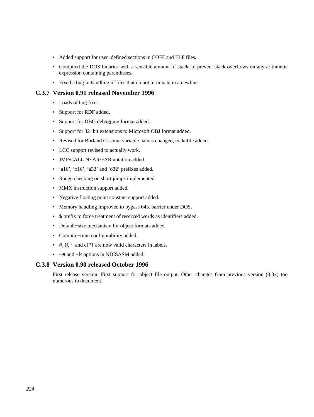- Added support for user−defined sections in COFF and ELF files.
- Compiled the DOS binaries with a sensible amount of stack, to prevent stack overflows on any arithmetic expression containing parentheses.
- Fixed a bug in handling of files that do not terminate in a newline.

## **C.3.7 Version 0.91 released November 1996**

- Loads of bug fixes.
- Support for RDF added.
- Support for DBG debugging format added.
- Support for 32−bit extensions to Microsoft OBJ format added.
- Revised for Borland C: some variable names changed, makefile added.
- LCC support revised to actually work.
- JMP/CALL NEAR/FAR notation added.
- 'a16', 'o16', 'a32' and 'o32' prefixes added.
- Range checking on short jumps implemented.
- MMX instruction support added.
- Negative floating point constant support added.
- Memory handling improved to bypass 64K barrier under DOS.
- \$ prefix to force treatment of reserved words as identifiers added.
- Default−size mechanism for object formats added.
- Compile−time configurability added.
- #,  $\omega$ ,  $\sim$  and c{?} are now valid characters in labels.
- −e and −k options in NDISASM added.

#### **C.3.8 Version 0.90 released October 1996**

First release version. First support for object file output. Other changes from previous version (0.3x) too numerous to document.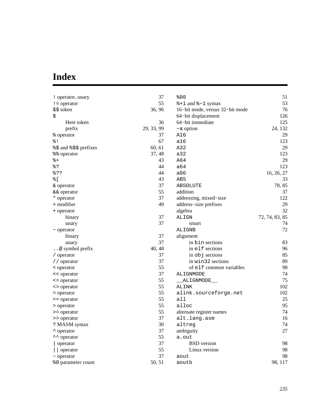# **Index**

| ! operator, unary        | 37         | 800                             | 51             |
|--------------------------|------------|---------------------------------|----------------|
| $!=$ operator            | 55         | %+1 and %-1 syntax              | 53             |
| \$\$ token               | 36, 96     | 16-bit mode, versus 32-bit mode | 76             |
| \$                       |            | 64-bit displacement             | 126            |
| Here token               | 36         | 64-bit immediate                | 125            |
| prefix                   | 29, 33, 99 | -a option                       | 24, 132        |
| % operator               | 37         | A16                             | 29             |
| 웅 !                      | 67         | a16                             | 123            |
| %\\$ and %\\$\$ prefixes | 60, 61     | A32                             | 29             |
| %% operator              | 37, 48     | a32                             | 123            |
| $\frac{6}{6} +$          | 43         | A64                             | 29             |
| 응?                       | 44         | a64                             | 123            |
| 응??                      | 44         | a86                             | 16, 26, 27     |
| % [                      | 43         | ABS                             | 33             |
| & operator               | 37         | ABSOLUTE                        | 78,85          |
| && operator              | 55         | addition                        | 37             |
| * operator               | 37         | addressing, mixed-size          | 122            |
| + modifier               | 49         | address-size prefixes           | 29             |
| + operator               |            | algebra                         | 32             |
| binary                   | 37         | ALIGN                           | 72, 74, 83, 85 |
| unary                    | 37         | smart                           | 74             |
| - operator               |            | ALIGNB                          | 72             |
| binary                   | 37         | alignment                       |                |
| unary                    | 37         | in bin sections                 | 83             |
| @ symbol prefix          | 40, 48     | in elf sections                 | 96             |
| / operator               | 37         | in obj sections                 | 85             |
| // operator              | 37         | in win32 sections               | 89             |
| < operator               | 55         | of elf common variables         | 98             |
| << operator              | 37         | ALIGNMODE                       | 74             |
| $\leq$ = operator        | 55         | ALIGNMODE                       | 75             |
| <> operator              | 55         | ALINK                           | 102            |
| $=$ operator             | 55         | alink.sourceforge.net           | 102            |
| $=$ = operator           | 55         | a11                             | 25             |
| > operator               | 55         | alloc                           | 95             |
| $\geq$ = operator        | 55         | alternate register names        | 74             |
| >> operator              | 37         | alt.lang.asm                    | 16             |
| ? MASM syntax            | 30         | altreg                          | 74             |
| * operator               | 37         | ambiguity                       | 27             |
| ** operator              | 55         | a.out                           |                |
| operator                 | 37         | <b>BSD</b> version              | 98             |
| $\vert \vert$ operator   | 55         | Linux version                   | 98             |
| $\sim$ operator          | 37         | aout                            | 98             |
| %0 parameter count       | 50, 51     | aoutb                           | 98, 117        |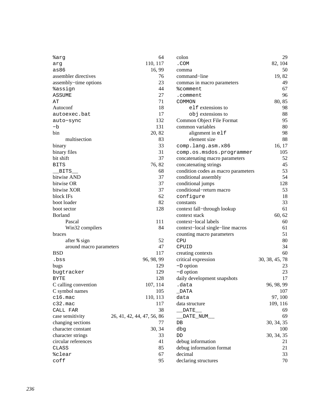| %arg                    | 64                         | colon                               | 29             |
|-------------------------|----------------------------|-------------------------------------|----------------|
| arg                     | 110, 117                   | .COM                                | 82, 104        |
| as86                    | 16, 99                     | comma                               | 50             |
| assembler directives    | 76                         | command-line                        | 19,82          |
| assembly-time options   | 23                         | commas in macro parameters          | 49             |
| <i><b>%assign</b></i>   | 44                         | <i><b>%comment</b></i>              | 67             |
| <b>ASSUME</b>           | 27                         | .comment                            | 96             |
| AΤ                      | 71                         | COMMON                              | 80, 85         |
| Autoconf                | 18                         | elf extensions to                   | 98             |
| autoexec.bat            | 17                         | objextensions to                    | 88             |
| auto-sync               | 132                        | Common Object File Format           | 95             |
| -b                      | 131                        | common variables                    | 80             |
| bin                     | 20, 82                     | alignment in elf                    | 98             |
| multisection            | 83                         | element size                        | 88             |
| binary                  | 33                         | comp.lang.asm.x86                   | 16, 17         |
| binary files            | 31                         | comp.os.msdos.programmer            | 105            |
| bit shift               | 37                         | concatenating macro parameters      | 52             |
| <b>BITS</b>             | 76, 82                     | concatenating strings               | 45             |
| $_{\rm BITS}$           | 68                         | condition codes as macro parameters | 53             |
| bitwise AND             | 37                         | conditional assembly                | 54             |
| bitwise OR              | 37                         | conditional jumps                   | 128            |
| bitwise XOR             | 37                         | conditional-return macro            | 53             |
| block IFs               | 62                         | configure                           | 18             |
| boot loader             | 82                         | constants                           | 33             |
| boot sector             | 128                        | context fall-through lookup         | 61             |
| <b>Borland</b>          |                            | context stack                       | 60, 62         |
| Pascal                  | 111                        | context-local labels                | 60             |
| Win32 compilers         | 84                         | context-local single-line macros    | 61             |
| braces                  |                            | counting macro parameters           | 51             |
| after % sign            | 52                         | CPU                                 | 80             |
| around macro parameters | 47                         | CPUID                               | 34             |
| <b>BSD</b>              | 117                        | creating contexts                   | 60             |
| .bss                    | 96, 98, 99                 | critical expression                 | 30, 38, 45, 78 |
| bugs                    | 129                        | $-D$ option                         | 23             |
| bugtracker              | 129                        | -d option                           | 23             |
| <b>BYTE</b>             | 128                        | daily development snapshots         | 17             |
| C calling convention    | 107, 114                   | .data                               | 96, 98, 99     |
| C symbol names          | 105                        | $\_$ DATA                           | 107            |
| $c16.\text{mac}$        | 110, 113                   | data                                | 97, 100        |
| $c32.\text{mac}$        | 117                        | data structure                      | 109, 116       |
| CALL FAR                | 38                         | $\overline{\text{DATE}}$            | 69             |
| case sensitivity        | 26, 41, 42, 44, 47, 56, 86 | _DATE_NUM__                         | 69             |
| changing sections       | 77                         | ${\rm DB}$                          | 30, 34, 35     |
| character constant      | 30, 34                     | dbg                                 | 100            |
| character strings       | 33                         | DD                                  | 30, 34, 35     |
| circular references     | 41                         | debug information                   | 21             |
| CLASS                   | 85                         | debug information format            | 21             |
| %clear                  | 67                         | decimal                             | 33             |
| coff                    | 95                         | declaring structures                | 70             |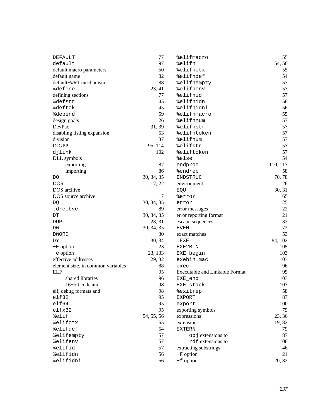| <b>DEFAULT</b>                    | 77         | %elifmacro                            | 55       |
|-----------------------------------|------------|---------------------------------------|----------|
| default                           | 97         | %elifn                                | 54, 56   |
| default macro parameters          | 50         | %elifnctx                             | 55       |
| default name                      | 82         | %elifndef                             | 54       |
| default-WRT mechanism             | 88         | %elifnempty                           | 57       |
| <i><b>%define</b></i>             | 23, 41     | %elifnenv                             | 57       |
| defining sections                 | 77         | %elifnid                              | 57       |
| %defstr                           | 45         | %elifnidn                             | 56       |
| %deftok                           | 45         | %elifnidni                            | 56       |
| <i><b>%depend</b></i>             | 59         | %elifnmacro                           | 55       |
| design goals                      | 26         | %elifnnum                             | 57       |
| DevPac                            | 31, 39     | %elifnstr                             | 57       |
| disabling listing expansion       | 53         | %elifntoken                           | 57       |
| division                          | 37         | %elifnum                              | 57       |
| <b>DJGPP</b>                      | 95, 114    | %elifstr                              | 57       |
| djlink                            | 102        | %eliftoken                            | 57       |
| DLL symbols                       |            | %else                                 | 54       |
| exporting                         | 87         | endproc                               | 110, 117 |
| importing                         | 86         | %endrep                               | 58       |
| DO                                | 30, 34, 35 | <b>ENDSTRUC</b>                       | 70, 78   |
| <b>DOS</b>                        | 17, 22     | environment                           | 26       |
| DOS archive                       |            | EQU                                   | 30, 31   |
| DOS source archive                | 17         | %error                                | 65       |
| DQ                                | 30, 34, 35 | error                                 | 25       |
| .drectve                          | 89         | error messages                        | 22       |
| DT                                | 30, 34, 35 | error reporting format                | 21       |
| DUP                               | 28, 31     | escape sequences                      | 33       |
| DW                                | 30, 34, 35 | <b>EVEN</b>                           | 72       |
| <b>DWORD</b>                      | 30         | exact matches                         | 53       |
| DΥ                                | 30, 34     | .EXE                                  | 84, 102  |
| $-E$ option                       | 23         | EXE2BIN                               | 105      |
| -e option                         | 23, 133    | EXE_begin                             | 103      |
| effective addresses               | 29, 32     | exebin.mac                            | 103      |
| element size, in common variables | 88         | exec                                  | 96       |
| <b>ELF</b>                        | 95         | <b>Executable and Linkable Format</b> | 95       |
| shared libraries                  | 96         | EXE_end                               | 103      |
| 16-bit code and                   | 98         | EXE_stack                             | 103      |
| elf, debug formats and            | 98         | %exitrep                              | 58       |
| elf32                             | 95         | <b>EXPORT</b>                         | 87       |
| $e$ 1f64                          | 95         | export                                | 100      |
| elfx32                            | 95         | exporting symbols                     | 79       |
| %elif                             | 54, 55, 56 | expressions                           | 23, 36   |
| %elifctx                          | 55         | extension                             | 19,82    |
| %elifdef                          | 54         | <b>EXTERN</b>                         | 79       |
| %elifempty                        | 57         | objextensions to                      | 87       |
| %elifenv                          | 57         | rdf extensions to                     | 100      |
| %elifid                           | 57         | extracting substrings                 | 46       |
| %elifidn                          | 56         | $-F$ option                           | 21       |
| %elifidni                         | 56         | $-f$ option                           | 20, 82   |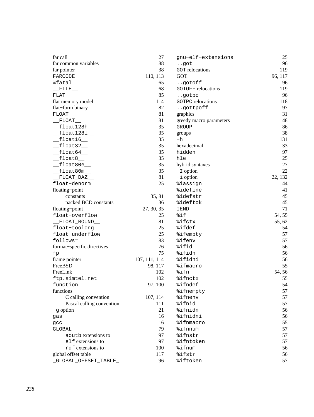| far call                   | 27            | gnu-elf-extensions        | 25      |
|----------------------------|---------------|---------------------------|---------|
| far common variables       | 88            | got                       | 96      |
| far pointer                | 38            | <b>GOT</b> relocations    | 119     |
| FARCODE                    | 110, 113      | <b>GOT</b>                | 96, 117 |
| %fatal                     | 65            | gotoff                    | 96      |
| FILE                       | 68            | <b>GOTOFF</b> relocations | 119     |
| ${\tt FLAT}$               | 85            | gotpc                     | 96      |
| flat memory model          | 114           | <b>GOTPC</b> relocations  | 118     |
| flat-form binary           | 82            | gottpoff                  | 97      |
| <b>FLOAT</b>               | 81            | graphics                  | 31      |
| FLOAT                      | 81            | greedy macro parameters   | 48      |
| float128h__                | 35            | GROUP                     | 86      |
| float1281                  | 35            | groups                    | 38      |
| float16                    | 35            | -h                        | 131     |
| $f$ loat32_                | 35            | hexadecimal               | 33      |
| float64                    | 35            | hidden                    | 97      |
| float8                     | 35            | hle                       | 25      |
| float80e_                  | 35            | hybrid syntaxes           | 27      |
| float80m_                  | 35            | $-I$ option               | 22      |
| FLOAT_DAZ__                | 81            | $-i$ option               | 22, 132 |
| float-denorm               | 25            | <i><b>%iassign</b></i>    | 44      |
| floating-point             |               | <i><b>%idefine</b></i>    | 41      |
| constants                  | 35, 81        | %idefstr                  | 45      |
| packed BCD constants       | 36            | %ideftok                  | 45      |
| floating-point             | 27, 30, 35    | IEND                      | 71      |
| float-overflow             | 25            | %if                       | 54, 55  |
| FLOAT_ROUND__              | 81            | %ifctx                    | 55, 62  |
| float-toolong              | 25            | %ifdef                    | 54      |
| float-underflow            | 25            | <i><b>%ifempty</b></i>    | 57      |
| follows=                   | 83            | %ifenv                    | 57      |
| format-specific directives | 76            | %ifid                     | 56      |
| fp                         | 75            | %ifidn                    | 56      |
| frame pointer              | 107, 111, 114 | %ifidni                   | 56      |
| FreeBSD                    | 98, 117       | <i><b>%ifmacro</b></i>    | 55      |
| FreeLink                   | 102           | %ifn                      | 54, 56  |
| ftp.simtel.net             | 102           | %ifnctx                   | 55      |
| function                   | 97, 100       | %ifndef                   | 54      |
| functions                  |               | %ifnempty                 | 57      |
| C calling convention       | 107, 114      | %ifnenv                   | 57      |
| Pascal calling convention  | 111           | %ifnid                    | 57      |
| $-g$ option                | 21            | <i><b>%ifnidn</b></i>     | 56      |
| gas                        | 16            | %ifnidni                  | 56      |
| gcc                        | 16            | <i><b>%ifnmacro</b></i>   | 55      |
| GLOBAL                     | 79            | %ifnnum                   | 57      |
| aoutb extensions to        | 97            | <i><b>%ifnstr</b></i>     | 57      |
| elf extensions to          | 97            | <i><b>%ifntoken</b></i>   | 57      |
| rdf extensions to          | 100           | %ifnum                    | 56      |
| global offset table        | 117           | %ifstr                    | 56      |
| GLOBAL_OFFSET_TABLE        | 96            | %iftoken                  | 57      |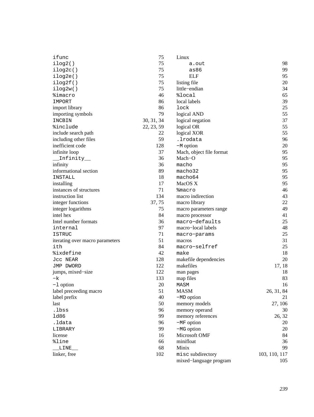| ifunc                           | 75         | Linux                    |               |
|---------------------------------|------------|--------------------------|---------------|
| ilog2()                         | 75         | a.out                    | 98            |
| ilog2c()                        | 75         | as86                     | 99            |
| ilog2e()                        | 75         | <b>ELF</b>               | 95            |
| ilog2f()                        | 75         | listing file             | 20            |
| ilog2w()                        | 75         | little-endian            | 34            |
| <i>%imacro</i>                  | 46         | %local                   | 65            |
| IMPORT                          | 86         | local labels             | 39            |
| import library                  | 86         | lock                     | 25            |
| importing symbols               | 79         | logical AND              | 55            |
| INCBIN                          | 30, 31, 34 | logical negation         | 37            |
| %include                        | 22, 23, 59 | logical OR               | 55            |
| include search path             | 22         | logical XOR              | 55            |
| including other files           | 59         | .lrodata                 | 96            |
| inefficient code                | 128        | $-M$ option              | 20            |
| infinite loop                   | 37         | Mach, object file format | 95            |
| Infinity_                       | 36         | Mach-O                   | 95            |
| infinity                        | 36         | macho                    | 95            |
| informational section           | 89         | macho32                  | 95            |
| INSTALL                         | 18         | macho64                  | 95            |
| installing                      | 17         | MacOS X                  | 95            |
| instances of structures         | 71         | <b>%macro</b>            | 46            |
| instruction list                | 134        | macro indirection        | 43            |
| integer functions               | 37, 75     | macro library            | 22            |
| integer logarithms              | 75         | macro parameters range   | 49            |
| intel hex                       | 84         | macro processor          | 41            |
| Intel number formats            | 36         | macro-defaults           | 25            |
| internal                        | 97         | macro-local labels       | 48            |
| <b>ISTRUC</b>                   | 71         | macro-params             | 25            |
| iterating over macro parameters | 51         | macros                   | 31            |
| ith                             | 84         | macro-selfref            | 25            |
| %ixdefine                       | 42         | make                     | 18            |
| Jcc NEAR                        | 128        | makefile dependencies    | 20            |
| JMP DWORD                       | 122        | makefiles                | 17, 18        |
| jumps, mixed-size               | 122        | man pages                | 18            |
| -k                              | 133        | map files                | 83            |
| $-1$ option                     | 20         | MASM                     | 16            |
| label preceeding macro          | 51         | <b>MASM</b>              | 26, 31, 84    |
| label prefix                    | 40         | $-MD$ option             | 21            |
| last                            | 50         | memory models            | 27, 106       |
| .lbss                           | 96         | memory operand           | 30            |
| 1d86                            | 99         | memory references        | 26, 32        |
| .ldata                          | 96         | $-MF$ option             | 20            |
| LIBRARY                         | 99         | $-MG$ option             | 20            |
| license                         | 16         | Microsoft OMF            | 84            |
| %line                           | 66         | minifloat                | 36            |
| LINE__                          | 68         | Minix                    | 99            |
| linker, free                    | 102        | misc subdirectory        | 103, 110, 117 |
|                                 |            | mixed-language program   | 105           |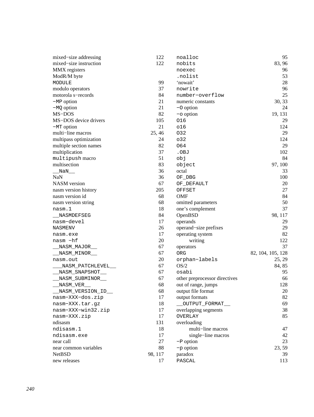| mixed-size addressing                  | 122     | noalloc                       | 95                |
|----------------------------------------|---------|-------------------------------|-------------------|
| mixed-size instruction                 | 122     | nobits                        | 83, 96            |
| MMX registers                          |         | noexec                        | 96                |
| ModR/M byte                            |         | .nolist                       | 53                |
| MODULE                                 | 99      | 'nowait'                      | 28                |
| modulo operators                       | 37      | nowrite                       | 96                |
| motorola s-records                     | 84      | number-overflow               | 25                |
| $-MP$ option                           | 21      | numeric constants             | 30, 33            |
| $-MQ$ option                           | 21      | $-$ O option                  | 24                |
| MS-DOS                                 | 82      | $-\circ$ option               | 19, 131           |
| MS-DOS device drivers                  | 105     | 016                           | 29                |
| $-MT$ option                           | 21      | 016                           | 124               |
| multi-line macros                      | 25, 46  | 032                           | 29                |
| multipass optimization                 | 24      | 032                           | 124               |
| multiple section names                 | 82      | 064                           | 29                |
| multiplication                         | 37      | .OBJ                          | 102               |
| multipush macro                        | 51      | obj                           | 84                |
| multisection                           | 83      | object                        | 97, 100           |
| NaN                                    | 36      | octal                         | 33                |
| <b>NaN</b>                             | 36      | OF_DBG                        | 100               |
| NASM version                           | 67      | OF_DEFAULT                    | 20                |
| nasm version history                   | 205     | OFFSET                        | 27                |
| nasm version id                        | 68      | <b>OMF</b>                    | 84                |
| nasm version string                    | 68      | omitted parameters            | 50                |
| nasm.1                                 | 18      | one's complement              | 37                |
| NASMDEFSEG                             | 84      | OpenBSD                       | 98, 117           |
| nasm-devel                             | 17      | operands                      | 29                |
| NASMENV                                | 26      | operand-size prefixes         | 29                |
| nasm.exe                               | 17      | operating system              | 82                |
| nasm -hf                               | 20      | writing                       | 122               |
| _NASM_MAJOR__                          | 67      | operators                     | 37                |
| _NASM_MINOR___                         | 67      | ORG                           | 82, 104, 105, 128 |
| nasm.out                               | 20      | orphan-labels                 | 25, 29            |
| _NASM_PATCHLEVEL__                     | 67      | OS/2                          | 84, 85            |
| _NASM_SNAPSHOT__                       | 67      | osabi                         | 95                |
| _NASM_SUBMINOR__                       | 67      | other preprocessor directives | 66                |
| NASM_VER__                             | 68      | out of range, jumps           | 128               |
| __NASM_VERSION_ID__                    | 68      | output file format            | $20\,$            |
| nasm-XXX-dos.zip                       | 17      | output formats                | 82                |
| nasm-XXX.tar.gz                        | 18      | _OUTPUT_FORMAT__              | 69                |
| nasm-XXX-win32.zip                     | 17      | overlapping segments          | 38                |
| nasm-XXX.zip                           | 17      | <b>OVERLAY</b>                | 85                |
| ndisasm                                | 131     | overloading                   |                   |
| ndisasm.1                              | 18      | multi-line macros             | 47                |
| ndisasm.exe                            | 17      | single-line macros            | 42                |
| near call                              | 27      | $-P$ option                   | 23                |
| near common variables<br><b>NetBSD</b> | 88      | -p option                     | 23, 59            |
|                                        | 98, 117 | paradox                       | 39                |
| new releases                           | 17      | PASCAL                        | 113               |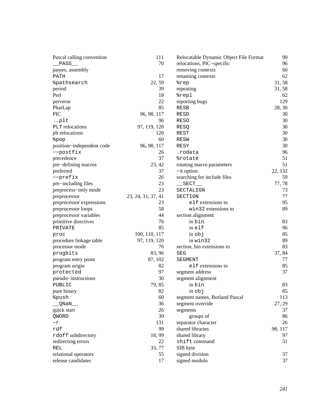| Pascal calling convention     | 111                | Relocatable Dynamic Object File Format | 99      |
|-------------------------------|--------------------|----------------------------------------|---------|
| PASS                          | 70                 | relocations, PIC-specific              | 96      |
| passes, assembly              |                    | removing contexts                      | 60      |
| PATH                          | 17                 | renaming contexts                      | 62      |
| <i><b>&amp;pathsearch</b></i> | 22, 59             | %rep                                   | 31,58   |
| period                        | 39                 | repeating                              | 31, 58  |
| Perl                          | 18                 | %repl                                  | 62      |
| perverse                      | 22                 | reporting bugs                         | 129     |
| PharLap                       | 85                 | RESB                                   | 28, 30  |
| <b>PIC</b>                    | 96, 98, 117        | <b>RESD</b>                            | 30      |
| plt                           | 96                 | <b>RESO</b>                            | 30      |
| PLT relocations               | 97, 119, 120       | RESQ                                   | 30      |
| plt relocations               | 120                | REST                                   | 30      |
| %pop                          | 60                 | <b>RESW</b>                            | 30      |
| position-independent code     | 96, 98, 117        | RESY                                   | 30      |
| --postfix                     | 26                 | .rodata                                | 96      |
| precedence                    | 37                 | <i><b>&amp;rotate</b></i>              | 51      |
| pre-defining macros           | 23, 42             | rotating macro parameters              | 51      |
| preferred                     | 37                 | $-s$ option                            | 22, 132 |
| --prefix                      | 26                 | searching for include files            | 59      |
| pre-including files           | 23                 | $\_SECTION$                            | 77,78   |
| preprocess-only mode          | 23                 | SECTALIGN                              | 73      |
| preprocessor                  | 23, 24, 31, 37, 41 | SECTION                                | 77      |
| preprocessor expressions      | 23                 | elf extensions to                      | 95      |
| preprocessor loops            | 58                 | win32 extensions to                    | 89      |
| preprocessor variables        | 44                 | section alignment                      |         |
| primitive directives          | 76                 | in bin                                 | 83      |
| PRIVATE                       | 85                 | inelf                                  | 96      |
| proc                          | 100, 110, 117      | in obj                                 | 85      |
| procedure linkage table       | 97, 119, 120       | in win32                               | 89      |
| processor mode                | 76                 | section, bin extensions to             | 83      |
| progbits                      | 83, 96             | SEG                                    | 37, 84  |
| program entry point           | 87, 102            | <b>SEGMENT</b>                         | 77      |
| program origin                | 82                 | elf extensions to                      | 85      |
| protected                     | 97                 | segment address                        | 37      |
| pseudo-instructions           | 30                 | segment alignment                      |         |
| PUBLIC                        | 79, 85             | in bin                                 | 83      |
| pure binary                   | 82                 | in obj                                 | 85      |
| %push                         | 60                 | segment names, Borland Pascal          | 113     |
| QNaN__                        | 36                 | segment override                       | 27, 29  |
| quick start                   | 26                 | segments                               | 37      |
| QWORD                         | 30                 | groups of                              | 86      |
| $-r$                          | 131                | separator character                    | 26      |
| rdf                           | 99                 | shared libraries                       | 98, 117 |
| rdoff subdirectory            | 18,99              | shared library                         | 97      |
| redirecting errors            | 22                 | shift command                          | 51      |
| REL                           | 33, 77             | SIB byte                               |         |
| relational operators          | 55                 | signed division                        | 37      |
| release candidates            | 17                 | signed modulo                          | 37      |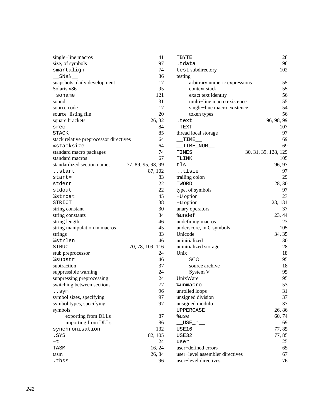| single-line macros                     | 41                 | TBYTE                     |
|----------------------------------------|--------------------|---------------------------|
| size, of symbols                       | 97                 | .tdata                    |
| smartalign                             | 74                 | test subdir               |
| SNaN                                   | 36                 | testing                   |
| snapshots, daily development           | 17                 | arbitrai                  |
| Solaris x86                            | 95                 | context                   |
| -soname                                | 121                | exact to                  |
| sound                                  | 31                 | multi-                    |
| source code                            | 17                 | single-                   |
| source-listing file                    | 20                 | token t                   |
| square brackets                        | 26, 32             | .text                     |
| srec                                   | 84                 | TEXT                      |
| <b>STACK</b>                           | 85                 | thread local s            |
| stack relative preprocessor directives | 64                 | $_TIME$                   |
| <i><b>%stacksize</b></i>               | 64                 | __TIME_NU                 |
| standard macro packages                | 74                 | TIMES                     |
| standard macros                        | 67                 | TLINK                     |
| standardized section names             | 77, 89, 95, 98, 99 | tls                       |
| start                                  | 87, 102            | tlsie                     |
| $start =$                              | 83                 | trailing color            |
| stderr                                 | 22                 | TWORD                     |
| stdout                                 | 22                 | type, of syml             |
| %strcat                                | 45                 | $-U$ option               |
| STRICT                                 | 38                 |                           |
|                                        | 30                 | $-u$ option               |
| string constant                        | 34                 | unary operate             |
| string constants                       |                    | <i><b>%undef</b></i>      |
| string length                          | 46                 | undefining m              |
| string manipulation in macros          | 45                 | underscore, i             |
| strings                                | 33                 | Unicode                   |
| <i><b>%strlen</b></i>                  | 46                 | uninitialized             |
| STRUC                                  | 70, 78, 109, 116   | uninitialized             |
| stub preprocessor                      | 24                 | Unix                      |
| <i><b>%substr</b></i>                  | 46                 | SCO                       |
| subtraction                            | 37                 | source                    |
| suppressible warning                   | 24                 | System                    |
| suppressing preprocessing              | 24                 | UnixWare                  |
| switching between sections             | 77                 | %unmacro                  |
| sym                                    | 96                 | unrolled loop             |
| symbol sizes, specifying               | 97                 | unsigned div              |
| symbol types, specifying               | 97                 | unsigned mo               |
| symbols                                |                    | UPPERCASE                 |
| exporting from DLLs                    | 87                 | %use                      |
| importing from DLLs                    | 86                 | $\_ \text{USE}\_\text{*}$ |
| synchronisation                        | 132                | USE16                     |
| .SYS                                   | 82, 105            | USE32                     |
| $-t$                                   | 24                 | user                      |
| TASM                                   | 16, 24             | user-defined              |
| tasm                                   | 26, 84             | user-level as             |
| .tbss                                  | 96                 | user-level di             |

| TBYTE                           | 28                   |
|---------------------------------|----------------------|
| .tdata                          | 96                   |
| test subdirectory               | 102                  |
| testing                         |                      |
| arbitrary numeric expressions   | 55                   |
| context stack                   | 55                   |
| exact text identity             | 56                   |
| multi-line macro existence      | 55                   |
| single-line macro existence     | 54                   |
| token types                     | 56                   |
| .text                           | 96, 98, 99           |
| $_T$ EXT                        | 107                  |
| thread local storage            | 97                   |
| TIME                            | 69                   |
| __TIME_NUM__                    | 69                   |
| TIMES                           | 30, 31, 39, 128, 129 |
| TLINK                           | 105                  |
| tls                             | 96, 97               |
| tlsie                           | 97                   |
| trailing colon                  | 29                   |
| TWORD                           | 28, 30               |
| type, of symbols                | 97                   |
| $-U$ option                     | 23                   |
| $-u$ option                     | 23, 131              |
| unary operators                 | 37                   |
| <i><b>%undef</b></i>            | 23, 44               |
| undefining macros               | 23                   |
| underscore, in C symbols        | 105                  |
| Unicode                         | 34, 35               |
| uninitialized                   | 30                   |
| uninitialized storage           | 28                   |
| Unix                            | 18                   |
| SCO                             | 95                   |
| source archive                  | 18                   |
| System V                        | 95                   |
| UnixWare                        | 95                   |
| %unmacro                        | 53                   |
| unrolled loops                  | 31                   |
| unsigned division               | 37                   |
| unsigned modulo                 | 37                   |
| <b>UPPERCASE</b>                | 26, 86               |
| %use                            | 60, 74               |
| $\_$ USE $\_$ * $\_$            | 69                   |
| USE16                           | 77,85                |
| USE32                           | 77,85                |
| user                            | 25                   |
| user-defined errors             | 65                   |
| user-level assembler directives | 67                   |
| user-level directives           | 76                   |
|                                 |                      |